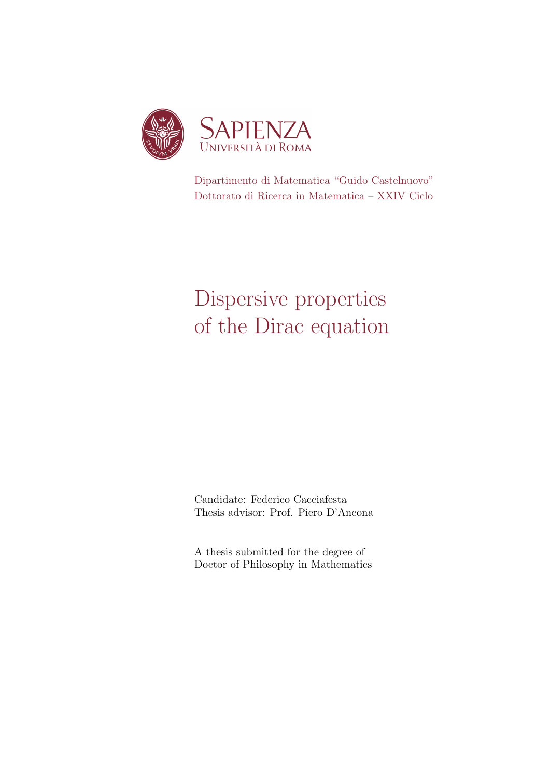

Dipartimento di Matematica "Guido Castelnuovo" Dottorato di Ricerca in Matematica – XXIV Ciclo

# Dispersive properties of the Dirac equation

Candidate: Federico Cacciafesta Thesis advisor: Prof. Piero D'Ancona

A thesis submitted for the degree of Doctor of Philosophy in Mathematics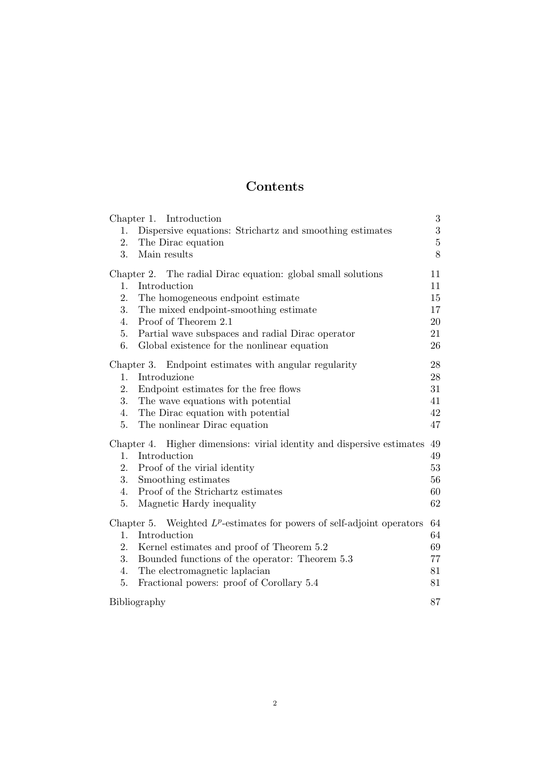# Contents

| 1.<br>2.<br>3.                                        | Chapter 1. Introduction<br>Dispersive equations: Strichartz and smoothing estimates<br>The Dirac equation<br>Main results | $\boldsymbol{3}$<br>3<br>$\overline{5}$<br>8 |
|-------------------------------------------------------|---------------------------------------------------------------------------------------------------------------------------|----------------------------------------------|
|                                                       | Chapter 2. The radial Dirac equation: global small solutions                                                              | 11                                           |
| 1.                                                    | Introduction                                                                                                              | 11                                           |
| 2.                                                    | The homogeneous endpoint estimate                                                                                         | 15                                           |
| 3.                                                    | The mixed endpoint-smoothing estimate                                                                                     | 17                                           |
| 4.                                                    | Proof of Theorem 2.1                                                                                                      | 20                                           |
| 5.                                                    | Partial wave subspaces and radial Dirac operator                                                                          | 21                                           |
| 6.                                                    | Global existence for the nonlinear equation                                                                               | 26                                           |
| Chapter 3. Endpoint estimates with angular regularity |                                                                                                                           | 28                                           |
| 1.                                                    | Introduzione                                                                                                              | 28                                           |
| 2.                                                    | Endpoint estimates for the free flows                                                                                     | 31                                           |
| 3.                                                    | The wave equations with potential                                                                                         | 41                                           |
| 4.                                                    | The Dirac equation with potential                                                                                         | 42                                           |
| 5.                                                    | The nonlinear Dirac equation                                                                                              | 47                                           |
|                                                       |                                                                                                                           |                                              |
| 1.                                                    | Chapter 4. Higher dimensions: virial identity and dispersive estimates<br>Introduction                                    | 49<br>49                                     |
| 2.                                                    | Proof of the virial identity                                                                                              | 53                                           |
| 3.                                                    | Smoothing estimates                                                                                                       | 56                                           |
| 4.                                                    | Proof of the Strichartz estimates                                                                                         | 60                                           |
| 5.                                                    | Magnetic Hardy inequality                                                                                                 | 62                                           |
|                                                       |                                                                                                                           |                                              |
|                                                       | Chapter 5. Weighted $L^p$ -estimates for powers of self-adjoint operators                                                 | 64                                           |
| 1.                                                    | Introduction                                                                                                              | 64                                           |
| 2.                                                    | Kernel estimates and proof of Theorem 5.2                                                                                 | 69                                           |
| 3.                                                    | Bounded functions of the operator: Theorem 5.3                                                                            | 77                                           |
| 4.                                                    | The electromagnetic laplacian                                                                                             | 81                                           |
| 5.                                                    | Fractional powers: proof of Corollary 5.4                                                                                 | 81                                           |
|                                                       | Bibliography                                                                                                              |                                              |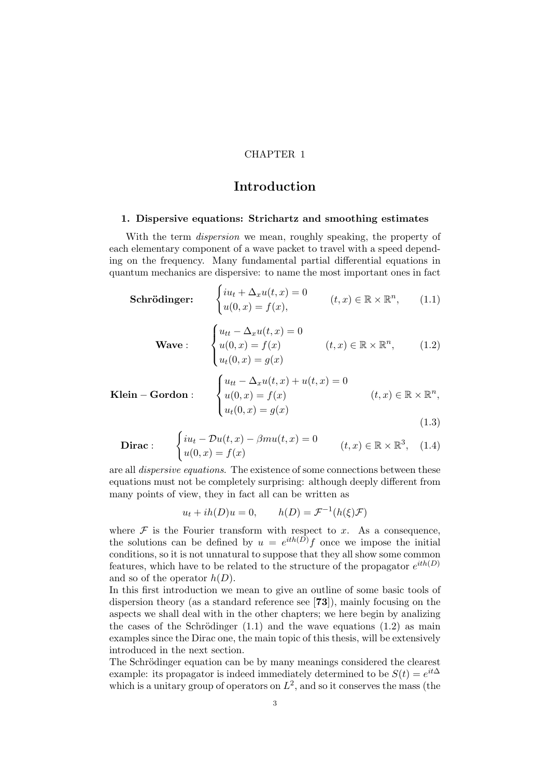## CHAPTER 1

# Introduction

#### 1. Dispersive equations: Strichartz and smoothing estimates

With the term *dispersion* we mean, roughly speaking, the property of each elementary component of a wave packet to travel with a speed depending on the frequency. Many fundamental partial differential equations in quantum mechanics are dispersive: to name the most important ones in fact

Schrödinger:  $iu_t + \Delta_x u(t, x) = 0$  $u(0, x) = f(x),$  $(t, x) \in \mathbb{R} \times \mathbb{R}^n$  $(1.1)$ 

$$
\textbf{Wave}: \quad \begin{cases} u_{tt} - \Delta_x u(t, x) = 0 \\ u(0, x) = f(x) \\ u_t(0, x) = g(x) \end{cases} \quad (t, x) \in \mathbb{R} \times \mathbb{R}^n, \quad (1.2)
$$

$$
\begin{aligned}\n\mathbf{Klein} - \mathbf{Gordon}: \quad \begin{cases}\n u_{tt} - \Delta_x u(t, x) + u(t, x) &= 0 \\
 u(0, x) &= f(x) \\
 u_t(0, x) &= g(x)\n\end{cases} \quad (t, x) \in \mathbb{R} \times \mathbb{R}^n,\n\end{aligned}
$$
\n
$$
(1.3)
$$

**Dirac**: 
$$
\begin{cases} iu_t - \mathcal{D}u(t,x) - \beta mu(t,x) = 0 \\ u(0,x) = f(x) \end{cases} \qquad (t,x) \in \mathbb{R} \times \mathbb{R}^3, \quad (1.4)
$$

are all dispersive equations. The existence of some connections between these equations must not be completely surprising: although deeply different from many points of view, they in fact all can be written as

> $u_t + ih(D)u = 0,$  $\mathcal{I}^{-1}(h(\xi)\mathcal{F})$

where  $\mathcal F$  is the Fourier transform with respect to x. As a consequence, the solutions can be defined by  $u = e^{ith(D)}f$  once we impose the initial conditions, so it is not unnatural to suppose that they all show some common features, which have to be related to the structure of the propagator  $e^{ith(D)}$ and so of the operator  $h(D)$ .

In this first introduction we mean to give an outline of some basic tools of dispersion theory (as a standard reference see [73]), mainly focusing on the aspects we shall deal with in the other chapters; we here begin by analizing the cases of the Schrödinger  $(1.1)$  and the wave equations  $(1.2)$  as main examples since the Dirac one, the main topic of this thesis, will be extensively introduced in the next section.

The Schrödinger equation can be by many meanings considered the clearest example: its propagator is indeed immediately determined to be  $S(t) = e^{it\Delta}$ which is a unitary group of operators on  $L^2$ , and so it conserves the mass (the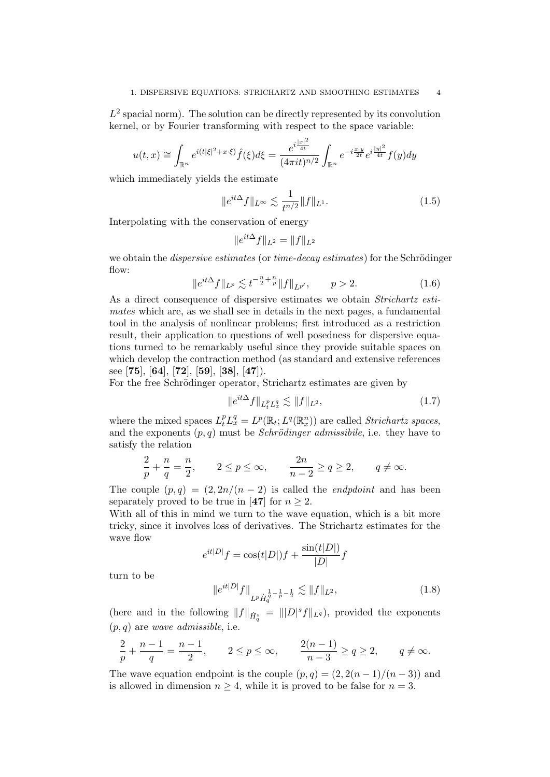$L^2$  spacial norm). The solution can be directly represented by its convolution kernel, or by Fourier transforming with respect to the space variable:

$$
u(t,x) \cong \int_{\mathbb{R}^n} e^{i(t|\xi|^2 + x \cdot \xi)} \hat{f}(\xi) d\xi = \frac{e^{i\frac{|x|^2}{4t}}}{(4\pi i t)^{n/2}} \int_{\mathbb{R}^n} e^{-i\frac{x \cdot y}{2t}} e^{i\frac{|y|^2}{4t}} f(y) dy
$$

which immediately yields the estimate

$$
||e^{it\Delta}f||_{L^{\infty}} \lesssim \frac{1}{t^{n/2}} ||f||_{L^{1}}.
$$
\n(1.5)

Interpolating with the conservation of energy

$$
\|e^{it\Delta}f\|_{L^2} = \|f\|_{L^2}
$$

we obtain the *dispersive estimates* (or *time-decay estimates*) for the Schrödinger flow:

$$
||e^{it\Delta}f||_{L^p} \lesssim t^{-\frac{n}{2} + \frac{n}{p}} ||f||_{L^{p'}}, \qquad p > 2.
$$
 (1.6)

As a direct consequence of dispersive estimates we obtain Strichartz estimates which are, as we shall see in details in the next pages, a fundamental tool in the analysis of nonlinear problems; first introduced as a restriction result, their application to questions of well posedness for dispersive equations turned to be remarkably useful since they provide suitable spaces on which develop the contraction method (as standard and extensive references see [75], [64], [72], [59], [38], [47]).

For the free Schrödinger operator, Strichartz estimates are given by

$$
||e^{it\Delta}f||_{L_t^p L_x^q} \lesssim ||f||_{L^2},
$$
\n(1.7)

where the mixed spaces  $L_t^p L_x^q = L^p(\mathbb{R}_t; L^q(\mathbb{R}_x^n))$  are called *Strichartz spaces*, and the exponents  $(p, q)$  must be *Schrödinger admissibile*, i.e. they have to satisfy the relation

$$
\frac{2}{p} + \frac{n}{q} = \frac{n}{2}, \qquad 2 \le p \le \infty, \qquad \frac{2n}{n-2} \ge q \ge 2, \qquad q \ne \infty.
$$

The couple  $(p, q) = (2, 2n/(n-2))$  is called the *endpdoint* and has been separately proved to be true in [47] for  $n \geq 2$ .

With all of this in mind we turn to the wave equation, which is a bit more tricky, since it involves loss of derivatives. The Strichartz estimates for the wave flow

$$
e^{it|D|}f = \cos(t|D|)f + \frac{\sin(t|D|)}{|D|}f
$$

turn to be

$$
||e^{it|D|}f||_{L^p\dot{H}_q^{\frac{1}{q}-\frac{1}{p}-\frac{1}{2}}} \lesssim ||f||_{L^2},
$$
\n(1.8)

(here and in the following  $||f||_{\dot{H}^s_q} = ||D|^s f||_{L^q}$ ), provided the exponents  $(p, q)$  are *wave admissible*, i.e.

$$
\frac{2}{p} + \frac{n-1}{q} = \frac{n-1}{2}, \qquad 2 \le p \le \infty, \qquad \frac{2(n-1)}{n-3} \ge q \ge 2, \qquad q \ne \infty.
$$

The wave equation endpoint is the couple  $(p, q) = (2, 2(n-1)/(n-3))$  and is allowed in dimension  $n \geq 4$ , while it is proved to be false for  $n = 3$ .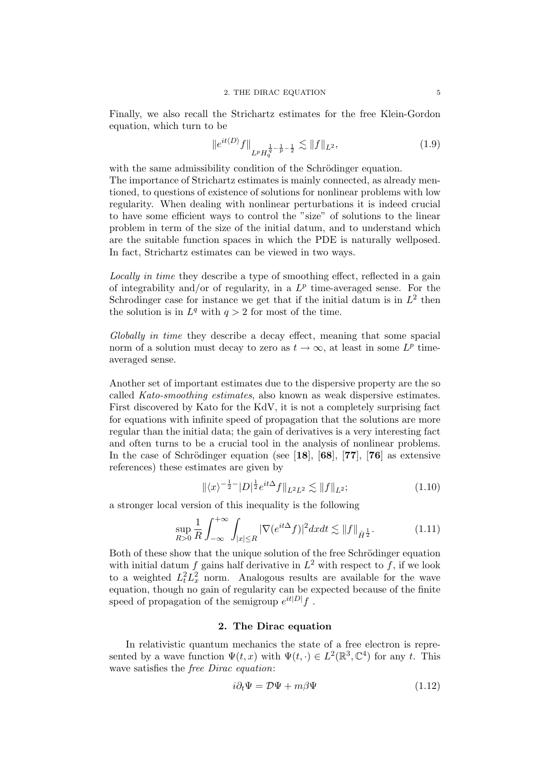Finally, we also recall the Strichartz estimates for the free Klein-Gordon equation, which turn to be

$$
||e^{it\langle D\rangle}f||_{L^pH_q^{\frac{1}{q}-\frac{1}{p}-\frac{1}{2}}} \lesssim ||f||_{L^2},\tag{1.9}
$$

with the same admissibility condition of the Schrödinger equation.

The importance of Strichartz estimates is mainly connected, as already mentioned, to questions of existence of solutions for nonlinear problems with low regularity. When dealing with nonlinear perturbations it is indeed crucial to have some efficient ways to control the "size" of solutions to the linear problem in term of the size of the initial datum, and to understand which are the suitable function spaces in which the PDE is naturally wellposed. In fact, Strichartz estimates can be viewed in two ways.

Locally in time they describe a type of smoothing effect, reflected in a gain of integrability and/or of regularity, in a  $L^p$  time-averaged sense. For the Schrodinger case for instance we get that if the initial datum is in  $L^2$  then the solution is in  $L^q$  with  $q > 2$  for most of the time.

Globally in time they describe a decay effect, meaning that some spacial norm of a solution must decay to zero as  $t \to \infty$ , at least in some  $L^p$  timeaveraged sense.

Another set of important estimates due to the dispersive property are the so called Kato-smoothing estimates, also known as weak dispersive estimates. First discovered by Kato for the KdV, it is not a completely surprising fact for equations with infinite speed of propagation that the solutions are more regular than the initial data; the gain of derivatives is a very interesting fact and often turns to be a crucial tool in the analysis of nonlinear problems. In the case of Schrödinger equation (see [18], [68], [77], [76] as extensive references) these estimates are given by

$$
\|\langle x\rangle^{-\frac{1}{2}-}|D|^{\frac{1}{2}}e^{it\Delta}f\|_{L^2L^2}\lesssim \|f\|_{L^2};\tag{1.10}
$$

a stronger local version of this inequality is the following

$$
\sup_{R>0} \frac{1}{R} \int_{-\infty}^{+\infty} \int_{|x| \le R} |\nabla (e^{it\Delta} f)|^2 dx dt \lesssim ||f||_{\dot{H}^{\frac{1}{2}}}.
$$
 (1.11)

Both of these show that the unique solution of the free Schrödinger equation with initial datum f gains half derivative in  $L^2$  with respect to f, if we look to a weighted  $L_t^2 L_x^2$  norm. Analogous results are available for the wave equation, though no gain of regularity can be expected because of the finite speed of propagation of the semigroup  $e^{it|D|}f$ .

#### 2. The Dirac equation

In relativistic quantum mechanics the state of a free electron is represented by a wave function  $\Psi(t, x)$  with  $\Psi(t, \cdot) \in L^2(\mathbb{R}^3, \mathbb{C}^4)$  for any t. This wave satisfies the *free Dirac equation*:

$$
i\partial_t \Psi = \mathcal{D}\Psi + m\beta\Psi \tag{1.12}
$$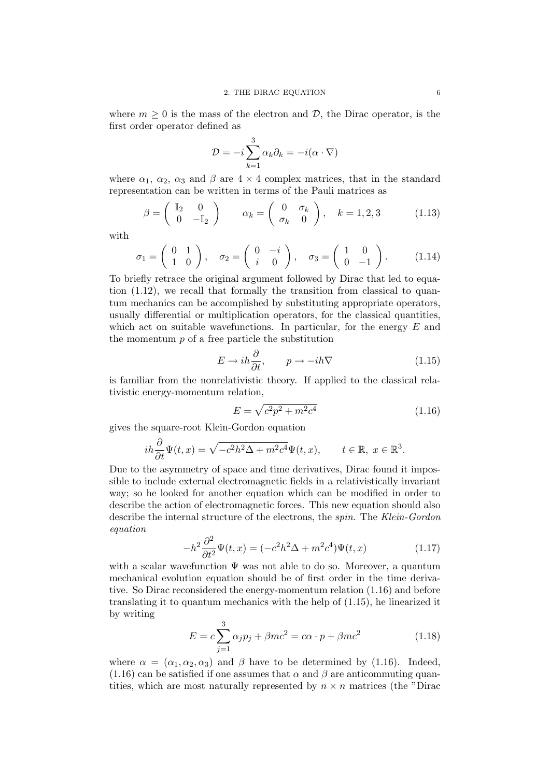where  $m \geq 0$  is the mass of the electron and  $\mathcal{D}$ , the Dirac operator, is the first order operator defined as

$$
\mathcal{D} = -i \sum_{k=1}^{3} \alpha_k \partial_k = -i(\alpha \cdot \nabla)
$$

where  $\alpha_1$ ,  $\alpha_2$ ,  $\alpha_3$  and  $\beta$  are  $4 \times 4$  complex matrices, that in the standard representation can be written in terms of the Pauli matrices as

$$
\beta = \begin{pmatrix} \mathbb{I}_2 & 0 \\ 0 & -\mathbb{I}_2 \end{pmatrix} \qquad \alpha_k = \begin{pmatrix} 0 & \sigma_k \\ \sigma_k & 0 \end{pmatrix}, \quad k = 1, 2, 3 \tag{1.13}
$$

with

$$
\sigma_1 = \begin{pmatrix} 0 & 1 \\ 1 & 0 \end{pmatrix}, \quad \sigma_2 = \begin{pmatrix} 0 & -i \\ i & 0 \end{pmatrix}, \quad \sigma_3 = \begin{pmatrix} 1 & 0 \\ 0 & -1 \end{pmatrix}.
$$
 (1.14)

To briefly retrace the original argument followed by Dirac that led to equation (1.12), we recall that formally the transition from classical to quantum mechanics can be accomplished by substituting appropriate operators, usually differential or multiplication operators, for the classical quantities, which act on suitable wavefunctions. In particular, for the energy  $E$  and the momentum p of a free particle the substitution

$$
E \to ih \frac{\partial}{\partial t}, \qquad p \to -ih\nabla \tag{1.15}
$$

is familiar from the nonrelativistic theory. If applied to the classical relativistic energy-momentum relation,

$$
E = \sqrt{c^2 p^2 + m^2 c^4} \tag{1.16}
$$

gives the square-root Klein-Gordon equation

$$
ih\frac{\partial}{\partial t}\Psi(t,x) = \sqrt{-c^2h^2\Delta + m^2c^4}\Psi(t,x), \qquad t \in \mathbb{R}, \ x \in \mathbb{R}^3.
$$

Due to the asymmetry of space and time derivatives, Dirac found it impossible to include external electromagnetic fields in a relativistically invariant way; so he looked for another equation which can be modified in order to describe the action of electromagnetic forces. This new equation should also describe the internal structure of the electrons, the spin. The Klein-Gordon equation

$$
-h^2 \frac{\partial^2}{\partial t^2} \Psi(t, x) = (-c^2 h^2 \Delta + m^2 c^4) \Psi(t, x)
$$
\n(1.17)

with a scalar wavefunction  $\Psi$  was not able to do so. Moreover, a quantum mechanical evolution equation should be of first order in the time derivative. So Dirac reconsidered the energy-momentum relation (1.16) and before translating it to quantum mechanics with the help of (1.15), he linearized it by writing

$$
E = c \sum_{j=1}^{3} \alpha_j p_j + \beta mc^2 = c\alpha \cdot p + \beta mc^2 \qquad (1.18)
$$

where  $\alpha = (\alpha_1, \alpha_2, \alpha_3)$  and  $\beta$  have to be determined by (1.16). Indeed, (1.16) can be satisfied if one assumes that  $\alpha$  and  $\beta$  are anticommuting quantities, which are most naturally represented by  $n \times n$  matrices (the "Dirac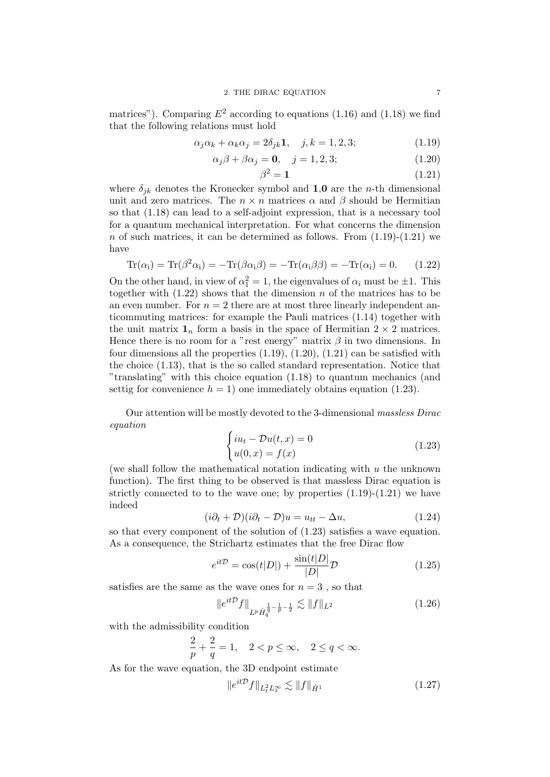matrices"). Comparing  $E^2$  according to equations (1.16) and (1.18) we find that the following relations must hold

$$
\alpha_j \alpha_k + \alpha_k \alpha_j = 2\delta_{jk} \mathbf{1}, \quad j, k = 1, 2, 3; \tag{1.19}
$$

$$
\alpha_j \beta + \beta \alpha_j = \mathbf{0}, \quad j = 1, 2, 3; \tag{1.20}
$$

$$
\beta^2 = 1\tag{1.21}
$$

where  $\delta_{ik}$  denotes the Kronecker symbol and 1,0 are the *n*-th dimensional unit and zero matrices. The  $n \times n$  matrices  $\alpha$  and  $\beta$  should be Hermitian so that (1.18) can lead to a self-adjoint expression, that is a necessary tool for a quantum mechanical interpretation. For what concerns the dimension n of such matrices, it can be determined as follows. From  $(1.19)-(1.21)$  we have

$$
\text{Tr}(\alpha_i) = \text{Tr}(\beta^2 \alpha_i) = -\text{Tr}(\beta \alpha_i \beta) = -\text{Tr}(\alpha_i \beta \beta) = -\text{Tr}(\alpha_i) = 0. \tag{1.22}
$$

On the other hand, in view of  $\alpha_1^2 = 1$ , the eigenvalues of  $\alpha_i$  must be  $\pm 1$ . This together with  $(1.22)$  shows that the dimension n of the matrices has to be an even number. For  $n = 2$  there are at most three linearly independent anticommuting matrices: for example the Pauli matrices (1.14) together with the unit matrix  $\mathbf{1}_n$  form a basis in the space of Hermitian  $2 \times 2$  matrices. Hence there is no room for a "rest energy" matrix  $\beta$  in two dimensions. In four dimensions all the properties  $(1.19)$ ,  $(1.20)$ ,  $(1.21)$  can be satisfied with the choice (1.13), that is the so called standard representation. Notice that "translating" with this choice equation (1.18) to quantum mechanics (and settig for convenience  $h = 1$ ) one immediately obtains equation (1.23).

Our attention will be mostly devoted to the 3-dimensional massless Dirac equation

$$
\begin{cases}\ni u_t - \mathcal{D}u(t, x) = 0 \\
u(0, x) = f(x)\n\end{cases} \tag{1.23}
$$

(we shall follow the mathematical notation indicating with  $u$  the unknown function). The first thing to be observed is that massless Dirac equation is strictly connected to to the wave one; by properties  $(1.19)-(1.21)$  we have indeed

$$
(i\partial_t + \mathcal{D})(i\partial_t - \mathcal{D})u = u_{tt} - \Delta u,
$$
\n(1.24)

so that every component of the solution of (1.23) satisfies a wave equation. As a consequence, the Strichartz estimates that the free Dirac flow

$$
e^{it\mathcal{D}} = \cos(t|D|) + \frac{\sin(t|D|)}{|D|}\mathcal{D}
$$
\n(1.25)

satisfies are the same as the wave ones for  $n = 3$ , so that

$$
||e^{it\mathcal{D}}f||_{L^p\dot{H}_q^{\frac{1}{q}-\frac{1}{p}-\frac{1}{2}}} \lesssim ||f||_{L^2}
$$
\n(1.26)

with the admissibility condition

$$
\frac{2}{p}+\frac{2}{q}=1, \quad 2 < p \leq \infty, \quad 2 \leq q < \infty.
$$

As for the wave equation, the 3D endpoint estimate

$$
||e^{it\mathcal{D}}f||_{L_t^2 L_x^{\infty}} \lesssim ||f||_{\dot{H}^1}
$$
\n(1.27)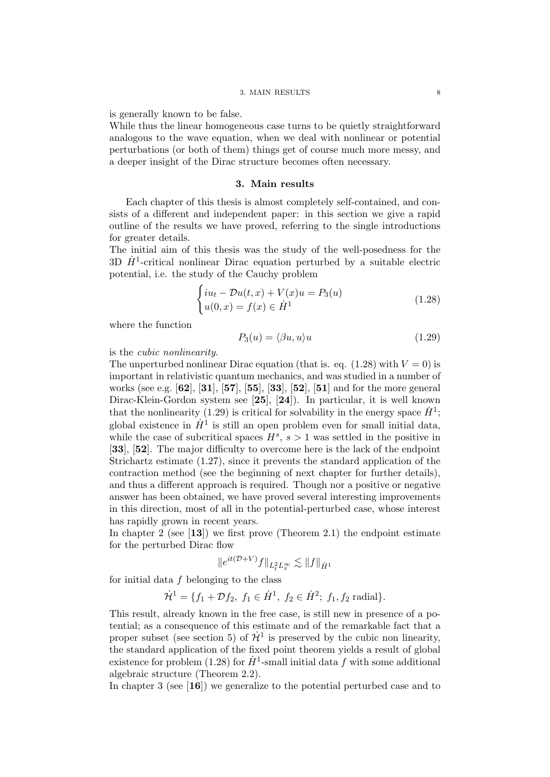is generally known to be false.

While thus the linear homogeneous case turns to be quietly straightforward analogous to the wave equation, when we deal with nonlinear or potential perturbations (or both of them) things get of course much more messy, and a deeper insight of the Dirac structure becomes often necessary.

## 3. Main results

Each chapter of this thesis is almost completely self-contained, and consists of a different and independent paper: in this section we give a rapid outline of the results we have proved, referring to the single introductions for greater details.

The initial aim of this thesis was the study of the well-posedness for the 3D  $\dot{H}^1$ -critical nonlinear Dirac equation perturbed by a suitable electric potential, i.e. the study of the Cauchy problem

$$
\begin{cases}\ni u_t - \mathcal{D}u(t,x) + V(x)u = P_3(u) \\
u(0,x) = f(x) \in \dot{H}^1\n\end{cases}
$$
\n(1.28)

where the function

$$
P_3(u) = \langle \beta u, u \rangle u \tag{1.29}
$$

is the cubic nonlinearity.

The unperturbed nonlinear Dirac equation (that is. eq.  $(1.28)$  with  $V = 0$ ) is important in relativistic quantum mechanics, and was studied in a number of works (see e.g. [62], [31], [57], [55], [33], [52], [51] and for the more general Dirac-Klein-Gordon system see [25], [24]). In particular, it is well known that the nonlinearity (1.29) is critical for solvability in the energy space  $\dot{H}^1$ ; global existence in  $\dot{H}^1$  is still an open problem even for small initial data, while the case of subcritical spaces  $H^s$ ,  $s > 1$  was settled in the positive in [33], [52]. The major difficulty to overcome here is the lack of the endpoint Strichartz estimate (1.27), since it prevents the standard application of the contraction method (see the beginning of next chapter for further details), and thus a different approach is required. Though nor a positive or negative answer has been obtained, we have proved several interesting improvements in this direction, most of all in the potential-perturbed case, whose interest has rapidly grown in recent years.

In chapter 2 (see  $[13]$ ) we first prove (Theorem 2.1) the endpoint estimate for the perturbed Dirac flow

$$
\|e^{it(\mathcal{D}+V)}f\|_{L^2_tL^\infty_x}\lesssim \|f\|_{\dot{H}^1}
$$

for initial data  $f$  belonging to the class

$$
\dot{\mathcal{H}}^1 = \{f_1 + \mathcal{D}f_2, f_1 \in \dot{H}^1, f_2 \in \dot{H}^2; f_1, f_2 \text{ radial}\}.
$$

This result, already known in the free case, is still new in presence of a potential; as a consequence of this estimate and of the remarkable fact that a proper subset (see section 5) of  $\dot{\mathcal{H}}^1$  is preserved by the cubic non linearity, the standard application of the fixed point theorem yields a result of global existence for problem (1.28) for  $\dot{H}^1$ -small initial data f with some additional algebraic structure (Theorem 2.2).

In chapter 3 (see [16]) we generalize to the potential perturbed case and to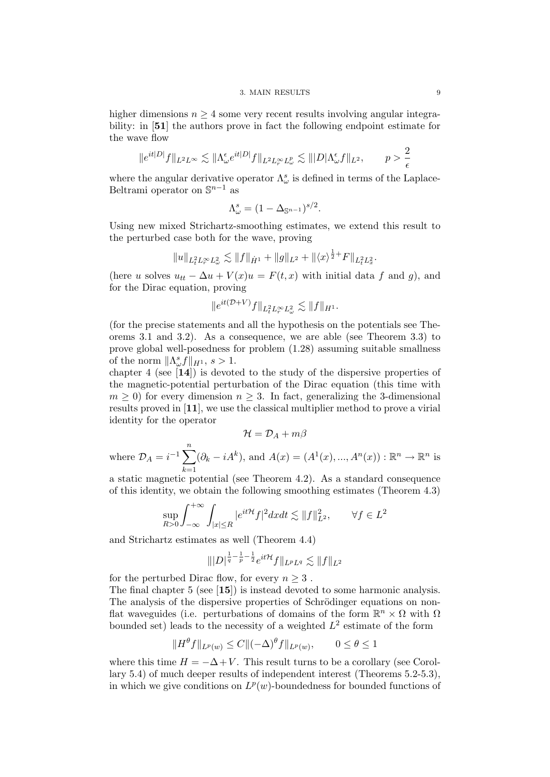#### 3. MAIN RESULTS 9

higher dimensions  $n \geq 4$  some very recent results involving angular integrability: in [51] the authors prove in fact the following endpoint estimate for the wave flow

$$
\|e^{it|D|}f\|_{L^2L^\infty} \lesssim \|\Lambda^\epsilon_\omega e^{it|D|}f\|_{L^2L^\infty_rL^p_\omega} \lesssim |||D|\Lambda^\epsilon_\omega f||_{L^2}, \qquad p > \frac{2}{\epsilon}
$$

where the angular derivative operator  $\Lambda^s_\omega$  is defined in terms of the Laplace-Beltrami operator on  $\mathbb{S}^{n-1}$  as

$$
\Lambda^s_\omega = (1 - \Delta_{\mathbb{S}^{n-1}})^{s/2}.
$$

Using new mixed Strichartz-smoothing estimates, we extend this result to the perturbed case both for the wave, proving

$$
||u||_{L_t^2 L_r^{\infty} L_{\omega}^2} \lesssim ||f||_{\dot H^1} + ||g||_{L^2} + ||\langle x \rangle^{\frac{1}{2}+} F||_{L_t^2 L_x^2}.
$$

(here u solves  $u_{tt} - \Delta u + V(x)u = F(t, x)$  with initial data f and g), and for the Dirac equation, proving

$$
\|e^{it(\mathcal{D}+V)}f\|_{L_t^2 L_r^{\infty} L_{\omega}^2} \lesssim \|f\|_{H^1}.
$$

(for the precise statements and all the hypothesis on the potentials see Theorems 3.1 and 3.2). As a consequence, we are able (see Theorem 3.3) to prove global well-posedness for problem (1.28) assuming suitable smallness of the norm  $\|\Lambda_{\omega}^s f\|_{H^1}, s > 1.$ 

chapter 4 (see [14]) is devoted to the study of the dispersive properties of the magnetic-potential perturbation of the Dirac equation (this time with  $m \geq 0$ ) for every dimension  $n \geq 3$ . In fact, generalizing the 3-dimensional results proved in [11], we use the classical multiplier method to prove a virial identity for the operator

$$
\mathcal{H}=\mathcal{D}_A+m\beta
$$

where 
$$
\mathcal{D}_A = i^{-1} \sum_{k=1}^n (\partial_k - iA^k)
$$
, and  $A(x) = (A^1(x), ..., A^n(x)) : \mathbb{R}^n \to \mathbb{R}^n$  is

a static magnetic potential (see Theorem 4.2). As a standard consequence of this identity, we obtain the following smoothing estimates (Theorem 4.3)

$$
\sup_{R>0}\int_{-\infty}^{+\infty}\int_{|x|\leq R}|e^{it\mathcal{H}}f|^2dxdt\lesssim \|f\|_{L^2}^2,\qquad \forall f\in L^2
$$

and Strichartz estimates as well (Theorem 4.4)

$$
\||D|^{\frac{1}{q}-\frac{1}{p}-\frac{1}{2}}e^{it\mathcal{H}}f\|_{L^pL^q}\lesssim \|f\|_{L^2}
$$

for the perturbed Dirac flow, for every  $n \geq 3$ .

The final chapter 5 (see [15]) is instead devoted to some harmonic analysis. The analysis of the dispersive properties of Schrödinger equations on nonflat waveguides (i.e. perturbations of domains of the form  $\mathbb{R}^n \times \Omega$  with  $\Omega$ bounded set) leads to the necessity of a weighted  $L^2$  estimate of the form

$$
||H^{\theta}f||_{L^{p}(w)} \leq C||(-\Delta)^{\theta}f||_{L^{p}(w)}, \qquad 0 \leq \theta \leq 1
$$

where this time  $H = -\Delta + V$ . This result turns to be a corollary (see Corollary 5.4) of much deeper results of independent interest (Theorems 5.2-5.3), in which we give conditions on  $L^p(w)$ -boundedness for bounded functions of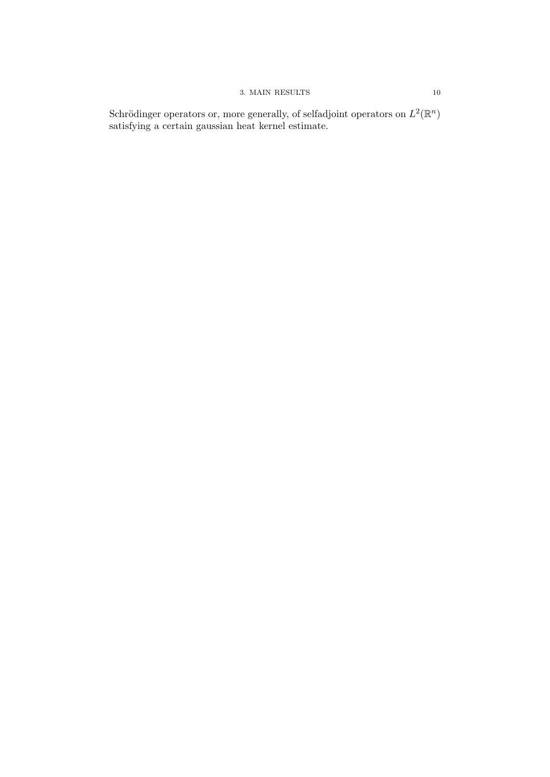# $3. \text{ MAIN RESULTS} \qquad \qquad 10$

Schrödinger operators or, more generally, of selfadjoint operators on  $L^2(\mathbb{R}^n)$ satisfying a certain gaussian heat kernel estimate.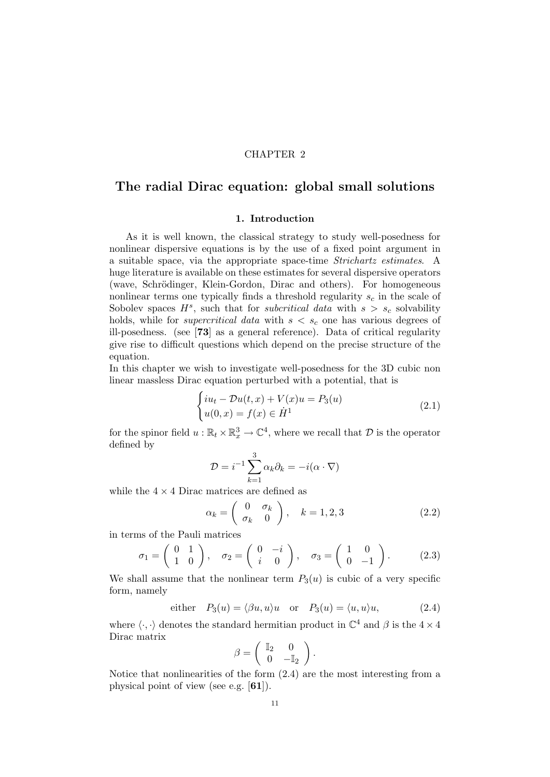## CHAPTER 2

# The radial Dirac equation: global small solutions

# 1. Introduction

As it is well known, the classical strategy to study well-posedness for nonlinear dispersive equations is by the use of a fixed point argument in a suitable space, via the appropriate space-time Strichartz estimates. A huge literature is available on these estimates for several dispersive operators (wave, Schrödinger, Klein-Gordon, Dirac and others). For homogeneous nonlinear terms one typically finds a threshold regularity  $s_c$  in the scale of Sobolev spaces  $H^s$ , such that for *subcritical data* with  $s > s_c$  solvability holds, while for *supercritical data* with  $s < s_c$  one has various degrees of ill-posedness. (see [73] as a general reference). Data of critical regularity give rise to difficult questions which depend on the precise structure of the equation.

In this chapter we wish to investigate well-posedness for the 3D cubic non linear massless Dirac equation perturbed with a potential, that is

$$
\begin{cases}\ni u_t - \mathcal{D}u(t,x) + V(x)u = P_3(u) \\
u(0,x) = f(x) \in \dot{H}^1\n\end{cases}
$$
\n(2.1)

for the spinor field  $u : \mathbb{R}_t \times \mathbb{R}_x^3 \to \mathbb{C}^4$ , where we recall that  $\mathcal D$  is the operator defined by

$$
\mathcal{D} = i^{-1} \sum_{k=1}^{3} \alpha_k \partial_k = -i(\alpha \cdot \nabla)
$$

while the  $4 \times 4$  Dirac matrices are defined as

$$
\alpha_k = \begin{pmatrix} 0 & \sigma_k \\ \sigma_k & 0 \end{pmatrix}, \quad k = 1, 2, 3 \tag{2.2}
$$

in terms of the Pauli matrices

$$
\sigma_1 = \begin{pmatrix} 0 & 1 \\ 1 & 0 \end{pmatrix}, \quad \sigma_2 = \begin{pmatrix} 0 & -i \\ i & 0 \end{pmatrix}, \quad \sigma_3 = \begin{pmatrix} 1 & 0 \\ 0 & -1 \end{pmatrix}.
$$
 (2.3)

We shall assume that the nonlinear term  $P_3(u)$  is cubic of a very specific form, namely

either 
$$
P_3(u) = \langle \beta u, u \rangle u
$$
 or  $P_3(u) = \langle u, u \rangle u$ , (2.4)

where  $\langle \cdot, \cdot \rangle$  denotes the standard hermitian product in  $\mathbb{C}^4$  and  $\beta$  is the  $4 \times 4$ Dirac matrix

$$
\beta = \left(\begin{array}{cc} \mathbb{I}_2 & 0 \\ 0 & -\mathbb{I}_2 \end{array}\right).
$$

Notice that nonlinearities of the form (2.4) are the most interesting from a physical point of view (see e.g. [61]).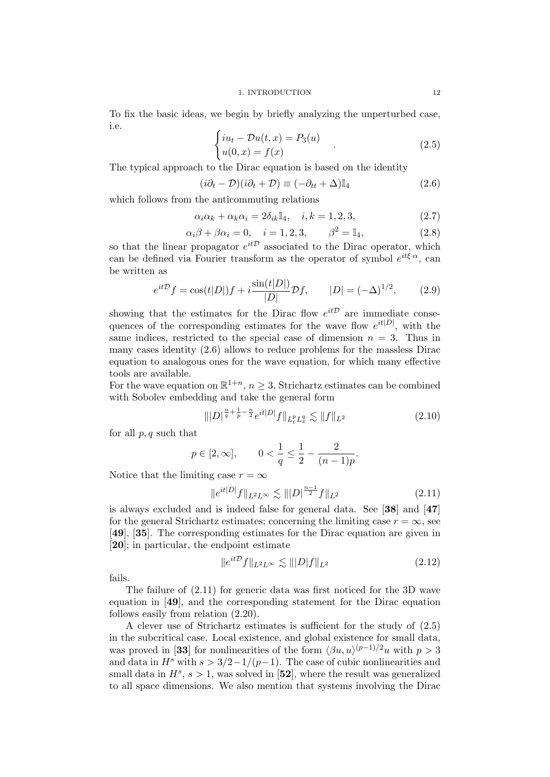To fix the basic ideas, we begin by briefly analyzing the unperturbed case, i.e.

$$
\begin{cases}\ni u_t - \mathcal{D}u(t,x) = P_3(u) \\
u(0,x) = f(x)\n\end{cases} \tag{2.5}
$$

The typical approach to the Dirac equation is based on the identity

$$
(i\partial_t - \mathcal{D})(i\partial_t + \mathcal{D}) \equiv (-\partial_{tt} + \Delta)\mathbb{I}_4
$$
\n(2.6)

which follows from the anticommuting relations

$$
\alpha_i \alpha_k + \alpha_k \alpha_i = 2\delta_{ik} \mathbb{I}_4, \quad i, k = 1, 2, 3,
$$
\n
$$
(2.7)
$$

$$
\alpha_i \beta + \beta \alpha_i = 0, \quad i = 1, 2, 3, \qquad \beta^2 = \mathbb{I}_4,
$$
\n(2.8)

so that the linear propagator  $e^{it\mathcal{D}}$  associated to the Dirac operator, which can be defined via Fourier transform as the operator of symbol  $e^{it\xi \cdot \alpha}$ , can be written as

$$
e^{it\mathcal{D}}f = \cos(t|D|)f + i\frac{\sin(t|D|)}{|D|}\mathcal{D}f, \qquad |D| = (-\Delta)^{1/2}, \qquad (2.9)
$$

showing that the estimates for the Dirac flow  $e^{it\mathcal{D}}$  are immediate consequences of the corresponding estimates for the wave flow  $e^{it|D|}$ , with the same indices, restricted to the special case of dimension  $n = 3$ . Thus in many cases identity (2.6) allows to reduce problems for the massless Dirac equation to analogous ones for the wave equation, for which many effective tools are available.

For the wave equation on  $\mathbb{R}^{1+n}$ ,  $n \geq 3$ , Strichartz estimates can be combined with Sobolev embedding and take the general form

$$
\| |D|^{\frac{n}{q} + \frac{1}{p} - \frac{n}{2}} e^{it|D|} f \|_{L_t^p L_x^q} \lesssim \| f \|_{L^2}
$$
\n(2.10)

for all  $p, q$  such that

$$
p \in [2, \infty],
$$
  $0 < \frac{1}{q} \le \frac{1}{2} - \frac{2}{(n-1)p}.$ 

Notice that the limiting case  $r = \infty$ 

$$
||e^{it|D|}f||_{L^2L^\infty} \lesssim |||D|^{\frac{n-1}{2}}f||_{L^2}
$$
\n(2.11)

is always excluded and is indeed false for general data. See [38] and [47] for the general Strichartz estimates; concerning the limiting case  $r = \infty$ , see [49], [35]. The corresponding estimates for the Dirac equation are given in [20]; in particular, the endpoint estimate

$$
\|e^{it\mathcal{D}}f\|_{L^2L^\infty} \lesssim \| |D|f\|_{L^2}
$$
\n(2.12)

fails.

The failure of (2.11) for generic data was first noticed for the 3D wave equation in [49], and the corresponding statement for the Dirac equation follows easily from relation (2.20).

A clever use of Strichartz estimates is sufficient for the study of (2.5) in the subcritical case. Local existence, and global existence for small data, was proved in [33] for nonlinearities of the form  $\langle \beta u, u \rangle^{(p-1)/2}u$  with  $p > 3$ and data in  $H^s$  with  $s > 3/2-1/(p-1)$ . The case of cubic nonlinearities and small data in  $H^s$ ,  $s > 1$ , was solved in [52], where the result was generalized to all space dimensions. We also mention that systems involving the Dirac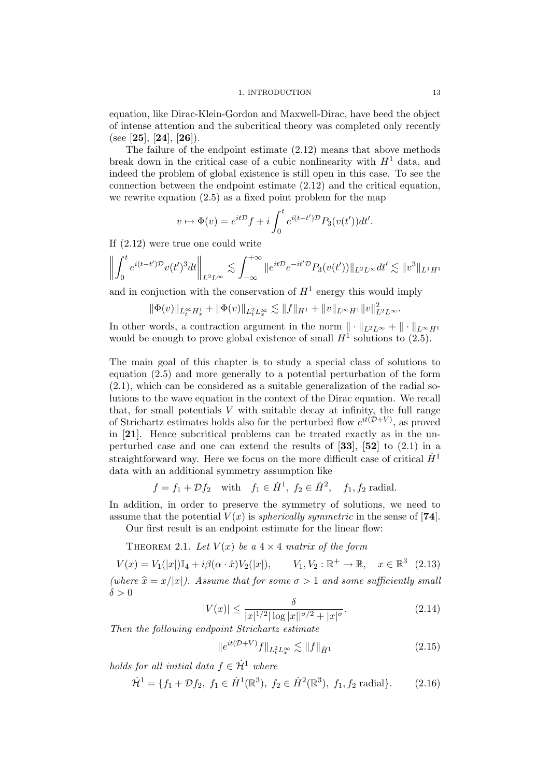equation, like Dirac-Klein-Gordon and Maxwell-Dirac, have beed the object of intense attention and the subcritical theory was completed only recently (see [25], [24], [26]).

The failure of the endpoint estimate (2.12) means that above methods break down in the critical case of a cubic nonlinearity with  $H<sup>1</sup>$  data, and indeed the problem of global existence is still open in this case. To see the connection between the endpoint estimate (2.12) and the critical equation, we rewrite equation (2.5) as a fixed point problem for the map

$$
v \mapsto \Phi(v) = e^{it\mathcal{D}}f + i \int_0^t e^{i(t-t')\mathcal{D}} P_3(v(t'))dt'.
$$

If (2.12) were true one could write

$$
\left\| \int_0^t e^{i(t-t')\mathcal{D}} v(t')^3 dt \right\|_{L^2 L^\infty} \lesssim \int_{-\infty}^{+\infty} \|e^{it\mathcal{D}} e^{-it'\mathcal{D}} P_3(v(t'))\|_{L^2 L^\infty} dt' \lesssim \|v^3\|_{L^1 H^1}
$$

and in conjuction with the conservation of  $H^1$  energy this would imply

$$
\|\Phi(v)\|_{L^\infty_t H^1_x} + \|\Phi(v)\|_{L^2_t L^\infty_x} \lesssim \|f\|_{H^1} + \|v\|_{L^\infty H^1} \|v\|_{L^2 L^\infty}^2.
$$

In other words, a contraction argument in the norm  $\|\cdot\|_{L^2L^{\infty}} + \|\cdot\|_{L^{\infty}H^1}$ would be enough to prove global existence of small  $H^1$  solutions to (2.5).

The main goal of this chapter is to study a special class of solutions to equation (2.5) and more generally to a potential perturbation of the form (2.1), which can be considered as a suitable generalization of the radial solutions to the wave equation in the context of the Dirac equation. We recall that, for small potentials  $V$  with suitable decay at infinity, the full range of Strichartz estimates holds also for the perturbed flow  $e^{it(D+V)}$ , as proved in [21]. Hence subcritical problems can be treated exactly as in the unperturbed case and one can extend the results of  $[33]$ ,  $[52]$  to  $(2.1)$  in a straightforward way. Here we focus on the more difficult case of critical  $\dot{H}^1$ data with an additional symmetry assumption like

$$
f = f_1 + \mathcal{D}f_2
$$
 with  $f_1 \in \dot{H}^1$ ,  $f_2 \in \dot{H}^2$ ,  $f_1, f_2$  radial.

In addition, in order to preserve the symmetry of solutions, we need to assume that the potential  $V(x)$  is *spherically symmetric* in the sense of [74]. Our first result is an endpoint estimate for the linear flow:

THEOREM 2.1. Let  $V(x)$  be a  $4 \times 4$  matrix of the form

 $V(x) = V_1(|x|) \mathbb{I}_4 + i \beta(\alpha \cdot \hat{x}) V_2(|x|), \qquad V_1, V_2 : \mathbb{R}^+ \to \mathbb{R}, \quad x \in \mathbb{R}^3 \tag{2.13}$ (where  $\hat{x} = x/|x|$ ). Assume that for some  $\sigma > 1$  and some sufficiently small  $\delta > 0$ 

$$
|V(x)| \le \frac{\delta}{|x|^{1/2} |\log |x||^{\sigma/2} + |x|^{\sigma}}.
$$
\n(2.14)

Then the following endpoint Strichartz estimate

$$
||e^{it(\mathcal{D}+V)}f||_{L_t^2 L_x^{\infty}} \lesssim ||f||_{\dot{H}^1}
$$
\n(2.15)

holds for all initial data  $f \in \dot{H}^1$  where

$$
\dot{\mathcal{H}}^1 = \{ f_1 + \mathcal{D}f_2, \ f_1 \in \dot{H}^1(\mathbb{R}^3), \ f_2 \in \dot{H}^2(\mathbb{R}^3), \ f_1, f_2 \text{ radial} \}. \tag{2.16}
$$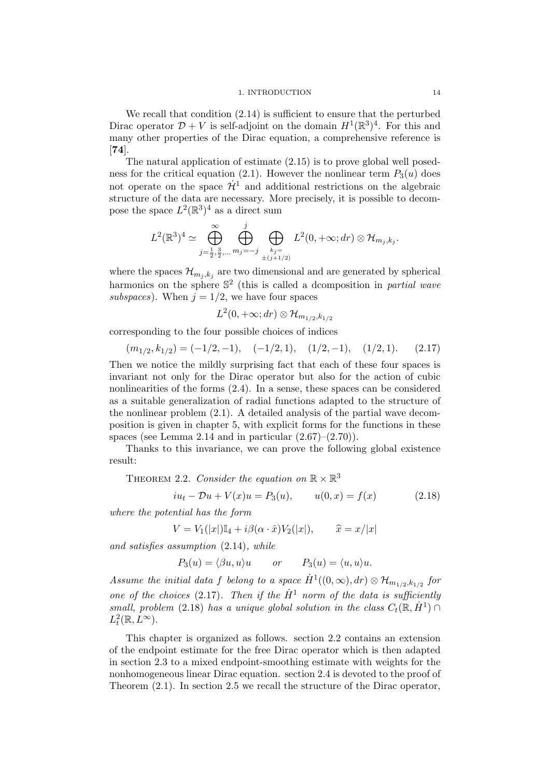#### 1. INTRODUCTION 14

We recall that condition  $(2.14)$  is sufficient to ensure that the perturbed Dirac operator  $\mathcal{D} + V$  is self-adjoint on the domain  $H^1(\mathbb{R}^3)^4$ . For this and many other properties of the Dirac equation, a comprehensive reference is [74].

The natural application of estimate (2.15) is to prove global well posedness for the critical equation (2.1). However the nonlinear term  $P_3(u)$  does not operate on the space  $\dot{\mathcal{H}}^1$  and additional restrictions on the algebraic structure of the data are necessary. More precisely, it is possible to decompose the space  $L^2(\mathbb{R}^3)^4$  as a direct sum

$$
L^{2}(\mathbb{R}^{3})^{4} \simeq \bigoplus_{j=\frac{1}{2},\frac{3}{2},\ldots}^{\infty} \bigoplus_{m_{j}=-j}^{j} \bigoplus_{\substack{k_{j}=-k_{j}+1 \ \pm(j+1/2)}} L^{2}(0,+\infty;dr) \otimes \mathcal{H}_{m_{j},k_{j}}.
$$

where the spaces  $\mathcal{H}_{m_j,k_j}$  are two dimensional and are generated by spherical harmonics on the sphere  $\mathbb{S}^2$  (this is called a dcomposition in partial wave subspaces). When  $j = 1/2$ , we have four spaces

$$
L^2(0,+\infty;dr)\otimes \mathcal{H}_{m_{1/2},k_{1/2}}
$$

corresponding to the four possible choices of indices

$$
(m_{1/2}, k_{1/2}) = (-1/2, -1), \quad (-1/2, 1), \quad (1/2, -1), \quad (1/2, 1). \tag{2.17}
$$

Then we notice the mildly surprising fact that each of these four spaces is invariant not only for the Dirac operator but also for the action of cubic nonlinearities of the forms (2.4). In a sense, these spaces can be considered as a suitable generalization of radial functions adapted to the structure of the nonlinear problem (2.1). A detailed analysis of the partial wave decomposition is given in chapter 5, with explicit forms for the functions in these spaces (see Lemma 2.14 and in particular  $(2.67)$ – $(2.70)$ ).

Thanks to this invariance, we can prove the following global existence result:

THEOREM 2.2. Consider the equation on  $\mathbb{R} \times \mathbb{R}^3$ 

$$
iu_t - Du + V(x)u = P_3(u), \t u(0, x) = f(x) \t (2.18)
$$

where the potential has the form

$$
V = V_1(|x|) \mathbb{I}_4 + i\beta(\alpha \cdot \hat{x}) V_2(|x|), \qquad \hat{x} = x/|x|
$$

and satisfies assumption (2.14), while

$$
P_3(u) = \langle \beta u, u \rangle u
$$
 or  $P_3(u) = \langle u, u \rangle u$ .

Assume the initial data f belong to a space  $\dot{H}^1((0,\infty),dr) \otimes \mathcal{H}_{m_{1/2},k_{1/2}}$  for one of the choices (2.17). Then if the  $\dot{H}^1$  norm of the data is sufficiently small, problem (2.18) has a unique global solution in the class  $C_t(\mathbb{R}, \dot{H}^1) \cap$  $L^2_t(\mathbb{R}, L^{\infty}).$ 

This chapter is organized as follows. section 2.2 contains an extension of the endpoint estimate for the free Dirac operator which is then adapted in section 2.3 to a mixed endpoint-smoothing estimate with weights for the nonhomogeneous linear Dirac equation. section 2.4 is devoted to the proof of Theorem (2.1). In section 2.5 we recall the structure of the Dirac operator,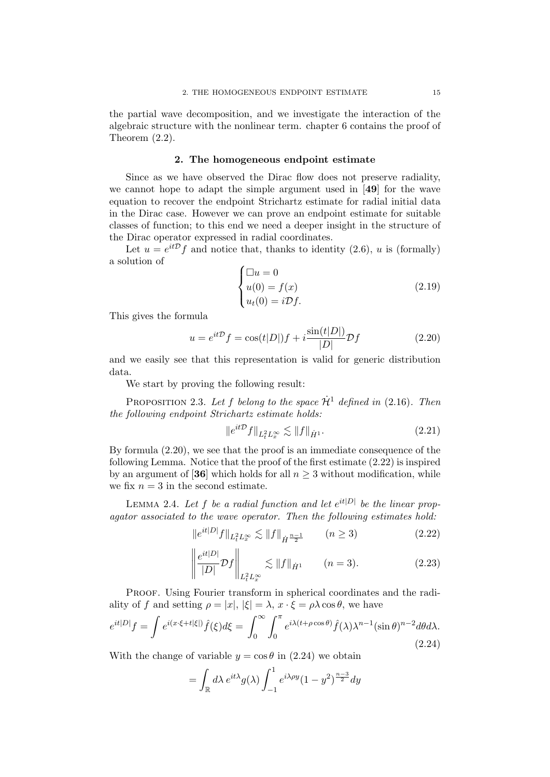the partial wave decomposition, and we investigate the interaction of the algebraic structure with the nonlinear term. chapter 6 contains the proof of Theorem (2.2).

#### 2. The homogeneous endpoint estimate

Since as we have observed the Dirac flow does not preserve radiality, we cannot hope to adapt the simple argument used in [49] for the wave equation to recover the endpoint Strichartz estimate for radial initial data in the Dirac case. However we can prove an endpoint estimate for suitable classes of function; to this end we need a deeper insight in the structure of the Dirac operator expressed in radial coordinates.

Let  $u = e^{it\mathcal{D}}f$  and notice that, thanks to identity (2.6), u is (formally) a solution of

$$
\begin{cases} \Box u = 0 \\ u(0) = f(x) \\ u_t(0) = i \mathcal{D} f. \end{cases} \tag{2.19}
$$

This gives the formula

$$
u = e^{it\mathcal{D}}f = \cos(t|D|)f + i\frac{\sin(t|D|)}{|D|}\mathcal{D}f\tag{2.20}
$$

and we easily see that this representation is valid for generic distribution data.

We start by proving the following result:

PROPOSITION 2.3. Let f belong to the space  $\dot{\mathcal{H}}^1$  defined in (2.16). Then the following endpoint Strichartz estimate holds:

$$
||e^{it\mathcal{D}}f||_{L_t^2 L_x^{\infty}} \lesssim ||f||_{\dot{H}^1}.
$$
\n(2.21)

By formula (2.20), we see that the proof is an immediate consequence of the following Lemma. Notice that the proof of the first estimate (2.22) is inspired by an argument of [36] which holds for all  $n \geq 3$  without modification, while we fix  $n = 3$  in the second estimate.

LEMMA 2.4. Let f be a radial function and let  $e^{it|D|}$  be the linear propagator associated to the wave operator. Then the following estimates hold:

$$
||e^{it|D|}f||_{L_t^2 L_x^{\infty}} \lesssim ||f||_{\dot{H}^{\frac{n-1}{2}}} \qquad (n \ge 3)
$$
 (2.22)

$$
\left\| \frac{e^{it|D|}}{|D|} \mathcal{D}f \right\|_{L_t^2 L_x^{\infty}} \lesssim \|f\|_{\dot{H}^1} \qquad (n=3). \tag{2.23}
$$

PROOF. Using Fourier transform in spherical coordinates and the radiality of f and setting  $\rho = |x|, |\xi| = \lambda$ ,  $x \cdot \xi = \rho \lambda \cos \theta$ , we have

$$
e^{it|D|}f = \int e^{i(x\cdot\xi + t|\xi|)}\hat{f}(\xi)d\xi = \int_0^\infty \int_0^\pi e^{i\lambda(t + \rho\cos\theta)}\hat{f}(\lambda)\lambda^{n-1}(\sin\theta)^{n-2}d\theta d\lambda.
$$
\n(2.24)

With the change of variable  $y = \cos \theta$  in (2.24) we obtain

$$
= \int_{\mathbb{R}} d\lambda \, e^{it\lambda} g(\lambda) \int_{-1}^{1} e^{i\lambda \rho y} (1 - y^2)^{\frac{n-3}{2}} dy
$$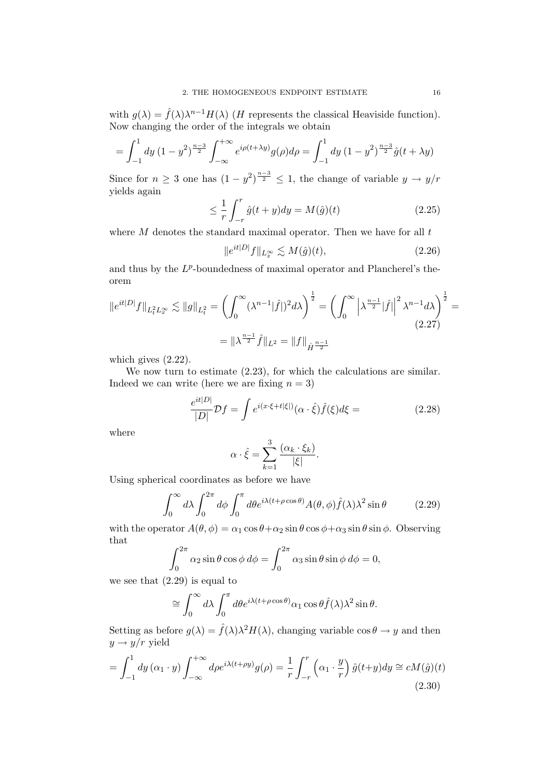with  $g(\lambda) = \hat{f}(\lambda)\lambda^{n-1}H(\lambda)$  (*H* represents the classical Heaviside function). Now changing the order of the integrals we obtain

$$
= \int_{-1}^{1} dy \left(1 - y^2\right)^{\frac{n-3}{2}} \int_{-\infty}^{+\infty} e^{i \rho (t + \lambda y)} g(\rho) d\rho = \int_{-1}^{1} dy \left(1 - y^2\right)^{\frac{n-3}{2}} \hat{g}(t + \lambda y)
$$

Since for  $n \geq 3$  one has  $(1 - y^2)^{\frac{n-3}{2}} \leq 1$ , the change of variable  $y \to y/r$ yields again

$$
\leq \frac{1}{r} \int_{-r}^{r} \hat{g}(t+y) dy = M(\hat{g})(t) \tag{2.25}
$$

where  $M$  denotes the standard maximal operator. Then we have for all  $t$ 

$$
||e^{it|D|}f||_{L_x^{\infty}} \lesssim M(\hat{g})(t),
$$
\n(2.26)

and thus by the  $L^p$ -boundedness of maximal operator and Plancherel's theorem

$$
||e^{it|D|}f||_{L_t^2 L_x^{\infty}} \lesssim ||g||_{L_t^2} = \left(\int_0^{\infty} (\lambda^{n-1}|\hat{f}|)^2 d\lambda\right)^{\frac{1}{2}} = \left(\int_0^{\infty} \left|\lambda^{\frac{n-1}{2}}|\hat{f}|\right|^2 \lambda^{n-1} d\lambda\right)^{\frac{1}{2}} =
$$
  

$$
= ||\lambda^{\frac{n-1}{2}}\hat{f}||_{L^2} = ||f||_{\dot{H}^{\frac{n-1}{2}}} \tag{2.27}
$$

which gives (2.22).

We now turn to estimate  $(2.23)$ , for which the calculations are similar. Indeed we can write (here we are fixing  $n = 3$ )

$$
\frac{e^{it|D|}}{|D|}\mathcal{D}f = \int e^{i(x\cdot\xi + t|\xi|)}(\alpha \cdot \hat{\xi})\hat{f}(\xi)d\xi = \tag{2.28}
$$

where

$$
\alpha \cdot \hat{\xi} = \sum_{k=1}^{3} \frac{(\alpha_k \cdot \xi_k)}{|\xi|}.
$$

Using spherical coordinates as before we have

$$
\int_0^\infty d\lambda \int_0^{2\pi} d\phi \int_0^\pi d\theta e^{i\lambda(t+\rho\cos\theta)} A(\theta,\phi) \hat{f}(\lambda) \lambda^2 \sin\theta \tag{2.29}
$$

with the operator  $A(\theta, \phi) = \alpha_1 \cos \theta + \alpha_2 \sin \theta \cos \phi + \alpha_3 \sin \theta \sin \phi$ . Observing that

$$
\int_0^{2\pi} \alpha_2 \sin \theta \cos \phi \, d\phi = \int_0^{2\pi} \alpha_3 \sin \theta \sin \phi \, d\phi = 0,
$$

we see that  $(2.29)$  is equal to

$$
\cong \int_0^\infty d\lambda \int_0^\pi d\theta e^{i\lambda(t+\rho\cos\theta)} \alpha_1 \cos\theta \hat{f}(\lambda) \lambda^2 \sin\theta.
$$

Setting as before  $g(\lambda) = \hat{f}(\lambda)\lambda^2 H(\lambda)$ , changing variable  $\cos \theta \to y$  and then  $y \rightarrow y/r$  yield

$$
= \int_{-1}^{1} dy \left(\alpha_1 \cdot y\right) \int_{-\infty}^{+\infty} d\rho e^{i\lambda(t+\rho y)} g(\rho) = \frac{1}{r} \int_{-r}^{r} \left(\alpha_1 \cdot \frac{y}{r}\right) \hat{g}(t+y) dy \cong cM(\hat{g})(t)
$$
\n(2.30)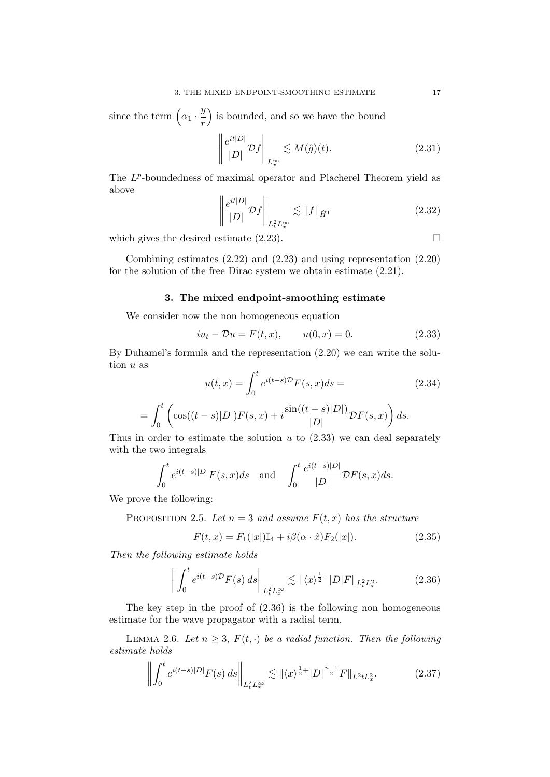since the term  $\left(\alpha_1 \cdot \frac{y}{x}\right)$ r ) is bounded, and so we have the bound

$$
\left\| \frac{e^{it|D|}}{|D|} \mathcal{D}f \right\|_{L^{\infty}_x} \lesssim M(\hat{g})(t). \tag{2.31}
$$

The  $L^p$ -boundedness of maximal operator and Placherel Theorem yield as above

$$
\left\| \frac{e^{it|D|}}{|D|} \mathcal{D}f \right\|_{L_t^2 L_x^{\infty}} \lesssim \|f\|_{\dot{H}^1}
$$
\n(2.32)

which gives the desired estimate  $(2.23)$ .

Combining estimates (2.22) and (2.23) and using representation (2.20) for the solution of the free Dirac system we obtain estimate (2.21).

# 3. The mixed endpoint-smoothing estimate

We consider now the non homogeneous equation

$$
iu_t - Du = F(t, x), \t u(0, x) = 0.
$$
\t(2.33)

By Duhamel's formula and the representation (2.20) we can write the solution u as

$$
u(t,x) = \int_0^t e^{i(t-s)\mathcal{D}} F(s,x)ds =
$$
\n
$$
= \int_0^t \left( \cos((t-s)|D|)F(s,x) + i\frac{\sin((t-s)|D|)}{|D|}\mathcal{D}F(s,x) \right)ds.
$$
\n(2.34)

Thus in order to estimate the solution  $u$  to  $(2.33)$  we can deal separately with the two integrals

$$
\int_0^t e^{i(t-s)|D|} F(s,x)ds \quad \text{and} \quad \int_0^t \frac{e^{i(t-s)|D|}}{|D|} \mathcal{D}F(s,x)ds.
$$

We prove the following:

PROPOSITION 2.5. Let  $n = 3$  and assume  $F(t, x)$  has the structure

$$
F(t, x) = F_1(|x|) \mathbb{I}_4 + i\beta(\alpha \cdot \hat{x}) F_2(|x|). \tag{2.35}
$$

Then the following estimate holds

$$
\left\| \int_0^t e^{i(t-s)\mathcal{D}} F(s) \, ds \right\|_{L_t^2 L_x^\infty} \lesssim \left\| \langle x \rangle^{\frac{1}{2}+} |D| F \right\|_{L_t^2 L_x^2}.\tag{2.36}
$$

The key step in the proof of (2.36) is the following non homogeneous estimate for the wave propagator with a radial term.

LEMMA 2.6. Let  $n \geq 3$ ,  $F(t, \cdot)$  be a radial function. Then the following estimate holds

$$
\left\| \int_0^t e^{i(t-s)|D|} F(s) \, ds \right\|_{L_t^2 L_x^\infty} \lesssim \left\| \langle x \rangle^{\frac{1}{2}+} |D|^{\frac{n-1}{2}} F \right\|_{L^2 t L_x^2}.
$$
 (2.37)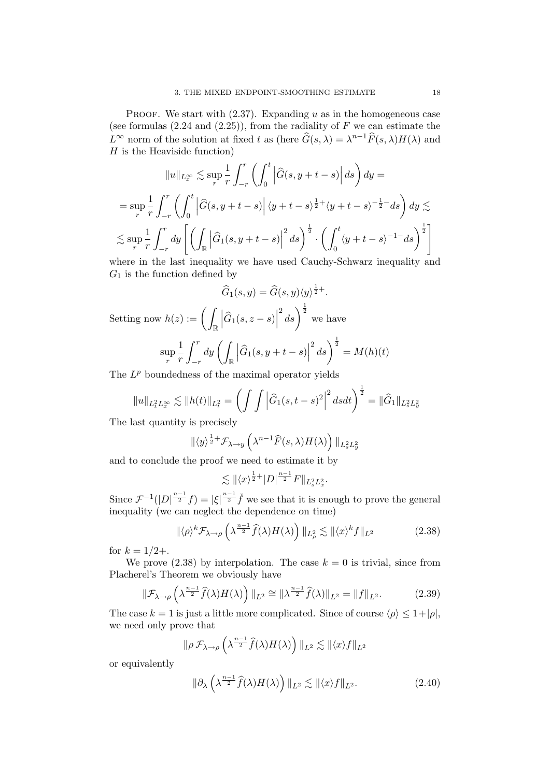PROOF. We start with  $(2.37)$ . Expanding u as in the homogeneous case (see formulas  $(2.24 \text{ and } (2.25))$ , from the radiality of F we can estimate the  $L^{\infty}$  norm of the solution at fixed t as (here  $\widehat{G}(s,\lambda) = \lambda^{n-1}\widehat{F}(s,\lambda)H(\lambda)$  and  $H$  is the Heaviside function)

$$
||u||_{L_x^{\infty}} \lesssim \sup_r \frac{1}{r} \int_{-r}^r \left( \int_0^t \left| \widehat{G}(s, y + t - s) \right| ds \right) dy =
$$
  
\n
$$
= \sup_r \frac{1}{r} \int_{-r}^r \left( \int_0^t \left| \widehat{G}(s, y + t - s) \right| \langle y + t - s \rangle^{\frac{1}{2}+} \langle y + t - s \rangle^{-\frac{1}{2}-} ds \right) dy \lesssim
$$
  
\n
$$
\lesssim \sup_r \frac{1}{r} \int_{-r}^r dy \left[ \left( \int_{\mathbb{R}} \left| \widehat{G}_1(s, y + t - s) \right|^2 ds \right)^{\frac{1}{2}} \cdot \left( \int_0^t \langle y + t - s \rangle^{-1-} ds \right)^{\frac{1}{2}} \right]
$$
  
\nthen in the last inequality we have used Gouck's **Schwarz inequality**

where in the last inequality we have used Cauchy-Schwarz inequality and  $G_1$  is the function defined by

$$
\widehat{G}_1(s,y) = \widehat{G}(s,y)\langle y \rangle^{\frac{1}{2}+}.
$$

Setting now  $h(z) := \left( \int_{\mathbb{R}} \right)$  $\left|\widehat{G}_1(s, z - s)\right|$  $\left(\frac{2}{s}\right)^{\frac{1}{2}}$  we have

$$
\sup_{r} \frac{1}{r} \int_{-r}^{r} dy \left( \int_{\mathbb{R}} \left| \widehat{G}_1(s, y + t - s) \right|^2 ds \right)^{\frac{1}{2}} = M(h)(t)
$$

The  $L^p$  boundedness of the maximal operator yields

$$
||u||_{L_t^2 L_x^{\infty}} \lesssim ||h(t)||_{L_t^2} = \left(\int \int \left|\widehat{G}_1(s,t-s)^2\right|^2 dsdt\right)^{\frac{1}{2}} = ||\widehat{G}_1||_{L_s^2 L_y^2}
$$

The last quantity is precisely

$$
\| \langle y \rangle^{\frac{1}{2}+} \mathcal{F}_{\lambda \to y} \left( \lambda^{n-1} \widehat{F}(s, \lambda) H(\lambda) \right) \|_{L^2_s L^2_y}
$$

and to conclude the proof we need to estimate it by

$$
\lesssim \|\langle x\rangle^{\frac{1}{2}+}|D|^{\frac{n-1}{2}}F\|_{L_s^2L_x^2}.
$$

Since  $\mathcal{F}^{-1}(|D|^{\frac{n-1}{2}}f) = |\xi|^{\frac{n-1}{2}}\check{f}$  we see that it is enough to prove the general inequality (we can neglect the dependence on time)

$$
\|\langle \rho \rangle^k \mathcal{F}_{\lambda \to \rho} \left( \lambda^{\frac{n-1}{2}} \widehat{f}(\lambda) H(\lambda) \right) \|_{L^2_{\rho}} \lesssim \|\langle x \rangle^k f\|_{L^2}
$$
 (2.38)

for  $k = 1/2 +$ .

We prove  $(2.38)$  by interpolation. The case  $k = 0$  is trivial, since from Placherel's Theorem we obviously have

$$
\|\mathcal{F}_{\lambda \to \rho}\left(\lambda^{\frac{n-1}{2}}\widehat{f}(\lambda)H(\lambda)\right)\|_{L^2} \cong \|\lambda^{\frac{n-1}{2}}\widehat{f}(\lambda)\|_{L^2} = \|f\|_{L^2}.\tag{2.39}
$$

The case  $k = 1$  is just a little more complicated. Since of course  $\langle \rho \rangle \leq 1+|\rho|$ , we need only prove that

$$
\|\rho \mathcal{F}_{\lambda \to \rho}\left(\lambda^{\frac{n-1}{2}}\widehat{f}(\lambda)H(\lambda)\right)\|_{L^2} \lesssim \|\langle x \rangle f\|_{L^2}
$$

or equivalently

$$
\|\partial_{\lambda}\left(\lambda^{\frac{n-1}{2}}\widehat{f}(\lambda)H(\lambda)\right)\|_{L^{2}} \lesssim \|\langle x\rangle f\|_{L^{2}}.\tag{2.40}
$$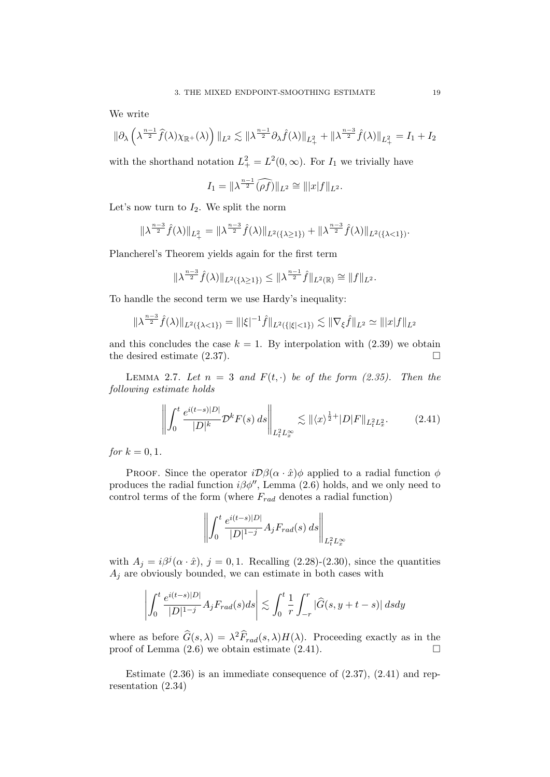We write

$$
\|\partial_{\lambda}\left(\lambda^{\frac{n-1}{2}}\widehat{f}(\lambda)\chi_{\mathbb{R}^+}(\lambda)\right)\|_{L^2}\lesssim \|\lambda^{\frac{n-1}{2}}\partial_{\lambda}\widehat{f}(\lambda)\|_{L^2_+}+\|\lambda^{\frac{n-3}{2}}\widehat{f}(\lambda)\|_{L^2_+}=I_1+I_2
$$

with the shorthand notation  $L_{+}^{2} = L^{2}(0, \infty)$ . For  $I_{1}$  we trivially have

$$
I_1 = \|\lambda^{\frac{n-1}{2}}(\widehat{\rho f})\|_{L^2} \cong \||x|f\|_{L^2}.
$$

Let's now turn to  $I_2$ . We split the norm

$$
\|\lambda^{\frac{n-3}{2}}\hat{f}(\lambda)\|_{L^2_+} = \|\lambda^{\frac{n-3}{2}}\hat{f}(\lambda)\|_{L^2(\{\lambda \geq 1\})} + \|\lambda^{\frac{n-3}{2}}\hat{f}(\lambda)\|_{L^2(\{\lambda < 1\})}.
$$

Plancherel's Theorem yields again for the first term

$$
\|\lambda^{\frac{n-3}{2}}\hat{f}(\lambda)\|_{L^2(\{\lambda\geq 1\})}\leq \|\lambda^{\frac{n-1}{2}}\hat{f}\|_{L^2(\mathbb{R})}\cong \|f\|_{L^2}.
$$

To handle the second term we use Hardy's inequality:

$$
\|\lambda^{\frac{n-3}{2}}\hat{f}(\lambda)\|_{L^2(\{\lambda < 1\})} = \|\|\xi|^{-1}\hat{f}\|_{L^2(\{\|\xi\| < 1\})} \lesssim \|\nabla_{\xi}\hat{f}\|_{L^2} \simeq \||x|f\|_{L^2}
$$

and this concludes the case  $k = 1$ . By interpolation with (2.39) we obtain the desired estimate  $(2.37)$ .

LEMMA 2.7. Let  $n = 3$  and  $F(t, \cdot)$  be of the form (2.35). Then the following estimate holds

$$
\left\| \int_0^t \frac{e^{i(t-s)|D|}}{|D|^k} \mathcal{D}^k F(s) \, ds \right\|_{L_t^2 L_x^{\infty}} \lesssim \| \langle x \rangle^{\frac{1}{2}+} |D| F \|_{L_t^2 L_x^2}.
$$
 (2.41)

*for*  $k = 0, 1$ .

PROOF. Since the operator  $i\mathcal{D}\beta(\alpha \cdot \hat{x})\phi$  applied to a radial function  $\phi$ produces the radial function  $i\beta\phi''$ , Lemma (2.6) holds, and we only need to control terms of the form (where  $F_{rad}$  denotes a radial function)

$$
\left\| \int_0^t \frac{e^{i(t-s)|D|}}{|D|^{1-j}} A_j F_{rad}(s) ds \right\|_{L_t^2 L_x^{\infty}}
$$

with  $A_j = i\beta^j(\alpha \cdot \hat{x})$ ,  $j = 0, 1$ . Recalling (2.28)-(2.30), since the quantities  $A_j$  are obviously bounded, we can estimate in both cases with

$$
\left| \int_0^t \frac{e^{i(t-s)|D|}}{|D|^{1-j}} A_j F_{rad}(s) ds \right| \lesssim \int_0^t \frac{1}{r} \int_{-r}^r |\widehat{G}(s, y+t-s)| ds dy
$$

where as before  $\widehat{G}(s,\lambda) = \lambda^2 \widehat{F}_{rad}(s,\lambda) H(\lambda)$ . Proceeding exactly as in the proof of Lemma  $(2.6)$  we obtain estimate  $(2.41)$ .

Estimate (2.36) is an immediate consequence of (2.37), (2.41) and representation (2.34)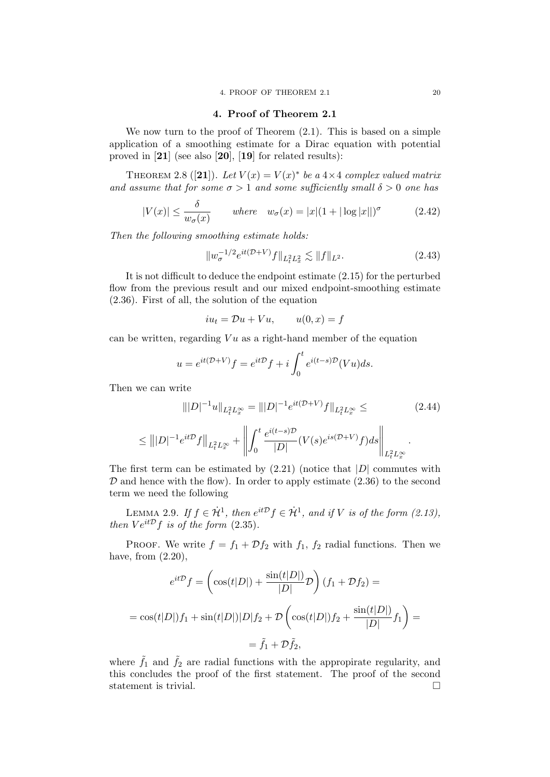#### 4. Proof of Theorem 2.1

We now turn to the proof of Theorem  $(2.1)$ . This is based on a simple application of a smoothing estimate for a Dirac equation with potential proved in [21] (see also [20], [19] for related results):

THEOREM 2.8 ([21]). Let  $V(x) = V(x)^*$  be a  $4 \times 4$  complex valued matrix and assume that for some  $\sigma > 1$  and some sufficiently small  $\delta > 0$  one has

$$
|V(x)| \le \frac{\delta}{w_{\sigma}(x)} \quad \text{where} \quad w_{\sigma}(x) = |x|(1 + |\log|x||)^{\sigma} \quad (2.42)
$$

Then the following smoothing estimate holds:

$$
||w_{\sigma}^{-1/2}e^{it(\mathcal{D}+V)}f||_{L_t^2L_x^2} \lesssim ||f||_{L^2}.
$$
\n(2.43)

It is not difficult to deduce the endpoint estimate (2.15) for the perturbed flow from the previous result and our mixed endpoint-smoothing estimate (2.36). First of all, the solution of the equation

$$
iu_t = \mathcal{D}u + Vu, \qquad u(0, x) = f
$$

can be written, regarding  $Vu$  as a right-hand member of the equation

$$
u = e^{it(\mathcal{D}+V)}f = e^{it\mathcal{D}}f + i\int_0^t e^{i(t-s)\mathcal{D}}(Vu)ds.
$$

Then we can write

$$
|||D|^{-1}u||_{L_t^2 L_x^{\infty}} = |||D|^{-1}e^{it(\mathcal{D}+V)}f||_{L_t^2 L_x^{\infty}} \leq
$$
\n
$$
\leq |||D|^{-1}e^{it\mathcal{D}}f||_{L_t^2 L_x^{\infty}} + \left||\int_0^t \frac{e^{i(t-s)\mathcal{D}}}{|D|} (V(s)e^{is(\mathcal{D}+V)}f)ds\right||_{L_t^2 L_x^{\infty}}.
$$
\n(2.44)

The first term can be estimated by  $(2.21)$  (notice that  $|D|$  commutes with  $\mathcal D$  and hence with the flow). In order to apply estimate (2.36) to the second term we need the following

LEMMA 2.9. If  $f \in \dot{H}^1$ , then  $e^{it\mathcal{D}}f \in \dot{\mathcal{H}}^1$ , and if V is of the form (2.13), then  $Ve^{it\mathcal{D}}f$  is of the form (2.35).

PROOF. We write  $f = f_1 + \mathcal{D}f_2$  with  $f_1, f_2$  radial functions. Then we have, from  $(2.20)$ ,

$$
e^{it\mathcal{D}}f = \left(\cos(t|D|) + \frac{\sin(t|D|)}{|D|}\mathcal{D}\right)(f_1 + \mathcal{D}f_2) =
$$

$$
= \cos(t|D|)f_1 + \sin(t|D|)|D|f_2 + \mathcal{D}\left(\cos(t|D|)f_2 + \frac{\sin(t|D|)}{|D|}f_1\right) =
$$

$$
= \tilde{f}_1 + \mathcal{D}\tilde{f}_2,
$$

where  $\tilde{f}_1$  and  $\tilde{f}_2$  are radial functions with the appropirate regularity, and this concludes the proof of the first statement. The proof of the second statement is trivial.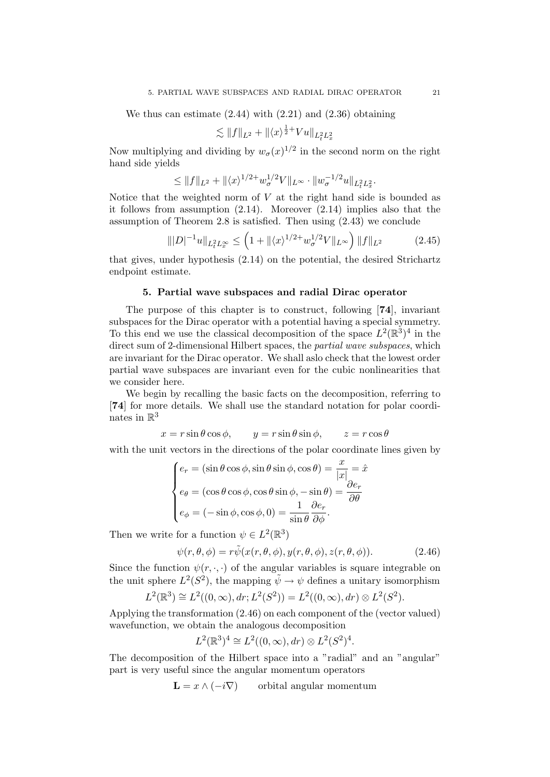We thus can estimate  $(2.44)$  with  $(2.21)$  and  $(2.36)$  obtaining

$$
\lesssim ||f||_{L^2} + ||\langle x \rangle^{\frac{1}{2}+} V u||_{L_t^2 L_x^2}
$$

Now multiplying and dividing by  $w_{\sigma}(x)^{1/2}$  in the second norm on the right hand side yields

$$
\leq \|f\|_{L^2} + \|\langle x \rangle^{1/2+} w_\sigma^{1/2} V\|_{L^\infty} \cdot \|w_\sigma^{-1/2} u\|_{L_t^2 L_x^2}.
$$

Notice that the weighted norm of  $V$  at the right hand side is bounded as it follows from assumption (2.14). Moreover (2.14) implies also that the assumption of Theorem 2.8 is satisfied. Then using (2.43) we conclude

$$
\| |D|^{-1} u \|_{L_t^2 L_x^{\infty}} \le \left( 1 + \| \langle x \rangle^{1/2+} w_{\sigma}^{1/2} V \|_{L^{\infty}} \right) \| f \|_{L^2}
$$
 (2.45)

that gives, under hypothesis (2.14) on the potential, the desired Strichartz endpoint estimate.

#### 5. Partial wave subspaces and radial Dirac operator

The purpose of this chapter is to construct, following [74], invariant subspaces for the Dirac operator with a potential having a special symmetry. To this end we use the classical decomposition of the space  $L^2(\mathbb{R}^3)^4$  in the direct sum of 2-dimensional Hilbert spaces, the partial wave subspaces, which are invariant for the Dirac operator. We shall aslo check that the lowest order partial wave subspaces are invariant even for the cubic nonlinearities that we consider here.

We begin by recalling the basic facts on the decomposition, referring to [74] for more details. We shall use the standard notation for polar coordinates in  $\mathbb{R}^3$ 

$$
x = r \sin \theta \cos \phi
$$
,  $y = r \sin \theta \sin \phi$ ,  $z = r \cos \theta$ 

with the unit vectors in the directions of the polar coordinate lines given by

$$
\begin{cases}\ne_r = (\sin \theta \cos \phi, \sin \theta \sin \phi, \cos \theta) = \frac{x}{|x|} = \hat{x} \\
e_\theta = (\cos \theta \cos \phi, \cos \theta \sin \phi, -\sin \theta) = \frac{\partial e_r}{\partial \theta} \\
e_\phi = (-\sin \phi, \cos \phi, 0) = \frac{1}{\sin \theta} \frac{\partial e_r}{\partial \phi}.\n\end{cases}
$$

Then we write for a function  $\psi \in L^2(\mathbb{R}^3)$ 

$$
\psi(r,\theta,\phi) = r\tilde{\psi}(x(r,\theta,\phi),y(r,\theta,\phi),z(r,\theta,\phi)).
$$
\n(2.46)

Since the function  $\psi(r, \cdot, \cdot)$  of the angular variables is square integrable on the unit sphere  $L^2(S^2)$ , the mapping  $\tilde{\psi} \to \psi$  defines a unitary isomorphism

$$
L^{2}(\mathbb{R}^{3}) \cong L^{2}((0, \infty), dr; L^{2}(S^{2})) = L^{2}((0, \infty), dr) \otimes L^{2}(S^{2}).
$$

Applying the transformation (2.46) on each component of the (vector valued) wavefunction, we obtain the analogous decomposition

$$
L^{2}(\mathbb{R}^{3})^{4} \cong L^{2}((0, \infty), dr) \otimes L^{2}(S^{2})^{4}.
$$

The decomposition of the Hilbert space into a "radial" and an "angular" part is very useful since the angular momentum operators

$$
\mathbf{L} = x \wedge (-i\nabla) \qquad \text{orbital angular momentum}
$$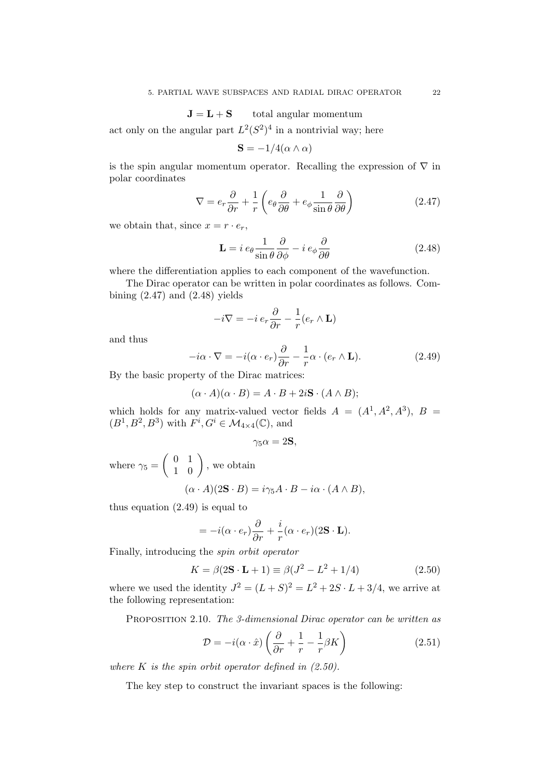$$
J = L + S \qquad \text{total angular momentum}
$$

act only on the angular part  $L^2(S^2)^4$  in a nontrivial way; here

$$
\mathbf{S} = -1/4(\alpha \wedge \alpha)
$$

is the spin angular momentum operator. Recalling the expression of  $\nabla$  in polar coordinates

$$
\nabla = e_r \frac{\partial}{\partial r} + \frac{1}{r} \left( e_\theta \frac{\partial}{\partial \theta} + e_\phi \frac{1}{\sin \theta} \frac{\partial}{\partial \theta} \right)
$$
(2.47)

we obtain that, since  $x = r \cdot e_r$ ,

$$
\mathbf{L} = i e_{\theta} \frac{1}{\sin \theta} \frac{\partial}{\partial \phi} - i e_{\phi} \frac{\partial}{\partial \theta} \tag{2.48}
$$

where the differentiation applies to each component of the wavefunction.

The Dirac operator can be written in polar coordinates as follows. Combining  $(2.47)$  and  $(2.48)$  yields

$$
-i\nabla = -i\,e_r\frac{\partial}{\partial r} - \frac{1}{r}(e_r \wedge \mathbf{L})
$$

and thus

$$
-i\alpha \cdot \nabla = -i(\alpha \cdot e_r)\frac{\partial}{\partial r} - \frac{1}{r}\alpha \cdot (e_r \wedge \mathbf{L}).\tag{2.49}
$$

By the basic property of the Dirac matrices:

$$
(\alpha \cdot A)(\alpha \cdot B) = A \cdot B + 2i\mathbf{S} \cdot (A \wedge B);
$$

which holds for any matrix-valued vector fields  $A = (A^1, A^2, A^3), B =$  $(B^1, B^2, B^3)$  with  $F^i, G^i \in \mathcal{M}_{4 \times 4}(\mathbb{C})$ , and

$$
\gamma_5 \alpha = 2\mathbf{S},
$$

where  $\gamma_5 = \begin{pmatrix} 0 & 1 \\ 1 & 0 \end{pmatrix}$ , we obtain

$$
(\alpha \cdot A)(2\mathbf{S} \cdot B) = i\gamma_5 A \cdot B - i\alpha \cdot (A \wedge B),
$$

thus equation (2.49) is equal to

$$
= -i(\alpha \cdot e_r)\frac{\partial}{\partial r} + \frac{i}{r}(\alpha \cdot e_r)(2\mathbf{S} \cdot \mathbf{L}).
$$

Finally, introducing the spin orbit operator

$$
K = \beta(2\mathbf{S} \cdot \mathbf{L} + 1) \equiv \beta(J^2 - L^2 + 1/4)
$$
 (2.50)

where we used the identity  $J^2 = (L+S)^2 = L^2 + 2S \cdot L + 3/4$ , we arrive at the following representation:

PROPOSITION 2.10. The 3-dimensional Dirac operator can be written as

$$
\mathcal{D} = -i(\alpha \cdot \hat{x}) \left( \frac{\partial}{\partial r} + \frac{1}{r} - \frac{1}{r} \beta K \right)
$$
 (2.51)

where K is the spin orbit operator defined in  $(2.50)$ .

The key step to construct the invariant spaces is the following: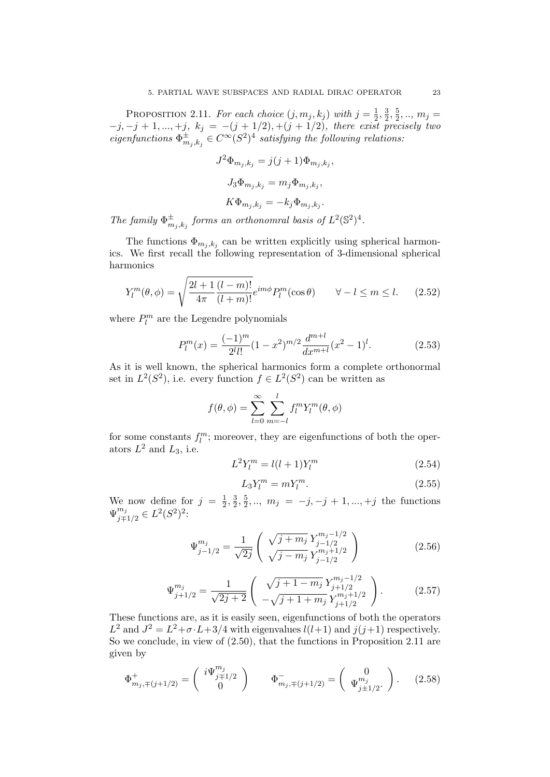PROPOSITION 2.11. For each choice  $(j, m_j, k_j)$  with  $j = \frac{1}{2}$  $\frac{1}{2}, \frac{3}{2}$  $\frac{3}{2}, \frac{5}{2}$  $\frac{5}{2},.., m_j =$  $-j, -j + 1, ..., +j, k_j = -(j + 1/2), +(j + 1/2),$  there exist precisely two eigenfunctions  $\Phi_m^{\pm}$  $^{\pm}_{m_j,k_j} \in C^{\infty}(S^2)^4$  satisfying the following relations:

$$
J^{2}\Phi_{m_{j},k_{j}} = j(j+1)\Phi_{m_{j},k_{j}},
$$
  
\n
$$
J_{3}\Phi_{m_{j},k_{j}} = m_{j}\Phi_{m_{j},k_{j}},
$$
  
\n
$$
K\Phi_{m_{j},k_{j}} = -k_{j}\Phi_{m_{j},k_{j}}.
$$

The family  $\Phi_m^{\pm}$  $_{m_j,k_j}^{\pm}$  forms an orthonomral basis of  $L^2(\mathbb{S}^2)^4$ .

The functions  $\Phi_{m_j,k_j}$  can be written explicitly using spherical harmonics. We first recall the following representation of 3-dimensional spherical harmonics

$$
Y_l^m(\theta,\phi) = \sqrt{\frac{2l+1}{4\pi} \frac{(l-m)!}{(l+m)!}} e^{im\phi} P_l^m(\cos\theta) \qquad \forall -l \le m \le l. \tag{2.52}
$$

where  $P_l^m$  are the Legendre polynomials

$$
P_l^m(x) = \frac{(-1)^m}{2^l l!} (1 - x^2)^{m/2} \frac{d^{m+l}}{dx^{m+l}} (x^2 - 1)^l.
$$
 (2.53)

As it is well known, the spherical harmonics form a complete orthonormal set in  $L^2(S^2)$ , i.e. every function  $f \in L^2(S^2)$  can be written as

$$
f(\theta,\phi) = \sum_{l=0}^{\infty} \sum_{m=-l}^{l} f_l^m Y_l^m(\theta,\phi)
$$

for some constants  $f_l^m$ ; moreover, they are eigenfunctions of both the operators  $L^2$  and  $L_3$ , i.e.

$$
L^2 Y_l^m = l(l+1) Y_l^m \tag{2.54}
$$

$$
L_3 Y_l^m = m Y_l^m. \tag{2.55}
$$

We now define for  $j = \frac{1}{2}$  $\frac{1}{2}, \frac{3}{2}$  $\frac{3}{2}, \frac{5}{2}$  $\frac{5}{2},.., m_j = -j, -j + 1,...,+j$  the functions  $\Psi_{i\pm}^{m_j}$  $\frac{m_j}{j\mp 1/2} \in L^2(S^2)^2$ :

$$
\Psi_{j-1/2}^{m_j} = \frac{1}{\sqrt{2j}} \left( \frac{\sqrt{j+m_j} Y_{j-1/2}^{m_j - 1/2}}{\sqrt{j-m_j} Y_{j-1/2}^{m_j + 1/2}} \right) \tag{2.56}
$$

$$
\Psi_{j+1/2}^{m_j} = \frac{1}{\sqrt{2j+2}} \begin{pmatrix} \sqrt{j+1-m_j} \, Y_{j+1/2}^{m_j-1/2} \\ -\sqrt{j+1+m_j} \, Y_{j+1/2}^{m_j+1/2} \end{pmatrix} . \tag{2.57}
$$

These functions are, as it is easily seen, eigenfunctions of both the operators  $L^2$  and  $J^2 = L^2 + \sigma \cdot L + 3/4$  with eigenvalues  $l(l+1)$  and  $j(j+1)$  respectively. So we conclude, in view of (2.50), that the functions in Proposition 2.11 are given by

$$
\Phi_{m_j, \mp(j+1/2)}^+ = \begin{pmatrix} i\Psi_{j\mp1/2}^{m_j} \\ 0 \end{pmatrix} \qquad \Phi_{m_j, \mp(j+1/2)}^- = \begin{pmatrix} 0 \\ \Psi_{j\pm1/2}^{m_j} \end{pmatrix} . \tag{2.58}
$$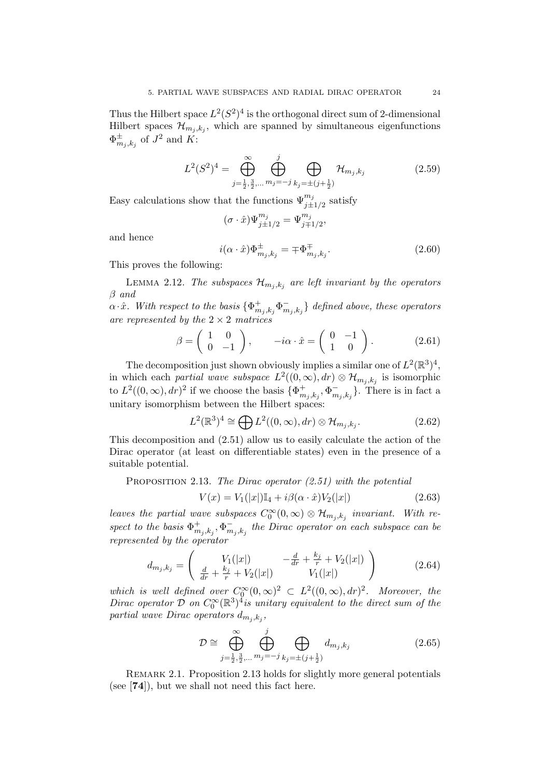Thus the Hilbert space  $L^2(S^2)^4$  is the orthogonal direct sum of 2-dimensional Hilbert spaces  $\mathcal{H}_{m_j,k_j}$ , which are spanned by simultaneous eigenfunctions  $\Phi^{\pm}_m$  $_{m_j,k_j}$  of  $J^2$  and K:

$$
L^{2}(S^{2})^{4} = \bigoplus_{j=\frac{1}{2},\frac{3}{2},\dots}^{\infty} \bigoplus_{m_{j}=-j}^{j} \bigoplus_{k_{j}=\pm (j+\frac{1}{2})} \mathcal{H}_{m_{j},k_{j}}
$$
(2.59)

Easy calculations show that the functions  $\Psi_{j\pm 1/2}^{m_j}$  satisfy

$$
(\sigma \cdot \hat{x}) \Psi^{m_j}_{j \pm 1/2} = \Psi^{m_j}_{j \mp 1/2},
$$

and hence

$$
i(\alpha \cdot \hat{x})\Phi_{m_j,k_j}^{\pm} = \mp \Phi_{m_j,k_j}^{\mp}.
$$
\n(2.60)

This proves the following:

LEMMA 2.12. The subspaces  $\mathcal{H}_{m_j,k_j}$  are left invariant by the operators β and

 $\alpha \cdot \hat{x}$ . With respect to the basis  $\{\Phi_m^+\}$  $_{m_j,k_j}^+\Phi_m^ \{ \bar{m}_{j}, k_{j} \}$  defined above, these operators are represented by the  $2 \times 2$  matrices

$$
\beta = \begin{pmatrix} 1 & 0 \\ 0 & -1 \end{pmatrix}, \qquad -i\alpha \cdot \hat{x} = \begin{pmatrix} 0 & -1 \\ 1 & 0 \end{pmatrix}.
$$
 (2.61)

The decomposition just shown obviously implies a similar one of  $L^2(\mathbb{R}^3)^4$ , in which each *partial wave subspace*  $L^2((0,\infty), dr) \otimes \mathcal{H}_{m_j,k_j}$  is isomorphic to  $L^2((0,\infty),dr)^2$  if we choose the basis  $\{\Phi_m^+\}$  $_{m_j,k_j}^+,\Phi_m^ \{m_j, k_j\}$ . There is in fact a unitary isomorphism between the Hilbert spaces:

$$
L^{2}(\mathbb{R}^{3})^{4} \cong \bigoplus L^{2}((0,\infty),dr) \otimes \mathcal{H}_{m_{j},k_{j}}.
$$
 (2.62)

This decomposition and (2.51) allow us to easily calculate the action of the Dirac operator (at least on differentiable states) even in the presence of a suitable potential.

PROPOSITION 2.13. The Dirac operator  $(2.51)$  with the potential

$$
V(x) = V_1(|x|) \mathbb{I}_4 + i\beta(\alpha \cdot \hat{x}) V_2(|x|)
$$
\n(2.63)

leaves the partial wave subspaces  $C_0^{\infty}(0,\infty) \otimes \mathcal{H}_{m_j,k_j}$  invariant. With respect to the basis  $\Phi_m^+$  $^+_{m_j,k_j},\Phi^-_m$  $\bar{m}_{j,k_j}^{\phantom{\dagger}}$  the Dirac operator on each subspace can be represented by the operator

$$
d_{m_j,k_j} = \begin{pmatrix} V_1(|x|) & -\frac{d}{dr} + \frac{k_j}{r} + V_2(|x|) \\ \frac{d}{dr} + \frac{k_j}{r} + V_2(|x|) & V_1(|x|) \end{pmatrix}
$$
 (2.64)

which is well defined over  $C_0^{\infty}(0,\infty)^2 \subset L^2((0,\infty),dr)^2$ . Moreover, the Dirac operator  $\mathcal D$  on  $C_0^\infty(\mathbb R^3)^{\mathcal X}$  is unitary equivalent to the direct sum of the partial wave Dirac operators  $d_{m_j,k_j}$ ,

$$
\mathcal{D} \cong \bigoplus_{j=\frac{1}{2},\frac{3}{2},\dots}^{\infty} \bigoplus_{m_j=-j}^{j} \bigoplus_{k_j=\pm (j+\frac{1}{2})} d_{m_j,k_j}
$$
(2.65)

REMARK 2.1. Proposition 2.13 holds for slightly more general potentials (see [74]), but we shall not need this fact here.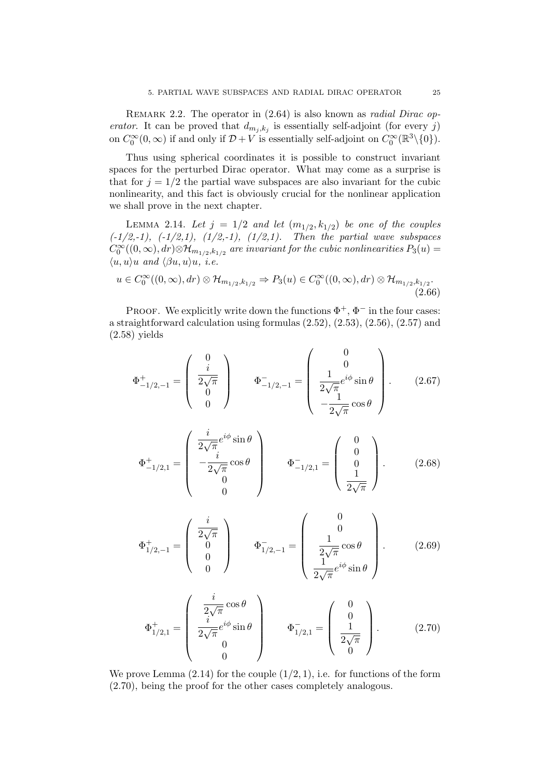REMARK 2.2. The operator in  $(2.64)$  is also known as *radial Dirac op*erator. It can be proved that  $d_{m_j,k_j}$  is essentially self-adjoint (for every j) on  $C_0^{\infty}(0, \infty)$  if and only if  $\mathcal{D} + V$  is essentially self-adjoint on  $C_0^{\infty}(\mathbb{R}^3 \setminus \{0\})$ .

Thus using spherical coordinates it is possible to construct invariant spaces for the perturbed Dirac operator. What may come as a surprise is that for  $j = 1/2$  the partial wave subspaces are also invariant for the cubic nonlinearity, and this fact is obviously crucial for the nonlinear application we shall prove in the next chapter.

LEMMA 2.14. Let  $j = 1/2$  and let  $(m_{1/2}, k_{1/2})$  be one of the couples  $(-1/2,-1), (-1/2,1), (1/2,-1), (1/2,1).$  Then the partial wave subspaces  $C_0^{\infty}((0,\infty),dr){\otimes}{\mathcal H}_{m_{1/2},k_{1/2}}$  are invariant for the cubic nonlinearities  $P_3(u)=$  $\langle u, u \rangle u$  and  $\langle \beta u, u \rangle u$ , i.e.

$$
u \in C_0^{\infty}((0,\infty), dr) \otimes \mathcal{H}_{m_{1/2},k_{1/2}} \Rightarrow P_3(u) \in C_0^{\infty}((0,\infty), dr) \otimes \mathcal{H}_{m_{1/2},k_{1/2}}.
$$
\n(2.66)

PROOF. We explicitly write down the functions  $\Phi^+$ ,  $\Phi^-$  in the four cases: a straightforward calculation using formulas (2.52), (2.53), (2.56), (2.57) and (2.58) yields

$$
\Phi_{-1/2,-1}^{+} = \begin{pmatrix} 0 \\ i \\ \frac{2\sqrt{\pi}}{0} \\ 0 \end{pmatrix} \qquad \Phi_{-1/2,-1}^{-} = \begin{pmatrix} 0 \\ 0 \\ \frac{1}{2\sqrt{\pi}} e^{i\phi} \sin \theta \\ -\frac{1}{2\sqrt{\pi}} \cos \theta \end{pmatrix} . \tag{2.67}
$$

$$
\Phi^{+}_{-1/2,1} = \begin{pmatrix} \frac{i}{2\sqrt{\pi}}e^{i\phi}\sin\theta\\ -\frac{i}{2\sqrt{\pi}}\cos\theta\\ 0\\ 0 \end{pmatrix} \qquad \Phi^{-}_{-1/2,1} = \begin{pmatrix} 0\\ 0\\ 0\\ \frac{1}{2\sqrt{\pi}} \end{pmatrix}.
$$
 (2.68)

$$
\Phi_{1/2,-1}^{+} = \begin{pmatrix} \frac{i}{2\sqrt{\pi}} \\ 0 \\ 0 \\ 0 \end{pmatrix} \qquad \Phi_{1/2,-1}^{-} = \begin{pmatrix} 0 \\ 0 \\ \frac{1}{2\sqrt{\pi}}\cos\theta \\ \frac{1}{2\sqrt{\pi}}e^{i\phi}\sin\theta \end{pmatrix} . \tag{2.69}
$$

$$
\Phi_{1/2,1}^{+} = \begin{pmatrix} i & \cos \theta \\ \frac{i}{2\sqrt{\pi}} e^{i\phi} \sin \theta \\ 0 & 0 \end{pmatrix} \qquad \Phi_{1/2,1}^{-} = \begin{pmatrix} 0 \\ 0 \\ \frac{1}{2\sqrt{\pi}} \\ 0 \end{pmatrix}.
$$
 (2.70)

We prove Lemma  $(2.14)$  for the couple  $(1/2, 1)$ , i.e. for functions of the form (2.70), being the proof for the other cases completely analogous.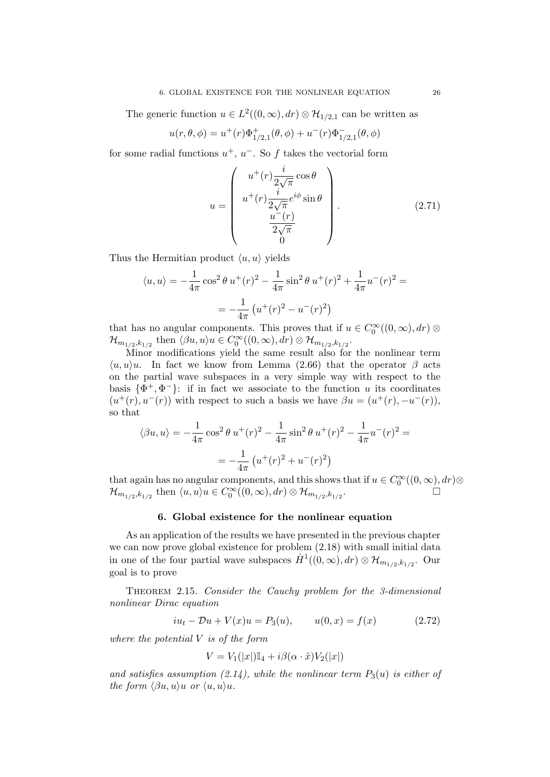The generic function  $u \in L^2((0,\infty), dr) \otimes \mathcal{H}_{1/2,1}$  can be written as

$$
u(r, \theta, \phi) = u^{+}(r)\Phi_{1/2,1}^{+}(\theta, \phi) + u^{-}(r)\Phi_{1/2,1}^{-}(\theta, \phi)
$$

for some radial functions  $u^+, u^-$ . So f takes the vectorial form

$$
u = \begin{pmatrix} u^+(r) \frac{i}{2\sqrt{\pi}} \cos \theta \\ u^+(r) \frac{i}{2\sqrt{\pi}} e^{i\phi} \sin \theta \\ \frac{u^-(r)}{2\sqrt{\pi}} \\ 0 \end{pmatrix}.
$$
 (2.71)

Thus the Hermitian product  $\langle u, u \rangle$  yields

$$
\langle u, u \rangle = -\frac{1}{4\pi} \cos^2 \theta \, u^+(r)^2 - \frac{1}{4\pi} \sin^2 \theta \, u^+(r)^2 + \frac{1}{4\pi} u^-(r)^2 =
$$

$$
= -\frac{1}{4\pi} \left( u^+(r)^2 - u^-(r)^2 \right)
$$

that has no angular components. This proves that if  $u \in C_0^{\infty}((0, \infty), dr)$  ⊗  $\mathcal{H}_{m_{1/2},k_{1/2}}$  then  $\langle \beta u, u \rangle u \in C_0^{\infty}((0,\infty), dr) \otimes \mathcal{H}_{m_{1/2},k_{1/2}}$ .

Minor modifications yield the same result also for the nonlinear term  $\langle u, u \rangle u$ . In fact we know from Lemma (2.66) that the operator  $\beta$  acts on the partial wave subspaces in a very simple way with respect to the basis  $\{\Phi^+, \Phi^-\}$ : if in fact we associate to the function u its coordinates  $(u^+(r), u^-(r))$  with respect to such a basis we have  $\beta u = (u^+(r), -u^-(r)),$ so that

$$
\langle \beta u, u \rangle = -\frac{1}{4\pi} \cos^2 \theta u^+(r)^2 - \frac{1}{4\pi} \sin^2 \theta u^+(r)^2 - \frac{1}{4\pi} u^-(r)^2 =
$$
  
=  $-\frac{1}{4\pi} (u^+(r)^2 + u^-(r)^2)$ 

that again has no angular components, and this shows that if  $u \in C_0^{\infty}((0, \infty), dr)$  $\mathcal{H}_{m_{1/2},k_{1/2}}$  then  $\langle u, u \rangle u \in C_0^{\infty}((0,\infty), dr) \otimes \mathcal{H}_{m_{1/2},k_{1/2}}$ .

#### 6. Global existence for the nonlinear equation

As an application of the results we have presented in the previous chapter we can now prove global existence for problem (2.18) with small initial data in one of the four partial wave subspaces  $\dot{H}^1((0,\infty), dr) \otimes \mathcal{H}_{m_{1/2}, k_{1/2}}$ . Our goal is to prove

THEOREM 2.15. Consider the Cauchy problem for the 3-dimensional nonlinear Dirac equation

$$
iu_t - Du + V(x)u = P_3(u), \t u(0, x) = f(x) \t (2.72)
$$

where the potential V is of the form

$$
V = V_1(|x|) \mathbb{I}_4 + i\beta(\alpha \cdot \hat{x}) V_2(|x|)
$$

and satisfies assumption (2.14), while the nonlinear term  $P_3(u)$  is either of the form  $\langle \beta u, u \rangle u$  or  $\langle u, u \rangle u$ .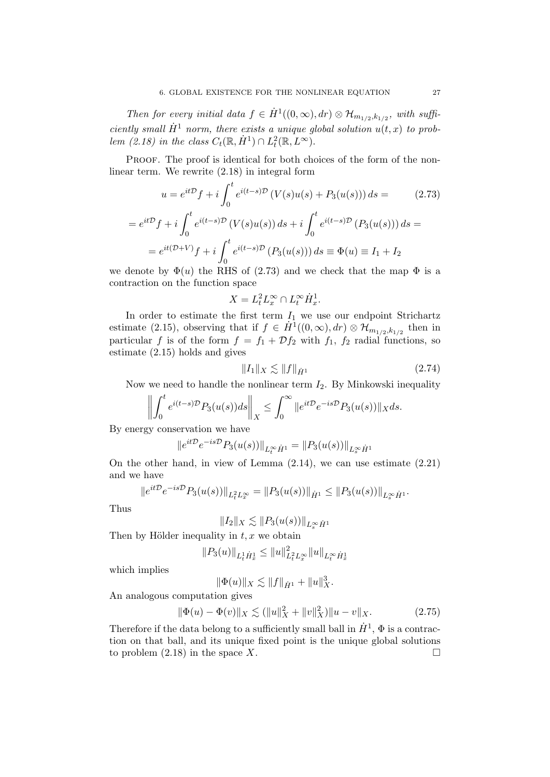Then for every initial data  $f \in \dot{H}^1((0,\infty), dr) \otimes \mathcal{H}_{m_{1/2},k_{1/2}}$ , with sufficiently small  $\dot{H}^1$  norm, there exists a unique global solution  $u(t, x)$  to problem (2.18) in the class  $C_t(\mathbb{R}, \dot{H}^1) \cap L_t^2(\mathbb{R}, L^{\infty})$ .

PROOF. The proof is identical for both choices of the form of the nonlinear term. We rewrite (2.18) in integral form

$$
u = e^{it\mathcal{D}} f + i \int_0^t e^{i(t-s)\mathcal{D}} \left( V(s)u(s) + P_3(u(s)) \right) ds = \qquad (2.73)
$$
  
=  $e^{it\mathcal{D}} f + i \int_0^t e^{i(t-s)\mathcal{D}} \left( V(s)u(s) \right) ds + i \int_0^t e^{i(t-s)\mathcal{D}} \left( P_3(u(s)) \right) ds =$   
=  $e^{it(\mathcal{D}+V)} f + i \int_0^t e^{i(t-s)\mathcal{D}} \left( P_3(u(s)) \right) ds \equiv \Phi(u) \equiv I_1 + I_2$ 

we denote by  $\Phi(u)$  the RHS of (2.73) and we check that the map  $\Phi$  is a contraction on the function space

$$
X = L_t^2 L_x^{\infty} \cap L_t^{\infty} \dot{H}_x^1.
$$

In order to estimate the first term  $I_1$  we use our endpoint Strichartz estimate (2.15), observing that if  $f \in \dot{H}^1((0,\infty), dr) \otimes \mathcal{H}_{m_{1/2},k_{1/2}}$  then in particular f is of the form  $f = f_1 + \mathcal{D}f_2$  with  $f_1$ ,  $f_2$  radial functions, so estimate (2.15) holds and gives

$$
||I_1||_X \lesssim ||f||_{\dot{H}^1} \tag{2.74}
$$

Now we need to handle the nonlinear term  $I_2$ . By Minkowski inequality

$$
\left\| \int_0^t e^{i(t-s)\mathcal{D}} P_3(u(s))ds \right\|_X \leq \int_0^\infty \|e^{it\mathcal{D}} e^{-is\mathcal{D}} P_3(u(s))\|_X ds.
$$

By energy conservation we have

$$
||e^{it\mathcal{D}}e^{-is\mathcal{D}}P_3(u(s))||_{L_t^{\infty}\dot{H}^1} = ||P_3(u(s))||_{L_s^{\infty}\dot{H}^1}
$$

On the other hand, in view of Lemma (2.14), we can use estimate (2.21) and we have

$$
||e^{it\mathcal{D}}e^{-is\mathcal{D}}P_3(u(s))||_{L_t^2L_x^{\infty}} = ||P_3(u(s))||_{\dot{H}^1} \leq ||P_3(u(s))||_{L_x^{\infty}\dot{H}^1}.
$$

Thus

$$
||I_2||_X \lesssim ||P_3(u(s))||_{L^\infty_s \dot H^1}
$$

Then by Hölder inequality in  $t, x$  we obtain

$$
\|P_3(u)\|_{L^1_t \dot H^1_x} \leq \|u\|_{L^2_t L^\infty_x}^2 \|u\|_{L^\infty_t \dot H^1_x}
$$

which implies

$$
\|\Phi(u)\|_X \lesssim \|f\|_{\dot{H}^1} + \|u\|_X^3.
$$

An analogous computation gives

$$
\|\Phi(u) - \Phi(v)\|_X \lesssim (\|u\|_X^2 + \|v\|_X^2) \|u - v\|_X. \tag{2.75}
$$

Therefore if the data belong to a sufficiently small ball in  $\dot{H}^1$ ,  $\Phi$  is a contraction on that ball, and its unique fixed point is the unique global solutions to problem  $(2.18)$  in the space X.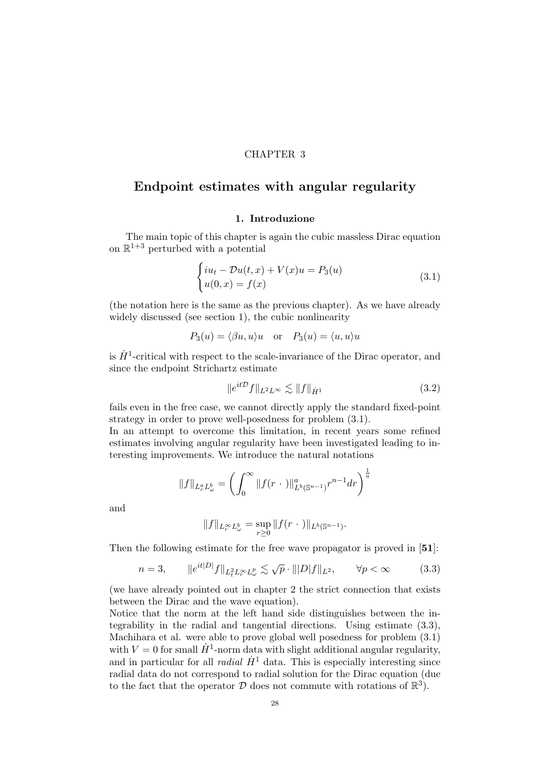## CHAPTER 3

# Endpoint estimates with angular regularity

# 1. Introduzione

The main topic of this chapter is again the cubic massless Dirac equation on  $\mathbb{R}^{1+3}$  perturbed with a potential

$$
\begin{cases}\ni u_t - \mathcal{D}u(t,x) + V(x)u = P_3(u) \\
u(0,x) = f(x)\n\end{cases} \tag{3.1}
$$

(the notation here is the same as the previous chapter). As we have already widely discussed (see section 1), the cubic nonlinearity

$$
P_3(u) = \langle \beta u, u \rangle u
$$
 or  $P_3(u) = \langle u, u \rangle u$ 

is  $\dot{H}^1$ -critical with respect to the scale-invariance of the Dirac operator, and since the endpoint Strichartz estimate

$$
||e^{it\mathcal{D}}f||_{L^2L^\infty} \lesssim ||f||_{\dot{H}^1} \tag{3.2}
$$

fails even in the free case, we cannot directly apply the standard fixed-point strategy in order to prove well-posedness for problem (3.1).

In an attempt to overcome this limitation, in recent years some refined estimates involving angular regularity have been investigated leading to interesting improvements. We introduce the natural notations

$$
||f||_{L_r^a L_\omega^b} = \left(\int_0^\infty ||f(r \, \cdot \,)||_{L^b(\mathbb{S}^{n-1})}^a r^{n-1} dr\right)^{\frac{1}{a}}
$$

and

$$
||f||_{L_r^{\infty}L_{\omega}^b} = \sup_{r \geq 0} ||f(r \cdot ||_{L^b(\mathbb{S}^{n-1})}.
$$

Then the following estimate for the free wave propagator is proved in [51]:

$$
n=3, \qquad \|e^{it|D|}f\|_{L_t^2 L_r^\infty L_\omega^p} \lesssim \sqrt{p} \cdot \| |D|f\|_{L^2}, \qquad \forall p < \infty \tag{3.3}
$$

(we have already pointed out in chapter 2 the strict connection that exists between the Dirac and the wave equation).

Notice that the norm at the left hand side distinguishes between the integrability in the radial and tangential directions. Using estimate (3.3), Machihara et al. were able to prove global well posedness for problem (3.1) with  $V = 0$  for small  $\dot{H}^1$ -norm data with slight additional angular regularity, and in particular for all *radial*  $\dot{H}^1$  data. This is especially interesting since radial data do not correspond to radial solution for the Dirac equation (due to the fact that the operator  $D$  does not commute with rotations of  $\mathbb{R}^3$ .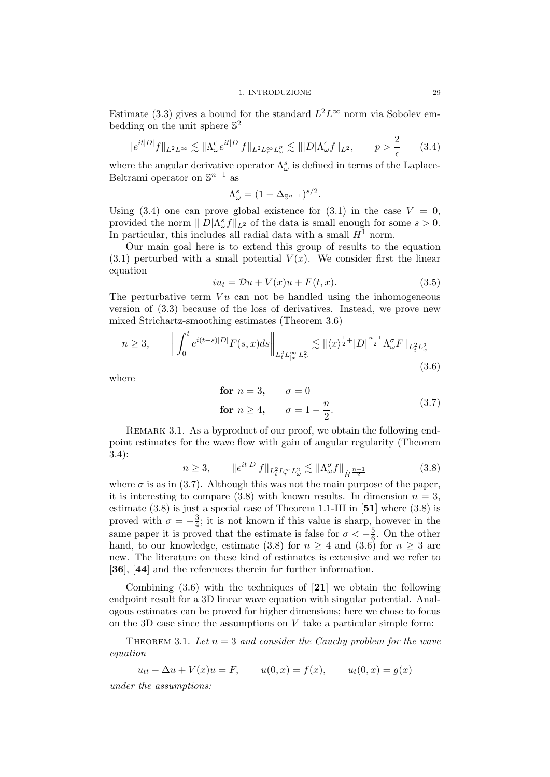#### 1. INTRODUZIONE 29

Estimate (3.3) gives a bound for the standard  $L^2 L^\infty$  norm via Sobolev embedding on the unit sphere  $\mathbb{S}^2$ 

$$
||e^{it|D|}f||_{L^2L^\infty} \lesssim ||\Lambda^\epsilon_\omega e^{it|D|}f||_{L^2L^\infty_rL^p_\omega} \lesssim |||D|\Lambda^\epsilon_\omega f||_{L^2}, \qquad p > \frac{2}{\epsilon} \qquad (3.4)
$$

where the angular derivative operator  $\Lambda^s_\omega$  is defined in terms of the Laplace-Beltrami operator on  $\mathbb{S}^{n-1}$  as

$$
\Lambda^s_\omega = (1 - \Delta_{\mathbb{S}^{n-1}})^{s/2}.
$$

Using  $(3.4)$  one can prove global existence for  $(3.1)$  in the case  $V = 0$ , provided the norm  $||D|\Lambda_{\omega}^s f||_{L^2}$  of the data is small enough for some  $s > 0$ . In particular, this includes all radial data with a small  $H^1$  norm.

Our main goal here is to extend this group of results to the equation  $(3.1)$  perturbed with a small potential  $V(x)$ . We consider first the linear equation

$$
iu_t = \mathcal{D}u + V(x)u + F(t, x). \tag{3.5}
$$

The perturbative term  $Vu$  can not be handled using the inhomogeneous version of (3.3) because of the loss of derivatives. Instead, we prove new mixed Strichartz-smoothing estimates (Theorem 3.6)

$$
n \ge 3, \qquad \left\| \int_0^t e^{i(t-s)|D|} F(s,x) ds \right\|_{L_t^2 L_{|x|}^\infty L_\omega^2} \lesssim \| \langle x \rangle^{\frac{1}{2}+} |D|^{\frac{n-1}{2}} \Lambda_\omega^\sigma F \|_{L_t^2 L_x^2}
$$
\n(3.6)

where

for 
$$
n = 3
$$
,  $\sigma = 0$   
for  $n \ge 4$ ,  $\sigma = 1 - \frac{n}{2}$ . (3.7)

REMARK 3.1. As a byproduct of our proof, we obtain the following endpoint estimates for the wave flow with gain of angular regularity (Theorem 3.4):

$$
n \ge 3, \qquad \|e^{it|D|}f\|_{L_t^2 L_r^\infty L_\omega^2} \lesssim \|\Lambda_\omega^\sigma f\|_{\dot{H}^{\frac{n-1}{2}}} \tag{3.8}
$$

where  $\sigma$  is as in (3.7). Although this was not the main purpose of the paper, it is interesting to compare  $(3.8)$  with known results. In dimension  $n = 3$ , estimate  $(3.8)$  is just a special case of Theorem 1.1-III in [51] where  $(3.8)$  is proved with  $\sigma = -\frac{3}{4}$  $\frac{3}{4}$ ; it is not known if this value is sharp, however in the same paper it is proved that the estimate is false for  $\sigma < -\frac{5}{6}$  $\frac{5}{6}$ . On the other hand, to our knowledge, estimate (3.8) for  $n > 4$  and (3.6) for  $n > 3$  are new. The literature on these kind of estimates is extensive and we refer to [36], [44] and the references therein for further information.

Combining (3.6) with the techniques of [21] we obtain the following endpoint result for a 3D linear wave equation with singular potential. Analogous estimates can be proved for higher dimensions; here we chose to focus on the 3D case since the assumptions on  $V$  take a particular simple form:

THEOREM 3.1. Let  $n = 3$  and consider the Cauchy problem for the wave equation

 $u_{tt} - \Delta u + V(x)u = F,$   $u(0, x) = f(x),$   $u_t(0, x) = g(x)$ 

under the assumptions: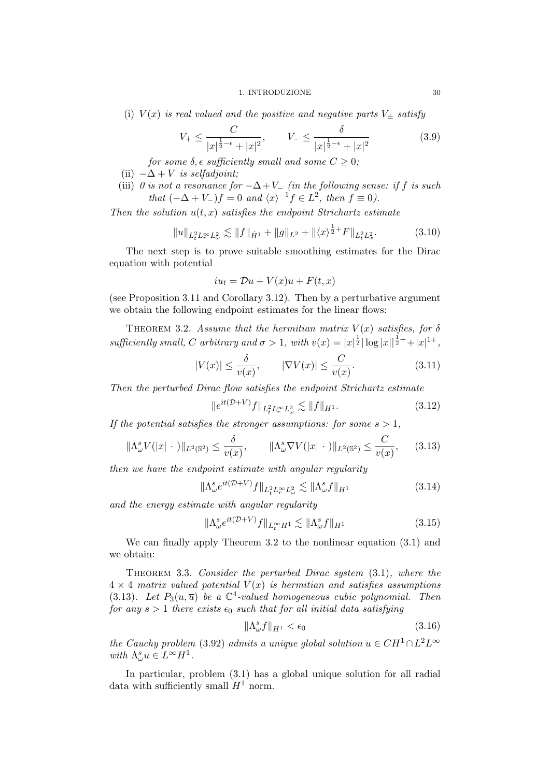#### 1. INTRODUZIONE 30

(i)  $V(x)$  is real valued and the positive and negative parts  $V_{\pm}$  satisfy

$$
V_{+} \le \frac{C}{|x|^{\frac{1}{2}-\epsilon} + |x|^2}, \qquad V_{-} \le \frac{\delta}{|x|^{\frac{1}{2}-\epsilon} + |x|^2}
$$
(3.9)

for some  $\delta$ ,  $\epsilon$  sufficiently small and some  $C \geq 0$ ;

- (ii)  $-\Delta + V$  is selfadjoint;
- (iii) 0 is not a resonance for  $-\Delta + V_-\$  (in the following sense: if f is such that  $(-\Delta + V_-)f = 0$  and  $\langle x \rangle^{-1} f \in L^2$ , then  $f \equiv 0$ ).

Then the solution  $u(t, x)$  satisfies the endpoint Strichartz estimate

$$
||u||_{L_t^2 L_r^{\infty} L_{\omega}^2} \lesssim ||f||_{\dot{H}^1} + ||g||_{L^2} + ||\langle x \rangle^{\frac{1}{2}+} F||_{L_t^2 L_x^2}.
$$
 (3.10)

The next step is to prove suitable smoothing estimates for the Dirac equation with potential

$$
iu_t = \mathcal{D}u + V(x)u + F(t, x)
$$

(see Proposition 3.11 and Corollary 3.12). Then by a perturbative argument we obtain the following endpoint estimates for the linear flows:

THEOREM 3.2. Assume that the hermitian matrix  $V(x)$  satisfies, for  $\delta$ sufficiently small, C arbitrary and  $\sigma > 1$ , with  $v(x) = |x|^{\frac{1}{2}} |\log |x||^{\frac{1}{2}+} + |x|^{1+}$ ,

$$
|V(x)| \le \frac{\delta}{v(x)}, \qquad |\nabla V(x)| \le \frac{C}{v(x)}.\tag{3.11}
$$

Then the perturbed Dirac flow satisfies the endpoint Strichartz estimate

$$
||e^{it(\mathcal{D}+V)}f||_{L_{t}^{2}L_{r}^{\infty}L_{\omega}^{2}} \lesssim ||f||_{H^{1}}.
$$
\n(3.12)

If the potential satisfies the stronger assumptions: for some  $s > 1$ ,

$$
\|\Lambda^s_\omega V(|x|\,\cdot\,)\|_{L^2(\mathbb{S}^2)} \le \frac{\delta}{v(x)}, \qquad \|\Lambda^s_\omega \nabla V(|x|\,\cdot\,)\|_{L^2(\mathbb{S}^2)} \le \frac{C}{v(x)}, \qquad (3.13)
$$

then we have the endpoint estimate with angular regularity

$$
\|\Lambda^s_\omega e^{it(\mathcal{D}+V)}f\|_{L^2_t L^\infty_r L^2_\omega} \lesssim \|\Lambda^s_\omega f\|_{H^1} \tag{3.14}
$$

and the energy estimate with angular regularity

$$
\|\Lambda_{\omega}^s e^{it(\mathcal{D}+V)}f\|_{L_t^{\infty}H^1} \lesssim \|\Lambda_{\omega}^s f\|_{H^1}
$$
\n(3.15)

We can finally apply Theorem 3.2 to the nonlinear equation (3.1) and we obtain:

THEOREM 3.3. Consider the perturbed Dirac system  $(3.1)$ , where the  $4 \times 4$  matrix valued potential  $V(x)$  is hermitian and satisfies assumptions (3.13). Let  $P_3(u, \overline{u})$  be a  $\mathbb{C}^4$ -valued homogeneous cubic polynomial. Then for any  $s > 1$  there exists  $\epsilon_0$  such that for all initial data satisfying

$$
\|\Lambda_{\omega}^s f\|_{H^1} < \epsilon_0 \tag{3.16}
$$

the Cauchy problem (3.92) admits a unique global solution  $u \in CH^1 \cap L^2L^{\infty}$ with  $\Lambda^s_\omega u \in L^\infty H^1$ .

In particular, problem (3.1) has a global unique solution for all radial data with sufficiently small  $H^1$  norm.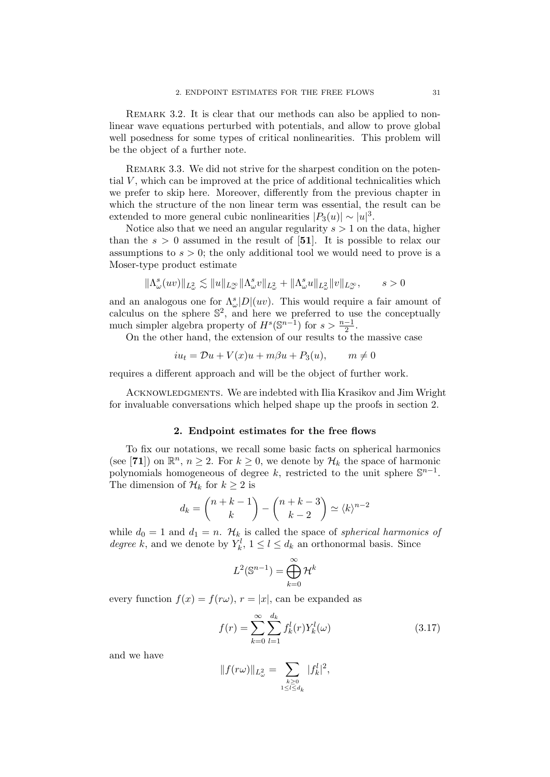REMARK 3.2. It is clear that our methods can also be applied to nonlinear wave equations perturbed with potentials, and allow to prove global well posedness for some types of critical nonlinearities. This problem will be the object of a further note.

REMARK 3.3. We did not strive for the sharpest condition on the potential  $V$ , which can be improved at the price of additional technicalities which we prefer to skip here. Moreover, differently from the previous chapter in which the structure of the non linear term was essential, the result can be extended to more general cubic nonlinearities  $|P_3(u)| \sim |u|^3$ .

Notice also that we need an angular regularity  $s > 1$  on the data, higher than the  $s > 0$  assumed in the result of [51]. It is possible to relax our assumptions to  $s > 0$ ; the only additional tool we would need to prove is a Moser-type product estimate

$$
\|\Lambda_{\omega}^s(uv)\|_{L^2_{\omega}}\lesssim \|u\|_{L^{\infty}_{\omega}}\|\Lambda_{\omega}^sv\|_{L^2_{\omega}}+\|\Lambda_{\omega}^su\|_{L^2_{\omega}}\|v\|_{L^{\infty}_{\omega}},\qquad s>0
$$

and an analogous one for  $\Lambda^s_\omega|D|(uv)$ . This would require a fair amount of calculus on the sphere  $\mathbb{S}^2$ , and here we preferred to use the conceptually much simpler algebra property of  $H^s(\mathbb{S}^{n-1})$  for  $s > \frac{n-1}{2}$ .

On the other hand, the extension of our results to the massive case

$$
iu_t = \mathcal{D}u + V(x)u + m\beta u + P_3(u), \qquad m \neq 0
$$

requires a different approach and will be the object of further work.

ACKNOWLEDGMENTS. We are indebted with Ilia Krasikov and Jim Wright for invaluable conversations which helped shape up the proofs in section 2.

#### 2. Endpoint estimates for the free flows

To fix our notations, we recall some basic facts on spherical harmonics (see [71]) on  $\mathbb{R}^n$ ,  $n \geq 2$ . For  $k \geq 0$ , we denote by  $\mathcal{H}_k$  the space of harmonic polynomials homogeneous of degree k, restricted to the unit sphere  $\mathbb{S}^{n-1}$ . The dimension of  $\mathcal{H}_k$  for  $k \geq 2$  is

$$
d_k = \binom{n+k-1}{k} - \binom{n+k-3}{k-2} \simeq \langle k \rangle^{n-2}
$$

while  $d_0 = 1$  and  $d_1 = n$ .  $\mathcal{H}_k$  is called the space of *spherical harmonics of* degree k, and we denote by  $Y_k^l$ ,  $1 \leq l \leq d_k$  an orthonormal basis. Since

$$
L^2(\mathbb{S}^{n-1}) = \bigoplus_{k=0}^{\infty} \mathcal{H}^k
$$

every function  $f(x) = f(r\omega)$ ,  $r = |x|$ , can be expanded as

$$
f(r) = \sum_{k=0}^{\infty} \sum_{l=1}^{d_k} f_k^l(r) Y_k^l(\omega)
$$
 (3.17)

and we have

$$
||f(r\omega)||_{L^2_{\omega}} = \sum_{\substack{k \geq 0 \\ 1 \leq l \leq d_k}} |f_k^l|^2,
$$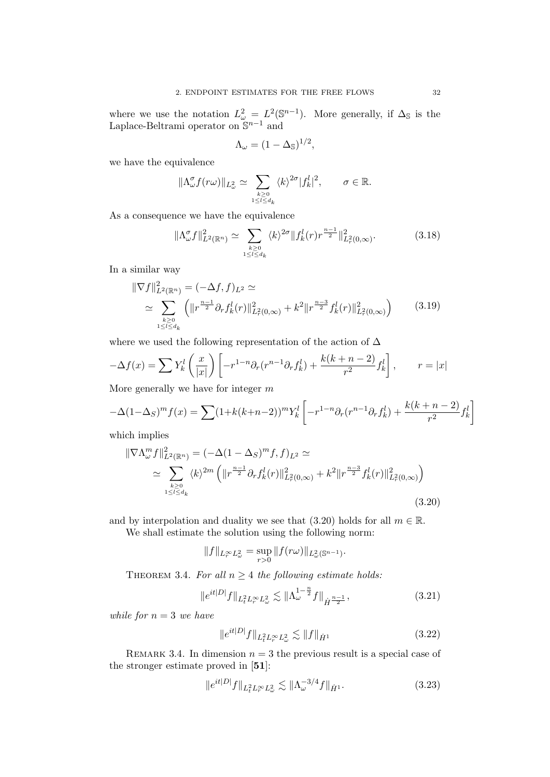where we use the notation  $L^2_{\omega} = L^2(\mathbb{S}^{n-1})$ . More generally, if  $\Delta_{\mathbb{S}}$  is the Laplace-Beltrami operator on  $\mathbb{S}^{n-1}$  and

$$
\Lambda_{\omega} = (1 - \Delta_{\mathbb{S}})^{1/2},
$$

we have the equivalence

$$
\|\Lambda_{\omega}^{\sigma}f(r\omega)\|_{L_{\omega}^2} \simeq \sum_{\substack{k\geq 0\\1\leq l\leq d_k}} \langle k\rangle^{2\sigma} |f_k^l|^2, \qquad \sigma\in\mathbb{R}.
$$

As a consequence we have the equivalence

$$
\|\Lambda_{\omega}^{\sigma}f\|_{L^{2}(\mathbb{R}^{n})}^{2} \simeq \sum_{k\geq 0 \atop 1\leq l\leq d_{k}} \langle k\rangle^{2\sigma} \|f_{k}^{l}(r)r^{\frac{n-1}{2}}\|_{L^{2}_{r}(0,\infty)}^{2}.
$$
 (3.18)

In a similar way

$$
\|\nabla f\|_{L^{2}(\mathbb{R}^{n})}^{2} = (-\Delta f, f)_{L^{2}} \simeq
$$
  
\n
$$
\simeq \sum_{\substack{k \geq 0 \\ 1 \leq l \leq d_{k}}} \left( \|r^{\frac{n-1}{2}} \partial_{r} f_{k}^{l}(r)\|_{L^{2}(0,\infty)}^{2} + k^{2} \|r^{\frac{n-3}{2}} f_{k}^{l}(r)\|_{L^{2}(0,\infty)}^{2} \right)
$$
(3.19)

where we used the following representation of the action of  $\Delta$ 

$$
-\Delta f(x) = \sum Y_k^l \left(\frac{x}{|x|}\right) \left[ -r^{1-n} \partial_r (r^{n-1} \partial_r f_k^l) + \frac{k(k+n-2)}{r^2} f_k^l \right], \qquad r = |x|
$$

More generally we have for integer  $m$ 

$$
-\Delta(1-\Delta_S)^m f(x) = \sum (1+k(k+n-2))^m Y_k^l \left[ -r^{1-n} \partial_r (r^{n-1} \partial_r f_k^l) + \frac{k(k+n-2)}{r^2} f_k^l \right]
$$

which implies

$$
\|\nabla \Lambda_{\omega}^{m} f\|_{L^{2}(\mathbb{R}^{n})}^{2} = (-\Delta (1 - \Delta_{S})^{m} f, f)_{L^{2}} \simeq
$$
  
\n
$$
\simeq \sum_{\substack{k \geq 0 \\ 1 \leq l \leq d_{k}}} \langle k \rangle^{2m} \left( \|r^{\frac{n-1}{2}} \partial_{r} f_{k}^{l}(r)\|_{L^{2}(0,\infty)}^{2} + k^{2} \|r^{\frac{n-3}{2}} f_{k}^{l}(r)\|_{L^{2}(0,\infty)}^{2} \right)
$$
\n(3.20)

and by interpolation and duality we see that (3.20) holds for all  $m \in \mathbb{R}$ . We shall estimate the solution using the following norm:

$$
||f||_{L_r^{\infty}L^2_{\omega}} = \sup_{r>0} ||f(r\omega)||_{L^2_{\omega}(\mathbb{S}^{n-1})}.
$$

THEOREM 3.4. For all  $n \geq 4$  the following estimate holds:

$$
||e^{it|D|}f||_{L_t^2 L_r^{\infty} L_{\omega}^2} \lesssim ||\Lambda_{\omega}^{1-\frac{n}{2}}f||_{\dot{H}^{\frac{n-1}{2}}},
$$
\n(3.21)

while for  $n = 3$  we have

$$
||e^{it|D|}f||_{L_t^2 L_r^{\infty} L_{\omega}^2} \lesssim ||f||_{\dot{H}^1}
$$
\n(3.22)

REMARK 3.4. In dimension  $n = 3$  the previous result is a special case of the stronger estimate proved in [51]:

$$
||e^{it|D|}f||_{L_t^2 L_r^{\infty} L_{\omega}^2} \lesssim ||\Lambda_{\omega}^{-3/4} f||_{\dot{H}^1}.
$$
\n(3.23)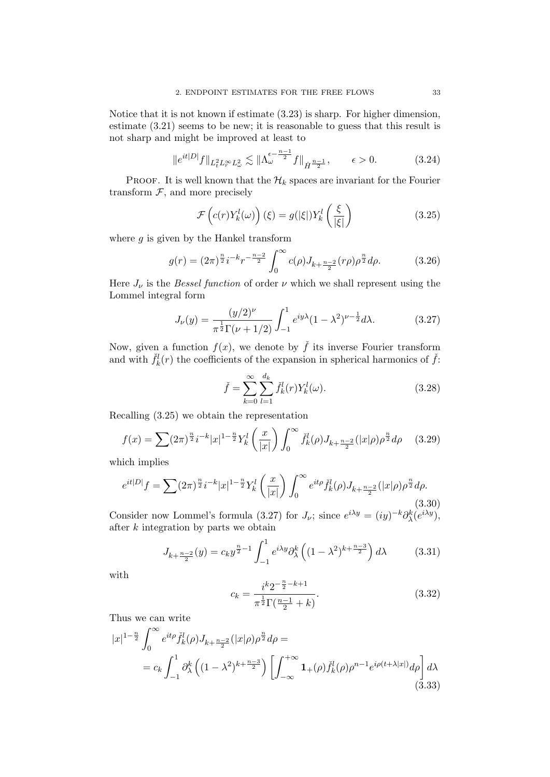Notice that it is not known if estimate (3.23) is sharp. For higher dimension, estimate (3.21) seems to be new; it is reasonable to guess that this result is not sharp and might be improved at least to

$$
\|e^{it|D|}f\|_{L_t^2 L_r^\infty L_\omega^2} \lesssim \|\Lambda_\omega^{\epsilon - \frac{n-1}{2}}f\|_{\dot{H}^{\frac{n-1}{2}}}, \qquad \epsilon > 0. \tag{3.24}
$$

PROOF. It is well known that the  $\mathcal{H}_k$  spaces are invariant for the Fourier transform  $F$ , and more precisely

$$
\mathcal{F}\left(c(r)Y_k^l(\omega)\right)(\xi) = g(|\xi|)Y_k^l\left(\frac{\xi}{|\xi|}\right) \tag{3.25}
$$

where  $q$  is given by the Hankel transform

$$
g(r) = (2\pi)^{\frac{n}{2}} i^{-k} r^{-\frac{n-2}{2}} \int_0^\infty c(\rho) J_{k+\frac{n-2}{2}}(r\rho) \rho^{\frac{n}{2}} d\rho.
$$
 (3.26)

Here  $J_{\nu}$  is the *Bessel function* of order  $\nu$  which we shall represent using the Lommel integral form

$$
J_{\nu}(y) = \frac{(y/2)^{\nu}}{\pi^{\frac{1}{2}}\Gamma(\nu + 1/2)} \int_{-1}^{1} e^{iy\lambda} (1 - \lambda^{2})^{\nu - \frac{1}{2}} d\lambda.
$$
 (3.27)

Now, given a function  $f(x)$ , we denote by  $\check{f}$  its inverse Fourier transform and with  $\check{f}_k^l(r)$  the coefficients of the expansion in spherical harmonics of  $\check{f}$ :

$$
\check{f} = \sum_{k=0}^{\infty} \sum_{l=1}^{d_k} \check{f}_k^l(r) Y_k^l(\omega).
$$
 (3.28)

Recalling (3.25) we obtain the representation

$$
f(x) = \sum (2\pi)^{\frac{n}{2}} i^{-k} |x|^{1-\frac{n}{2}} Y_k^l\left(\frac{x}{|x|}\right) \int_0^\infty \check{f}_k^l(\rho) J_{k+\frac{n-2}{2}}(|x|\rho) \rho^{\frac{n}{2}} d\rho \quad (3.29)
$$

which implies

$$
e^{it|D|}f = \sum (2\pi)^{\frac{n}{2}} i^{-k} |x|^{1-\frac{n}{2}} Y_k^l \left(\frac{x}{|x|}\right) \int_0^\infty e^{it\rho} \check{f}_k^l(\rho) J_{k+\frac{n-2}{2}}(|x|\rho) \rho^{\frac{n}{2}} d\rho. \tag{3.30}
$$

Consider now Lommel's formula (3.27) for  $J_{\nu}$ ; since  $e^{i\lambda y} = (iy)^{-k}\partial_{\lambda}^{k}(e^{i\lambda y}),$ after  $k$  integration by parts we obtain

$$
J_{k+\frac{n-2}{2}}(y) = c_k y^{\frac{n}{2}-1} \int_{-1}^1 e^{i\lambda y} \partial_\lambda^k \left( (1-\lambda^2)^{k+\frac{n-3}{2}} \right) d\lambda \tag{3.31}
$$

with

$$
c_k = \frac{i^k 2^{-\frac{n}{2} - k + 1}}{\pi^{\frac{1}{2}} \Gamma(\frac{n-1}{2} + k)}.
$$
\n(3.32)

Thus we can write

$$
|x|^{1-\frac{n}{2}} \int_0^\infty e^{it\rho} \check{f}_k^l(\rho) J_{k+\frac{n-2}{2}}(|x|\rho) \rho^{\frac{n}{2}} d\rho =
$$
  
=  $c_k \int_{-1}^1 \partial_\lambda^k \left( (1 - \lambda^2)^{k+\frac{n-3}{2}} \right) \left[ \int_{-\infty}^{+\infty} \mathbf{1}_+(\rho) \check{f}_k^l(\rho) \rho^{n-1} e^{i\rho(t+\lambda|x|)} d\rho \right] d\lambda$  (3.33)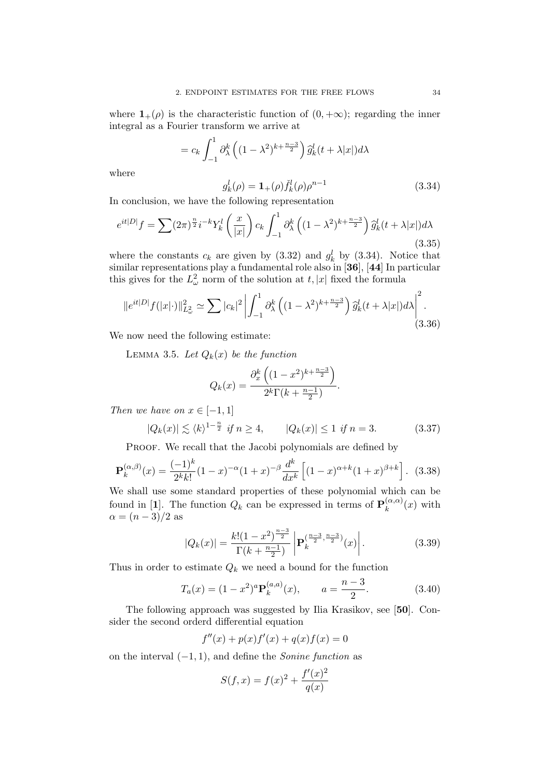where  $1_+(\rho)$  is the characteristic function of  $(0, +\infty)$ ; regarding the inner integral as a Fourier transform we arrive at

$$
= c_k \int_{-1}^1 \partial_\lambda^k \left( (1 - \lambda^2)^{k + \frac{n-3}{2}} \right) \widehat{g}_k^l(t + \lambda |x|) d\lambda
$$

where

$$
g_k^l(\rho) = \mathbf{1}_{+}(\rho) \check{f}_k^l(\rho) \rho^{n-1}
$$
\n(3.34)

In conclusion, we have the following representation

$$
e^{it|D|}f = \sum (2\pi)^{\frac{n}{2}} i^{-k} Y_k^l \left(\frac{x}{|x|}\right) c_k \int_{-1}^1 \partial_\lambda^k \left((1-\lambda^2)^{k+\frac{n-3}{2}}\right) \widehat{g}_k^l(t+\lambda|x|) d\lambda
$$
\n(3.35)

where the constants  $c_k$  are given by (3.32) and  $g_k^l$  by (3.34). Notice that similar representations play a fundamental role also in [36], [44] In particular this gives for the  $L^2_{\omega}$  norm of the solution at  $t, |x|$  fixed the formula

$$
||e^{it|D|}f(|x|\cdot)||_{L^2_{\omega}}^2 \simeq \sum |c_k|^2 \left| \int_{-1}^1 \partial_{\lambda}^k \left( (1 - \lambda^2)^{k + \frac{n-3}{2}} \right) \widehat{g}_k^l(t + \lambda|x|) d\lambda \right|^2.
$$
\n(3.36)

We now need the following estimate:

LEMMA 3.5. Let  $Q_k(x)$  be the function

$$
Q_k(x) = \frac{\partial_x^k \left( (1 - x^2)^{k + \frac{n-3}{2}} \right)}{2^k \Gamma(k + \frac{n-1}{2})}.
$$

Then we have on  $x \in [-1, 1]$ 

 $|Q_k(x)| \lesssim \langle k \rangle^{1-\frac{n}{2}}$  if  $n \ge 4$ ,  $|Q_k(x)| \le 1$  if  $n = 3$ . (3.37)

PROOF. We recall that the Jacobi polynomials are defined by

$$
\mathbf{P}_k^{(\alpha,\beta)}(x) = \frac{(-1)^k}{2^k k!} (1-x)^{-\alpha} (1+x)^{-\beta} \frac{d^k}{dx^k} \left[ (1-x)^{\alpha+k} (1+x)^{\beta+k} \right]. \tag{3.38}
$$

We shall use some standard properties of these polynomial which can be found in [1]. The function  $Q_k$  can be expressed in terms of  $P_k^{(\alpha,\alpha)}$  $\binom{(\alpha,\alpha)}{k}(x)$  with  $\alpha = (n-3)/2$  as

$$
|Q_k(x)| = \frac{k!(1-x^2)^{\frac{n-3}{2}}}{\Gamma(k+\frac{n-1}{2})} \left| \mathbf{P}_k^{(\frac{n-3}{2},\frac{n-3}{2})}(x) \right|.
$$
 (3.39)

Thus in order to estimate  $Q_k$  we need a bound for the function

$$
T_a(x) = (1 - x^2)^a \mathbf{P}_k^{(a,a)}(x), \qquad a = \frac{n-3}{2}.
$$
 (3.40)

The following approach was suggested by Ilia Krasikov, see [50]. Consider the second orderd differential equation

$$
f''(x) + p(x)f'(x) + q(x)f(x) = 0
$$

on the interval  $(-1, 1)$ , and define the *Sonine function* as

$$
S(f, x) = f(x)^{2} + \frac{f'(x)^{2}}{q(x)}
$$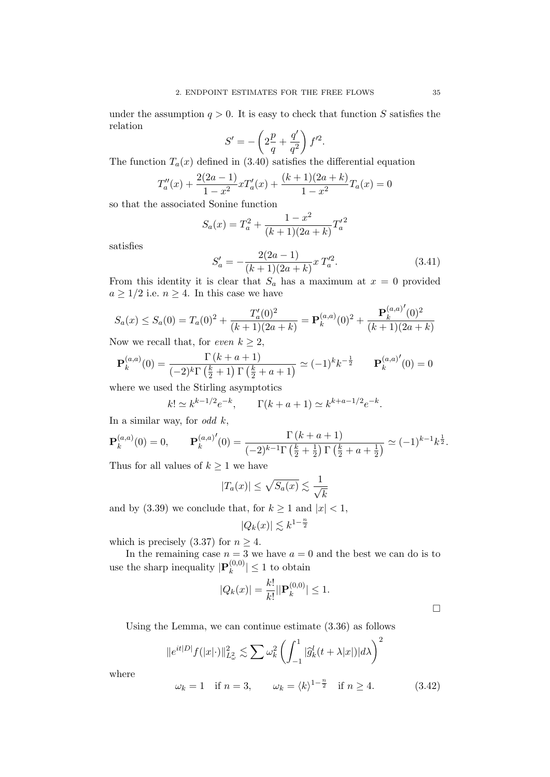under the assumption  $q > 0$ . It is easy to check that function S satisfies the relation

$$
S' = -\left(2\frac{p}{q} + \frac{q'}{q^2}\right)f'^2.
$$

The function  $T_a(x)$  defined in (3.40) satisfies the differential equation

$$
T''_a(x) + \frac{2(2a-1)}{1-x^2}xT'_a(x) + \frac{(k+1)(2a+k)}{1-x^2}T_a(x) = 0
$$

so that the associated Sonine function

$$
S_a(x) = T_a^2 + \frac{1 - x^2}{(k+1)(2a+k)} T_a'^2
$$

satisfies

$$
S'_a = -\frac{2(2a-1)}{(k+1)(2a+k)} x T_a'^2.
$$
 (3.41)

From this identity it is clear that  $S_a$  has a maximum at  $x = 0$  provided  $a \geq 1/2$  i.e.  $n \geq 4$ . In this case we have

$$
S_a(x) \le S_a(0) = T_a(0)^2 + \frac{T'_a(0)^2}{(k+1)(2a+k)} = \mathbf{P}_k^{(a,a)}(0)^2 + \frac{\mathbf{P}_k^{(a,a)'}(0)^2}{(k+1)(2a+k)}
$$

Now we recall that, for even  $k \geq 2$ ,

$$
\mathbf{P}_k^{(a,a)}(0) = \frac{\Gamma(k+a+1)}{(-2)^k \Gamma(\frac{k}{2}+1) \Gamma(\frac{k}{2}+a+1)} \simeq (-1)^k k^{-\frac{1}{2}} \qquad \mathbf{P}_k^{(a,a)'}(0) = 0
$$

where we used the Stirling asymptotics

$$
k! \simeq k^{k-1/2} e^{-k}
$$
,  $\Gamma(k+a+1) \simeq k^{k+a-1/2} e^{-k}$ .

In a similar way, for *odd*  $k$ ,

$$
\mathbf{P}_k^{(a,a)}(0) = 0, \qquad \mathbf{P}_k^{(a,a)'}(0) = \frac{\Gamma(k+a+1)}{(-2)^{k-1}\Gamma(\frac{k}{2} + \frac{1}{2})\Gamma(\frac{k}{2} + a + \frac{1}{2})} \simeq (-1)^{k-1}k^{\frac{1}{2}}.
$$

Thus for all values of  $k \geq 1$  we have

$$
|T_a(x)| \le \sqrt{S_a(x)} \lesssim \frac{1}{\sqrt{k}}
$$

and by (3.39) we conclude that, for  $k \ge 1$  and  $|x| < 1$ ,

$$
|Q_k(x)| \lesssim k^{1-\frac{n}{2}}
$$

which is precisely (3.37) for  $n \geq 4$ .

In the remaining case  $n = 3$  we have  $a = 0$  and the best we can do is to use the sharp inequality  $|\mathbf{P}_k^{(0,0)}\rangle$  $|k^{(0,0)}| \leq 1$  to obtain

$$
|Q_k(x)| = \frac{k!}{k!} ||\mathbf{P}_k^{(0,0)}| \le 1.
$$

 $\Box$ 

Using the Lemma, we can continue estimate (3.36) as follows

$$
||e^{it|D|}f(|x|\cdot)||_{L^2_{\omega}}^2 \lesssim \sum \omega_k^2 \left(\int_{-1}^1 |\widehat{g}_k^l(t+\lambda|x|)|d\lambda\right)^2
$$

where

$$
\omega_k = 1
$$
 if  $n = 3$ ,  $\omega_k = \langle k \rangle^{1 - \frac{n}{2}}$  if  $n \ge 4$ . (3.42)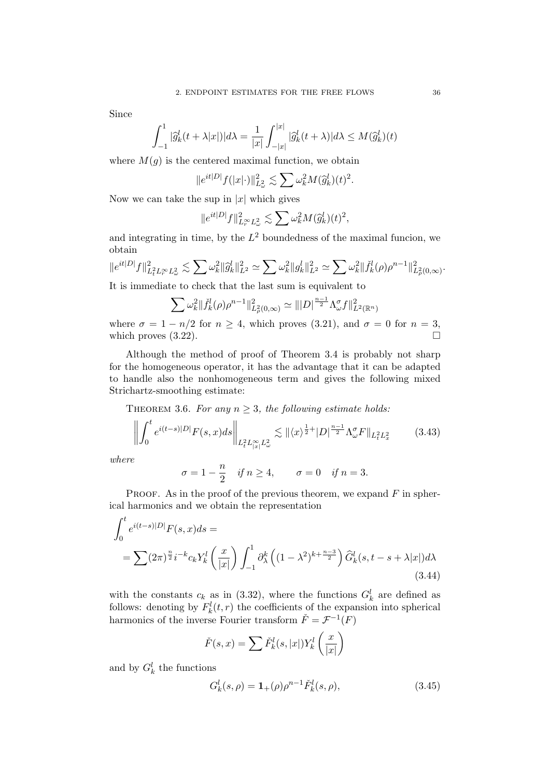Since

$$
\int_{-1}^1 |\widehat{g}_k^l(t + \lambda |x|)| d\lambda = \frac{1}{|x|} \int_{-|x|}^{|x|} |\widehat{g}_k^l(t + \lambda)| d\lambda \le M(\widehat{g}_k^l)(t)
$$

where  $M(q)$  is the centered maximal function, we obtain

$$
\|e^{it|D|}f(|x|\cdot)\|_{L^2_{\omega}}^2\lesssim \sum \omega_k^2M(\widehat g_k^l)(t)^2.
$$

Now we can take the sup in  $|x|$  which gives

$$
||e^{it|D|}f||^2_{L_r^{\infty}L^2_{\omega}} \lesssim \sum \omega_k^2 M(\widehat{g}_k^l)(t)^2,
$$

and integrating in time, by the  $L^2$  boundedness of the maximal funcion, we obtain

$$
\|e^{it|D|}f\|^2_{L^2_tL^\infty_rL^2_\omega}\lesssim \sum \omega_k^2\|\widehat g^l_k\|^2_{L^2}\simeq \sum \omega_k^2\|g^l_k\|^2_{L^2}\simeq \sum \omega_k^2\|\widetilde f^l_k(\rho)\rho^{n-1}\|^2_{L^2_\rho(0,\infty)}.
$$

It is immediate to check that the last sum is equivalent to

$$
\sum \omega_k^2 \| \ddot{f}_k^l(\rho) \rho^{n-1} \|_{L^2(\rho,\infty)}^2 \simeq \| |D|^{\frac{n-1}{2}} \Lambda^{\sigma}_{\omega} f \|_{L^2(\mathbb{R}^n)}^2
$$

where  $\sigma = 1 - n/2$  for  $n \ge 4$ , which proves (3.21), and  $\sigma = 0$  for  $n = 3$ , which proves  $(3.22)$ .

Although the method of proof of Theorem 3.4 is probably not sharp for the homogeneous operator, it has the advantage that it can be adapted to handle also the nonhomogeneous term and gives the following mixed Strichartz-smoothing estimate:

THEOREM 3.6. For any  $n \geq 3$ , the following estimate holds:

$$
\left\| \int_0^t e^{i(t-s)|D|} F(s,x) ds \right\|_{L_t^2 L_{|x|}^\infty L_\omega^2} \lesssim \| \langle x \rangle^{\frac{1}{2}+} |D|^{\frac{n-1}{2}} \Lambda_\omega^\sigma F \|_{L_t^2 L_x^2}
$$
(3.43)

where

$$
\sigma = 1 - \frac{n}{2}
$$
 if  $n \ge 4$ ,  $\sigma = 0$  if  $n = 3$ .

PROOF. As in the proof of the previous theorem, we expand  $F$  in spherical harmonics and we obtain the representation

$$
\int_0^t e^{i(t-s)|D|} F(s, x) ds =
$$
\n
$$
= \sum (2\pi)^{\frac{n}{2}} i^{-k} c_k Y_k^l \left(\frac{x}{|x|}\right) \int_{-1}^1 \partial_\lambda^k \left((1 - \lambda^2)^{k + \frac{n-3}{2}}\right) \widehat{G}_k^l(s, t - s + \lambda |x|) d\lambda
$$
\n(3.44)

with the constants  $c_k$  as in (3.32), where the functions  $G_k^l$  are defined as follows: denoting by  $F_k^l(t,r)$  the coefficients of the expansion into spherical harmonics of the inverse Fourier transform  $\check{F} = \mathcal{F}^{-1}(F)$ 

$$
\check{F}(s,x) = \sum \check{F}_k^l(s,|x|) Y_k^l\left(\frac{x}{|x|}\right)
$$

and by  $G_k^l$  the functions

$$
G_k^l(s,\rho) = \mathbf{1}_{+}(\rho)\rho^{n-1}\check{F}_k^l(s,\rho),\tag{3.45}
$$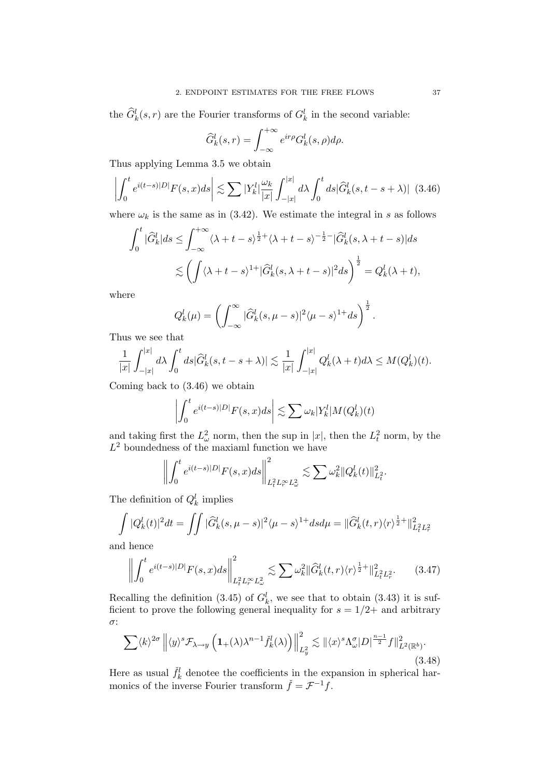the  $\widehat{G}_{k}^{l}(s,r)$  are the Fourier transforms of  $G_{k}^{l}$  in the second variable:

$$
\widehat{G}_{k}^{l}(s,r) = \int_{-\infty}^{+\infty} e^{ir\rho} G_{k}^{l}(s,\rho) d\rho.
$$

Thus applying Lemma 3.5 we obtain

$$
\left| \int_0^t e^{i(t-s)|D|} F(s,x) ds \right| \lesssim \sum |Y_k^l| \frac{\omega_k}{|x|} \int_{-|x|}^{|x|} d\lambda \int_0^t ds |\widehat{G}_k^l(s,t-s+\lambda)| \tag{3.46}
$$

where  $\omega_k$  is the same as in (3.42). We estimate the integral in s as follows

$$
\int_0^t |\widehat{G}_k^l| ds \le \int_{-\infty}^{+\infty} \langle \lambda + t - s \rangle^{\frac{1}{2}+} \langle \lambda + t - s \rangle^{-\frac{1}{2}-} |\widehat{G}_k^l(s, \lambda + t - s)| ds
$$
  

$$
\lesssim \left( \int \langle \lambda + t - s \rangle^{1+} |\widehat{G}_k^l(s, \lambda + t - s)|^2 ds \right)^{\frac{1}{2}} = Q_k^l(\lambda + t),
$$

where

$$
Q_k^l(\mu) = \left(\int_{-\infty}^{\infty} |\widehat{G}_k^l(s, \mu - s)|^2 \langle \mu - s \rangle^{1+} ds\right)^{\frac{1}{2}}.
$$

Thus we see that

$$
\frac{1}{|x|}\int_{-|x|}^{|x|}d\lambda\int_0^t ds|\widehat{G}_k^l(s,t-s+\lambda)|\lesssim \frac{1}{|x|}\int_{-|x|}^{|x|}Q_k^l(\lambda+t)d\lambda\leq M(Q_k^l)(t).
$$

Coming back to (3.46) we obtain

$$
\left| \int_0^t e^{i(t-s)|D|} F(s,x) ds \right| \lesssim \sum \omega_k |Y_k^l| M(Q_k^l)(t)
$$

and taking first the  $L^2_{\omega}$  norm, then the sup in |x|, then the  $L^2_t$  norm, by the  $L^2$  boundedness of the maxiaml function we have

$$
\left\| \int_0^t e^{i(t-s)|D|} F(s, x) ds \right\|_{L_t^2 L_r^\infty L_\omega^2}^2 \lesssim \sum \omega_k^2 \|Q_k^l(t)\|_{L_t^2}^2.
$$

The definition of  $Q_k^l$  implies

$$
\int |Q_k^l(t)|^2 dt = \iint |\widehat{G}_k^l(s, \mu - s)|^2 \langle \mu - s \rangle^{1+} ds d\mu = ||\widehat{G}_k^l(t, r) \langle r \rangle^{\frac{1}{2}+}||_{L_t^2 L_r^2}^2
$$

and hence

$$
\left\| \int_0^t e^{i(t-s)|D|} F(s,x) ds \right\|_{L_t^2 L_r^\infty L_\omega^2}^2 \lesssim \sum \omega_k^2 \| \widehat{G}_k^l(t,r) \langle r \rangle^{\frac{1}{2}+} \|_{L_t^2 L_r^2}^2. \tag{3.47}
$$

Recalling the definition (3.45) of  $G_k^l$ , we see that to obtain (3.43) it is sufficient to prove the following general inequality for  $s = 1/2+$  and arbitrary σ:

$$
\sum \langle k \rangle^{2\sigma} \left\| \langle y \rangle^s \mathcal{F}_{\lambda \to y} \left( \mathbf{1}_{+}(\lambda) \lambda^{n-1} \check{f}_k^l(\lambda) \right) \right\|_{L_y^2}^2 \lesssim \| \langle x \rangle^s \Lambda_\omega^\sigma |D|^{\frac{n-1}{2}} f \|_{L^2(\mathbb{R}^b)}^2. \tag{3.48}
$$

Here as usual  $\tilde{f}_k^l$  denotee the coefficients in the expansion in spherical harmonics of the inverse Fourier transform  $\check{f} = \mathcal{F}^{-1}f$ .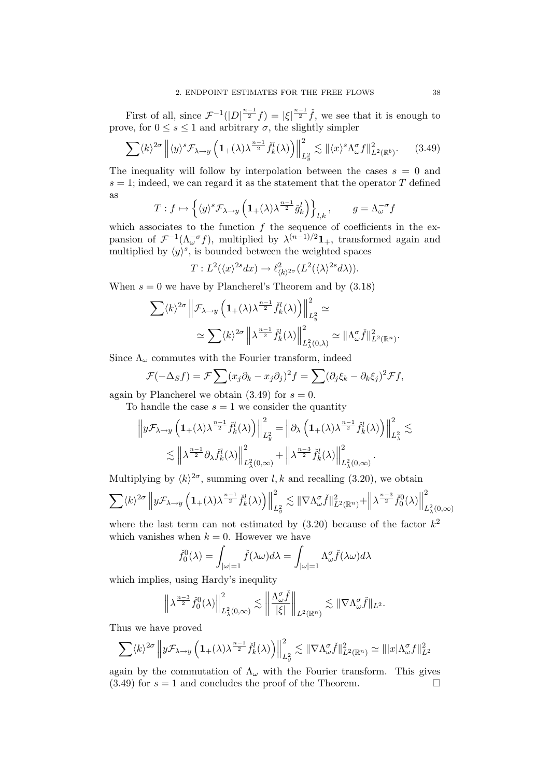First of all, since  $\mathcal{F}^{-1}(|D|^{\frac{n-1}{2}}f) = |\xi|^{\frac{n-1}{2}}\tilde{f}$ , we see that it is enough to prove, for  $0 \leq s \leq 1$  and arbitrary  $\sigma$ , the slightly simpler

$$
\sum \langle k \rangle^{2\sigma} \left\| \langle y \rangle^s \mathcal{F}_{\lambda \to y} \left( \mathbf{1}_{+}(\lambda) \lambda^{\frac{n-1}{2}} \tilde{f}_k^l(\lambda) \right) \right\|_{L_y^2}^2 \lesssim \| \langle x \rangle^s \Lambda_\omega^\sigma f \|_{L^2(\mathbb{R}^b)}^2. \tag{3.49}
$$

The inequality will follow by interpolation between the cases  $s = 0$  and  $s = 1$ ; indeed, we can regard it as the statement that the operator T defined as

$$
T: f \mapsto \left\{ \langle y \rangle^s \mathcal{F}_{\lambda \to y} \left( \mathbf{1}_{+}(\lambda) \lambda^{\frac{n-1}{2}} \check{g}_k^l \right) \right\}_{l,k}, \qquad g = \Lambda_{\omega}^{-\sigma} f
$$

which associates to the function  $f$  the sequence of coefficients in the expansion of  $\mathcal{F}^{-1}(\Lambda_{\omega}^{-\sigma}f)$ , multiplied by  $\lambda^{(n-1)/2}1_+$ , transformed again and multiplied by  $\langle y \rangle^s$ , is bounded between the weighted spaces

$$
T: L^2(\langle x \rangle^{2s} dx) \to \ell^2_{\langle k \rangle^{2\sigma}}(L^2(\langle \lambda \rangle^{2s} d\lambda)).
$$

When  $s = 0$  we have by Plancherel's Theorem and by  $(3.18)$ 

$$
\sum \langle k \rangle^{2\sigma} \left\| \mathcal{F}_{\lambda \to y} \left( \mathbf{1}_{+}(\lambda) \lambda^{\frac{n-1}{2}} \check{f}_{k}^{l}(\lambda) \right) \right\|_{L_{y}^{2}}^{2} \simeq
$$
  

$$
\simeq \sum \langle k \rangle^{2\sigma} \left\| \lambda^{\frac{n-1}{2}} \check{f}_{k}^{l}(\lambda) \right\|_{L_{\lambda}^{2}(0,\lambda)}^{2} \simeq \|\Lambda_{\omega}^{\sigma} \check{f}\|_{L^{2}(\mathbb{R}^{n})}^{2}.
$$

Since  $\Lambda_{\omega}$  commutes with the Fourier transform, indeed

$$
\mathcal{F}(-\Delta_S f) = \mathcal{F} \sum (x_j \partial_k - x_j \partial_j)^2 f = \sum (\partial_j \xi_k - \partial_k \xi_j)^2 \mathcal{F} f,
$$

again by Plancherel we obtain  $(3.49)$  for  $s = 0$ .

To handle the case  $s = 1$  we consider the quantity

$$
\left\|y\mathcal{F}_{\lambda\to y}\left(\mathbf{1}_{+}(\lambda)\lambda^{\frac{n-1}{2}}\tilde{f}_{k}^{l}(\lambda)\right)\right\|_{L_{y}^{2}}^{2}=\left\|\partial_{\lambda}\left(\mathbf{1}_{+}(\lambda)\lambda^{\frac{n-1}{2}}\tilde{f}_{k}^{l}(\lambda)\right)\right\|_{L_{\lambda}^{2}}^{2}\lesssim
$$

$$
\lesssim\left\|\lambda^{\frac{n-1}{2}}\partial_{\lambda}\tilde{f}_{k}^{l}(\lambda)\right\|_{L_{\lambda}^{2}(0,\infty)}^{2}+\left\|\lambda^{\frac{n-3}{2}}\tilde{f}_{k}^{l}(\lambda)\right\|_{L_{\lambda}^{2}(0,\infty)}^{2}.
$$

Multiplying by  $\langle k \rangle^{2\sigma}$ , summing over l, k and recalling (3.20), we obtain

$$
\sum \langle k \rangle^{2\sigma} \left\| y \mathcal{F}_{\lambda \to y} \left( \mathbf{1}_{+}(\lambda) \lambda^{\frac{n-1}{2}} \check{f}_{k}^{l}(\lambda) \right) \right\|_{L_{y}^{2}}^{2} \lesssim \| \nabla \Lambda_{\omega}^{\sigma} \check{f} \|_{L^{2}(\mathbb{R}^{n})}^{2} + \left\| \lambda^{\frac{n-3}{2}} \check{f}_{0}^{0}(\lambda) \right\|_{L_{\lambda}^{2}(0,\infty)}^{2}
$$

where the last term can not estimated by  $(3.20)$  because of the factor  $k^2$ which vanishes when  $k = 0$ . However we have

$$
\check{f}_0^0(\lambda) = \int_{|\omega|=1} \check{f}(\lambda \omega) d\lambda = \int_{|\omega|=1} \Lambda_{\omega}^{\sigma} \check{f}(\lambda \omega) d\lambda
$$

which implies, using Hardy's inequlity

$$
\left\|\lambda^{\frac{n-3}{2}}\check{f}_0^0(\lambda)\right\|_{L^2_\lambda(0,\infty)}^2\lesssim \left\|\frac{\Lambda^{\sigma}_\omega\check{f}}{|\xi|}\right\|_{L^2(\mathbb{R}^n)}\lesssim \|\nabla\Lambda^{\sigma}_\omega\check{f}\|_{L^2}.
$$

Thus we have proved

$$
\sum \langle k \rangle^{2\sigma} \left\| y \mathcal{F}_{\lambda \to y} \left( \mathbf{1}_{+}(\lambda) \lambda^{\frac{n-1}{2}} \tilde{f}_{k}^{l}(\lambda) \right) \right\|_{L_{y}^{2}}^{2} \lesssim \| \nabla \Lambda_{\omega}^{\sigma} \tilde{f} \|_{L^{2}(\mathbb{R}^{n})}^{2} \simeq \| |x| \Lambda_{\omega}^{\sigma} f \|_{L^{2}}^{2}
$$

again by the commutation of  $\Lambda_{\omega}$  with the Fourier transform. This gives  $(3.49)$  for  $s = 1$  and concludes the proof of the Theorem.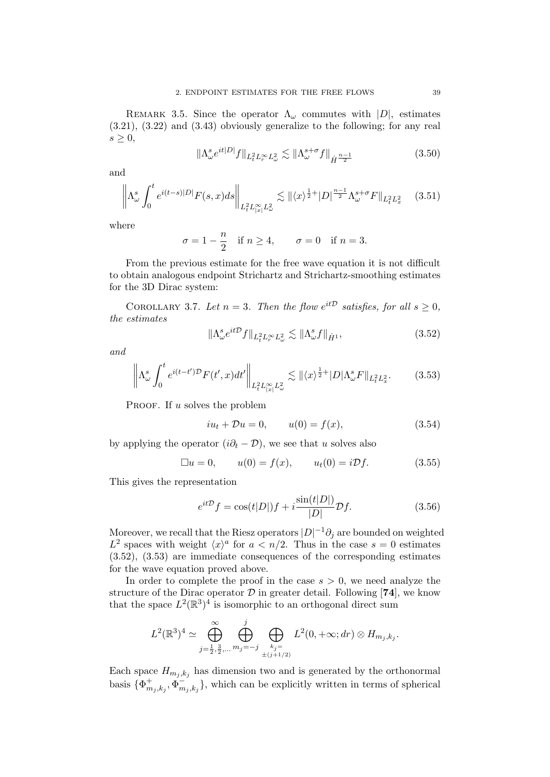REMARK 3.5. Since the operator  $\Lambda_{\omega}$  commutes with  $|D|$ , estimates (3.21), (3.22) and (3.43) obviously generalize to the following; for any real  $s \geq 0$ ,

$$
\|\Lambda^s_\omega e^{it|D|}f\|_{L^2_t L^\infty_\tau L^2_\omega} \lesssim \|\Lambda^{s+\sigma}_\omega f\|_{\dot{H}^{\frac{n-1}{2}}} \tag{3.50}
$$

and

$$
\left\| \Lambda_{\omega}^{s} \int_{0}^{t} e^{i(t-s)|D|} F(s,x) ds \right\|_{L_{t}^{2} L_{|x|}^{\infty} L_{\omega}^{2}} \lesssim \| \langle x \rangle^{\frac{1}{2}+} |D|^{\frac{n-1}{2}} \Lambda_{\omega}^{s+\sigma} F \|_{L_{t}^{2} L_{x}^{2}} \tag{3.51}
$$

where

$$
\sigma = 1 - \frac{n}{2} \quad \text{if } n \ge 4, \qquad \sigma = 0 \quad \text{if } n = 3.
$$

From the previous estimate for the free wave equation it is not difficult to obtain analogous endpoint Strichartz and Strichartz-smoothing estimates for the 3D Dirac system:

COROLLARY 3.7. Let  $n = 3$ . Then the flow  $e^{it\mathcal{D}}$  satisfies, for all  $s \geq 0$ , the estimates

$$
\|\Lambda^s_\omega e^{it\mathcal{D}}f\|_{L^2_t L^\infty_r L^2_\omega} \lesssim \|\Lambda^s_\omega f\|_{\dot{H}^1},\tag{3.52}
$$

and

$$
\left\|\Lambda_{\omega}^s \int_0^t e^{i(t-t')\mathcal{D}} F(t',x) dt'\right\|_{L_t^2 L_{|x|}^{\infty} L_{\omega}^2} \lesssim \|\langle x \rangle^{\frac{1}{2}+} |D| \Lambda_{\omega}^s F\|_{L_t^2 L_x^2}.
$$
 (3.53)

PROOF. If u solves the problem

$$
iu_t + \mathcal{D}u = 0,
$$
  $u(0) = f(x),$  (3.54)

by applying the operator  $(i\partial_t - \mathcal{D})$ , we see that u solves also

$$
\Box u = 0,
$$
  $u(0) = f(x),$   $u_t(0) = i\mathcal{D}f.$  (3.55)

This gives the representation

$$
e^{it\mathcal{D}}f = \cos(t|D|)f + i\frac{\sin(t|D|)}{|D|}\mathcal{D}f.
$$
\n(3.56)

Moreover, we recall that the Riesz operators  $|D|^{-1}\partial_j$  are bounded on weighted  $L^2$  spaces with weight  $\langle x \rangle^a$  for  $a < n/2$ . Thus in the case  $s = 0$  estimates (3.52), (3.53) are immediate consequences of the corresponding estimates for the wave equation proved above.

In order to complete the proof in the case  $s > 0$ , we need analyze the structure of the Dirac operator  $\mathcal D$  in greater detail. Following [74], we know that the space  $L^2(\mathbb{R}^3)^4$  is isomorphic to an orthogonal direct sum

$$
L^{2}(\mathbb{R}^{3})^{4} \simeq \bigoplus_{j=\frac{1}{2},\frac{3}{2},\ldots}^{\infty} \bigoplus_{m_{j}=-j}^{j} \bigoplus_{\substack{k_{j} = \\ \pm(j+1/2)}} L^{2}(0,+\infty; dr) \otimes H_{m_{j},k_{j}}.
$$

Each space  $H_{m_i,k_i}$  has dimension two and is generated by the orthonormal basis  $\{\Phi_m^+\}$  ${\stackrel{+}{m}}_{j,k_j}, {\stackrel{+}{\Phi}}^-_m$  $\{m_{j,k_j}\}\$ , which can be explicitly written in terms of spherical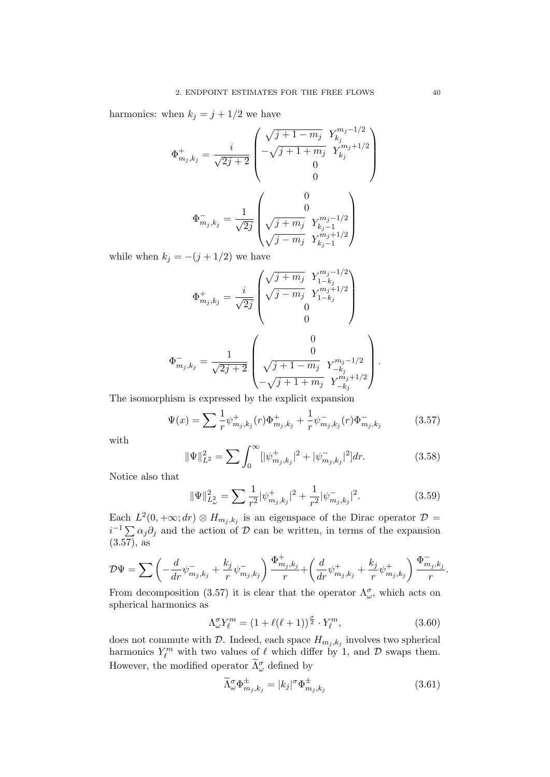harmonics: when  $k_j = j + 1/2$  we have

$$
\Phi_{m_j,k_j}^+ = \frac{i}{\sqrt{2j+2}} \begin{pmatrix}\n\sqrt{j+1-m_j} & Y_{k_j}^{m_j-1/2} \\
-\sqrt{j+1+m_j} & Y_{k_j}^{m_j+1/2} \\
0 & 0\n\end{pmatrix}
$$
\n
$$
\Phi_{m_j,k_j}^- = \frac{1}{\sqrt{2j}} \begin{pmatrix}\n0 \\
0 \\
\sqrt{j+m_j} & Y_{k_j-1}^{m_j-1/2} \\
\sqrt{j-m_j} & Y_{k_j-1}^{m_j+1/2}\n\end{pmatrix}
$$

while when  $k_j = -(j + 1/2)$  we have

$$
\Phi_{m_j,k_j}^+ = \frac{i}{\sqrt{2j}} \begin{pmatrix} \sqrt{j+m_j} & Y_{1-k_j}^{m_j-1/2} \\ \sqrt{j-m_j} & Y_{1-k_j}^{m_j+1/2} \\ 0 & 0 \end{pmatrix}
$$
  

$$
\Phi_{m_j,k_j}^- = \frac{1}{\sqrt{2j+2}} \begin{pmatrix} 0 \\ 0 \\ \sqrt{j+1-m_j} & Y_{-k_j}^{m_j-1/2} \\ -\sqrt{j+1+m_j} & Y_{-k_j}^{m_j+1/2} \end{pmatrix}
$$

The isomorphism is expressed by the explicit expansion

$$
\Psi(x) = \sum \frac{1}{r} \psi_{m_j, k_j}^+(r) \Phi_{m_j, k_j}^+ + \frac{1}{r} \psi_{m_j, k_j}^-(r) \Phi_{m_j, k_j}^- \tag{3.57}
$$

with

$$
\|\Psi\|_{L^2}^2 = \sum \int_0^\infty [|\psi_{m_j,k_j}^+|^2 + |\psi_{m_j,k_j}^-|^2] dr. \tag{3.58}
$$

.

Notice also that

$$
\|\Psi\|_{L^2_{\omega}}^2 = \sum \frac{1}{r^2} |\psi_{m_j,k_j}^+|^2 + \frac{1}{r^2} |\psi_{m_j,k_j}^-|^2. \tag{3.59}
$$

Each  $L^2(0, +\infty; dr) \otimes H_{m_j, k_j}$  is an eigenspace of the Dirac operator  $\mathcal{D} =$  $i^{-1} \sum \alpha_j \partial_j$  and the action of D can be written, in terms of the expansion  $(3.57)$ , as

$$
\mathcal{D}\Psi = \sum \left( -\frac{d}{dr} \psi^-_{m_j,k_j} + \frac{k_j}{r} \psi^-_{m_j,k_j} \right) \frac{\Phi^+_{m_j,k_j}}{r} + \left( \frac{d}{dr} \psi^+_{m_j,k_j} + \frac{k_j}{r} \psi^+_{m_j,k_j} \right) \frac{\Phi^-_{m_j,k_j}}{r}.
$$

From decomposition (3.57) it is clear that the operator  $\Lambda^{\sigma}_{\omega}$ , which acts on spherical harmonics as

$$
\Lambda^{\sigma}_{\omega} Y_{\ell}^{m} = (1 + \ell(\ell+1))^{\frac{\sigma}{2}} \cdot Y_{\ell}^{m}, \qquad (3.60)
$$

does not commute with  $D$ . Indeed, each space  $H_{m_j,k_j}$  involves two spherical harmonics  $Y_{\ell}^{m}$  with two values of  $\ell$  which differ by 1, and  $\mathcal{D}$  swaps them. However, the modified operator  $\widetilde{\Lambda}^{\sigma}_{\omega}$  defined by

$$
\widetilde{\Lambda}_{\omega}^{\sigma} \Phi_{m_j, k_j}^{\pm} = |k_j|^{\sigma} \Phi_{m_j, k_j}^{\pm}
$$
\n(3.61)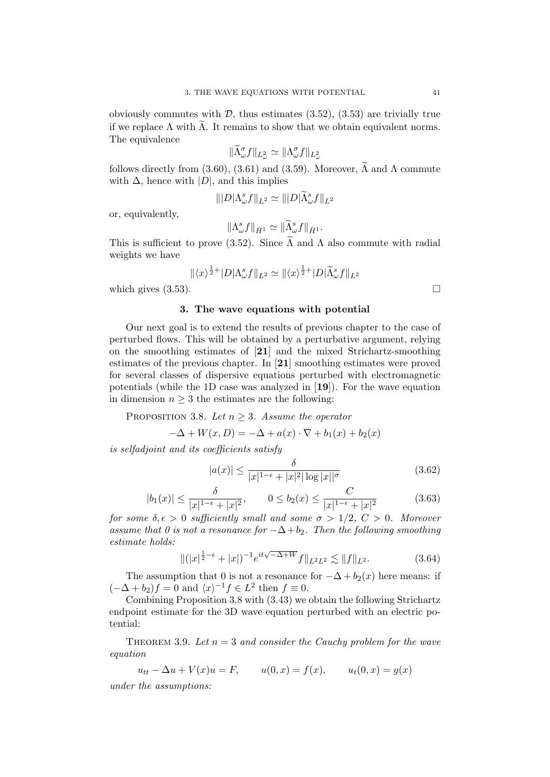obviously commutes with  $\mathcal{D}$ , thus estimates (3.52), (3.53) are trivially true if we replace  $\Lambda$  with  $\Lambda$ . It remains to show that we obtain equivalent norms. The equivalence

$$
\|\widetilde{\Lambda}_{\omega}^{\sigma}f\|_{L^2_{\omega}} \simeq \|\Lambda_{\omega}^{\sigma}f\|_{L^2_{\omega}}
$$

follows directly from (3.60), (3.61) and (3.59). Moreover,  $\tilde{\Lambda}$  and  $\Lambda$  commute with  $\Delta$ , hence with  $|D|$ , and this implies

$$
\| |D|\Lambda_{\omega}^s f\|_{L^2} \simeq \| |D|\widetilde{\Lambda}_{\omega}^s f\|_{L^2}
$$

or, equivalently,

$$
\|\Lambda^s_\omega f\|_{\dot{H}^1} \simeq \|\widetilde{\Lambda}^s_\omega f\|_{\dot{H}^1}.
$$

This is sufficient to prove (3.52). Since  $\widetilde{\Lambda}$  and  $\Lambda$  also commute with radial weights we have

$$
\|\langle x\rangle^{\frac{1}{2}+}|D|\Lambda_{\omega}^s f\|_{L^2} \simeq \|\langle x\rangle^{\frac{1}{2}+}|D|\widetilde{\Lambda}_{\omega}^s f\|_{L^2}
$$
\nwhich gives (3.53).

### 3. The wave equations with potential

Our next goal is to extend the results of previous chapter to the case of perturbed flows. This will be obtained by a perturbative argument, relying on the smoothing estimates of [21] and the mixed Strichartz-smoothing estimates of the previous chapter. In [21] smoothing estimates were proved for several classes of dispersive equations perturbed with electromagnetic potentials (while the 1D case was analyzed in  $[19]$ ). For the wave equation in dimension  $n \geq 3$  the estimates are the following:

PROPOSITION 3.8. Let  $n \geq 3$ . Assume the operator

$$
-\Delta + W(x, D) = -\Delta + a(x) \cdot \nabla + b_1(x) + b_2(x)
$$

is selfadjoint and its coefficients satisfy

$$
|a(x)| \le \frac{\delta}{|x|^{1-\epsilon} + |x|^2 |\log |x||^\sigma}
$$
\n
$$
(3.62)
$$

$$
|b_1(x)| \le \frac{\delta}{|x|^{1-\epsilon} + |x|^2}, \qquad 0 \le b_2(x) \le \frac{C}{|x|^{1-\epsilon} + |x|^2} \tag{3.63}
$$

for some  $\delta, \epsilon > 0$  sufficiently small and some  $\sigma > 1/2, C > 0$ . Moreover assume that 0 is not a resonance for  $-\Delta + b_2$ . Then the following smoothing estimate holds:

$$
\|(|x|^{\frac{1}{2}-\epsilon}+|x|)^{-1}e^{it\sqrt{-\Delta+W}}f\|_{L^2L^2}\lesssim \|f\|_{L^2}.\tag{3.64}
$$

The assumption that 0 is not a resonance for  $-\Delta + b_2(x)$  here means: if  $(-\Delta + b_2)f = 0$  and  $\langle x \rangle^{-1} f \in L^2$  then  $f \equiv 0$ .

Combining Proposition 3.8 with (3.43) we obtain the following Strichartz endpoint estimate for the 3D wave equation perturbed with an electric potential:

THEOREM 3.9. Let  $n = 3$  and consider the Cauchy problem for the wave equation

 $u_{tt} - \Delta u + V(x)u = F,$   $u(0, x) = f(x),$   $u_t(0, x) = g(x)$ 

under the assumptions: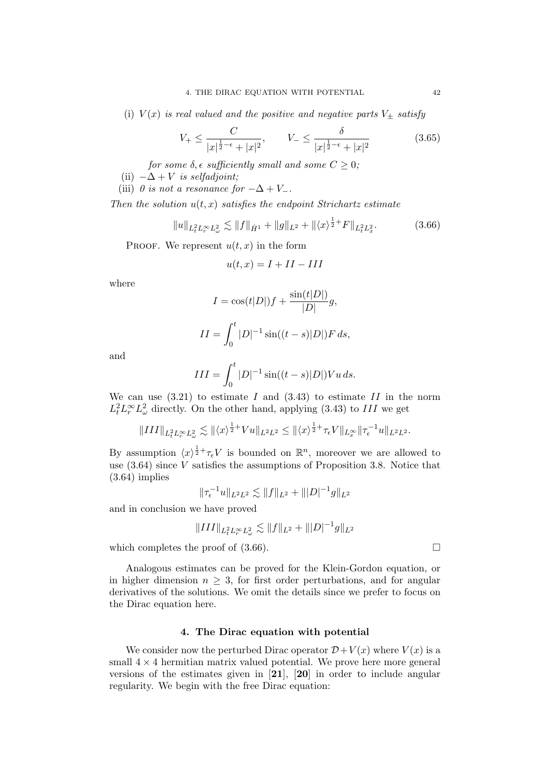(i)  $V(x)$  is real valued and the positive and negative parts  $V_{\pm}$  satisfy

$$
V_{+} \le \frac{C}{|x|^{\frac{1}{2}-\epsilon} + |x|^2}, \qquad V_{-} \le \frac{\delta}{|x|^{\frac{1}{2}-\epsilon} + |x|^2}
$$
(3.65)

for some  $\delta$ ,  $\epsilon$  sufficiently small and some  $C \geq 0$ ;

(ii)  $-\Delta + V$  is selfadjoint;

(iii) 0 is not a resonance for  $-\Delta + V_-\$ .

Then the solution  $u(t, x)$  satisfies the endpoint Strichartz estimate

$$
||u||_{L_t^2 L_r^\infty L_\omega^2} \lesssim ||f||_{\dot{H}^1} + ||g||_{L^2} + ||\langle x \rangle^{\frac{1}{2}+} F||_{L_t^2 L_x^2}.
$$
 (3.66)

PROOF. We represent  $u(t, x)$  in the form

$$
u(t,x) = I + II - III
$$

where

$$
I = \cos(t|D|)f + \frac{\sin(t|D|)}{|D|}g,
$$
  

$$
II = \int_0^t |D|^{-1}\sin((t-s)|D|)F ds,
$$

and

$$
III = \int_0^t |D|^{-1} \sin((t - s)|D|) Vu \, ds.
$$

We can use  $(3.21)$  to estimate I and  $(3.43)$  to estimate II in the norm  $L_t^2 L_r^{\infty} L_{\omega}^2$  directly. On the other hand, applying (3.43) to III we get

$$
||III||_{L_t^2 L_r^\infty L_\omega^2} \lesssim ||\langle x \rangle^{\frac{1}{2}+} V u||_{L^2 L^2} \le ||\langle x \rangle^{\frac{1}{2}+} \tau_\epsilon V ||_{L_x^\infty} ||\tau_\epsilon^{-1} u||_{L^2 L^2}.
$$

By assumption  $\langle x \rangle^{\frac{1}{2}+} \tau_{\epsilon} V$  is bounded on  $\mathbb{R}^n$ , moreover we are allowed to use  $(3.64)$  since V satisfies the assumptions of Proposition 3.8. Notice that (3.64) implies

$$
\|\tau_{\epsilon}^{-1}u\|_{L^2L^2}\lesssim \|f\|_{L^2}+\||D|^{-1}g\|_{L^2}
$$

and in conclusion we have proved

$$
\|III\|_{L^2_tL^\infty_rL^2_\omega} \lesssim \|f\|_{L^2} + \||D|^{-1}g\|_{L^2}
$$

which completes the proof of  $(3.66)$ .

Analogous estimates can be proved for the Klein-Gordon equation, or in higher dimension  $n \geq 3$ , for first order perturbations, and for angular derivatives of the solutions. We omit the details since we prefer to focus on the Dirac equation here.

# 4. The Dirac equation with potential

We consider now the perturbed Dirac operator  $\mathcal{D}+V(x)$  where  $V(x)$  is a small  $4 \times 4$  hermitian matrix valued potential. We prove here more general versions of the estimates given in [21], [20] in order to include angular regularity. We begin with the free Dirac equation: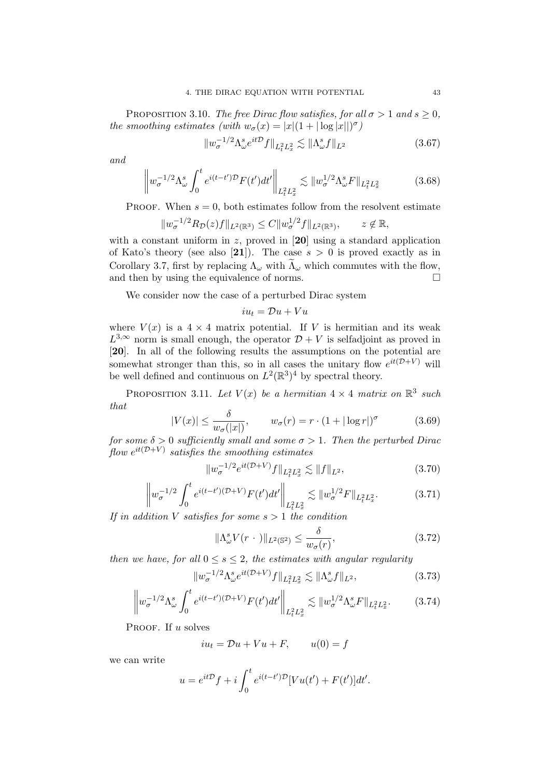PROPOSITION 3.10. The free Dirac flow satisfies, for all  $\sigma > 1$  and  $s \ge 0$ , the smoothing estimates (with  $w_{\sigma}(x) = |x|(1 + |\log |x||)^{\sigma})$ 

$$
||w_{\sigma}^{-1/2} \Lambda_{\omega}^s e^{it\mathcal{D}} f||_{L_t^2 L_x^2} \lesssim ||\Lambda_{\omega}^s f||_{L^2}
$$
\n(3.67)

and

$$
\left\|w_{\sigma}^{-1/2}\Lambda_{\omega}^{s}\int_{0}^{t}e^{i(t-t')\mathcal{D}}F(t')dt'\right\|_{L_{t}^{2}L_{x}^{2}} \lesssim \|w_{\sigma}^{1/2}\Lambda_{\omega}^{s}F\|_{L_{t}^{2}L_{x}^{2}}
$$
(3.68)

PROOF. When  $s = 0$ , both estimates follow from the resolvent estimate

$$
||w_{\sigma}^{-1/2}R_{\mathcal{D}}(z)f||_{L^{2}(\mathbb{R}^{3})} \leq C||w_{\sigma}^{1/2}f||_{L^{2}(\mathbb{R}^{3})}, \qquad z \notin \mathbb{R},
$$

with a constant uniform in z, proved in  $[20]$  using a standard application of Kato's theory (see also [21]). The case  $s > 0$  is proved exactly as in Corollary 3.7, first by replacing  $\Lambda_{\omega}$  with  $\Lambda_{\omega}$  which commutes with the flow, and then by using the equivalence of norms and then by using the equivalence of norms.

We consider now the case of a perturbed Dirac system

$$
iu_t = \mathcal{D}u + Vu
$$

where  $V(x)$  is a  $4 \times 4$  matrix potential. If V is hermitian and its weak  $L^{3,\infty}$  norm is small enough, the operator  $\mathcal{D} + V$  is selfadjoint as proved in [20]. In all of the following results the assumptions on the potential are somewhat stronger than this, so in all cases the unitary flow  $e^{it(D+V)}$  will be well defined and continuous on  $L^2(\mathbb{R}^3)^4$  by spectral theory.

PROPOSITION 3.11. Let  $V(x)$  be a hermitian  $4 \times 4$  matrix on  $\mathbb{R}^3$  such that

$$
|V(x)| \le \frac{\delta}{w_{\sigma}(|x|)}, \qquad w_{\sigma}(r) = r \cdot (1 + |\log r|)^{\sigma} \tag{3.69}
$$

for some  $\delta > 0$  sufficiently small and some  $\sigma > 1$ . Then the perturbed Dirac  $\emph{flow}~e^{it(\mathcal{D}+V)}~satisfies~the~smoothing~estimates$ 

$$
||w_{\sigma}^{-1/2}e^{it(\mathcal{D}+V)}f||_{L_t^2L_x^2} \lesssim ||f||_{L^2},
$$
\n(3.70)

$$
\left\|w_{\sigma}^{-1/2}\int_{0}^{t}e^{i(t-t')(\mathcal{D}+V)}F(t')dt'\right\|_{L_{t}^{2}L_{x}^{2}} \lesssim \|w_{\sigma}^{1/2}F\|_{L_{t}^{2}L_{x}^{2}}.
$$
 (3.71)

If in addition V satisfies for some  $s > 1$  the condition

$$
\|\Lambda^s_\omega V(r \,\cdot\,)\|_{L^2(\mathbb{S}^2)} \le \frac{\delta}{w_\sigma(r)},\tag{3.72}
$$

then we have, for all  $0 \leq s \leq 2$ , the estimates with angular regularity

$$
||w_{\sigma}^{-1/2} \Lambda_{\omega}^s e^{it(\mathcal{D}+V)} f||_{L_t^2 L_x^2} \lesssim ||\Lambda_{\omega}^s f||_{L^2},
$$
\n(3.73)

$$
\left\|w_{\sigma}^{-1/2}\Lambda_{\omega}^{s}\int_{0}^{t}e^{i(t-t')(\mathcal{D}+V)}F(t')dt'\right\|_{L_{t}^{2}L_{x}^{2}} \lesssim \|w_{\sigma}^{1/2}\Lambda_{\omega}^{s}F\|_{L_{t}^{2}L_{x}^{2}}.\tag{3.74}
$$

PROOF. If u solves

$$
iu_t = \mathcal{D}u + Vu + F, \qquad u(0) = f
$$

we can write

$$
u = e^{it\mathcal{D}}f + i\int_0^t e^{i(t-t')\mathcal{D}}[Vu(t') + F(t')]dt'.
$$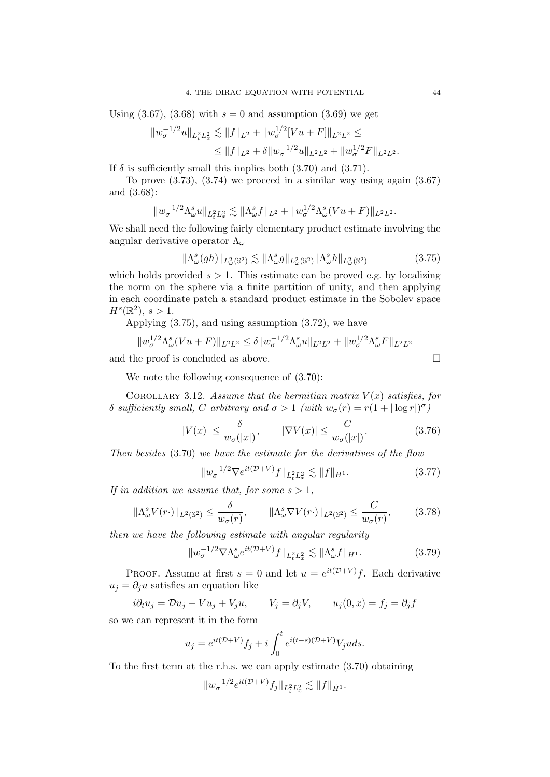Using  $(3.67)$ ,  $(3.68)$  with  $s = 0$  and assumption  $(3.69)$  we get

$$
||w_{\sigma}^{-1/2}u||_{L_t^2L_x^2} \lesssim ||f||_{L^2} + ||w_{\sigma}^{1/2}[Vu + F]||_{L^2L^2} \le
$$
  

$$
\le ||f||_{L^2} + \delta ||w_{\sigma}^{-1/2}u||_{L^2L^2} + ||w_{\sigma}^{1/2}F||_{L^2L^2}.
$$

If  $\delta$  is sufficiently small this implies both (3.70) and (3.71).

To prove  $(3.73)$ ,  $(3.74)$  we proceed in a similar way using again  $(3.67)$ and (3.68):

$$
||w_{\sigma}^{-1/2} \Lambda_{\omega}^{s} u||_{L_{t}^{2} L_{x}^{2}} \lesssim ||\Lambda_{\omega}^{s} f||_{L^{2}} + ||w_{\sigma}^{1/2} \Lambda_{\omega}^{s} (Vu + F)||_{L^{2} L^{2}}.
$$

We shall need the following fairly elementary product estimate involving the angular derivative operator  $\Lambda_{\omega}$ 

$$
\|\Lambda^s_\omega(gh)\|_{L^2_\omega(\mathbb{S}^2)} \lesssim \|\Lambda^s_\omega g\|_{L^2_\omega(\mathbb{S}^2)} \|\Lambda^s_\omega h\|_{L^2_\omega(\mathbb{S}^2)}\tag{3.75}
$$

which holds provided  $s > 1$ . This estimate can be proved e.g. by localizing the norm on the sphere via a finite partition of unity, and then applying in each coordinate patch a standard product estimate in the Sobolev space  $H^s(\mathbb{R}^2), s > 1.$ 

Applying (3.75), and using assumption (3.72), we have

$$
||w_{\sigma}^{1/2} \Lambda_{\omega}^s (Vu + F)||_{L^2 L^2} \leq \delta ||w_{\sigma}^{-1/2} \Lambda_{\omega}^s u||_{L^2 L^2} + ||w_{\sigma}^{1/2} \Lambda_{\omega}^s F||_{L^2 L^2}
$$

and the proof is concluded as above.  $\hfill \square$ 

We note the following consequence of (3.70):

COROLLARY 3.12. Assume that the hermitian matrix  $V(x)$  satisfies, for δ sufficiently small, C arbitrary and  $\sigma > 1$  (with  $w_{\sigma}(r) = r(1 + |\log r|)^{\sigma}$ )

$$
|V(x)| \le \frac{\delta}{w_{\sigma}(|x|)}, \qquad |\nabla V(x)| \le \frac{C}{w_{\sigma}(|x|)}.\tag{3.76}
$$

Then besides (3.70) we have the estimate for the derivatives of the flow

$$
||w_{\sigma}^{-1/2} \nabla e^{it(\mathcal{D}+V)} f||_{L_t^2 L_x^2} \lesssim ||f||_{H^1}.
$$
 (3.77)

If in addition we assume that, for some  $s > 1$ ,

$$
\|\Lambda_{\omega}^s V(r\cdot)\|_{L^2(\mathbb{S}^2)} \le \frac{\delta}{w_{\sigma}(r)}, \qquad \|\Lambda_{\omega}^s \nabla V(r\cdot)\|_{L^2(\mathbb{S}^2)} \le \frac{C}{w_{\sigma}(r)}, \qquad (3.78)
$$

then we have the following estimate with angular regularity

$$
||w_{\sigma}^{-1/2} \nabla \Lambda_{\omega}^s e^{it(\mathcal{D}+V)} f||_{L_t^2 L_x^2} \lesssim ||\Lambda_{\omega}^s f||_{H^1}.
$$
 (3.79)

PROOF. Assume at first  $s = 0$  and let  $u = e^{it(D+V)}f$ . Each derivative  $u_i = \partial_i u$  satisfies an equation like

 $i\partial_t u_j = \mathcal{D}u_j + V u_j + V_j u,$   $V_j = \partial_j V,$   $u_j(0, x) = f_j = \partial_j f$ 

so we can represent it in the form

$$
u_j = e^{it(\mathcal{D}+V)}f_j + i\int_0^t e^{i(t-s)(\mathcal{D}+V)}V_j u ds.
$$

To the first term at the r.h.s. we can apply estimate (3.70) obtaining

$$
||w_{\sigma}^{-1/2}e^{it(\mathcal{D}+V)}f_j||_{L^2_tL^2_x} \lesssim ||f||_{\dot{H}^1}.
$$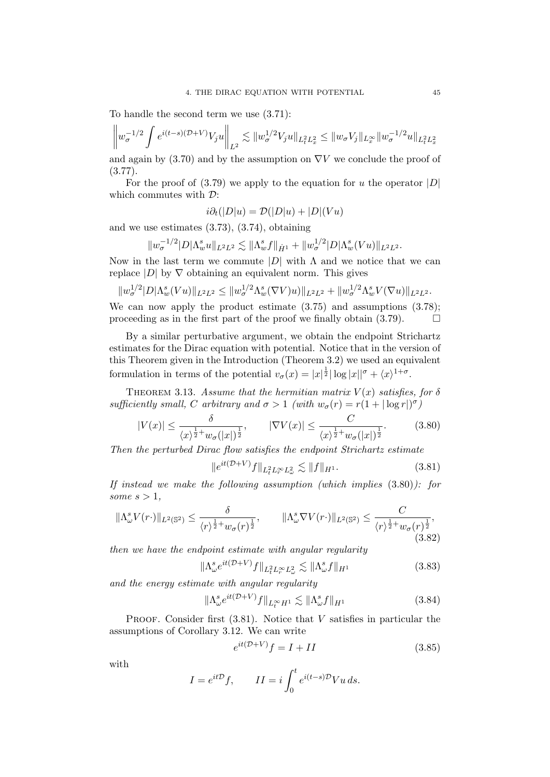To handle the second term we use (3.71):

$$
\left\|w_{\sigma}^{-1/2}\int e^{i(t-s)(\mathcal{D}+V)}V_ju\right\|_{L^2}\lesssim \|w_{\sigma}^{1/2}V_ju\|_{L^2_tL^2_x}\leq \|w_{\sigma}V_j\|_{L^\infty_x}\|w_{\sigma}^{-1/2}u\|_{L^2_tL^2_x}
$$

and again by (3.70) and by the assumption on  $\nabla V$  we conclude the proof of  $(3.77).$ 

For the proof of  $(3.79)$  we apply to the equation for u the operator |D| which commutes with  $\mathcal{D}$ :

$$
i\partial_t(|D|u) = \mathcal{D}(|D|u) + |D|(Vu)
$$

and we use estimates (3.73), (3.74), obtaining

$$
||w_{\sigma}^{-1/2}|D|\Lambda_w^s u||_{L^2L^2} \lesssim ||\Lambda_w^s f||_{\dot{H}^1} + ||w_{\sigma}^{1/2}|D|\Lambda_w^s (Vu)||_{L^2L^2}.
$$

Now in the last term we commute  $|D|$  with  $\Lambda$  and we notice that we can replace  $|D|$  by  $\nabla$  obtaining an equivalent norm. This gives

$$
||w_{\sigma}^{1/2}|D|\Lambda_w^s(Vu)||_{L^2L^2} \leq ||w_{\sigma}^{1/2}\Lambda_w^s(\nabla V)u)||_{L^2L^2} + ||w_{\sigma}^{1/2}\Lambda_w^sV(\nabla u)||_{L^2L^2}.
$$

We can now apply the product estimate  $(3.75)$  and assumptions  $(3.78)$ ; proceeding as in the first part of the proof we finally obtain  $(3.79)$ .

By a similar perturbative argument, we obtain the endpoint Strichartz estimates for the Dirac equation with potential. Notice that in the version of this Theorem given in the Introduction (Theorem 3.2) we used an equivalent formulation in terms of the potential  $v_{\sigma}(x) = |x|^{\frac{1}{2}} |\log |x||^{\sigma} + \langle x \rangle^{1+\sigma}$ .

THEOREM 3.13. Assume that the hermitian matrix  $V(x)$  satisfies, for  $\delta$ sufficiently small, C arbitrary and  $\sigma > 1$  (with  $w_{\sigma}(r) = r(1 + |\log r|)^{\sigma}$ )

$$
|V(x)| \le \frac{\delta}{\langle x \rangle^{\frac{1}{2}+} w_{\sigma}(|x|)^{\frac{1}{2}}}, \qquad |\nabla V(x)| \le \frac{C}{\langle x \rangle^{\frac{1}{2}+} w_{\sigma}(|x|)^{\frac{1}{2}}}.
$$
 (3.80)

Then the perturbed Dirac flow satisfies the endpoint Strichartz estimate

$$
||e^{it(\mathcal{D}+V)}f||_{L_t^2 L_r^{\infty} L_{\omega}^2} \lesssim ||f||_{H^1}.
$$
\n(3.81)

If instead we make the following assumption (which implies (3.80)): for some  $s > 1$ ,

$$
\|\Lambda_{\omega}^s V(r\cdot)\|_{L^2(\mathbb{S}^2)} \leq \frac{\delta}{\langle r\rangle^{\frac{1}{2}+}w_{\sigma}(r)^{\frac{1}{2}}}, \qquad \|\Lambda_{\omega}^s \nabla V(r\cdot)\|_{L^2(\mathbb{S}^2)} \leq \frac{C}{\langle r\rangle^{\frac{1}{2}+}w_{\sigma}(r)^{\frac{1}{2}}},\tag{3.82}
$$

then we have the endpoint estimate with angular regularity

$$
\|\Lambda^s_\omega e^{it(\mathcal{D}+V)}f\|_{L^2_t L^\infty_r L^2_\omega} \lesssim \|\Lambda^s_\omega f\|_{H^1} \tag{3.83}
$$

and the energy estimate with angular regularity

$$
\|\Lambda_{\omega}^s e^{it(\mathcal{D}+V)}f\|_{L_t^{\infty}H^1} \lesssim \|\Lambda_{\omega}^s f\|_{H^1}
$$
\n(3.84)

PROOF. Consider first  $(3.81)$ . Notice that V satisfies in particular the assumptions of Corollary 3.12. We can write

$$
e^{it(D+V)}f = I + II
$$
\n(3.85)

with

$$
I = e^{it\mathcal{D}}f, \qquad II = i \int_0^t e^{i(t-s)\mathcal{D}} V u \, ds.
$$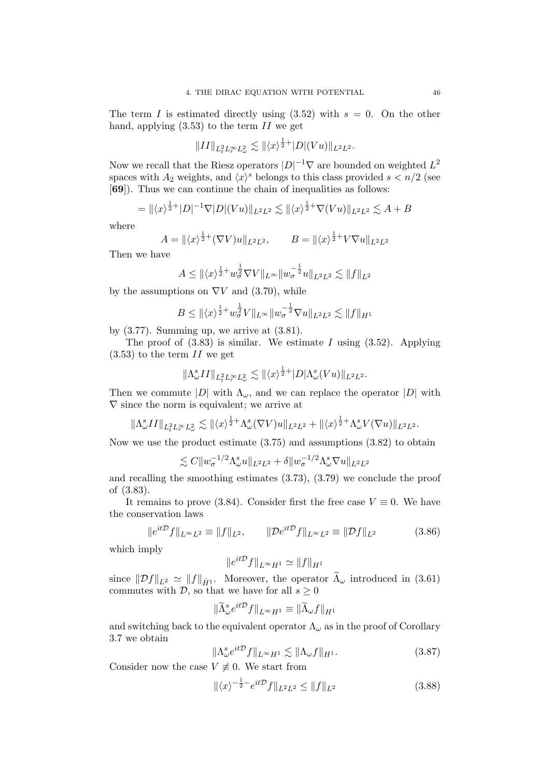The term I is estimated directly using  $(3.52)$  with  $s = 0$ . On the other hand, applying  $(3.53)$  to the term II we get

$$
||II||_{L_t^2 L_r^{\infty} L^2_{\omega}} \lesssim ||\langle x \rangle^{\frac{1}{2}+} |D|(Vu)||_{L^2 L^2}.
$$

Now we recall that the Riesz operators  $|D|^{-1} \nabla$  are bounded on weighted  $L^2$ spaces with  $A_2$  weights, and  $\langle x \rangle^s$  belongs to this class provided  $s < n/2$  (see [69]). Thus we can continue the chain of inequalities as follows:

$$
= \| \langle x \rangle^{\frac{1}{2}+} |D|^{-1} \nabla |D| (Vu) \|_{L^2 L^2} \lesssim \| \langle x \rangle^{\frac{1}{2}+} \nabla (Vu) \|_{L^2 L^2} \lesssim A+B
$$

where

$$
A = \|\langle x \rangle^{\frac{1}{2}+} (\nabla V)u\|_{L^2L^2}, \qquad B = \|\langle x \rangle^{\frac{1}{2}+} V \nabla u\|_{L^2L^2}
$$

Then we have

$$
A \le ||\langle x \rangle^{\frac{1}{2}+} w_{\sigma}^{\frac{1}{2}} \nabla V ||_{L^{\infty}} || w_{\sigma}^{-\frac{1}{2}} u ||_{L^{2} L^{2}} \lesssim ||f||_{L^{2}}
$$

by the assumptions on  $\nabla V$  and (3.70), while

$$
B \le ||\langle x \rangle^{\frac{1}{2}+} w_{\sigma}^{\frac{1}{2}} V ||_{L^{\infty}} || w_{\sigma}^{-\frac{1}{2}} \nabla u ||_{L^{2} L^{2}} \lesssim ||f||_{H^{1}}
$$

by  $(3.77)$ . Summing up, we arrive at  $(3.81)$ .

The proof of  $(3.83)$  is similar. We estimate I using  $(3.52)$ . Applying  $(3.53)$  to the term II we get

$$
\|\Lambda_{\omega}^s II\|_{L^2_tL^\infty_rL^2_{\omega}}\lesssim \|\langle x\rangle^{\frac12+}|D|\Lambda_{\omega}^s(Vu)\|_{L^2L^2}.
$$

Then we commute  $|D|$  with  $\Lambda_{\omega}$ , and we can replace the operator  $|D|$  with  $\nabla$  since the norm is equivalent; we arrive at

$$
\|\Lambda_{\omega}^s II\|_{L_t^2 L_r^{\infty} L_{\omega}^2} \lesssim \|\langle x \rangle^{\frac{1}{2}+}\Lambda_{\omega}^s (\nabla V)u\|_{L^2 L^2} + \|\langle x \rangle^{\frac{1}{2}+}\Lambda_{\omega}^s V(\nabla u)\|_{L^2 L^2}.
$$

Now we use the product estimate (3.75) and assumptions (3.82) to obtain

 $\lesssim C \|w_{\sigma}^{-1/2} \Lambda_{\omega}^s u\|_{L^2 L^2} + \delta \|w_{\sigma}^{-1/2} \Lambda_{\omega}^s \nabla u\|_{L^2 L^2}$ 

and recalling the smoothing estimates (3.73), (3.79) we conclude the proof of (3.83).

It remains to prove (3.84). Consider first the free case  $V \equiv 0$ . We have the conservation laws

$$
\|e^{it\mathcal{D}}f\|_{L^{\infty}L^{2}} \equiv \|f\|_{L^{2}}, \qquad \|\mathcal{D}e^{it\mathcal{D}}f\|_{L^{\infty}L^{2}} \equiv \|\mathcal{D}f\|_{L^{2}}
$$
 (3.86)

which imply

$$
\|e^{it\mathcal{D}}f\|_{L^{\infty}H^1} \simeq \|f\|_{H^1}
$$

since  $||\mathcal{D}f||_{L^2} \simeq ||f||_{\dot{H}^1}$ . Moreover, the operator  $\widetilde{\Lambda}_{\omega}$  introduced in (3.61) commutes with  $\mathcal{D}$ , so that we have for all  $s \geq 0$ 

$$
\|\widetilde{\Lambda}^s_{\omega}e^{it\mathcal{D}}f\|_{L^{\infty}H^1}\equiv \|\widetilde{\Lambda}_{\omega}f\|_{H^1}
$$

and switching back to the equivalent operator  $\Lambda_{\omega}$  as in the proof of Corollary 3.7 we obtain

$$
\|\Lambda^s_\omega e^{it\mathcal{D}}f\|_{L^\infty H^1} \lesssim \|\Lambda_\omega f\|_{H^1}.\tag{3.87}
$$

Consider now the case  $V \neq 0$ . We start from

$$
\|\langle x\rangle^{-\frac{1}{2}-}e^{it\mathcal{D}}f\|_{L^2L^2} \le \|f\|_{L^2}
$$
\n(3.88)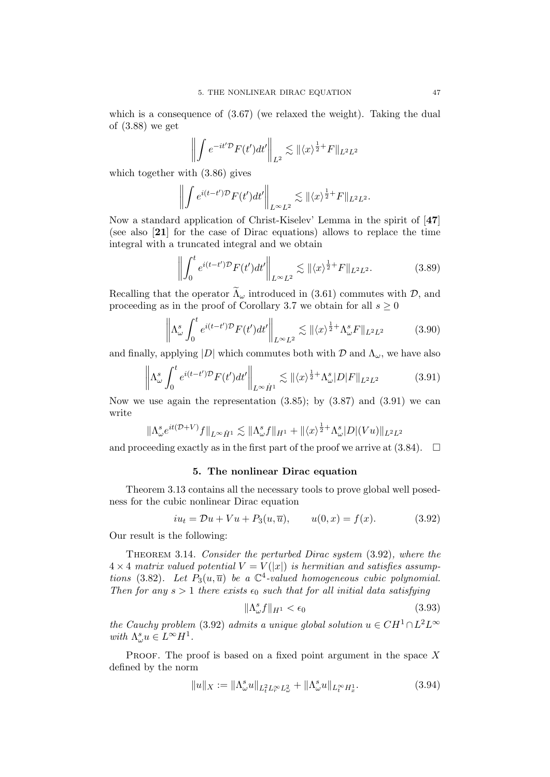which is a consequence of  $(3.67)$  (we relaxed the weight). Taking the dual of (3.88) we get

$$
\left\| \int e^{-it' \mathcal{D}} F(t') dt' \right\|_{L^2} \lesssim \| \langle x \rangle^{\frac{1}{2}+} F \|_{L^2 L^2}
$$

which together with (3.86) gives

$$
\left\| \int e^{i(t-t')\mathcal{D}} F(t')dt' \right\|_{L^{\infty}L^2} \lesssim \| \langle x \rangle^{\frac{1}{2}+} F \|_{L^2L^2}.
$$

Now a standard application of Christ-Kiselev' Lemma in the spirit of [47] (see also [21] for the case of Dirac equations) allows to replace the time integral with a truncated integral and we obtain

$$
\left\| \int_0^t e^{i(t-t')\mathcal{D}} F(t') dt' \right\|_{L^\infty L^2} \lesssim \| \langle x \rangle^{\frac{1}{2}+} F \|_{L^2 L^2}.
$$
 (3.89)

Recalling that the operator  $\widetilde{\Lambda}_{\omega}$  introduced in (3.61) commutes with  $\mathcal{D}$ , and proceeding as in the proof of Corollary 3.7 we obtain for all  $s \geq 0$ 

$$
\left\| \Lambda_{\omega}^{s} \int_{0}^{t} e^{i(t-t')\mathcal{D}} F(t') dt' \right\|_{L^{\infty} L^{2}} \lesssim \| \langle x \rangle^{\frac{1}{2}+} \Lambda_{\omega}^{s} F \|_{L^{2} L^{2}} \tag{3.90}
$$

and finally, applying  $|D|$  which commutes both with  $D$  and  $\Lambda_{\omega}$ , we have also

$$
\left\|\Lambda_{\omega}^s \int_0^t e^{i(t-t')\mathcal{D}} F(t')dt'\right\|_{L^{\infty}\dot{H}^1} \lesssim \|\langle x \rangle^{\frac{1}{2}+}\Lambda_{\omega}^s |D| F\|_{L^2 L^2}
$$
(3.91)

Now we use again the representation  $(3.85)$ ; by  $(3.87)$  and  $(3.91)$  we can write

$$
\|\Lambda_{\omega}^s e^{it(\mathcal{D}+V)}f\|_{L^{\infty}\dot{H}^1} \lesssim \|\Lambda_{\omega}^s f\|_{H^1} + \|\langle x \rangle^{\frac{1}{2}+}\Lambda_{\omega}^s |D|(Vu)\|_{L^2L^2}
$$

and proceeding exactly as in the first part of the proof we arrive at  $(3.84)$ .  $\Box$ 

### 5. The nonlinear Dirac equation

Theorem 3.13 contains all the necessary tools to prove global well posedness for the cubic nonlinear Dirac equation

$$
iu_t = Du + Vu + P_3(u, \overline{u}),
$$
  $u(0, x) = f(x).$  (3.92)

Our result is the following:

THEOREM 3.14. Consider the perturbed Dirac system  $(3.92)$ , where the  $4 \times 4$  matrix valued potential  $V = V(|x|)$  is hermitian and satisfies assumptions (3.82). Let  $P_3(u, \overline{u})$  be a  $\mathbb{C}^4$ -valued homogeneous cubic polynomial. Then for any  $s > 1$  there exists  $\epsilon_0$  such that for all initial data satisfying

$$
\|\Lambda^s_\omega f\|_{H^1} < \epsilon_0 \tag{3.93}
$$

the Cauchy problem (3.92) admits a unique global solution  $u \in CH^1 \cap L^2L^{\infty}$ with  $\Lambda^s_\omega u \in L^\infty H^1$ .

PROOF. The proof is based on a fixed point argument in the space  $X$ defined by the norm

$$
||u||_X := ||\Lambda^s_\omega u||_{L^2_t L^\infty_r L^2_\omega} + ||\Lambda^s_\omega u||_{L^\infty_t H^1_x}.
$$
\n(3.94)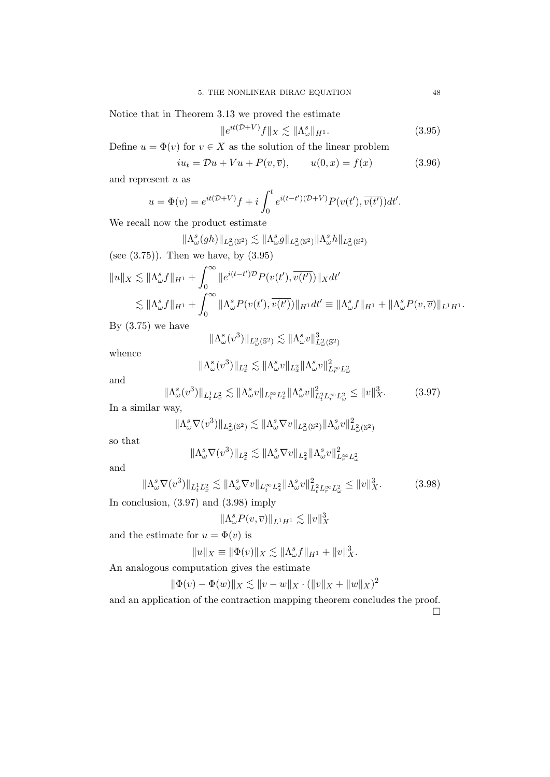Notice that in Theorem 3.13 we proved the estimate

$$
||e^{it(\mathcal{D}+V)}f||_X \lesssim ||\Lambda^s_\omega||_{H^1}.
$$
\n(3.95)

Define  $u = \Phi(v)$  for  $v \in X$  as the solution of the linear problem

$$
iu_t = \mathcal{D}u + Vu + P(v, \overline{v}), \qquad u(0, x) = f(x)
$$
 (3.96)

and represent  $\boldsymbol{u}$  as

$$
u = \Phi(v) = e^{it(\mathcal{D}+V)}f + i \int_0^t e^{i(t-t')(\mathcal{D}+V)} P(v(t'), \overline{v(t')}) dt'.
$$

We recall now the product estimate

$$
\|\Lambda_{\omega}^{s}(gh)\|_{L_{\omega}^{2}(\mathbb{S}^{2})} \lesssim \|\Lambda_{\omega}^{s}g\|_{L_{\omega}^{2}(\mathbb{S}^{2})}\|\Lambda_{\omega}^{s}h\|_{L_{\omega}^{2}(\mathbb{S}^{2})}
$$
\n(see (3.75)). Then we have, by (3.95)\n
$$
\|u\|_{X} \lesssim \|\Lambda_{\omega}^{s}f\|_{H^{1}} + \int_{0}^{\infty} \|e^{i(t-t')D}P(v(t'), \overline{v(t')})\|_{X}dt'
$$
\n
$$
\lesssim \|\Lambda_{\omega}^{s}f\|_{H^{1}} + \int_{0}^{\infty} \|\Lambda_{\omega}^{s}P(v(t'), \overline{v(t')})\|_{H^{1}}dt' \equiv \|\Lambda_{\omega}^{s}f\|_{H^{1}} + \|\Lambda_{\omega}^{s}P(v,\overline{v})\|_{L^{1}H^{1}}.
$$

By  $(3.75)$  we have

$$
\|\Lambda^s_\omega(v^3)\|_{L^2_\omega(\mathbb{S}^2)} \lesssim \|\Lambda^s_\omega v\|_{L^2_\omega(\mathbb{S}^2)}^3
$$

whence

$$
\|\Lambda^s_\omega(v^3)\|_{L^2_x} \lesssim \|\Lambda^s_\omega v\|_{L^2_x}\|\Lambda^s_\omega v\|_{L^\infty_r L^2_\omega}^2
$$

and

$$
\|\Lambda^s_\omega(v^3)\|_{L^1_t L^2_x} \lesssim \|\Lambda^s_\omega v\|_{L^\infty_t L^2_x} \|\Lambda^s_\omega v\|_{L^2_t L^\infty_r L^2_\omega}^2 \le \|v\|_X^3. \tag{3.97}
$$

In a similar way,

$$
\|\Lambda_{\omega}^s\nabla(v^3)\|_{L^2_{\omega}(\mathbb{S}^2)}\lesssim \|\Lambda_{\omega}^s\nabla v\|_{L^2_{\omega}(\mathbb{S}^2)}\|\Lambda_{\omega}^s v\|_{L^2_{\omega}(\mathbb{S}^2)}^2
$$

so that

$$
\|\Lambda_{\omega}^s\nabla(v^3)\|_{L_x^2}\lesssim \|\Lambda_{\omega}^s\nabla v\|_{L_x^2}\|\Lambda_{\omega}^s v\|_{L_r^\infty L_{\omega}^2}^2
$$

and

$$
\|\Lambda_{\omega}^s \nabla(v^3)\|_{L^1_t L^2_x} \lesssim \|\Lambda_{\omega}^s \nabla v\|_{L^\infty_t L^2_x} \|\Lambda_{\omega}^s v\|_{L^2_t L^\infty_t L^2_{\omega}}^2 \le \|v\|_X^3. \tag{3.98}
$$

In conclusion, (3.97) and (3.98) imply

$$
\|\Lambda_{\omega}^s P(v,\overline{v})\|_{L^1H^1} \lesssim \|v\|_X^3
$$

and the estimate for  $u = \Phi(v)$  is

$$
||u||_X \equiv ||\Phi(v)||_X \lesssim ||\Lambda^s_\omega f||_{H^1} + ||v||_X^3.
$$

An analogous computation gives the estimate

$$
\|\Phi(v) - \Phi(w)\|_X \lesssim \|v - w\|_X \cdot (\|v\|_X + \|w\|_X)^2
$$

and an application of the contraction mapping theorem concludes the proof.  $\Box$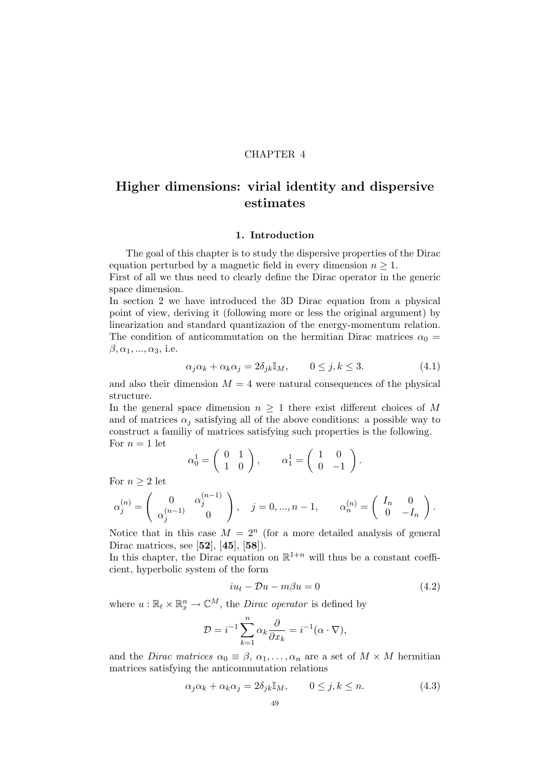# CHAPTER 4

# Higher dimensions: virial identity and dispersive estimates

#### 1. Introduction

The goal of this chapter is to study the dispersive properties of the Dirac equation perturbed by a magnetic field in every dimension  $n \geq 1$ .

First of all we thus need to clearly define the Dirac operator in the generic space dimension.

In section 2 we have introduced the 3D Dirac equation from a physical point of view, deriving it (following more or less the original argument) by linearization and standard quantizazion of the energy-momentum relation. The condition of anticommutation on the hermitian Dirac matrices  $\alpha_0 =$  $\beta, \alpha_1, \ldots, \alpha_3$ , i.e.

$$
\alpha_j \alpha_k + \alpha_k \alpha_j = 2\delta_{jk} \mathbb{I}_M, \qquad 0 \le j, k \le 3. \tag{4.1}
$$

and also their dimension  $M = 4$  were natural consequences of the physical structure.

In the general space dimension  $n \geq 1$  there exist different choices of M and of matrices  $\alpha_i$  satisfying all of the above conditions: a possible way to construct a familiy of matrices satisfying such properties is the following. For  $n = 1$  let

$$
\alpha_0^1 = \left(\begin{array}{cc} 0 & 1 \\ 1 & 0 \end{array}\right), \qquad \alpha_1^1 = \left(\begin{array}{cc} 1 & 0 \\ 0 & -1 \end{array}\right).
$$

For  $n \geq 2$  let

$$
\alpha_j^{(n)} = \begin{pmatrix} 0 & \alpha_j^{(n-1)} \\ \alpha_j^{(n-1)} & 0 \end{pmatrix}, \quad j = 0, ..., n-1, \qquad \alpha_n^{(n)} = \begin{pmatrix} I_n & 0 \\ 0 & -I_n \end{pmatrix}.
$$

Notice that in this case  $M = 2^n$  (for a more detailed analysis of general Dirac matrices, see [52], [45], [58]).

In this chapter, the Dirac equation on  $\mathbb{R}^{1+n}$  will thus be a constant coefficient, hyperbolic system of the form

$$
iu_t - Du - m\beta u = 0 \tag{4.2}
$$

where  $u : \mathbb{R}_t \times \mathbb{R}_x^n \to \mathbb{C}^M$ , the *Dirac operator* is defined by

$$
\mathcal{D} = i^{-1} \sum_{k=1}^{n} \alpha_k \frac{\partial}{\partial x_k} = i^{-1} (\alpha \cdot \nabla),
$$

and the *Dirac matrices*  $\alpha_0 \equiv \beta, \alpha_1, \ldots, \alpha_n$  are a set of  $M \times M$  hermitian matrices satisfying the anticommutation relations

$$
\alpha_j \alpha_k + \alpha_k \alpha_j = 2\delta_{jk} \mathbb{I}_M, \qquad 0 \le j, k \le n. \tag{4.3}
$$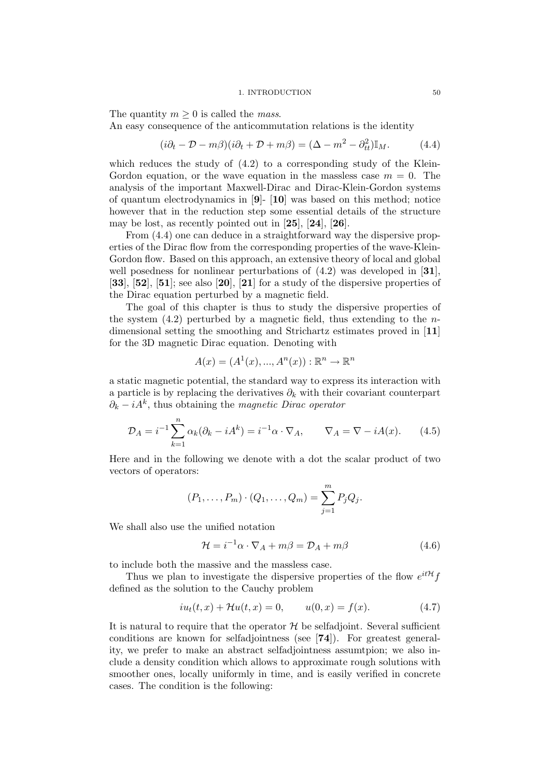#### 1. INTRODUCTION 50

The quantity  $m \geq 0$  is called the *mass*.

An easy consequence of the anticommutation relations is the identity

$$
(i\partial_t - \mathcal{D} - m\beta)(i\partial_t + \mathcal{D} + m\beta) = (\Delta - m^2 - \partial_{tt}^2)\mathbb{I}_M. \tag{4.4}
$$

which reduces the study of  $(4.2)$  to a corresponding study of the Klein-Gordon equation, or the wave equation in the massless case  $m = 0$ . The analysis of the important Maxwell-Dirac and Dirac-Klein-Gordon systems of quantum electrodynamics in [9]- [10] was based on this method; notice however that in the reduction step some essential details of the structure may be lost, as recently pointed out in [25], [24], [26].

From (4.4) one can deduce in a straightforward way the dispersive properties of the Dirac flow from the corresponding properties of the wave-Klein-Gordon flow. Based on this approach, an extensive theory of local and global well posedness for nonlinear perturbations of  $(4.2)$  was developed in [31].  $[33]$ ,  $[52]$ ,  $[51]$ ; see also  $[20]$ ,  $[21]$  for a study of the dispersive properties of the Dirac equation perturbed by a magnetic field.

The goal of this chapter is thus to study the dispersive properties of the system  $(4.2)$  perturbed by a magnetic field, thus extending to the *n*dimensional setting the smoothing and Strichartz estimates proved in [11] for the 3D magnetic Dirac equation. Denoting with

$$
A(x) = (A^{1}(x), ..., A^{n}(x)) : \mathbb{R}^{n} \to \mathbb{R}^{n}
$$

a static magnetic potential, the standard way to express its interaction with a particle is by replacing the derivatives  $\partial_k$  with their covariant counterpart  $\partial_k - iA^k$ , thus obtaining the *magnetic Dirac operator* 

$$
\mathcal{D}_A = i^{-1} \sum_{k=1}^n \alpha_k (\partial_k - iA^k) = i^{-1} \alpha \cdot \nabla_A, \qquad \nabla_A = \nabla - iA(x). \tag{4.5}
$$

Here and in the following we denote with a dot the scalar product of two vectors of operators:

$$
(P_1, ..., P_m) \cdot (Q_1, ..., Q_m) = \sum_{j=1}^{m} P_j Q_j.
$$

We shall also use the unified notation

$$
\mathcal{H} = i^{-1}\alpha \cdot \nabla_A + m\beta = \mathcal{D}_A + m\beta \tag{4.6}
$$

to include both the massive and the massless case.

Thus we plan to investigate the dispersive properties of the flow  $e^{it\mathcal{H}}f$ defined as the solution to the Cauchy problem

$$
iu_t(t, x) + \mathcal{H}u(t, x) = 0, \qquad u(0, x) = f(x). \tag{4.7}
$$

It is natural to require that the operator  $\mathcal H$  be selfadjoint. Several sufficient conditions are known for selfadjointness (see [74]). For greatest generality, we prefer to make an abstract selfadjointness assumtpion; we also include a density condition which allows to approximate rough solutions with smoother ones, locally uniformly in time, and is easily verified in concrete cases. The condition is the following: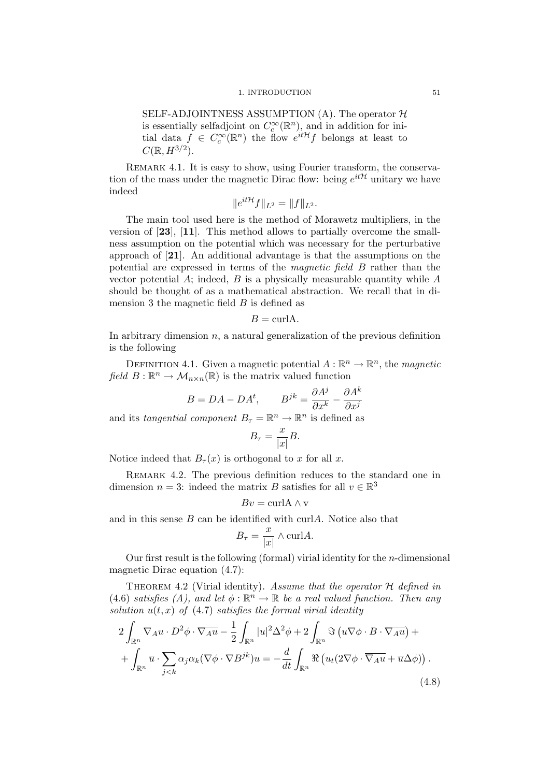#### 1. INTRODUCTION 51

SELF-ADJOINTNESS ASSUMPTION  $(A)$ . The operator  $H$ is essentially selfadjoint on  $C_c^{\infty}(\mathbb{R}^n)$ , and in addition for initial data  $f \in C_c^{\infty}(\mathbb{R}^n)$  the flow  $e^{it\mathcal{H}}f$  belongs at least to  $C(\mathbb{R}, H^{3/2}).$ 

REMARK 4.1. It is easy to show, using Fourier transform, the conservation of the mass under the magnetic Dirac flow: being  $e^{it\mathcal{H}}$  unitary we have indeed

$$
\|e^{it\mathcal{H}}f\|_{L^2} = \|f\|_{L^2}.
$$

The main tool used here is the method of Morawetz multipliers, in the version of [23], [11]. This method allows to partially overcome the smallness assumption on the potential which was necessary for the perturbative approach of [21]. An additional advantage is that the assumptions on the potential are expressed in terms of the magnetic field B rather than the vector potential A; indeed, B is a physically measurable quantity while  $A$ should be thought of as a mathematical abstraction. We recall that in dimension 3 the magnetic field  $B$  is defined as

$$
B = \text{curl} A.
$$

In arbitrary dimension  $n$ , a natural generalization of the previous definition is the following

DEFINITION 4.1. Given a magnetic potential  $A : \mathbb{R}^n \to \mathbb{R}^n$ , the *magnetic* field  $B: \mathbb{R}^n \to \mathcal{M}_{n \times n}(\mathbb{R})$  is the matrix valued function

$$
B=DA-DA^{t},\qquad B^{jk}=\frac{\partial A^{j}}{\partial x^{k}}-\frac{\partial A^{k}}{\partial x^{j}}
$$
 and its *tangential component* 
$$
B_{\tau}=\mathbb{R}^{n}\rightarrow\mathbb{R}^{n}\text{ is defined as}
$$

$$
B_{\tau} = \frac{x}{|x|}B.
$$

Notice indeed that  $B_{\tau}(x)$  is orthogonal to x for all x.

REMARK 4.2. The previous definition reduces to the standard one in dimension  $n = 3$ : indeed the matrix B satisfies for all  $v \in \mathbb{R}^3$ 

$$
Bv = \text{curl} \mathbf{A} \wedge \mathbf{v}
$$

and in this sense  $B$  can be identified with curl $A$ . Notice also that

$$
B_{\tau} = \frac{x}{|x|} \wedge \text{curl} A.
$$

Our first result is the following (formal) virial identity for the  $n$ -dimensional magnetic Dirac equation (4.7):

THEOREM 4.2 (Virial identity). Assume that the operator  $H$  defined in (4.6) satisfies (A), and let  $\phi : \mathbb{R}^n \to \mathbb{R}$  be a real valued function. Then any solution  $u(t, x)$  of (4.7) satisfies the formal virial identity

$$
2\int_{\mathbb{R}^n} \nabla_A u \cdot D^2 \phi \cdot \overline{\nabla_A u} - \frac{1}{2} \int_{\mathbb{R}^n} |u|^2 \Delta^2 \phi + 2 \int_{\mathbb{R}^n} \Im(u \nabla \phi \cdot B \cdot \overline{\nabla_A u}) +
$$

$$
+ \int_{\mathbb{R}^n} \overline{u} \cdot \sum_{j < k} \alpha_j \alpha_k (\nabla \phi \cdot \nabla B^{jk}) u = -\frac{d}{dt} \int_{\mathbb{R}^n} \Re(u_t (2 \nabla \phi \cdot \overline{\nabla_A u} + \overline{u} \Delta \phi)). \tag{4.8}
$$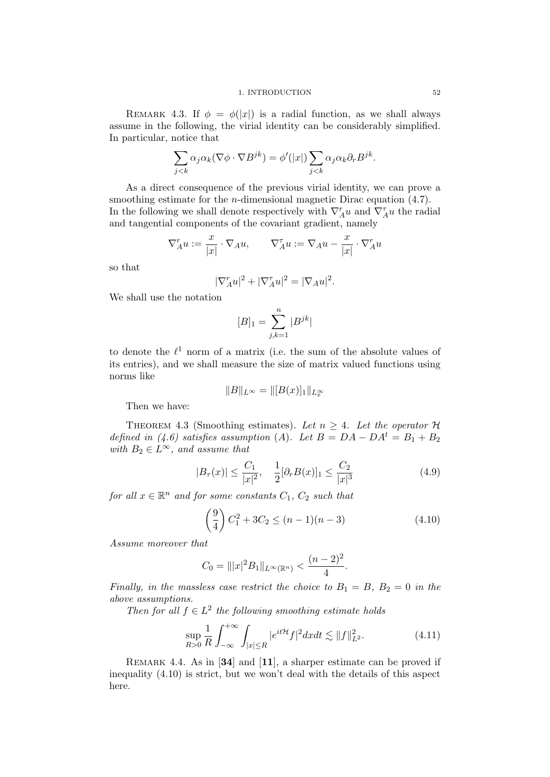REMARK 4.3. If  $\phi = \phi(|x|)$  is a radial function, as we shall always assume in the following, the virial identity can be considerably simplified. In particular, notice that

$$
\sum_{j < k} \alpha_j \alpha_k (\nabla \phi \cdot \nabla B^{jk}) = \phi'(|x|) \sum_{j < k} \alpha_j \alpha_k \partial_r B^{jk}.
$$

As a direct consequence of the previous virial identity, we can prove a smoothing estimate for the *n*-dimensional magnetic Dirac equation (4.7). In the following we shall denote respectively with  $\nabla_A^r u$  and  $\nabla_A^{\tau} u$  the radial and tangential components of the covariant gradient, namely

$$
\nabla^r_{A} u := \frac{x}{|x|} \cdot \nabla_{A} u, \qquad \nabla^{\tau}_{A} u := \nabla_{A} u - \frac{x}{|x|} \cdot \nabla^r_{A} u
$$

so that

$$
|\nabla_A^r u|^2 + |\nabla_A^r u|^2 = |\nabla_A u|^2.
$$

We shall use the notation

$$
[B]_1=\sum_{j,k=1}^n |B^{jk}|
$$

to denote the  $\ell^1$  norm of a matrix (i.e. the sum of the absolute values of its entries), and we shall measure the size of matrix valued functions using norms like

$$
||B||_{L^{\infty}} = ||[B(x)]_1||_{L^{\infty}_x}
$$

Then we have:

THEOREM 4.3 (Smoothing estimates). Let  $n \geq 4$ . Let the operator  $\mathcal H$ defined in (4.6) satisfies assumption (A). Let  $B = DA - DA^t = B_1 + B_2$ with  $B_2 \in L^{\infty}$ , and assume that

$$
|B_{\tau}(x)| \le \frac{C_1}{|x|^2}, \quad \frac{1}{2} [\partial_r B(x)]_1 \le \frac{C_2}{|x|^3} \tag{4.9}
$$

for all  $x \in \mathbb{R}^n$  and for some constants  $C_1$ ,  $C_2$  such that

$$
\left(\frac{9}{4}\right)C_1^2 + 3C_2 \le (n-1)(n-3) \tag{4.10}
$$

Assume moreover that

$$
C_0 = |||x|^2 B_1||_{L^{\infty}(\mathbb{R}^n)} < \frac{(n-2)^2}{4}.
$$

Finally, in the massless case restrict the choice to  $B_1 = B$ ,  $B_2 = 0$  in the above assumptions.

Then for all  $f \in L^2$  the following smoothing estimate holds

$$
\sup_{R>0} \frac{1}{R} \int_{-\infty}^{+\infty} \int_{|x| \le R} |e^{it\mathcal{H}} f|^2 dx dt \lesssim \|f\|_{L^2}^2.
$$
 (4.11)

REMARK 4.4. As in [34] and [11], a sharper estimate can be proved if inequality (4.10) is strict, but we won't deal with the details of this aspect here.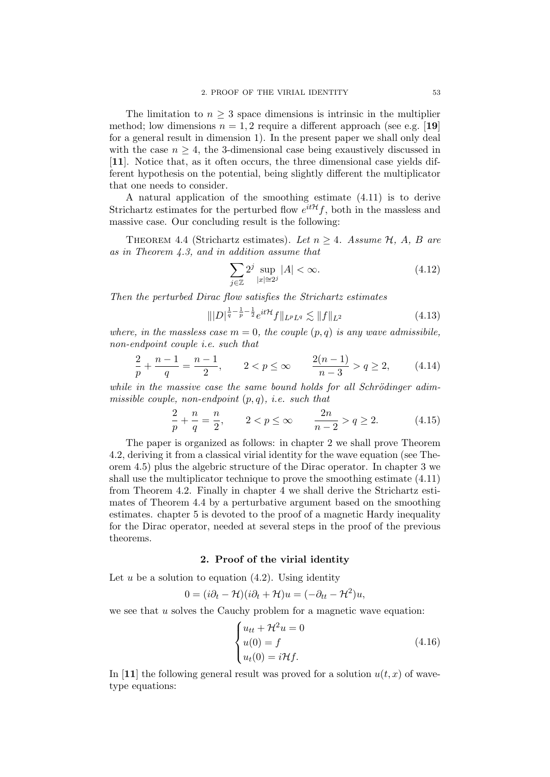The limitation to  $n \geq 3$  space dimensions is intrinsic in the multiplier method; low dimensions  $n = 1, 2$  require a different approach (see e.g. [19] for a general result in dimension 1). In the present paper we shall only deal with the case  $n \geq 4$ , the 3-dimensional case being exaustively discussed in [11]. Notice that, as it often occurs, the three dimensional case yields different hypothesis on the potential, being slightly different the multiplicator that one needs to consider.

A natural application of the smoothing estimate (4.11) is to derive Strichartz estimates for the perturbed flow  $e^{it\mathcal{H}}f$ , both in the massless and massive case. Our concluding result is the following:

THEOREM 4.4 (Strichartz estimates). Let  $n > 4$ . Assume  $H$ , A, B are as in Theorem 4.3, and in addition assume that

$$
\sum_{j\in\mathbb{Z}} 2^j \sup_{|x|\simeq 2^j} |A| < \infty. \tag{4.12}
$$

Then the perturbed Dirac flow satisfies the Strichartz estimates

$$
\| |D|^{\frac{1}{q} - \frac{1}{p} - \frac{1}{2}} e^{it\mathcal{H}} f \|_{L^p L^q} \lesssim \| f \|_{L^2}
$$
\n(4.13)

where, in the massless case  $m = 0$ , the couple  $(p, q)$  is any wave admissibile, non-endpoint couple i.e. such that

$$
\frac{2}{p} + \frac{n-1}{q} = \frac{n-1}{2}, \qquad 2 < p \le \infty \qquad \frac{2(n-1)}{n-3} > q \ge 2,\tag{4.14}
$$

while in the massive case the same bound holds for all Schrödinger adimmissible couple, non-endpoint  $(p, q)$ , i.e. such that

$$
\frac{2}{p} + \frac{n}{q} = \frac{n}{2}, \qquad 2 < p \le \infty \qquad \frac{2n}{n-2} > q \ge 2. \tag{4.15}
$$

The paper is organized as follows: in chapter 2 we shall prove Theorem 4.2, deriving it from a classical virial identity for the wave equation (see Theorem 4.5) plus the algebric structure of the Dirac operator. In chapter 3 we shall use the multiplicator technique to prove the smoothing estimate (4.11) from Theorem 4.2. Finally in chapter 4 we shall derive the Strichartz estimates of Theorem 4.4 by a perturbative argument based on the smoothing estimates. chapter 5 is devoted to the proof of a magnetic Hardy inequality for the Dirac operator, needed at several steps in the proof of the previous theorems.

## 2. Proof of the virial identity

Let u be a solution to equation  $(4.2)$ . Using identity

$$
0 = (i\partial_t - \mathcal{H})(i\partial_t + \mathcal{H})u = (-\partial_{tt} - \mathcal{H}^2)u,
$$

we see that  $u$  solves the Cauchy problem for a magnetic wave equation:

$$
\begin{cases}\nu_{tt} + \mathcal{H}^2 u = 0\\u(0) = f\\u_t(0) = i\mathcal{H}f.\end{cases}
$$
\n(4.16)

In [11] the following general result was proved for a solution  $u(t, x)$  of wavetype equations: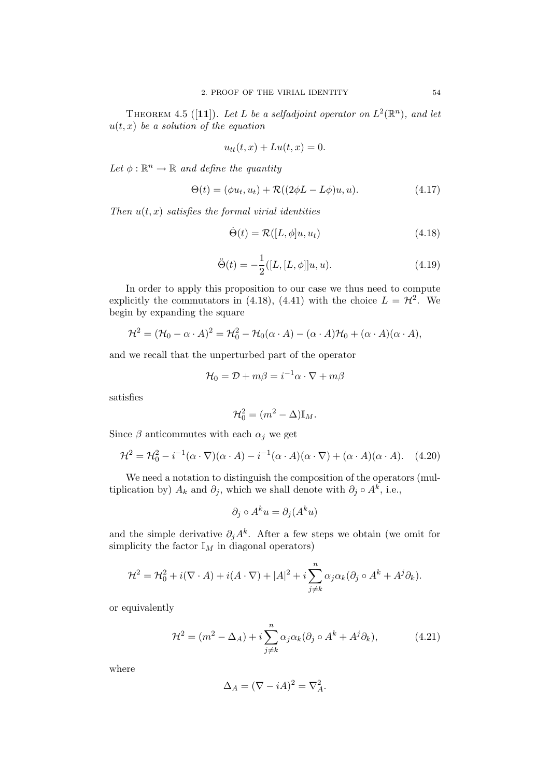THEOREM 4.5 ([11]). Let L be a selfadjoint operator on  $L^2(\mathbb{R}^n)$ , and let  $u(t, x)$  be a solution of the equation

$$
u_{tt}(t,x) + Lu(t,x) = 0.
$$

Let  $\phi : \mathbb{R}^n \to \mathbb{R}$  and define the quantity

$$
\Theta(t) = (\phi u_t, u_t) + \mathcal{R}((2\phi L - L\phi)u, u). \tag{4.17}
$$

Then  $u(t, x)$  satisfies the formal virial identities

$$
\dot{\Theta}(t) = \mathcal{R}([L, \phi]u, u_t) \tag{4.18}
$$

$$
\ddot{\Theta}(t) = -\frac{1}{2}([L, [L, \phi]]u, u). \tag{4.19}
$$

In order to apply this proposition to our case we thus need to compute explicitly the commutators in (4.18), (4.41) with the choice  $L = H^2$ . We begin by expanding the square

$$
\mathcal{H}^2 = (\mathcal{H}_0 - \alpha \cdot A)^2 = \mathcal{H}_0^2 - \mathcal{H}_0(\alpha \cdot A) - (\alpha \cdot A)\mathcal{H}_0 + (\alpha \cdot A)(\alpha \cdot A),
$$

and we recall that the unperturbed part of the operator

$$
\mathcal{H}_0 = \mathcal{D} + m\beta = i^{-1}\alpha \cdot \nabla + m\beta
$$

satisfies

$$
\mathcal{H}_0^2 = (m^2 - \Delta) \mathbb{I}_M.
$$

Since  $\beta$  anticommutes with each  $\alpha_i$  we get

$$
\mathcal{H}^2 = \mathcal{H}_0^2 - i^{-1}(\alpha \cdot \nabla)(\alpha \cdot A) - i^{-1}(\alpha \cdot A)(\alpha \cdot \nabla) + (\alpha \cdot A)(\alpha \cdot A). \tag{4.20}
$$

We need a notation to distinguish the composition of the operators (multiplication by)  $A_k$  and  $\partial_j$ , which we shall denote with  $\partial_j \circ A^k$ , i.e.,

$$
\partial_j \circ A^k u = \partial_j (A^k u)
$$

and the simple derivative  $\partial_j A^k$ . After a few steps we obtain (we omit for simplicity the factor  $\mathbb{I}_M$  in diagonal operators)

$$
\mathcal{H}^2 = \mathcal{H}_0^2 + i(\nabla \cdot A) + i(A \cdot \nabla) + |A|^2 + i \sum_{j \neq k}^n \alpha_j \alpha_k (\partial_j \circ A^k + A^j \partial_k).
$$

or equivalently

$$
\mathcal{H}^2 = (m^2 - \Delta_A) + i \sum_{j \neq k}^n \alpha_j \alpha_k (\partial_j \circ A^k + A^j \partial_k), \tag{4.21}
$$

where

$$
\Delta_A = (\nabla - iA)^2 = \nabla_A^2.
$$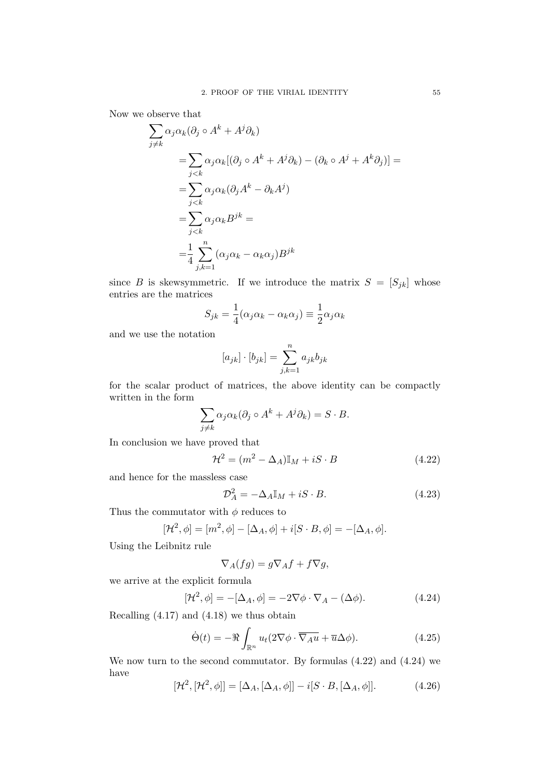Now we observe that

$$
\sum_{j\neq k} \alpha_j \alpha_k (\partial_j \circ A^k + A^j \partial_k)
$$
  
= 
$$
\sum_{j < k} \alpha_j \alpha_k [(\partial_j \circ A^k + A^j \partial_k) - (\partial_k \circ A^j + A^k \partial_j)] =
$$
  
= 
$$
\sum_{j < k} \alpha_j \alpha_k (\partial_j A^k - \partial_k A^j)
$$
  
= 
$$
\sum_{j < k} \alpha_j \alpha_k B^{jk} =
$$
  
= 
$$
\frac{1}{4} \sum_{j,k=1}^n (\alpha_j \alpha_k - \alpha_k \alpha_j) B^{jk}
$$

since B is skewsymmetric. If we introduce the matrix  $S = [S_{jk}]$  whose entries are the matrices

$$
S_{jk} = \frac{1}{4}(\alpha_j \alpha_k - \alpha_k \alpha_j) \equiv \frac{1}{2}\alpha_j \alpha_k
$$

and we use the notation

$$
[a_{jk}] \cdot [b_{jk}] = \sum_{j,k=1}^{n} a_{jk} b_{jk}
$$

for the scalar product of matrices, the above identity can be compactly written in the form

$$
\sum_{j \neq k} \alpha_j \alpha_k (\partial_j \circ A^k + A^j \partial_k) = S \cdot B.
$$

In conclusion we have proved that

$$
\mathcal{H}^2 = (m^2 - \Delta_A)\mathbb{I}_M + iS \cdot B \tag{4.22}
$$

and hence for the massless case

$$
\mathcal{D}_A^2 = -\Delta_A \mathbb{I}_M + iS \cdot B. \tag{4.23}
$$

Thus the commutator with  $\phi$  reduces to

$$
[\mathcal{H}^2, \phi] = [m^2, \phi] - [\Delta_A, \phi] + i[S \cdot B, \phi] = -[\Delta_A, \phi].
$$

Using the Leibnitz rule

$$
\nabla_A (fg) = g \nabla_A f + f \nabla g,
$$

we arrive at the explicit formula

$$
[\mathcal{H}^2, \phi] = -[\Delta_A, \phi] = -2\nabla\phi \cdot \nabla_A - (\Delta\phi). \tag{4.24}
$$

Recalling (4.17) and (4.18) we thus obtain

$$
\dot{\Theta}(t) = -\Re \int_{\mathbb{R}^n} u_t (2\nabla \phi \cdot \overline{\nabla_A u} + \overline{u} \Delta \phi). \tag{4.25}
$$

We now turn to the second commutator. By formulas (4.22) and (4.24) we have

$$
[\mathcal{H}^2, [\mathcal{H}^2, \phi]] = [\Delta_A, [\Delta_A, \phi]] - i[S \cdot B, [\Delta_A, \phi]].
$$
 (4.26)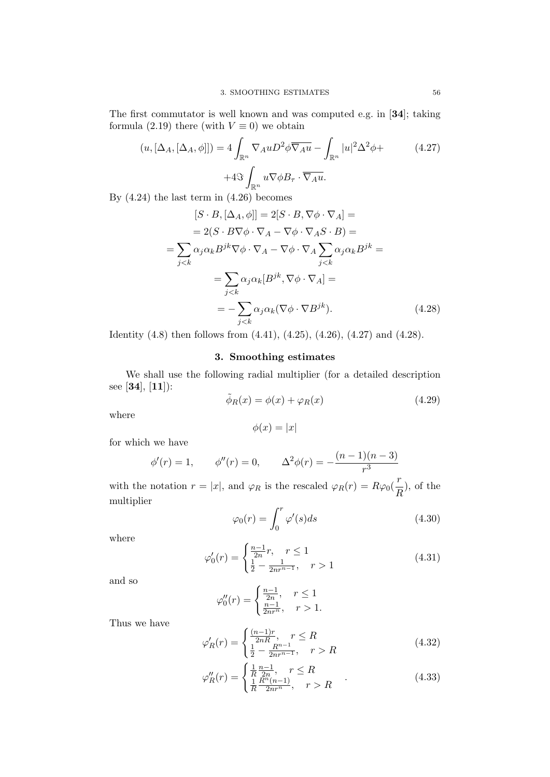The first commutator is well known and was computed e.g. in [34]; taking formula (2.19) there (with  $V \equiv 0$ ) we obtain

$$
(u, [\Delta_A, [\Delta_A, \phi]]) = 4 \int_{\mathbb{R}^n} \nabla_A u D^2 \phi \overline{\nabla_A u} - \int_{\mathbb{R}^n} |u|^2 \Delta^2 \phi +
$$
  
+4 $\Im \int_{\mathbb{R}^n} u \nabla \phi B_\tau \cdot \overline{\nabla_A u}.$  (4.27)

By (4.24) the last term in (4.26) becomes

$$
[S \cdot B, [\Delta_A, \phi]] = 2[S \cdot B, \nabla \phi \cdot \nabla_A] =
$$
  
\n
$$
= 2(S \cdot B \nabla \phi \cdot \nabla_A - \nabla \phi \cdot \nabla_A S \cdot B) =
$$
  
\n
$$
= \sum_{j < k} \alpha_j \alpha_k B^{jk} \nabla \phi \cdot \nabla_A - \nabla \phi \cdot \nabla_A \sum_{j < k} \alpha_j \alpha_k B^{jk} =
$$
  
\n
$$
= \sum_{j < k} \alpha_j \alpha_k [B^{jk}, \nabla \phi \cdot \nabla_A] =
$$
  
\n
$$
= - \sum_{j < k} \alpha_j \alpha_k (\nabla \phi \cdot \nabla B^{jk}). \qquad (4.28)
$$

Identity (4.8) then follows from (4.41), (4.25), (4.26), (4.27) and (4.28).

# 3. Smoothing estimates

We shall use the following radial multiplier (for a detailed description see [34], [11]):

$$
\tilde{\phi}_R(x) = \phi(x) + \varphi_R(x) \tag{4.29}
$$

where

$$
\phi(x) = |x|
$$

for which we have

$$
\phi'(r) = 1,
$$
  $\phi''(r) = 0,$   $\Delta^2 \phi(r) = -\frac{(n-1)(n-3)}{r^3}$ 

with the notation  $r = |x|$ , and  $\varphi_R$  is the rescaled  $\varphi_R(r) = R\varphi_0(\frac{r}{r})$  $\frac{1}{R}$ , of the multiplier

$$
\varphi_0(r) = \int_0^r \varphi'(s) ds \tag{4.30}
$$

where

$$
\varphi_0'(r) = \begin{cases} \frac{n-1}{2n}r, & r \le 1\\ \frac{1}{2} - \frac{1}{2nr^{n-1}}, & r > 1 \end{cases}
$$
\n(4.31)

and so

$$
\varphi_0''(r) = \begin{cases} \frac{n-1}{2n}, & r \le 1\\ \frac{n-1}{2nr^n}, & r > 1. \end{cases}
$$

Thus we have

$$
\varphi_R'(r) = \begin{cases} \frac{(n-1)r}{2nR}, & r \le R\\ \frac{1}{2} - \frac{R^{n-1}}{2nr^{n-1}}, & r > R \end{cases}
$$
(4.32)

$$
\varphi_R''(r) = \begin{cases} \frac{1}{R} \frac{n-1}{2n}, & r \le R \\ \frac{1}{R} \frac{R^n(n-1)}{2nr^n}, & r > R \end{cases} . \tag{4.33}
$$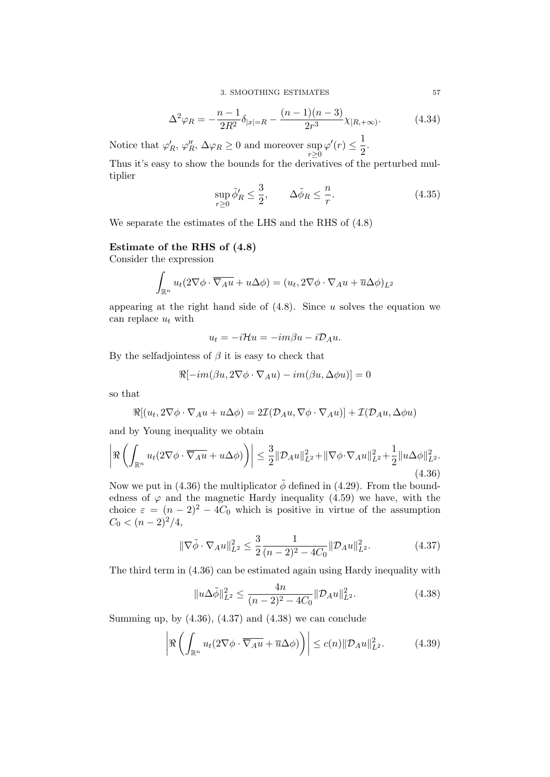3. SMOOTHING ESTIMATES 57

$$
\Delta^2 \varphi_R = -\frac{n-1}{2R^2} \delta_{|x|=R} - \frac{(n-1)(n-3)}{2r^3} \chi_{[R,+\infty)}.
$$
 (4.34)

Notice that  $\varphi'_R$ ,  $\varphi''_R$ ,  $\Delta \varphi_R \ge 0$  and moreover sup  $r \ge 0$  $\varphi'(r) \leq \frac{1}{2}$  $\frac{1}{2}$ .

Thus it's easy to show the bounds for the derivatives of the perturbed multiplier

$$
\sup_{r\geq 0} \tilde{\phi}'_R \leq \frac{3}{2}, \qquad \Delta \tilde{\phi}_R \leq \frac{n}{r}.\tag{4.35}
$$

We separate the estimates of the LHS and the RHS of (4.8)

# Estimate of the RHS of (4.8)

Consider the expression

$$
\int_{\mathbb{R}^n} u_t(2\nabla\phi \cdot \overline{\nabla_A u} + u\Delta\phi) = (u_t, 2\nabla\phi \cdot \nabla_A u + \overline{u}\Delta\phi)_{L^2}
$$

appearing at the right hand side of  $(4.8)$ . Since u solves the equation we can replace  $u_t$  with

$$
u_t = -i\mathcal{H}u = -im\beta u - i\mathcal{D}_A u.
$$

By the selfadjointess of  $\beta$  it is easy to check that

$$
\Re[-im(\beta u, 2\nabla\phi \cdot \nabla_A u) - im(\beta u, \Delta\phi u)] = 0
$$

so that

$$
\Re[(u_t, 2\nabla\phi \cdot \nabla_A u + u\Delta\phi) = 2\mathcal{I}(\mathcal{D}_A u, \nabla\phi \cdot \nabla_A u)] + \mathcal{I}(\mathcal{D}_A u, \Delta\phi u)
$$

and by Young inequality we obtain

$$
\left| \Re \left( \int_{\mathbb{R}^n} u_t(2\nabla \phi \cdot \overline{\nabla_A u} + u \Delta \phi) \right) \right| \leq \frac{3}{2} \| \mathcal{D}_A u \|_{L^2}^2 + \| \nabla \phi \cdot \nabla_A u \|_{L^2}^2 + \frac{1}{2} \| u \Delta \phi \|_{L^2}^2. \tag{4.36}
$$

Now we put in (4.36) the multiplicator  $\phi$  defined in (4.29). From the boundedness of  $\varphi$  and the magnetic Hardy inequality (4.59) we have, with the choice  $\varepsilon = (n-2)^2 - 4C_0$  which is positive in virtue of the assumption  $C_0 < (n-2)^2/4$ ,

$$
\|\nabla \tilde{\phi} \cdot \nabla_A u\|_{L^2}^2 \le \frac{3}{2} \frac{1}{(n-2)^2 - 4C_0} \|\mathcal{D}_A u\|_{L^2}^2. \tag{4.37}
$$

The third term in (4.36) can be estimated again using Hardy inequality with

$$
||u\Delta\tilde{\phi}||_{L^{2}}^{2} \le \frac{4n}{(n-2)^{2} - 4C_{0}} ||\mathcal{D}_{A}u||_{L^{2}}^{2}.
$$
\n(4.38)

Summing up, by  $(4.36)$ ,  $(4.37)$  and  $(4.38)$  we can conclude

$$
\left| \Re \left( \int_{\mathbb{R}^n} u_t(2\nabla \phi \cdot \overline{\nabla_A u} + \overline{u} \Delta \phi) \right) \right| \le c(n) \|\mathcal{D}_A u\|_{L^2}^2. \tag{4.39}
$$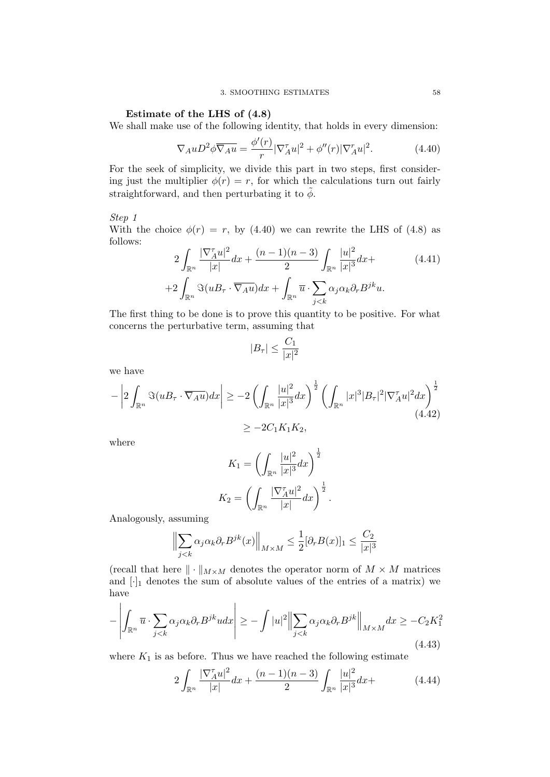# Estimate of the LHS of (4.8)

We shall make use of the following identity, that holds in every dimension:

$$
\nabla_A u \mathcal{D}^2 \phi \overline{\nabla_A u} = \frac{\phi'(r)}{r} |\nabla_A^{\tau} u|^2 + \phi''(r) |\nabla_A^{\tau} u|^2. \tag{4.40}
$$

For the seek of simplicity, we divide this part in two steps, first considering just the multiplier  $\phi(r) = r$ , for which the calculations turn out fairly straightforward, and then perturbating it to  $\tilde{\phi}$ .

# Step 1

With the choice  $\phi(r) = r$ , by (4.40) we can rewrite the LHS of (4.8) as follows: |∇<sup>τ</sup>  $\overline{2}$  $\overline{2}$ 

$$
2\int_{\mathbb{R}^n} \frac{|\nabla_A^{\tau} u|^2}{|x|} dx + \frac{(n-1)(n-3)}{2} \int_{\mathbb{R}^n} \frac{|u|^2}{|x|^3} dx +
$$
  
+2\int\_{\mathbb{R}^n} \Im(uB\_{\tau} \cdot \overline{\nabla\_A u}) dx + \int\_{\mathbb{R}^n} \overline{u} \cdot \sum\_{j < k} \alpha\_j \alpha\_k \partial\_r B^{jk} u. \tag{4.41}

The first thing to be done is to prove this quantity to be positive. For what concerns the perturbative term, assuming that

$$
|B_{\tau}| \le \frac{C_1}{|x|^2}
$$

we have

$$
-\left|2\int_{\mathbb{R}^n} \Im(uB_\tau \cdot \overline{\nabla_A u})dx\right| \ge -2\left(\int_{\mathbb{R}^n} \frac{|u|^2}{|x|^3}dx\right)^{\frac{1}{2}} \left(\int_{\mathbb{R}^n} |x|^3|B_\tau|^2|\nabla_A^\tau u|^2dx\right)^{\frac{1}{2}}\n\n\ge -2C_1K_1K_2,
$$
\n(4.42)

where

$$
K_1 = \left(\int_{\mathbb{R}^n} \frac{|u|^2}{|x|^3} dx\right)^{\frac{1}{2}}
$$

$$
K_2 = \left(\int_{\mathbb{R}^n} \frac{|\nabla_A^{\tau} u|^2}{|x|} dx\right)^{\frac{1}{2}}.
$$

Analogously, assuming

$$
\left\| \sum_{j < k} \alpha_j \alpha_k \partial_r B^{jk}(x) \right\|_{M \times M} \le \frac{1}{2} [\partial_r B(x)]_1 \le \frac{C_2}{|x|^3}
$$

(recall that here  $\|\cdot\|_{M\times M}$  denotes the operator norm of  $M \times M$  matrices and  $[\cdot]_1$  denotes the sum of absolute values of the entries of a matrix) we have

$$
-\left|\int_{\mathbb{R}^n} \overline{u} \cdot \sum_{j < k} \alpha_j \alpha_k \partial_r B^{jk} u dx \right| \ge -\int |u|^2 \left\| \sum_{j < k} \alpha_j \alpha_k \partial_r B^{jk} \right\|_{M \times M} dx \ge -C_2 K_1^2 \tag{4.43}
$$

where  $K_1$  is as before. Thus we have reached the following estimate

 $\overline{1}$ 

$$
2\int_{\mathbb{R}^n} \frac{|\nabla_A^{\tau} u|^2}{|x|} dx + \frac{(n-1)(n-3)}{2} \int_{\mathbb{R}^n} \frac{|u|^2}{|x|^3} dx + \tag{4.44}
$$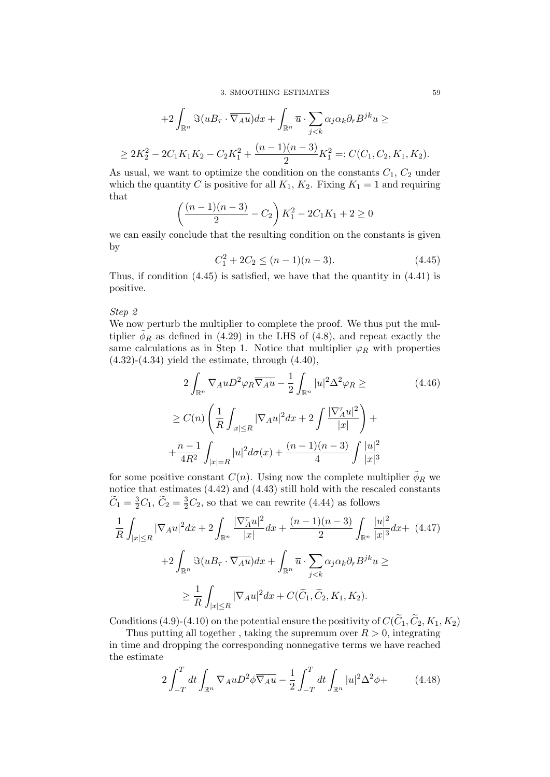3. SMOOTHING ESTIMATES 59

+2 
$$
\int_{\mathbb{R}^n} \Im(uB_{\tau} \cdot \overline{\nabla_A u}) dx + \int_{\mathbb{R}^n} \overline{u} \cdot \sum_{j < k} \alpha_j \alpha_k \partial_r B^{jk} u \ge
$$
  
\n $\geq 2K_2^2 - 2C_1 K_1 K_2 - C_2 K_1^2 + \frac{(n-1)(n-3)}{2} K_1^2 =: C(C_1, C_2, K_1, K_2).$ 

As usual, we want to optimize the condition on the constants  $C_1$ ,  $C_2$  under which the quantity C is positive for all  $K_1$ ,  $K_2$ . Fixing  $K_1 = 1$  and requiring that

$$
\left(\frac{(n-1)(n-3)}{2} - C_2\right)K_1^2 - 2C_1K_1 + 2 \ge 0
$$

we can easily conclude that the resulting condition on the constants is given by

$$
C_1^2 + 2C_2 \le (n-1)(n-3). \tag{4.45}
$$

Thus, if condition (4.45) is satisfied, we have that the quantity in (4.41) is positive.

# Step 2

 $\overline{a}$ 

We now perturb the multiplier to complete the proof. We thus put the multiplier  $\phi_R$  as defined in (4.29) in the LHS of (4.8), and repeat exactly the same calculations as in Step 1. Notice that multiplier  $\varphi_R$  with properties  $(4.32)-(4.34)$  yield the estimate, through  $(4.40)$ ,

$$
2\int_{\mathbb{R}^n} \nabla_A u D^2 \varphi_R \overline{\nabla_A u} - \frac{1}{2} \int_{\mathbb{R}^n} |u|^2 \Delta^2 \varphi_R \geq
$$
\n
$$
\geq C(n) \left( \frac{1}{R} \int_{|x| \leq R} |\nabla_A u|^2 dx + 2 \int \frac{|\nabla_A^{\tau} u|^2}{|x|} \right) +
$$
\n
$$
+ \frac{n-1}{4R^2} \int_{|x|=R} |u|^2 d\sigma(x) + \frac{(n-1)(n-3)}{4} \int \frac{|u|^2}{|x|^3}
$$
\n(4.46)

for some positive constant  $C(n)$ . Using now the complete multiplier  $\phi_R$  we notice that estimates (4.42) and (4.43) still hold with the rescaled constants  $\widetilde{C}_1 = \frac{3}{2}C_1$ ,  $\widetilde{C}_2 = \frac{3}{2}C_2$ , so that we can rewrite (4.44) as follows

$$
\frac{1}{R} \int_{|x| \le R} |\nabla_A u|^2 dx + 2 \int_{\mathbb{R}^n} \frac{|\nabla_A^{\tau} u|^2}{|x|} dx + \frac{(n-1)(n-3)}{2} \int_{\mathbb{R}^n} \frac{|u|^2}{|x|^3} dx + (4.47)
$$

$$
+ 2 \int_{\mathbb{R}^n} \Im(uB_{\tau} \cdot \overline{\nabla_A u}) dx + \int_{\mathbb{R}^n} \overline{u} \cdot \sum_{j < k} \alpha_j \alpha_k \partial_{\tau} B^{jk} u \ge
$$

$$
\ge \frac{1}{R} \int_{|x| \le R} |\nabla_A u|^2 dx + C(\widetilde{C}_1, \widetilde{C}_2, K_1, K_2).
$$

Conditions (4.9)-(4.10) on the potential ensure the positivity of  $C(\widetilde{C}_1, \widetilde{C}_2, K_1, K_2)$ 

Thus putting all together, taking the supremum over  $R > 0$ , integrating in time and dropping the corresponding nonnegative terms we have reached the estimate

$$
2\int_{-T}^{T}dt\int_{\mathbb{R}^n}\nabla_{A}uD^2\phi\overline{\nabla_{A}u} - \frac{1}{2}\int_{-T}^{T}dt\int_{\mathbb{R}^n}|u|^2\Delta^2\phi + \tag{4.48}
$$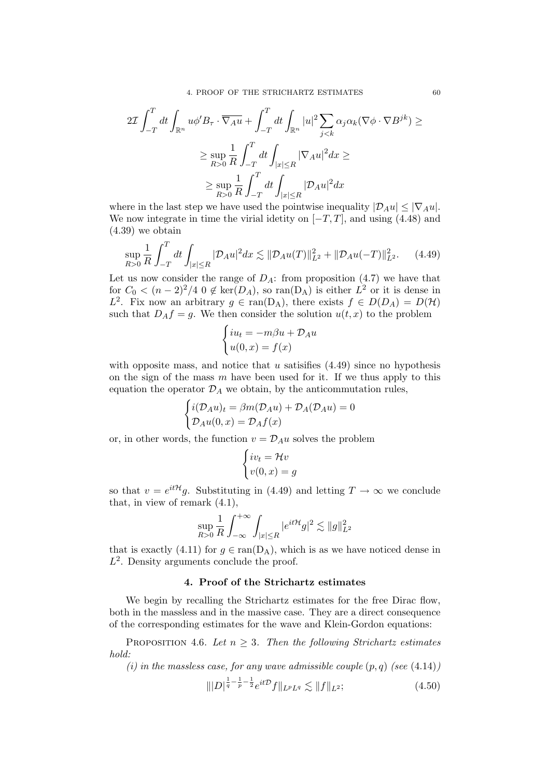$$
2\mathcal{I} \int_{-T}^{T} dt \int_{\mathbb{R}^n} u \phi' B_{\tau} \cdot \overline{\nabla_A u} + \int_{-T}^{T} dt \int_{\mathbb{R}^n} |u|^2 \sum_{j < k} \alpha_j \alpha_k (\nabla \phi \cdot \nabla B^{jk}) \ge
$$

$$
\ge \sup_{R>0} \frac{1}{R} \int_{-T}^{T} dt \int_{|x| \le R} |\nabla_A u|^2 dx \ge
$$

$$
\ge \sup_{R>0} \frac{1}{R} \int_{-T}^{T} dt \int_{|x| \le R} |\mathcal{D}_A u|^2 dx
$$

where in the last step we have used the pointwise inequality  $|\mathcal{D}_A u| \leq |\nabla_A u|$ . We now integrate in time the virial idetity on  $[-T, T]$ , and using (4.48) and (4.39) we obtain

$$
\sup_{R>0} \frac{1}{R} \int_{-T}^{T} dt \int_{|x| \le R} |\mathcal{D}_A u|^2 dx \lesssim \|\mathcal{D}_A u(T)\|_{L^2}^2 + \|\mathcal{D}_A u(-T)\|_{L^2}^2. \tag{4.49}
$$

Let us now consider the range of  $D_A$ : from proposition (4.7) we have that for  $C_0 < (n-2)^2/4$  0  $\notin \text{ker}(D_A)$ , so  $\text{ran}(D_A)$  is either  $L^2$  or it is dense in L<sup>2</sup>. Fix now an arbitrary  $g \in \text{ran}(D_A)$ , there exists  $f \in D(D_A) = D(\mathcal{H})$ such that  $D_A f = g$ . We then consider the solution  $u(t, x)$  to the problem

$$
\begin{cases} iu_t = -m\beta u + \mathcal{D}_A u \\ u(0, x) = f(x) \end{cases}
$$

with opposite mass, and notice that  $u$  satisfies  $(4.49)$  since no hypothesis on the sign of the mass  $m$  have been used for it. If we thus apply to this equation the operator  $\mathcal{D}_A$  we obtain, by the anticommutation rules,

$$
\begin{cases}\ni(\mathcal{D}_A u)_t = \beta m(\mathcal{D}_A u) + \mathcal{D}_A(\mathcal{D}_A u) = 0 \\
\mathcal{D}_A u(0, x) = \mathcal{D}_A f(x)\n\end{cases}
$$

or, in other words, the function  $v = \mathcal{D}_A u$  solves the problem

$$
\begin{cases} iv_t = \mathcal{H}v \\ v(0, x) = g \end{cases}
$$

so that  $v = e^{it\mathcal{H}}g$ . Substituting in (4.49) and letting  $T \to \infty$  we conclude that, in view of remark (4.1),

$$
\sup_{R>0} \frac{1}{R} \int_{-\infty}^{+\infty} \int_{|x| \le R} |e^{it\mathcal{H}} g|^2 \lesssim \|g\|_{L^2}^2
$$

that is exactly (4.11) for  $g \in \text{ran}(D_A)$ , which is as we have noticed dense in  $L^2$ . Density arguments conclude the proof.

# 4. Proof of the Strichartz estimates

We begin by recalling the Strichartz estimates for the free Dirac flow, both in the massless and in the massive case. They are a direct consequence of the corresponding estimates for the wave and Klein-Gordon equations:

PROPOSITION 4.6. Let  $n \geq 3$ . Then the following Strichartz estimates hold:

(i) in the massless case, for any wave admissible couple  $(p, q)$  (see  $(4.14)$ )

$$
\| |D|^{\frac{1}{q} - \frac{1}{p} - \frac{1}{2}} e^{it\mathcal{D}} f \|_{L^p L^q} \lesssim \| f \|_{L^2};\tag{4.50}
$$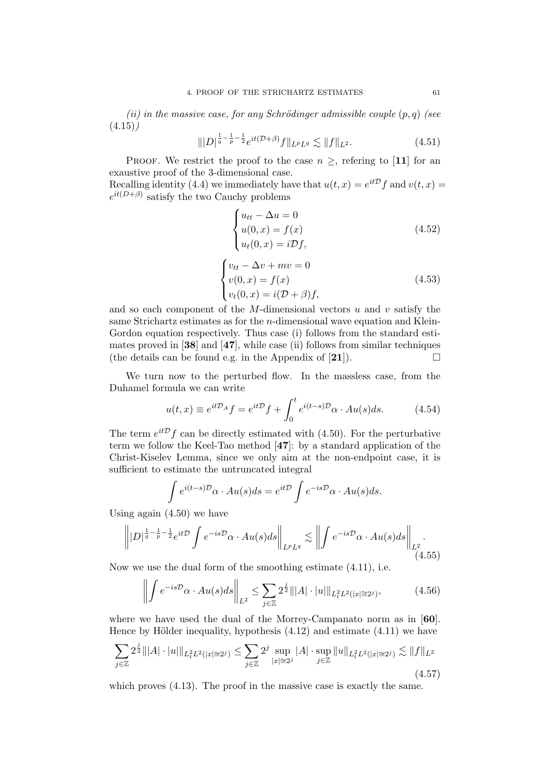(ii) in the massive case, for any Schrödinger admissible couple  $(p, q)$  (see  $(4.15)$ 

$$
\| |D|^{\frac{1}{q} - \frac{1}{p} - \frac{1}{2}} e^{it(\mathcal{D} + \beta)} f \|_{L^p L^q} \lesssim \| f \|_{L^2}.
$$
 (4.51)

PROOF. We restrict the proof to the case  $n \geq$ , refering to [11] for an exaustive proof of the 3-dimensional case. Recalling identity (4.4) we immediately have that  $u(t,x) = e^{it\mathcal{D}}f$  and  $v(t,x) =$ 

 $e^{it(D+\beta)}$  satisfy the two Cauchy problems

$$
\begin{cases}\n u_{tt} - \Delta u = 0 \\
 u(0, x) = f(x) \\
 u_t(0, x) = i \mathcal{D}f,\n\end{cases}
$$
\n(4.52)

$$
\begin{cases}\nv_{tt} - \Delta v + mv = 0 \\
v(0, x) = f(x) \\
v_t(0, x) = i(\mathcal{D} + \beta)f,\n\end{cases}
$$
\n(4.53)

and so each component of the  $M$ -dimensional vectors  $u$  and  $v$  satisfy the same Strichartz estimates as for the n-dimensional wave equation and Klein-Gordon equation respectively. Thus case (i) follows from the standard estimates proved in [38] and [47], while case (ii) follows from similar techniques (the details can be found e.g. in the Appendix of [21]).  $\Box$ 

We turn now to the perturbed flow. In the massless case, from the Duhamel formula we can write

$$
u(t,x) \equiv e^{it\mathcal{D}_A}f = e^{it\mathcal{D}}f + \int_0^t e^{i(t-s)\mathcal{D}}\alpha \cdot Au(s)ds.
$$
 (4.54)

The term  $e^{it\mathcal{D}}f$  can be directly estimated with (4.50). For the perturbative term we follow the Keel-Tao method [47]: by a standard application of the Christ-Kiselev Lemma, since we only aim at the non-endpoint case, it is sufficient to estimate the untruncated integral

$$
\int e^{i(t-s)\mathcal{D}} \alpha \cdot Au(s) ds = e^{it\mathcal{D}} \int e^{-is\mathcal{D}} \alpha \cdot Au(s) ds.
$$

Using again (4.50) we have

$$
\left\| |D|^{\frac{1}{q}-\frac{1}{p}-\frac{1}{2}} e^{it\mathcal{D}} \int e^{-is\mathcal{D}} \alpha \cdot Au(s) ds \right\|_{L^p L^q} \lesssim \left\| \int e^{-is\mathcal{D}} \alpha \cdot Au(s) ds \right\|_{L^2}.
$$
\n(4.55)

Now we use the dual form of the smoothing estimate (4.11), i.e.

$$
\left\| \int e^{-is\mathcal{D}} \alpha \cdot Au(s) ds \right\|_{L^2} \le \sum_{j \in \mathbb{Z}} 2^{\frac{j}{2}} \| |A| \cdot |u| \|_{L_t^2 L^2(|x| \approx 2^j)}, \tag{4.56}
$$

where we have used the dual of the Morrey-Campanato norm as in [60]. Hence by Hölder inequality, hypothesis  $(4.12)$  and estimate  $(4.11)$  we have

$$
\sum_{j\in\mathbb{Z}} 2^{\frac{j}{2}} \| |A| \cdot |u| \|_{L_t^2 L^2(|x| \approx 2^j)} \le \sum_{j\in\mathbb{Z}} 2^j \sup_{|x| \approx 2^j} |A| \cdot \sup_{j\in\mathbb{Z}} \|u\|_{L_t^2 L^2(|x| \approx 2^j)} \lesssim \|f\|_{L^2}
$$
\n(4.57)

which proves  $(4.13)$ . The proof in the massive case is exactly the same.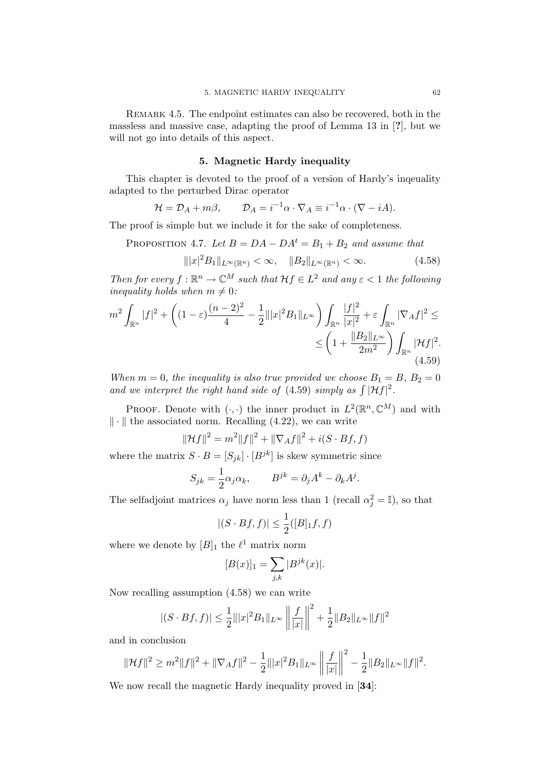REMARK 4.5. The endpoint estimates can also be recovered, both in the massless and massive case, adapting the proof of Lemma 13 in [?], but we will not go into details of this aspect.

# 5. Magnetic Hardy inequality

This chapter is devoted to the proof of a version of Hardy's inqeuality adapted to the perturbed Dirac operator

$$
\mathcal{H} = \mathcal{D}_A + m\beta, \qquad \mathcal{D}_A = i^{-1}\alpha \cdot \nabla_A \equiv i^{-1}\alpha \cdot (\nabla - iA).
$$

The proof is simple but we include it for the sake of completeness.

PROPOSITION 4.7. Let  $B = DA - DA^t = B_1 + B_2$  and assume that

$$
\| |x|^2 B_1 \|_{L^\infty(\mathbb{R}^n)} < \infty, \quad \| B_2 \|_{L^\infty(\mathbb{R}^n)} < \infty. \tag{4.58}
$$

Then for every  $f: \mathbb{R}^n \to \mathbb{C}^M$  such that  $\mathcal{H}f \in L^2$  and any  $\varepsilon < 1$  the following inequality holds when  $m \neq 0$ :

$$
m^{2} \int_{\mathbb{R}^{n}} |f|^{2} + \left( (1 - \varepsilon) \frac{(n - 2)^{2}}{4} - \frac{1}{2} |||x|^{2} B_{1}||_{L^{\infty}} \right) \int_{\mathbb{R}^{n}} \frac{|f|^{2}}{|x|^{2}} + \varepsilon \int_{\mathbb{R}^{n}} |\nabla_{A} f|^{2} \leq
$$
  
 
$$
\leq \left( 1 + \frac{||B_{2}||_{L^{\infty}}}{2m^{2}} \right) \int_{\mathbb{R}^{n}} |\mathcal{H} f|^{2}.
$$
  
(4.59)

When  $m = 0$ , the inequality is also true provided we choose  $B_1 = B$ ,  $B_2 = 0$ and we interpret the right hand side of (4.59) simply as  $\int |\mathcal{H}f|^2$ .

PROOF. Denote with  $(\cdot, \cdot)$  the inner product in  $L^2(\mathbb{R}^n, \mathbb{C}^M)$  and with  $\|\cdot\|$  the associated norm. Recalling (4.22), we can write

$$
\|\mathcal{H}f\|^2 = m^2\|f\|^2 + \|\nabla_A f\|^2 + i(S \cdot Bf, f)
$$

where the matrix  $S \cdot B = [S_{jk}] \cdot [B^{jk}]$  is skew symmetric since

$$
S_{jk} = \frac{1}{2}\alpha_j \alpha_k, \qquad B^{jk} = \partial_j A^k - \partial_k A^j.
$$

The selfadjoint matrices  $\alpha_j$  have norm less than 1 (recall  $\alpha_j^2 = \mathbb{I}$ ), so that

$$
|(S \cdot Bf, f)| \le \frac{1}{2}([B]_1 f, f)
$$

where we denote by  $[B]_1$  the  $\ell^1$  matrix norm

$$
[B(x)]_1 = \sum_{j,k} |B^{jk}(x)|.
$$

Now recalling assumption (4.58) we can write

$$
|(S \cdot Bf, f)| \leq \frac{1}{2} |||x||^2 B_1 ||_{L^{\infty}} \left|| \frac{f}{|x|} \right||^2 + \frac{1}{2} ||B_2||_{L^{\infty}} ||f||^2
$$

and in conclusion

$$
\|\mathcal{H}f\|^2 \geq m^2\|f\|^2 + \|\nabla_A f\|^2 - \frac{1}{2}\||x|^2 B_1\|_{L^\infty} \left\|\frac{f}{|x|}\right\|^2 - \frac{1}{2}\|B_2\|_{L^\infty} \|f\|^2.
$$

We now recall the magnetic Hardy inequality proved in [34]: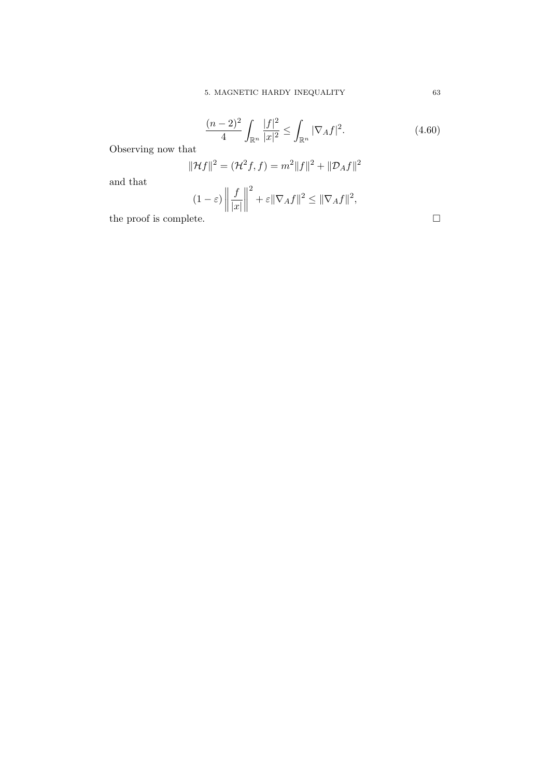$$
\frac{(n-2)^2}{4} \int_{\mathbb{R}^n} \frac{|f|^2}{|x|^2} \le \int_{\mathbb{R}^n} |\nabla_A f|^2. \tag{4.60}
$$

Observing now that

$$
\|\mathcal{H}f\|^2 = (\mathcal{H}^2 f, f) = m^2 \|f\|^2 + \|\mathcal{D}_A f\|^2
$$

and that

$$
(1 - \varepsilon) \left\| \frac{f}{|x|} \right\|^2 + \varepsilon \|\nabla_A f\|^2 \le \|\nabla_A f\|^2,
$$
  
the proof is complete.  $\square$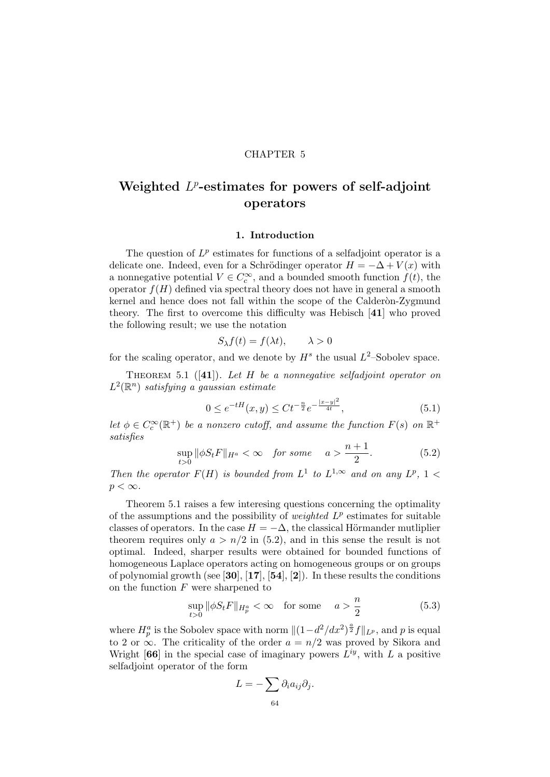# CHAPTER 5

# Weighted  $L^p$ -estimates for powers of self-adjoint operators

#### 1. Introduction

The question of  $L^p$  estimates for functions of a selfadjoint operator is a delicate one. Indeed, even for a Schrödinger operator  $H = -\Delta + V(x)$  with a nonnegative potential  $V \in C_c^{\infty}$ , and a bounded smooth function  $f(t)$ , the operator  $f(H)$  defined via spectral theory does not have in general a smooth kernel and hence does not fall within the scope of the Calderon-Zygmund theory. The first to overcome this difficulty was Hebisch [41] who proved the following result; we use the notation

$$
S_{\lambda}f(t) = f(\lambda t), \qquad \lambda > 0
$$

for the scaling operator, and we denote by  $H^s$  the usual  $L^2$ -Sobolev space.

THEOREM 5.1 ([41]). Let H be a nonnegative selfadjoint operator on  $L^2(\mathbb{R}^n)$  satisfying a gaussian estimate

$$
0 \le e^{-tH}(x, y) \le Ct^{-\frac{n}{2}} e^{-\frac{|x-y|^2}{4t}}, \tag{5.1}
$$

let  $\phi \in C_c^{\infty}(\mathbb{R}^+)$  be a nonzero cutoff, and assume the function  $F(s)$  on  $\mathbb{R}^+$ satisfies

$$
\sup_{t>0} \|\phi S_t F\|_{H^a} < \infty \quad \text{for some} \quad a > \frac{n+1}{2}.\tag{5.2}
$$

Then the operator  $F(H)$  is bounded from  $L^1$  to  $L^{1,\infty}$  and on any  $L^p$ ,  $1 <$  $p < \infty$ .

Theorem 5.1 raises a few interesing questions concerning the optimality of the assumptions and the possibility of *weighted*  $L^p$  estimates for suitable classes of operators. In the case  $H = -\Delta$ , the classical Hörmander mutliplier theorem requires only  $a > n/2$  in (5.2), and in this sense the result is not optimal. Indeed, sharper results were obtained for bounded functions of homogeneous Laplace operators acting on homogeneous groups or on groups of polynomial growth (see [30],  $[17]$ ,  $[54]$ ,  $[2]$ ). In these results the conditions on the function  $F$  were sharpened to

$$
\sup_{t>0} \|\phi S_t F\|_{H^a_p} < \infty \quad \text{for some} \quad a > \frac{n}{2} \tag{5.3}
$$

where  $H_p^a$  is the Sobolev space with norm  $\|(1-d^2/dx^2)^{\frac{a}{2}}f\|_{L^p}$ , and p is equal to 2 or  $\infty$ . The criticality of the order  $a = n/2$  was proved by Sikora and Wright [66] in the special case of imaginary powers  $L^{iy}$ , with L a positive selfadjoint operator of the form

$$
L=-\sum \partial_i a_{ij}\partial_j.
$$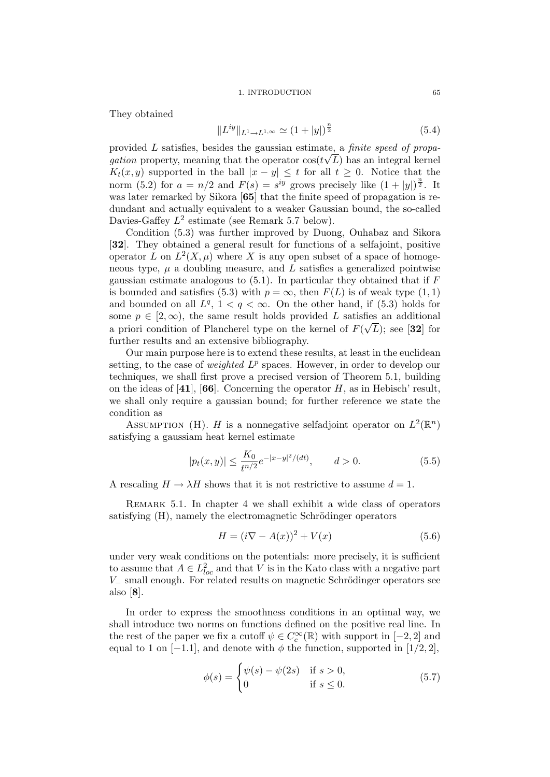#### 1. INTRODUCTION 65

They obtained

$$
||L^{iy}||_{L^1 \to L^{1,\infty}} \simeq (1+|y|)^{\frac{n}{2}} \tag{5.4}
$$

provided L satisfies, besides the gaussian estimate, a finite speed of propa*gation* property, meaning that the operator  $cos(t\sqrt{L})$  has an integral kernel  $K_t(x, y)$  supported in the ball  $|x - y| \leq t$  for all  $t \geq 0$ . Notice that the norm (5.2) for  $a = n/2$  and  $F(s) = s^{iy}$  grows precisely like  $(1+|y|)^{\frac{n}{2}}$ . It was later remarked by Sikora [65] that the finite speed of propagation is redundant and actually equivalent to a weaker Gaussian bound, the so-called Davies-Gaffey  $L^2$  estimate (see Remark 5.7 below).

Condition (5.3) was further improved by Duong, Ouhabaz and Sikora [32]. They obtained a general result for functions of a selfajoint, positive operator L on  $L^2(X,\mu)$  where X is any open subset of a space of homogeneous type,  $\mu$  a doubling measure, and  $L$  satisfies a generalized pointwise gaussian estimate analogous to  $(5.1)$ . In particular they obtained that if F is bounded and satisfies (5.3) with  $p = \infty$ , then  $F(L)$  is of weak type (1,1) and bounded on all  $L^q$ ,  $1 < q < \infty$ . On the other hand, if (5.3) holds for some  $p \in [2, \infty)$ , the same result holds provided L satisfies an additional a priori condition of Plancherel type on the kernel of  $F(\sqrt{L})$ ; see [32] for further results and an extensive bibliography.

Our main purpose here is to extend these results, at least in the euclidean setting, to the case of *weighted*  $L^p$  spaces. However, in order to develop our techniques, we shall first prove a precised version of Theorem 5.1, building on the ideas of  $[41]$ ,  $[66]$ . Concerning the operator H, as in Hebisch' result, we shall only require a gaussian bound; for further reference we state the condition as

ASSUMPTION (H). H is a nonnegative selfadjoint operator on  $L^2(\mathbb{R}^n)$ satisfying a gaussiam heat kernel estimate

$$
|p_t(x,y)| \le \frac{K_0}{t^{n/2}} e^{-|x-y|^2/(dt)}, \qquad d > 0.
$$
 (5.5)

A rescaling  $H \to \lambda H$  shows that it is not restrictive to assume  $d = 1$ .

Remark 5.1. In chapter 4 we shall exhibit a wide class of operators satisfying (H), namely the electromagnetic Schrödinger operators

$$
H = (i\nabla - A(x))^2 + V(x)
$$
 (5.6)

under very weak conditions on the potentials: more precisely, it is sufficient to assume that  $A \in L^2_{loc}$  and that V is in the Kato class with a negative part  $V_$  small enough. For related results on magnetic Schrödinger operators see also [8].

In order to express the smoothness conditions in an optimal way, we shall introduce two norms on functions defined on the positive real line. In the rest of the paper we fix a cutoff  $\psi \in C_c^{\infty}(\mathbb{R})$  with support in  $[-2, 2]$  and equal to 1 on  $[-1.1]$ , and denote with  $\phi$  the function, supported in  $[1/2, 2]$ ,

$$
\phi(s) = \begin{cases} \psi(s) - \psi(2s) & \text{if } s > 0, \\ 0 & \text{if } s \le 0. \end{cases}
$$
\n
$$
(5.7)
$$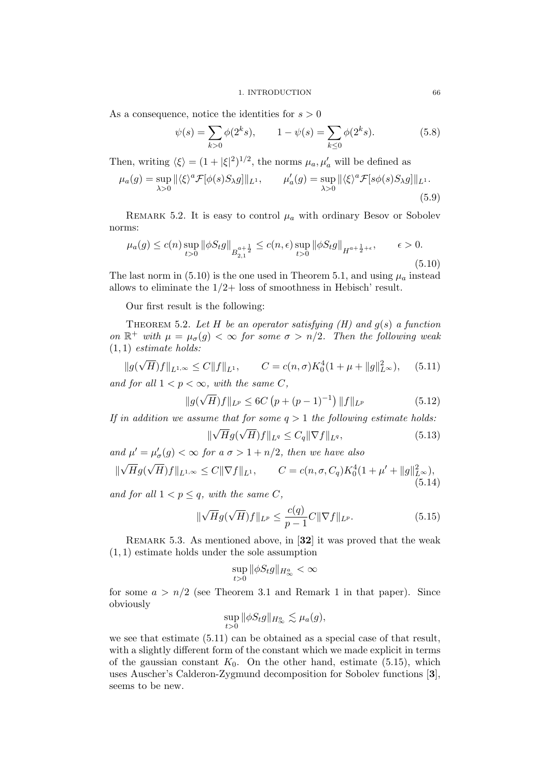As a consequence, notice the identities for  $s > 0$ 

$$
\psi(s) = \sum_{k>0} \phi(2^k s), \qquad 1 - \psi(s) = \sum_{k\leq 0} \phi(2^k s). \tag{5.8}
$$

Then, writing  $\langle \xi \rangle = (1 + |\xi|^2)^{1/2}$ , the norms  $\mu_a, \mu'_a$  will be defined as

$$
\mu_a(g) = \sup_{\lambda > 0} \|\langle \xi \rangle^a \mathcal{F}[\phi(s)S_\lambda g] \|_{L^1}, \qquad \mu'_a(g) = \sup_{\lambda > 0} \|\langle \xi \rangle^a \mathcal{F}[s\phi(s)S_\lambda g] \|_{L^1}.
$$
\n(5.9)

REMARK 5.2. It is easy to control  $\mu_a$  with ordinary Besov or Sobolev norms:

$$
\mu_a(g) \le c(n) \sup_{t>0} \|\phi S_t g\|_{B^{a+\frac{1}{2}}_{2,1}} \le c(n,\epsilon) \sup_{t>0} \|\phi S_t g\|_{H^{a+\frac{1}{2}+\epsilon}}, \qquad \epsilon > 0.
$$
\n(5.10)

The last norm in (5.10) is the one used in Theorem 5.1, and using  $\mu_a$  instead allows to eliminate the  $1/2$ + loss of smoothness in Hebisch' result.

Our first result is the following:

THEOREM 5.2. Let H be an operator satisfying  $(H)$  and  $g(s)$  a function on  $\mathbb{R}^+$  with  $\mu = \mu_{\sigma}(g) < \infty$  for some  $\sigma > n/2$ . Then the following weak  $(1, 1)$  estimate holds:

$$
||g(\sqrt{H})f||_{L^{1,\infty}} \leq C||f||_{L^{1}}, \qquad C = c(n,\sigma)K_0^4(1+\mu+||g||_{L^{\infty}}^2), \quad (5.11)
$$

and for all  $1 < p < \infty$ , with the same C,

$$
||g(\sqrt{H})f||_{L^p} \le 6C\left(p + (p-1)^{-1}\right)||f||_{L^p} \tag{5.12}
$$

If in addition we assume that for some  $q > 1$  the following estimate holds: √ √

$$
\|\sqrt{H}g(\sqrt{H})f\|_{L^{q}} \le C_{q} \|\nabla f\|_{L^{q}},\tag{5.13}
$$

and  $\mu' = \mu'_{\sigma}(g) < \infty$  for a  $\sigma > 1 + n/2$ , then we have also

$$
\|\sqrt{H}g(\sqrt{H})f\|_{L^{1,\infty}} \le C\|\nabla f\|_{L^{1}}, \qquad C = c(n,\sigma,C_q)K_0^4(1+\mu'+\|g\|_{L^{\infty}}^2),
$$
\n(5.14)

and for all  $1 < p \leq q$ , with the same C,

$$
\|\sqrt{H}g(\sqrt{H})f\|_{L^{p}} \le \frac{c(q)}{p-1}C\|\nabla f\|_{L^{p}}.\tag{5.15}
$$

REMARK 5.3. As mentioned above, in [32] it was proved that the weak (1, 1) estimate holds under the sole assumption

$$
\sup_{t>0} \|\phi S_t g\|_{H^a_\infty} < \infty
$$

for some  $a > n/2$  (see Theorem 3.1 and Remark 1 in that paper). Since obviously

$$
\sup_{t>0} \|\phi S_t g\|_{H^a_\infty} \lesssim \mu_a(g),
$$

we see that estimate  $(5.11)$  can be obtained as a special case of that result, with a slightly different form of the constant which we made explicit in terms of the gaussian constant  $K_0$ . On the other hand, estimate (5.15), which uses Auscher's Calderon-Zygmund decomposition for Sobolev functions [3], seems to be new.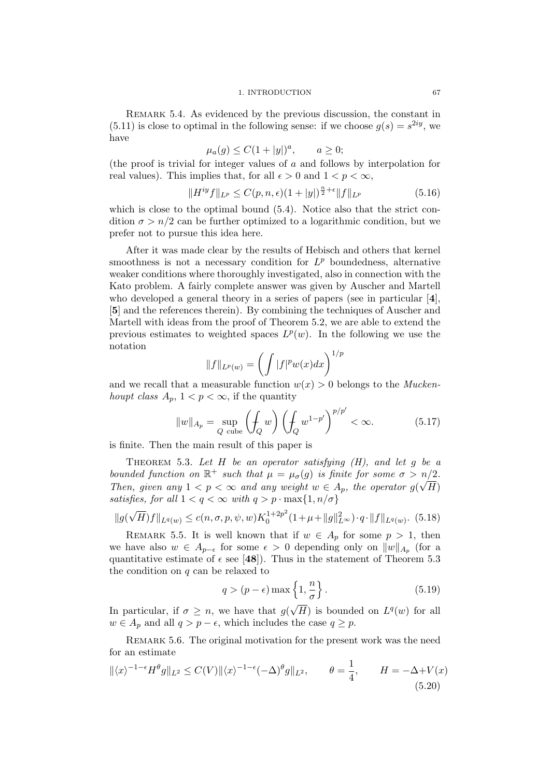REMARK 5.4. As evidenced by the previous discussion, the constant in  $(5.11)$  is close to optimal in the following sense: if we choose  $g(s) = s^{2iy}$ , we have

$$
\mu_a(g) \le C(1+|y|)^a, \qquad a \ge 0;
$$

(the proof is trivial for integer values of a and follows by interpolation for real values). This implies that, for all  $\epsilon > 0$  and  $1 < p < \infty$ ,

$$
||H^{iy}f||_{L^p} \le C(p, n, \epsilon)(1+|y|)^{\frac{n}{2}+\epsilon}||f||_{L^p}
$$
\n(5.16)

which is close to the optimal bound  $(5.4)$ . Notice also that the strict condition  $\sigma > n/2$  can be further optimized to a logarithmic condition, but we prefer not to pursue this idea here.

After it was made clear by the results of Hebisch and others that kernel smoothness is not a necessary condition for  $L^p$  boundedness, alternative weaker conditions where thoroughly investigated, also in connection with the Kato problem. A fairly complete answer was given by Auscher and Martell who developed a general theory in a series of papers (see in particular [4], [5] and the references therein). By combining the techniques of Auscher and Martell with ideas from the proof of Theorem 5.2, we are able to extend the previous estimates to weighted spaces  $L^p(w)$ . In the following we use the notation

$$
||f||_{L^{p}(w)} = \left(\int |f|^{p}w(x)dx\right)^{1/p}
$$

and we recall that a measurable function  $w(x) > 0$  belongs to the *Mucken*houpt class  $A_p$ ,  $1 < p < \infty$ , if the quantity

$$
||w||_{A_p} = \sup_{Q \text{ cube}} \left( \oint_Q w \right) \left( \oint_Q w^{1-p'} \right)^{p/p'} < \infty. \tag{5.17}
$$

is finite. Then the main result of this paper is

THEOREM 5.3. Let  $H$  be an operator satisfying  $(H)$ , and let  $q$  be a bounded function on  $\mathbb{R}^+$  such that  $\mu = \mu_{\sigma}(g)$  is finite for some  $\sigma > n/2$ . Then, given any  $1 < p < \infty$  and any weight  $w \in A_p$ , the operator  $g(\sqrt{H})$ satisfies, for all  $1 < q < \infty$  with  $q > p \cdot \max\{1, n/\sigma\}$ 

$$
||g(\sqrt{H})f||_{L^{q}(w)} \leq c(n,\sigma,p,\psi,w)K_0^{1+2p^2}(1+\mu+||g||_{L^{\infty}}^2)\cdot q\cdot||f||_{L^{q}(w)}.
$$
 (5.18)

REMARK 5.5. It is well known that if  $w \in A_p$  for some  $p > 1$ , then we have also  $w \in A_{p-\epsilon}$  for some  $\epsilon > 0$  depending only on  $||w||_{A_p}$  (for a quantitative estimate of  $\epsilon$  see [48]). Thus in the statement of Theorem 5.3 the condition on  $q$  can be relaxed to

$$
q > (p - \epsilon) \max\left\{1, \frac{n}{\sigma}\right\}.
$$
 (5.19)

In particular, if  $\sigma \geq n$ , we have that g(  $\overline{H}$ ) is bounded on  $L^q(w)$  for all  $w \in A_p$  and all  $q > p - \epsilon$ , which includes the case  $q \geq p$ .

REMARK 5.6. The original motivation for the present work was the need for an estimate

$$
\|\langle x\rangle^{-1-\epsilon}H^{\theta}g\|_{L^{2}} \leq C(V)\|\langle x\rangle^{-1-\epsilon}(-\Delta)^{\theta}g\|_{L^{2}}, \qquad \theta = \frac{1}{4}, \qquad H = -\Delta + V(x) \tag{5.20}
$$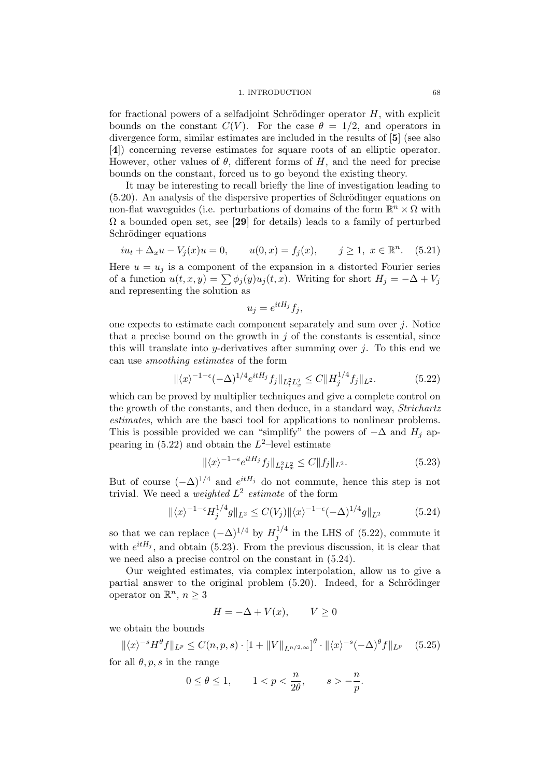#### 1. INTRODUCTION 68

for fractional powers of a selfadjoint Schrödinger operator  $H$ , with explicit bounds on the constant  $C(V)$ . For the case  $\theta = 1/2$ , and operators in divergence form, similar estimates are included in the results of [5] (see also [4]) concerning reverse estimates for square roots of an elliptic operator. However, other values of  $\theta$ , different forms of H, and the need for precise bounds on the constant, forced us to go beyond the existing theory.

It may be interesting to recall briefly the line of investigation leading to  $(5.20)$ . An analysis of the dispersive properties of Schrödinger equations on non-flat waveguides (i.e. perturbations of domains of the form  $\mathbb{R}^n \times \Omega$  with  $\Omega$  a bounded open set, see [29] for details) leads to a family of perturbed Schrödinger equations

$$
iu_t + \Delta_x u - V_j(x)u = 0,
$$
  $u(0, x) = f_j(x),$   $j \ge 1, x \in \mathbb{R}^n.$  (5.21)

Here  $u = u_j$  is a component of the expansion in a distorted Fourier series of a function  $u(t, x, y) = \sum \phi_i(y)u_j(t, x)$ . Writing for short  $H_j = -\Delta + V_j$ and representing the solution as

$$
u_j = e^{itH_j}f_j,
$$

one expects to estimate each component separately and sum over  $j$ . Notice that a precise bound on the growth in  $j$  of the constants is essential, since this will translate into y-derivatives after summing over  $j$ . To this end we can use smoothing estimates of the form

$$
\|\langle x\rangle^{-1-\epsilon}(-\Delta)^{1/4}e^{itH_j}f_j\|_{L_t^2L_x^2} \le C\|H_j^{1/4}f_j\|_{L^2}.\tag{5.22}
$$

which can be proved by multiplier techniques and give a complete control on the growth of the constants, and then deduce, in a standard way, Strichartz estimates, which are the basci tool for applications to nonlinear problems. This is possible provided we can "simplify" the powers of  $-\Delta$  and  $H_i$  appearing in  $(5.22)$  and obtain the  $L^2$ -level estimate

$$
\|\langle x\rangle^{-1-\epsilon}e^{itH_j}f_j\|_{L^2_tL^2_x} \le C\|f_j\|_{L^2}.\tag{5.23}
$$

But of course  $(-\Delta)^{1/4}$  and  $e^{itH_j}$  do not commute, hence this step is not trivial. We need a *weighted*  $L^2$  *estimate* of the form

$$
\|\langle x\rangle^{-1-\epsilon} H_j^{1/4} g\|_{L^2} \le C(V_j) \|\langle x\rangle^{-1-\epsilon} (-\Delta)^{1/4} g\|_{L^2}
$$
 (5.24)

so that we can replace  $(-\Delta)^{1/4}$  by  $H_i^{1/4}$  $j_j^{1/4}$  in the LHS of (5.22), commute it with  $e^{itH_j}$ , and obtain (5.23). From the previous discussion, it is clear that we need also a precise control on the constant in (5.24).

Our weighted estimates, via complex interpolation, allow us to give a partial answer to the original problem  $(5.20)$ . Indeed, for a Schrödinger operator on  $\mathbb{R}^n$ ,  $n \geq 3$ 

$$
H = -\Delta + V(x), \qquad V \ge 0
$$

we obtain the bounds

$$
\|\langle x\rangle^{-s}H^{\theta}f\|_{L^{p}} \leq C(n,p,s) \cdot [1 + \|V\|_{L^{n/2,\infty}}]^{\theta} \cdot \|\langle x\rangle^{-s}(-\Delta)^{\theta}f\|_{L^{p}} \quad (5.25)
$$

for all  $\theta$ ,  $p$ ,  $s$  in the range

$$
0 \le \theta \le 1, \qquad 1 < p < \frac{n}{2\theta}, \qquad s > -\frac{n}{p}.
$$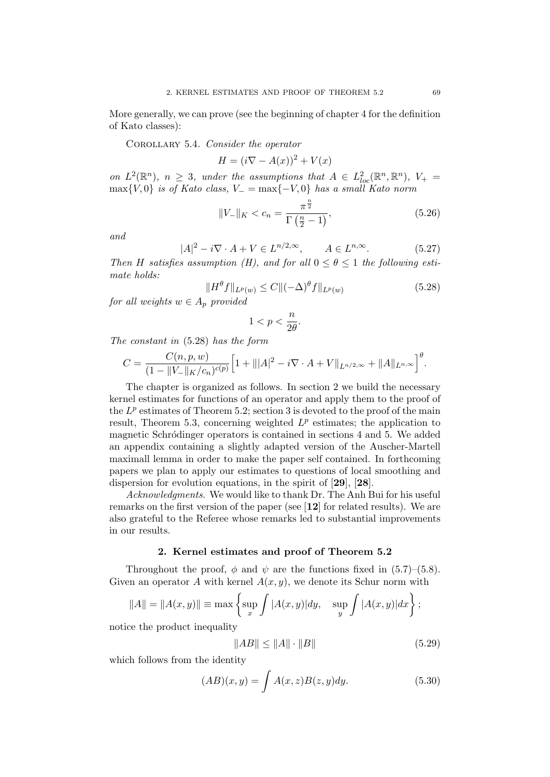More generally, we can prove (see the beginning of chapter 4 for the definition of Kato classes):

COROLLARY 5.4. Consider the operator

$$
H = (i\nabla - A(x))^2 + V(x)
$$

on  $L^2(\mathbb{R}^n)$ ,  $n \geq 3$ , under the assumptions that  $A \in L^2_{loc}(\mathbb{R}^n, \mathbb{R}^n)$ ,  $V_+ =$  $\max\{V, 0\}$  is of Kato class,  $V_- = \max\{-V, 0\}$  has a small Kato norm

$$
||V_{-}||_{K} < c_{n} = \frac{\pi^{\frac{n}{2}}}{\Gamma(\frac{n}{2} - 1)},
$$
\n(5.26)

and

$$
|A|^2 - i\nabla \cdot A + V \in L^{n/2,\infty}, \qquad A \in L^{n,\infty}.
$$
 (5.27)

Then H satisfies assumption (H), and for all  $0 \le \theta \le 1$  the following estimate holds:

$$
||H^{\theta}f||_{L^{p}(w)} \leq C||(-\Delta)^{\theta}f||_{L^{p}(w)}
$$
\n(5.28)

for all weights  $w \in A_p$  provided

$$
1 < p < \frac{n}{2\theta}.
$$

The constant in (5.28) has the form

$$
C = \frac{C(n, p, w)}{(1 - \|V_{-}\|_{K}/c_{n})^{c(p)}} \Big[ 1 + \| |A|^{2} - i \nabla \cdot A + V \|_{L^{n/2,\infty}} + \|A\|_{L^{n,\infty}} \Big]^{\theta}.
$$

The chapter is organized as follows. In section 2 we build the necessary kernel estimates for functions of an operator and apply them to the proof of the  $L^p$  estimates of Theorem 5.2; section 3 is devoted to the proof of the main result, Theorem 5.3, concerning weighted  $L^p$  estimates; the application to magnetic Schrödinger operators is contained in sections 4 and 5. We added an appendix containing a slightly adapted version of the Auscher-Martell maximall lemma in order to make the paper self contained. In forthcoming papers we plan to apply our estimates to questions of local smoothing and dispersion for evolution equations, in the spirit of [29], [28].

Acknowledgments. We would like to thank Dr. The Anh Bui for his useful remarks on the first version of the paper (see [12] for related results). We are also grateful to the Referee whose remarks led to substantial improvements in our results.

## 2. Kernel estimates and proof of Theorem 5.2

Throughout the proof,  $\phi$  and  $\psi$  are the functions fixed in (5.7)–(5.8). Given an operator A with kernel  $A(x, y)$ , we denote its Schur norm with

$$
||A|| = ||A(x,y)|| \equiv \max \left\{ \sup_x \int |A(x,y)| dy, \sup_y \int |A(x,y)| dx \right\};
$$

notice the product inequality

$$
||AB|| \le ||A|| \cdot ||B|| \tag{5.29}
$$

which follows from the identity

$$
(AB)(x,y) = \int A(x,z)B(z,y)dy.
$$
\n(5.30)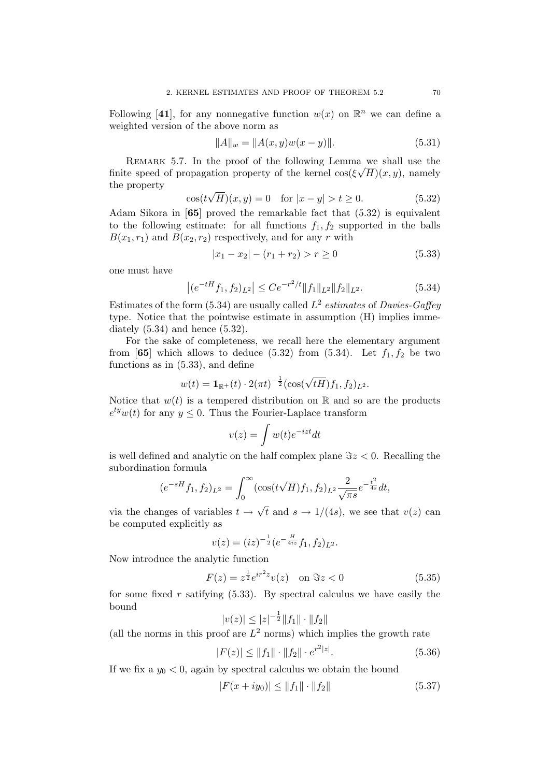Following [41], for any nonnegative function  $w(x)$  on  $\mathbb{R}^n$  we can define a weighted version of the above norm as

$$
||A||_w = ||A(x, y)w(x - y)||. \tag{5.31}
$$

REMARK 5.7. In the proof of the following Lemma we shall use the finite speed of propagation property of the kernel  $\cos(\xi \sqrt{H})(x, y)$ , namely the property √

$$
\cos(t\sqrt{H})(x,y) = 0 \quad \text{for } |x - y| > t \ge 0. \tag{5.32}
$$

Adam Sikora in [65] proved the remarkable fact that (5.32) is equivalent to the following estimate: for all functions  $f_1, f_2$  supported in the balls  $B(x_1, r_1)$  and  $B(x_2, r_2)$  respectively, and for any r with

$$
|x_1 - x_2| - (r_1 + r_2) > r \ge 0 \tag{5.33}
$$

one must have

$$
\left| (e^{-tH}f_1, f_2)_{L^2} \right| \leq Ce^{-r^2/t} \|f_1\|_{L^2} \|f_2\|_{L^2}.
$$
\n(5.34)

Estimates of the form (5.34) are usually called  $L^2$  estimates of Davies-Gaffey type. Notice that the pointwise estimate in assumption (H) implies immediately  $(5.34)$  and hence  $(5.32)$ .

For the sake of completeness, we recall here the elementary argument from [65] which allows to deduce (5.32) from (5.34). Let  $f_1, f_2$  be two functions as in (5.33), and define

$$
w(t) = \mathbf{1}_{\mathbb{R}^+}(t) \cdot 2(\pi t)^{-\frac{1}{2}} (\cos(\sqrt{tH}) f_1, f_2)_{L^2}.
$$

Notice that  $w(t)$  is a tempered distribution on R and so are the products  $e^{ty}w(t)$  for any  $y \leq 0$ . Thus the Fourier-Laplace transform

$$
v(z) = \int w(t)e^{-izt}dt
$$

is well defined and analytic on the half complex plane  $\Im z < 0$ . Recalling the subordination formula

$$
(e^{-sH}f_1, f_2)_{L^2} = \int_0^\infty (\cos(t\sqrt{H})f_1, f_2)_{L^2} \frac{2}{\sqrt{\pi s}} e^{-\frac{t^2}{4s}} dt,
$$

via the changes of variables  $t \rightarrow$ t and  $s \to 1/(4s)$ , we see that  $v(z)$  can be computed explicitly as

$$
v(z) = (iz)^{-\frac{1}{2}} (e^{-\frac{H}{4iz}} f_1, f_2)_{L^2}.
$$

Now introduce the analytic function

$$
F(z) = z^{\frac{1}{2}} e^{ir^2 z} v(z) \quad \text{on } \Im z < 0 \tag{5.35}
$$

for some fixed r satifying  $(5.33)$ . By spectral calculus we have easily the bound

$$
|v(z)| \le |z|^{-\frac{1}{2}} \|f_1\| \cdot \|f_2\|
$$

(all the norms in this proof are  $L^2$  norms) which implies the growth rate

$$
|F(z)| \le ||f_1|| \cdot ||f_2|| \cdot e^{r^2|z|}.
$$
\n(5.36)

If we fix a  $y_0 < 0$ , again by spectral calculus we obtain the bound

$$
|F(x + iy_0)| \le ||f_1|| \cdot ||f_2|| \tag{5.37}
$$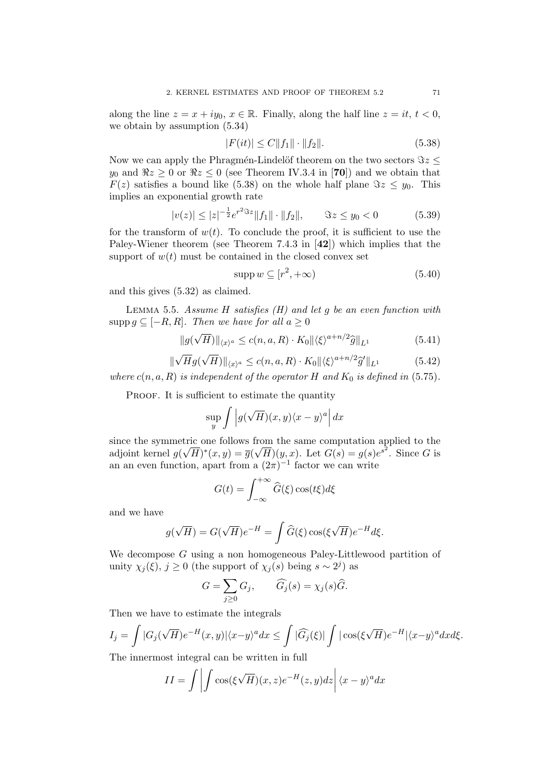along the line  $z = x + iy_0, x \in \mathbb{R}$ . Finally, along the half line  $z = it, t < 0$ , we obtain by assumption (5.34)

$$
|F(it)| \le C||f_1|| \cdot ||f_2||. \tag{5.38}
$$

Now we can apply the Phragmén-Lindelöf theorem on the two sectors  $\Im z \leq$ y<sub>0</sub> and  $\Re z \ge 0$  or  $\Re z \le 0$  (see Theorem IV.3.4 in [70]) and we obtain that  $F(z)$  satisfies a bound like (5.38) on the whole half plane  $\Im z \leq y_0$ . This implies an exponential growth rate

$$
|v(z)| \le |z|^{-\frac{1}{2}} e^{r^2 \Im z} \|f_1\| \cdot \|f_2\|, \qquad \Im z \le y_0 < 0 \tag{5.39}
$$

for the transform of  $w(t)$ . To conclude the proof, it is sufficient to use the Paley-Wiener theorem (see Theorem 7.4.3 in [42]) which implies that the support of  $w(t)$  must be contained in the closed convex set

$$
supp w \subseteq [r^2, +\infty)
$$
\n(5.40)

and this gives (5.32) as claimed.

LEMMA 5.5. Assume H satisfies  $(H)$  and let q be an even function with supp  $g \subseteq [-R, R]$ . Then we have for all  $a \geq 0$ 

$$
||g(\sqrt{H})||_{\langle x\rangle^a} \le c(n, a, R) \cdot K_0 ||\langle \xi \rangle^{a+n/2} \hat{g}||_{L^1}
$$
\n
$$
(5.41)
$$

$$
\|\sqrt{H}g(\sqrt{H})\|_{\langle x\rangle^a} \le c(n,a,R) \cdot K_0 \|\langle \xi\rangle^{a+n/2} \widehat{g}'\|_{L^1}
$$
\n(5.42)

where  $c(n, a, R)$  is independent of the operator H and  $K_0$  is defined in (5.75).

PROOF. It is sufficient to estimate the quantity

$$
\sup_{y} \int \left| g(\sqrt{H})(x, y) \langle x - y \rangle^{a} \right| dx
$$

since the symmetric one follows from the same computation applied to the adjoint kernel  $g(\sqrt{H})^*(x, y) = \overline{g}(\sqrt{H})(y, x)$ . Let  $G(s) = g(s)e^{s^2}$ . Since G is an an even function, apart from a  $(2\pi)^{-1}$  factor we can write

$$
G(t) = \int_{-\infty}^{+\infty} \widehat{G}(\xi) \cos(t\xi) d\xi
$$

and we have

$$
g(\sqrt{H}) = G(\sqrt{H})e^{-H} = \int \widehat{G}(\xi) \cos(\xi \sqrt{H})e^{-H} d\xi.
$$

We decompose G using a non homogeneous Paley-Littlewood partition of unity  $\chi_j(\xi)$ ,  $j \geq 0$  (the support of  $\chi_j(s)$  being  $s \sim 2^j$ ) as

$$
G = \sum_{j\geq 0} G_j, \qquad \widehat{G}_j(s) = \chi_j(s)\widehat{G}.
$$

Then we have to estimate the integrals

$$
I_j = \int |G_j(\sqrt{H})e^{-H}(x,y)|\langle x-y\rangle^a dx \le \int |\widehat{G_j}(\xi)| \int |\cos(\xi\sqrt{H})e^{-H}|\langle x-y\rangle^a dx d\xi.
$$

The innermost integral can be written in full

$$
II = \int \left| \int \cos(\xi \sqrt{H})(x, z) e^{-H}(z, y) dz \right| \langle x - y \rangle^a dx
$$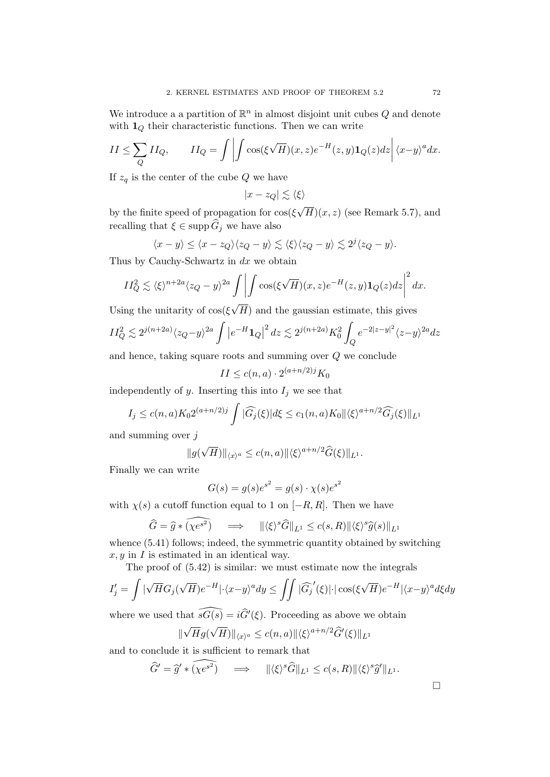We introduce a a partition of  $\mathbb{R}^n$  in almost disjoint unit cubes Q and denote with  $\mathbf{1}_Q$  their characteristic functions. Then we can write

$$
II \leq \sum_{Q} II_Q, \qquad II_Q = \int \left| \int \cos(\xi \sqrt{H})(x, z) e^{-H}(z, y) \mathbf{1}_Q(z) dz \right| \langle x - y \rangle^a dx.
$$

If  $z_q$  is the center of the cube Q we have

$$
|x-z_Q|\lesssim \langle \xi\rangle
$$

by the finite speed of propagation for cos(ξ  $(H)(x, z)$  (see Remark 5.7), and recalling that  $\xi \in \mathrm{supp} \, \widehat{G}_j$  we have also

$$
\langle x-y\rangle \le \langle x-z_Q\rangle \langle z_Q-y\rangle \lesssim \langle \xi\rangle \langle z_Q-y\rangle \lesssim 2^j \langle z_Q-y\rangle.
$$

Thus by Cauchy-Schwartz in  $dx$  we obtain

$$
II_Q^2 \lesssim \langle \xi \rangle^{n+2a} \langle z_Q - y \rangle^{2a} \int \left| \int \cos(\xi \sqrt{H})(x, z) e^{-H}(z, y) \mathbf{1}_Q(z) dz \right|^2 dx.
$$

Using the unitarity of  $cos(\xi)$  $(H)$  and the gaussian estimate, this gives

$$
II_Q^2 \lesssim 2^{j(n+2a)} \langle z_Q - y \rangle^{2a} \int \left| e^{-H} \mathbf{1}_Q \right|^2 dz \lesssim 2^{j(n+2a)} K_0^2 \int_Q e^{-2|z-y|^2} \langle z - y \rangle^{2a} dz
$$

and hence, taking square roots and summing over Q we conclude

$$
II \le c(n, a) \cdot 2^{(a+n/2)j} K_0
$$

independently of y. Inserting this into  $I_j$  we see that

$$
I_j \le c(n, a) K_0 2^{(a+n/2)j} \int |\widehat{G}_j(\xi)| d\xi \le c_1(n, a) K_0 ||\langle \xi \rangle^{a+n/2} \widehat{G}_j(\xi) ||_{L^1}
$$

and summing over  $j$ 

$$
||g(\sqrt{H})||_{\langle x\rangle^a} \le c(n,a)||\langle \xi\rangle^{a+n/2} \widehat{G}(\xi)||_{L^1}.
$$

Finally we can write

$$
G(s) = g(s)e^{s^2} = g(s) \cdot \chi(s)e^{s^2}
$$

with  $\chi(s)$  a cutoff function equal to 1 on  $[-R, R]$ . Then we have

$$
\widehat{G} = \widehat{g} * \widehat{(\chi e^{s^2})} \quad \implies \quad \|\langle \xi \rangle^s \widehat{G}\|_{L^1} \le c(s, R) \|\langle \xi \rangle^s \widehat{g}(s)\|_{L^1}
$$

whence  $(5.41)$  follows; indeed, the symmetric quantity obtained by switching  $x, y$  in  $I$  is estimated in an identical way.

The proof of (5.42) is similar: we must estimate now the integrals

$$
I'_j = \int |\sqrt{H}G_j(\sqrt{H})e^{-H}|\cdot\langle x-y\rangle^a dy \le \iint |\widehat{G}_j'(\xi)|\cdot |\cos(\xi\sqrt{H})e^{-H}|\langle x-y\rangle^a d\xi dy
$$

where we used that  $\widehat{sG(s)} = i\widehat{G}'(\xi)$ . Proceeding as above we obtain √ √

$$
\|\sqrt{H}g(\sqrt{H})\|_{\langle x\rangle^a} \le c(n,a) \|\langle \xi\rangle^{a+n/2} \widehat{G}'(\xi)\|_{L^1}
$$

and to conclude it is sufficient to remark that

$$
\widehat{G}' = \widehat{g}' \ast \widehat{( \chi e^{s^2})} \quad \Longrightarrow \quad \|\langle \xi \rangle^s \widehat{G}\|_{L^1} \le c(s, R) \|\langle \xi \rangle^s \widehat{g}'\|_{L^1}.
$$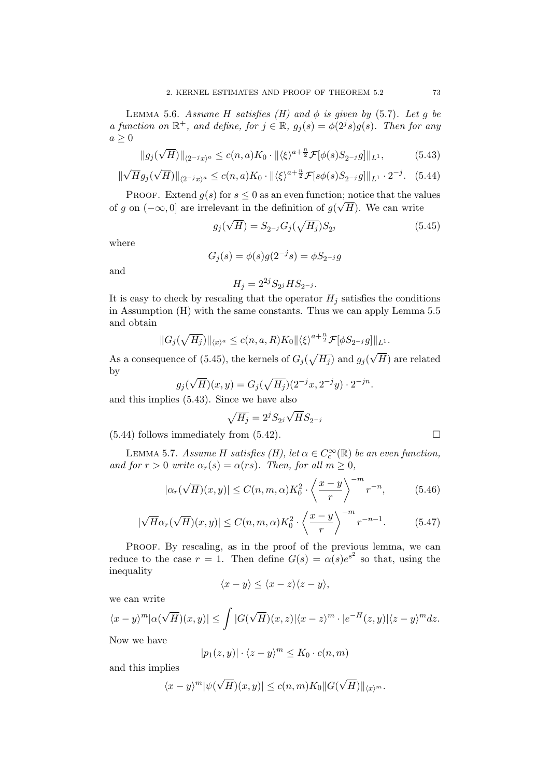LEMMA 5.6. Assume H satisfies (H) and  $\phi$  is given by (5.7). Let g be a function on  $\mathbb{R}^+$ , and define, for  $j \in \mathbb{R}$ ,  $g_j(s) = \phi(2^j s)g(s)$ . Then for any  $a \geq 0$ 

$$
||g_j(\sqrt{H})||_{\langle 2^{-j}x \rangle^a} \le c(n,a)K_0 \cdot ||\langle \xi \rangle^{a+\frac{n}{2}} \mathcal{F}[\phi(s)S_{2^{-j}}g]||_{L^1},
$$
(5.43)

$$
\|\sqrt{H}g_j(\sqrt{H})\|_{\langle 2^{-j}x \rangle^a} \le c(n,a)K_0 \cdot \|\langle \xi \rangle^{a+\frac{n}{2}} \mathcal{F}[s\phi(s)S_{2^{-j}}g]\|_{L^1} \cdot 2^{-j}.\tag{5.44}
$$

PROOF. Extend  $g(s)$  for  $s \leq 0$  as an even function; notice that the values of g on  $(-\infty,0]$  are irrelevant in the definition of  $g(\sqrt{H})$ . We can write

$$
g_j(\sqrt{H}) = S_{2^{-j}} G_j(\sqrt{H_j}) S_{2^j}
$$
 (5.45)

where

$$
G_j(s) = \phi(s)g(2^{-j}s) = \phi S_{2^{-j}}g
$$

and

$$
H_j = 2^{2j} S_{2^j} H S_{2^{-j}}.
$$

It is easy to check by rescaling that the operator  $H_j$  satisfies the conditions in Assumption (H) with the same constants. Thus we can apply Lemma 5.5 and obtain

$$
||G_j(\sqrt{H_j})||_{\langle x\rangle^a} \le c(n,a,R)K_0 ||\langle \xi\rangle^{a+\frac{n}{2}} \mathcal{F}[\phi S_{2^{-j}}g]||_{L^1}.
$$

As a consequence of (5.45), the kernels of  $G_j(\sqrt{H_j})$  and  $g_j(\sqrt{H_j})$ H) are related by √

$$
g_j(\sqrt{H})(x,y) = G_j(\sqrt{H_j})(2^{-j}x, 2^{-j}y) \cdot 2^{-jn}.
$$

and this implies (5.43). Since we have also

$$
\sqrt{H_j} = 2^j S_{2^j} \sqrt{H} S_{2^{-j}}
$$

 $(5.44)$  follows immediately from  $(5.42)$ .

LEMMA 5.7. Assume H satisfies (H), let  $\alpha \in C_c^{\infty}(\mathbb{R})$  be an even function, and for  $r > 0$  write  $\alpha_r(s) = \alpha(rs)$ . Then, for all  $m \geq 0$ ,

$$
|\alpha_r(\sqrt{H})(x,y)| \le C(n,m,\alpha)K_0^2 \cdot \left\langle \frac{x-y}{r} \right\rangle^{-m} r^{-n}, \tag{5.46}
$$

$$
|\sqrt{H}\alpha_r(\sqrt{H})(x,y)| \le C(n,m,\alpha)K_0^2 \cdot \left\langle \frac{x-y}{r} \right\rangle^{-m} r^{-n-1}.\tag{5.47}
$$

PROOF. By rescaling, as in the proof of the previous lemma, we can reduce to the case  $r = 1$ . Then define  $G(s) = \alpha(s)e^{s^2}$  so that, using the inequality

$$
\langle x-y\rangle \le \langle x-z\rangle \langle z-y\rangle,
$$

we can write

$$
\langle x - y \rangle^m |\alpha(\sqrt{H})(x, y)| \le \int |G(\sqrt{H})(x, z)| \langle x - z \rangle^m \cdot |e^{-H}(z, y)| \langle z - y \rangle^m dz.
$$
  
Now we have

Now we have

$$
|p_1(z, y)| \cdot \langle z - y \rangle^m \le K_0 \cdot c(n, m)
$$

and this implies

$$
\left| \langle x-y\rangle^m |\psi(\sqrt{H})(x,y)| \le c(n,m)K_0 ||G(\sqrt{H})||_{\langle x\rangle^m}.
$$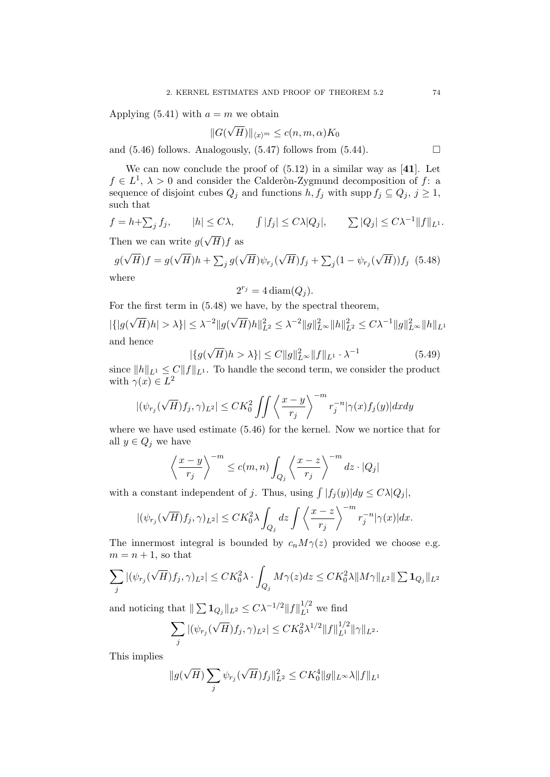Applying  $(5.41)$  with  $a = m$  we obtain

$$
||G(\sqrt{H})||_{\langle x \rangle^m} \le c(n, m, \alpha)K_0
$$

and  $(5.46)$  follows. Analogously,  $(5.47)$  follows from  $(5.44)$ .

We can now conclude the proof of  $(5.12)$  in a similar way as [41]. Let  $f \in L^1$ ,  $\lambda > 0$  and consider the Calderon-Zygmund decomposition of f: a sequence of disjoint cubes  $Q_j$  and functions  $h, f_j$  with supp  $f_j \subseteq Q_j, j \geq 1$ , such that

$$
f = h + \sum_j f_j
$$
,  $|h| \le C\lambda$ ,  $\int |f_j| \le C\lambda |Q_j|$ ,  $\sum |Q_j| \le C\lambda^{-1} ||f||_{L^1}$ .

Then we can write  $g(x)$  $H)f$  as

$$
g(\sqrt{H})f = g(\sqrt{H})h + \sum_{j} g(\sqrt{H})\psi_{r_j}(\sqrt{H})f_j + \sum_{j} (1 - \psi_{r_j}(\sqrt{H}))f_j
$$
 (5.48)  
where

$$
2^{r_j} = 4 \operatorname{diam}(Q_j).
$$

For the first term in (5.48) we have, by the spectral theorem,

$$
|\{|g(\sqrt{H})h| > \lambda\}| \leq \lambda^{-2} \|g(\sqrt{H})h\|_{L^2}^2 \leq \lambda^{-2} \|g\|_{L^\infty}^2 \|h\|_{L^2}^2 \leq C\lambda^{-1} \|g\|_{L^\infty}^2 \|h\|_{L^1}
$$
  
and hence

$$
|\{g(\sqrt{H})h > \lambda\}| \le C \|g\|_{L^{\infty}}^2 \|f\|_{L^1} \cdot \lambda^{-1}
$$
\n(5.49)

since  $||h||_{L^1} \leq C||f||_{L^1}$ . To handle the second term, we consider the product with  $\gamma(x) \in L^2$ 

$$
|(\psi_{r_j}(\sqrt{H})f_j,\gamma)_{L^2}| \leq CK_0^2 \iint \left\langle \frac{x-y}{r_j} \right\rangle^{-m} r_j^{-n} |\gamma(x)f_j(y)| dx dy
$$

where we have used estimate (5.46) for the kernel. Now we nortice that for all  $y \in Q_j$  we have

$$
\left\langle \frac{x-y}{r_j} \right\rangle^{-m} \le c(m,n) \int_{Q_j} \left\langle \frac{x-z}{r_j} \right\rangle^{-m} dz \cdot |Q_j|
$$

with a constant independent of j. Thus, using  $\int |f_j(y)| dy \leq C\lambda |Q_j|$ ,

$$
|(\psi_{r_j}(\sqrt{H})f_j,\gamma)_{L^2}| \leq CK_0^2\lambda \int_{Q_j} dz \int \left\langle \frac{x-z}{r_j} \right\rangle^{-m} r_j^{-n} |\gamma(x)| dx.
$$

The innermost integral is bounded by  $c_n M \gamma(z)$  provided we choose e.g.  $m = n + 1$ , so that

$$
\sum_j |(\psi_{r_j}(\sqrt{H})f_j,\gamma)_{L^2}| \leq CK_0^2\lambda\cdot \int_{Q_j} M\gamma(z)dz \leq CK_0^2\lambda \|M\gamma\|_{L^2}\|\sum \mathbf{1}_{Q_j}\|_{L^2}
$$

and noticing that  $|| \sum 1_{Q_j} ||_{L^2} \leq C \lambda^{-1/2} ||f||_{L^1}^{1/2}$  we find

$$
\sum_{j} |(\psi_{r_j}(\sqrt{H})f_j, \gamma)_{L^2}| \leq CK_0^2 \lambda^{1/2} ||f||_{L^1}^{1/2} ||\gamma||_{L^2}.
$$

This implies

$$
||g(\sqrt{H})\sum_{j}\psi_{r_j}(\sqrt{H})f_j||_{L^2}^2 \leq CK_0^4 ||g||_{L^\infty}\lambda ||f||_{L^1}
$$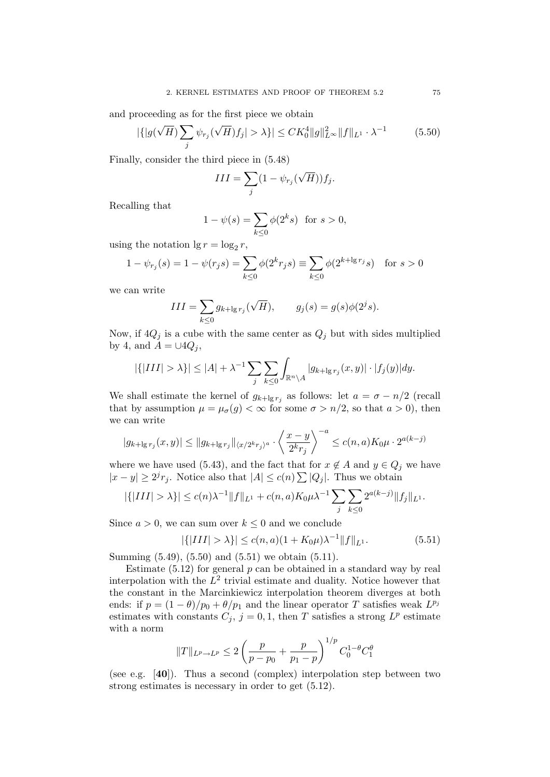and proceeding as for the first piece we obtain

$$
|\{|g(\sqrt{H})\sum_{j}\psi_{r_j}(\sqrt{H})f_j| > \lambda\}| \le CK_0^4 \|g\|_{L^\infty}^2 \|f\|_{L^1} \cdot \lambda^{-1}
$$
 (5.50)

Finally, consider the third piece in (5.48)

$$
III = \sum_{j} (1 - \psi_{r_j}(\sqrt{H})) f_j.
$$

Recalling that

$$
1 - \psi(s) = \sum_{k \le 0} \phi(2^k s) \text{ for } s > 0,
$$

using the notation  $\lg r = \log_2 r$ ,

$$
1 - \psi_{r_j}(s) = 1 - \psi(r_j s) = \sum_{k \leq 0} \phi(2^k r_j s) \equiv \sum_{k \leq 0} \phi(2^{k + \lg r_j} s) \text{ for } s > 0
$$

we can write

$$
III = \sum_{k \le 0} g_{k+\lg r_j}(\sqrt{H}), \qquad g_j(s) = g(s)\phi(2^{j}s).
$$

Now, if  $4Q_j$  is a cube with the same center as  $Q_j$  but with sides multiplied by 4, and  $A = \cup 4Q_i$ ,

$$
|\{|III| > \lambda\}| \le |A| + \lambda^{-1} \sum_{j} \sum_{k \le 0} \int_{\mathbb{R}^n \setminus A} |g_{k+\lg r_j}(x, y)| \cdot |f_j(y)| dy.
$$

We shall estimate the kernel of  $g_{k+\lg r_j}$  as follows: let  $a = \sigma - n/2$  (recall that by assumption  $\mu = \mu_{\sigma}(g) < \infty$  for some  $\sigma > n/2$ , so that  $a > 0$ , then we can write

$$
|g_{k+\lg r_j}(x,y)| \le ||g_{k+\lg r_j}||_{\langle x/2^k r_j \rangle^a} \cdot \left\langle \frac{x-y}{2^k r_j} \right\rangle^{-a} \le c(n,a) K_0 \mu \cdot 2^{a(k-j)}
$$

where we have used (5.43), and the fact that for  $x \notin A$  and  $y \in Q_j$  we have  $|x - y| \ge 2^{j} r_j$ . Notice also that  $|A| \le c(n) \sum |Q_j|$ . Thus we obtain

$$
|\{|III| > \lambda\}| \le c(n)\lambda^{-1} ||f||_{L^1} + c(n,a)K_0\mu\lambda^{-1} \sum_j \sum_{k \le 0} 2^{a(k-j)} ||f_j||_{L^1}.
$$

Since  $a > 0$ , we can sum over  $k \leq 0$  and we conclude

$$
|\{|III| > \lambda\}| \le c(n, a)(1 + K_0\mu)\lambda^{-1} \|f\|_{L^1}.
$$
 (5.51)

Summing (5.49), (5.50) and (5.51) we obtain (5.11).

Estimate  $(5.12)$  for general p can be obtained in a standard way by real interpolation with the  $L^2$  trivial estimate and duality. Notice however that the constant in the Marcinkiewicz interpolation theorem diverges at both ends: if  $p = (1 - \theta)/p_0 + \theta/p_1$  and the linear operator T satisfies weak  $L^{p_j}$ estimates with constants  $C_j$ ,  $j = 0, 1$ , then T satisfies a strong  $L^p$  estimate with a norm

$$
||T||_{L^p \to L^p} \le 2\left(\frac{p}{p-p_0} + \frac{p}{p_1-p}\right)^{1/p} C_0^{1-\theta}C_1^{\theta}
$$

(see e.g. [40]). Thus a second (complex) interpolation step between two strong estimates is necessary in order to get (5.12).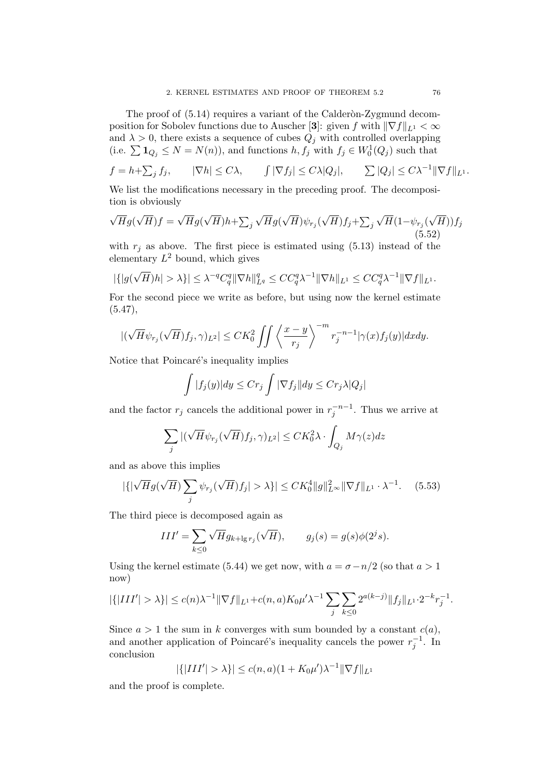The proof of  $(5.14)$  requires a variant of the Calderon-Zygmund decomposition for Sobolev functions due to Auscher [3]: given f with  $\|\nabla f\|_{L^1} < \infty$ and  $\lambda > 0$ , there exists a sequence of cubes  $Q_j$  with controlled overlapping (i.e.  $\sum \mathbf{1}_{Q_j} \leq N = N(n)$ ), and functions  $h, f_j$  with  $f_j \in W_0^1(Q_j)$  such that

$$
f = h + \sum_j f_j
$$
,  $|\nabla h| \le C\lambda$ ,  $\int |\nabla f_j| \le C\lambda |Q_j|$ ,  $\sum |Q_j| \le C\lambda^{-1} \|\nabla f\|_{L^1}$ .

We list the modifications necessary in the preceding proof. The decomposition is obviously

$$
\sqrt{H}g(\sqrt{H})f = \sqrt{H}g(\sqrt{H})h + \sum_{j} \sqrt{H}g(\sqrt{H})\psi_{r_j}(\sqrt{H})f_j + \sum_{j} \sqrt{H}(1-\psi_{r_j}(\sqrt{H}))f_j
$$
\n(5.52)

with  $r_i$  as above. The first piece is estimated using (5.13) instead of the elementary  $L^2$  bound, which gives

$$
|\{|g(\sqrt{H})h|>\lambda\}|\leq \lambda^{-q}C_q^q\|\nabla h\|_{L^q}^q\leq CC_q^q\lambda^{-1}\|\nabla h\|_{L^1}\leq CC_q^q\lambda^{-1}\|\nabla f\|_{L^1}.
$$

For the second piece we write as before, but using now the kernel estimate  $(5.47),$ 

$$
|(\sqrt{H}\psi_{r_j}(\sqrt{H})f_j,\gamma)_{L^2}| \leq CK_0^2 \iint \left\langle \frac{x-y}{r_j} \right\rangle^{-m} r_j^{-n-1} |\gamma(x)f_j(y)| dx dy.
$$

Notice that Poincaré's inequality implies

$$
\int |f_j(y)| dy \leq Cr_j \int |\nabla f_j| dy \leq Cr_j \lambda |Q_j|
$$

and the factor  $r_j$  cancels the additional power in  $r_j^{-n-1}$ . Thus we arrive at

$$
\sum_j |(\sqrt{H}\psi_{r_j}(\sqrt{H})f_j,\gamma)_{L^2}| \leq CK_0^2 \lambda \cdot \int_{Q_j} M\gamma(z) dz
$$

and as above this implies

$$
|\{ |\sqrt{H}g(\sqrt{H}) \sum_{j} \psi_{r_j}(\sqrt{H})f_j| > \lambda \}| \leq CK_0^4 \|g\|_{L^\infty}^2 \|\nabla f\|_{L^1} \cdot \lambda^{-1}.
$$
 (5.53)

The third piece is decomposed again as

$$
III' = \sum_{k \leq 0} \sqrt{H} g_{k+\lg r_j}(\sqrt{H}), \qquad g_j(s) = g(s)\phi(2^j s).
$$

Using the kernel estimate (5.44) we get now, with  $a = \sigma - n/2$  (so that  $a > 1$ ) now)

$$
|\{|III'| > \lambda\}| \le c(n)\lambda^{-1} \|\nabla f\|_{L^1} + c(n,a)K_0\mu'\lambda^{-1} \sum_j \sum_{k \le 0} 2^{a(k-j)} \|f_j\|_{L^1} \cdot 2^{-k} r_j^{-1}.
$$

Since  $a > 1$  the sum in k converges with sum bounded by a constant  $c(a)$ , and another application of Poincaré's inequality cancels the power  $r_j^{-1}$ . In conclusion

$$
|\{|III'| > \lambda\}| \le c(n, a)(1 + K_0\mu')\lambda^{-1} \|\nabla f\|_{L^1}
$$

and the proof is complete.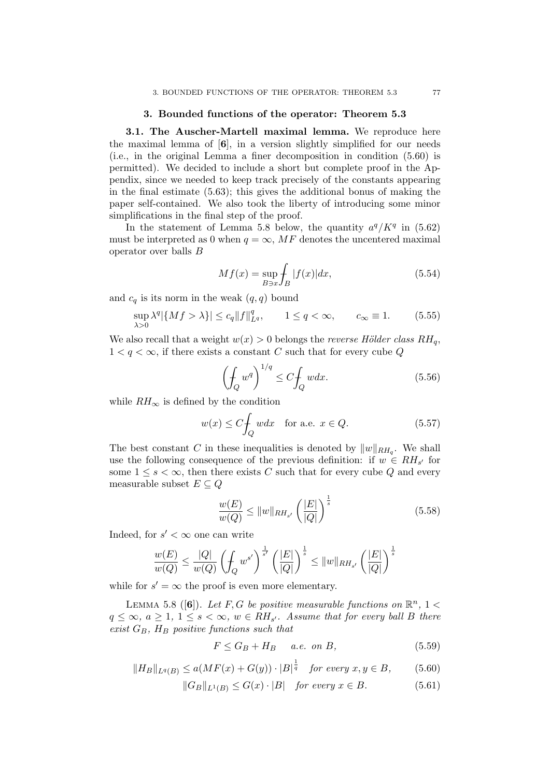## 3. Bounded functions of the operator: Theorem 5.3

3.1. The Auscher-Martell maximal lemma. We reproduce here the maximal lemma of  $[6]$ , in a version slightly simplified for our needs (i.e., in the original Lemma a finer decomposition in condition (5.60) is permitted). We decided to include a short but complete proof in the Appendix, since we needed to keep track precisely of the constants appearing in the final estimate (5.63); this gives the additional bonus of making the paper self-contained. We also took the liberty of introducing some minor simplifications in the final step of the proof.

In the statement of Lemma 5.8 below, the quantity  $a^q/K^q$  in (5.62) must be interpreted as 0 when  $q = \infty$ , MF denotes the uncentered maximal operator over balls B

$$
Mf(x) = \sup_{B \ni x} \int_{B} |f(x)| dx,
$$
\n(5.54)

and  $c_q$  is its norm in the weak  $(q, q)$  bound

$$
\sup_{\lambda>0} \lambda^q |\{Mf > \lambda\}| \le c_q \|f\|_{L^q}^q, \qquad 1 \le q < \infty, \qquad c_{\infty} \equiv 1. \tag{5.55}
$$

We also recall that a weight  $w(x) > 0$  belongs the *reverse Hölder class*  $RH_q$ ,  $1 < q < \infty$ , if there exists a constant C such that for every cube Q

$$
\left(\oint_{Q} w^{q} \right)^{1/q} \le C \oint_{Q} w dx. \tag{5.56}
$$

while  $RH_{\infty}$  is defined by the condition

$$
w(x) \le C \int_{Q} w dx \quad \text{for a.e. } x \in Q. \tag{5.57}
$$

The best constant C in these inequalities is denoted by  $||w||_{RH_q}$ . We shall use the following consequence of the previous definition: if  $w \in RH_{s'}$  for some  $1 \leq s \leq \infty$ , then there exists C such that for every cube Q and every measurable subset  $E \subseteq Q$ 

$$
\frac{w(E)}{w(Q)} \le ||w||_{RH_{s'}} \left(\frac{|E|}{|Q|}\right)^{\frac{1}{s}}\n \tag{5.58}
$$

Indeed, for  $s' < \infty$  one can write

$$
\frac{w(E)}{w(Q)} \le \frac{|Q|}{w(Q)} \left(\int_Q w^{s'}\right)^{\frac{1}{s'}} \left(\frac{|E|}{|Q|}\right)^{\frac{1}{s}} \le \|w\|_{RH_{s'}} \left(\frac{|E|}{|Q|}\right)^{\frac{1}{s}}
$$

while for  $s' = \infty$  the proof is even more elementary.

LEMMA 5.8 ([6]). Let F, G be positive measurable functions on  $\mathbb{R}^n$ , 1 <  $q \leq \infty, a \geq 1, 1 \leq s < \infty, w \in RH_{s'}$ . Assume that for every ball B there exist  $G_B$ ,  $H_B$  positive functions such that

$$
F \le G_B + H_B \quad a.e. \text{ on } B,\tag{5.59}
$$

$$
||H_B||_{L^q(B)} \le a(MF(x) + G(y)) \cdot |B|^{\frac{1}{q}} \quad \text{for every } x, y \in B,
$$
 (5.60)

$$
||G_B||_{L^1(B)} \le G(x) \cdot |B| \quad \text{for every } x \in B. \tag{5.61}
$$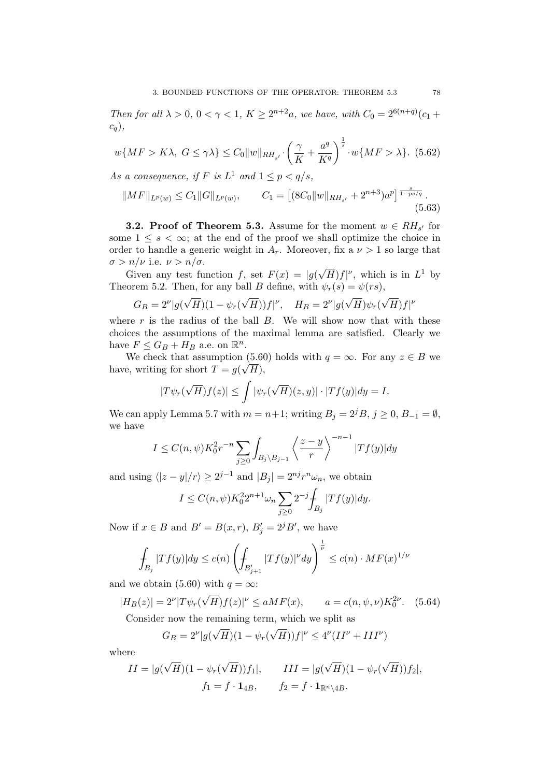Then for all  $\lambda > 0$ ,  $0 < \gamma < 1$ ,  $K \ge 2^{n+2}a$ , we have, with  $C_0 = 2^{6(n+q)}(c_1 + c_2)$  $c_q$ ),

$$
w\{MF > K\lambda, G \le \gamma\lambda\} \le C_0 \|w\|_{RH_{s'}} \cdot \left(\frac{\gamma}{K} + \frac{a^q}{K^q}\right)^{\frac{1}{s}} \cdot w\{MF > \lambda\}. \tag{5.62}
$$

As a consequence, if F is  $L^1$  and  $1 \leq p < q/s$ ,

$$
||MF||_{L^{p}(w)} \leq C_1 ||G||_{L^{p}(w)}, \qquad C_1 = \left[ (8C_0 ||w||_{RH_{s'}} + 2^{n+3}) a^p \right]^{\frac{s}{1 - ps/q}}.
$$
\n(5.63)

**3.2. Proof of Theorem 5.3.** Assume for the moment  $w \in RH_{s'}$  for some  $1 \leq s < \infty$ ; at the end of the proof we shall optimize the choice in order to handle a generic weight in  $A_r$ . Moreover, fix a  $\nu > 1$  so large that  $\sigma > n/\nu$  i.e.  $\nu > n/\sigma$ . √

Given any test function f, set  $F(x) = |g(x)|$  $\overline{H}$ )  $f$ |<sup>v</sup>, which is in  $L^1$  by Theorem 5.2. Then, for any ball B define, with  $\psi_r(s) = \psi(rs)$ ,

$$
G_B = 2^{\nu} |g(\sqrt{H})(1 - \psi_r(\sqrt{H}))f|^{\nu}, \quad H_B = 2^{\nu} |g(\sqrt{H})\psi_r(\sqrt{H})f|^{\nu}
$$

where  $r$  is the radius of the ball  $B$ . We will show now that with these choices the assumptions of the maximal lemma are satisfied. Clearly we have  $F \leq G_B + H_B$  a.e. on  $\mathbb{R}^n$ .

We check that assumption (5.60) holds with  $q = \infty$ . For any  $z \in B$  we have, writing for short  $T = g(\sqrt{H})$ ,

$$
|T\psi_r(\sqrt{H})f(z)| \leq \int |\psi_r(\sqrt{H})(z,y)| \cdot |Tf(y)| dy = I.
$$

We can apply Lemma 5.7 with  $m = n+1$ ; writing  $B_i = 2^{j}B, j \ge 0, B_{-1} = \emptyset$ , we have

$$
I \leq C(n,\psi)K_0^2 r^{-n} \sum_{j\geq 0} \int_{B_j\setminus B_{j-1}} \left\langle \frac{z-y}{r} \right\rangle^{-n-1} |Tf(y)| dy
$$

and using  $\langle |z - y|/r \rangle \ge 2^{j-1}$  and  $|B_j| = 2^{nj}r^n \omega_n$ , we obtain

$$
I \le C(n,\psi) K_0^2 2^{n+1} \omega_n \sum_{j \ge 0} 2^{-j} \int_{B_j} |Tf(y)| dy.
$$

Now if  $x \in B$  and  $B' = B(x, r)$ ,  $B'_j = 2^j B'$ , we have

$$
\int_{B_j} |Tf(y)| dy \le c(n) \left( \int_{B_{j+1}'} |Tf(y)|^{\nu} dy \right)^{\frac{1}{\nu}} \le c(n) \cdot MF(x)^{1/\nu}
$$

and we obtain (5.60) with  $q = \infty$ :

$$
|H_B(z)| = 2^{\nu} |T\psi_r(\sqrt{H})f(z)|^{\nu} \le aMF(x), \qquad a = c(n, \psi, \nu)K_0^{2\nu}.
$$
 (5.64)

Consider now the remaining term, which we split as

$$
G_B = 2^{\nu} |g(\sqrt{H})(1 - \psi_r(\sqrt{H}))f|^{\nu} \le 4^{\nu} (II^{\nu} + III^{\nu})
$$

where

$$
II = |g(\sqrt{H})(1 - \psi_r(\sqrt{H}))f_1|, \qquad III = |g(\sqrt{H})(1 - \psi_r(\sqrt{H}))f_2|,
$$
  

$$
f_1 = f \cdot \mathbf{1}_{4B}, \qquad f_2 = f \cdot \mathbf{1}_{\mathbb{R}^n \setminus 4B}.
$$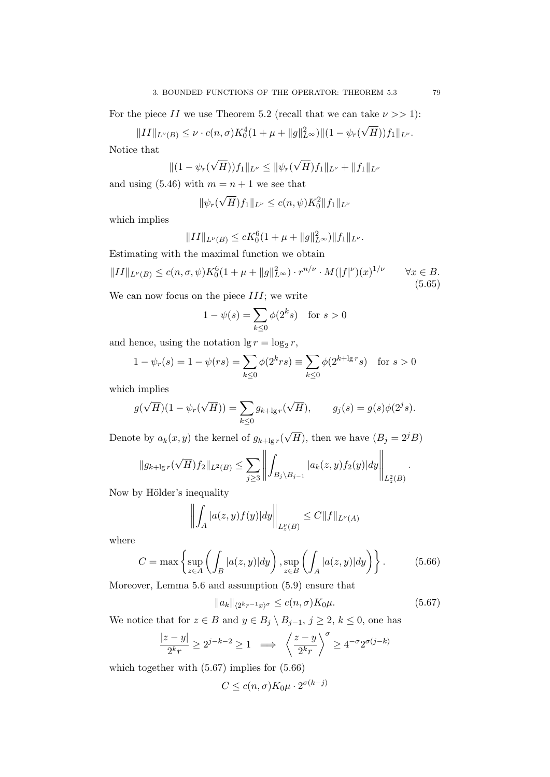For the piece II we use Theorem 5.2 (recall that we can take  $\nu >> 1$ ):

 $\|II\|_{L^{\nu}(B)} \leq \nu \cdot c(n,\sigma) K_0^4(1+\mu+\|g\|_{L^{\infty}}^2) \| (1-\psi_r) \|$ √  $(H))f_1\|_{L^\nu}.$ Notice that

 $||(1 - \psi_r($ √  $(H))f_1\|_{L^{\nu}} \leq \|\psi_r\|$ √  $\|H)f_1\|_{L^\nu} + \|f_1\|_{L^\nu}$ 

and using  $(5.46)$  with  $m = n + 1$  we see that

$$
\|\psi_r(\sqrt{H})f_1\|_{L^{\nu}} \le c(n,\psi)K_0^2\|f_1\|_{L^{\nu}}
$$

which implies

$$
||II||_{L^{\nu}(B)} \le cK_0^6(1+\mu+||g||_{L^{\infty}}^2)||f_1||_{L^{\nu}}.
$$

Estimating with the maximal function we obtain

$$
||II||_{L^{\nu}(B)} \le c(n,\sigma,\psi)K_0^6(1+\mu+||g||_{L^{\infty}}^2)\cdot r^{n/\nu}\cdot M(|f|^{\nu})(x)^{1/\nu} \qquad \forall x \in B.
$$
\n(5.65)

We can now focus on the piece  $III$ ; we write

$$
1 - \psi(s) = \sum_{k \le 0} \phi(2^k s) \quad \text{for } s > 0
$$

and hence, using the notation  $\lg r = \log_2 r$ ,

$$
1 - \psi_r(s) = 1 - \psi(rs) = \sum_{k \le 0} \phi(2^k rs) \equiv \sum_{k \le 0} \phi(2^{k + \lg r} s) \text{ for } s > 0
$$

which implies

$$
g(\sqrt{H})(1 - \psi_r(\sqrt{H})) = \sum_{k \le 0} g_{k+\lg r}(\sqrt{H}), \qquad g_j(s) = g(s)\phi(2^j s).
$$

Denote by  $a_k(x, y)$  the kernel of  $g_{k+\lg r}$  $\sqrt{H}$ ), then we have  $(B_j = 2^{j}B)$ 

$$
||g_{k+\lg r}(\sqrt{H})f_2||_{L^2(B)} \le \sum_{j\ge3} \left\| \int_{B_j\setminus B_{j-1}} |a_k(z,y)f_2(y)|dy \right\|_{L^2_z(B)}.
$$

Now by Hölder's inequality

$$
\left\| \int_{A} |a(z, y) f(y)| dy \right\|_{L_z^{\nu}(B)} \leq C \|f\|_{L^{\nu}(A)}
$$

where

$$
C = \max\left\{\sup_{z \in A} \left(\int_B |a(z,y)| dy\right), \sup_{z \in B} \left(\int_A |a(z,y)| dy\right)\right\}.
$$
 (5.66)

Moreover, Lemma 5.6 and assumption (5.9) ensure that

$$
||a_k||_{\langle 2^kr^{-1}x\rangle^{\sigma}} \le c(n,\sigma)K_0\mu.
$$
\n(5.67)

We notice that for  $z \in B$  and  $y \in B_j \setminus B_{j-1}$ ,  $j \ge 2$ ,  $k \le 0$ , one has

$$
\frac{|z-y|}{2^k r} \ge 2^{j-k-2} \ge 1 \implies \left\langle \frac{z-y}{2^k r} \right\rangle^{\sigma} \ge 4^{-\sigma} 2^{\sigma(j-k)}
$$

which together with (5.67) implies for (5.66)

$$
C \le c(n, \sigma) K_0 \mu \cdot 2^{\sigma(k-j)}
$$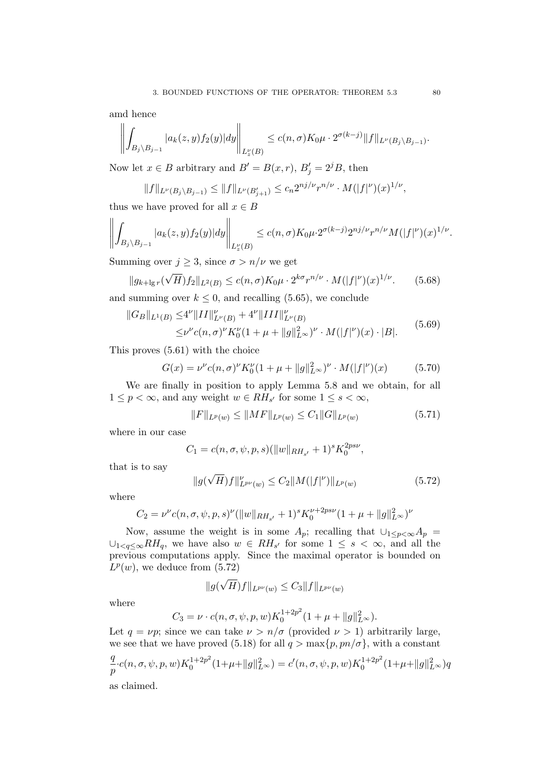amd hence

$$
\left\| \int_{B_j \setminus B_{j-1}} |a_k(z,y) f_2(y)| dy \right\|_{L_z^{\nu}(B)} \le c(n,\sigma) K_0 \mu \cdot 2^{\sigma(k-j)} \|f\|_{L^{\nu}(B_j \setminus B_{j-1})}.
$$

Now let  $x \in B$  arbitrary and  $B' = B(x, r)$ ,  $B'_{j} = 2^{j}B$ , then

 $\sim$ 

$$
||f||_{L^{\nu}(B_j \setminus B_{j-1})} \le ||f||_{L^{\nu}(B'_{j+1})} \le c_n 2^{nj/\nu} r^{n/\nu} \cdot M(|f|^{\nu})(x)^{1/\nu},
$$

thus we have proved for all  $x \in B$ 

$$
\left\| \int_{B_j \setminus B_{j-1}} |a_k(z,y) f_2(y)| dy \right\|_{L_z^{\nu}(B)} \le c(n,\sigma) K_0 \mu \cdot 2^{\sigma(k-j)} 2^{nj/\nu} r^{n/\nu} M(|f|^{\nu})(x)^{1/\nu}.
$$

Summing over  $j \geq 3$ , since  $\sigma > n/\nu$  we get

$$
||g_{k+\lg r}(\sqrt{H})f_2||_{L^2(B)} \le c(n,\sigma)K_0\mu \cdot 2^{k\sigma}r^{n/\nu} \cdot M(|f|^\nu)(x)^{1/\nu}.
$$
 (5.68)

and summing over  $k \leq 0$ , and recalling (5.65), we conclude

$$
||G_B||_{L^1(B)} \le 4^{\nu} ||II||_{L^{\nu}(B)}^{\nu} + 4^{\nu} ||III||_{L^{\nu}(B)}^{\nu}
$$
  

$$
\le \nu^{\nu} c(n,\sigma)^{\nu} K_0^{\nu} (1 + \mu + ||g||_{L^{\infty}}^2)^{\nu} \cdot M(|f|^{\nu})(x) \cdot |B|.
$$
 (5.69)

This proves (5.61) with the choice

$$
G(x) = \nu^{\nu} c(n, \sigma)^{\nu} K_0^{\nu} (1 + \mu + ||g||_{L^{\infty}}^2)^{\nu} \cdot M(|f|^{\nu})(x)
$$
 (5.70)

We are finally in position to apply Lemma 5.8 and we obtain, for all  $1 \leq p < \infty$ , and any weight  $w \in RH_{s'}$  for some  $1 \leq s < \infty$ ,

$$
||F||_{L^{p}(w)} \le ||MF||_{L^{p}(w)} \le C_1 ||G||_{L^{p}(w)}
$$
\n(5.71)

where in our case

$$
C_1 = c(n, \sigma, \psi, p, s) (\|w\|_{RH_{s'}} + 1)^s K_0^{2ps\nu},
$$

that is to say

$$
||g(\sqrt{H})f||_{L^{p\nu}(w)}^{\nu} \le C_2 ||M(|f|^{\nu})||_{L^{p}(w)}
$$
\n(5.72)

where

$$
C_2 = \nu^{\nu} c(n, \sigma, \psi, p, s)^{\nu} (||w||_{RH_{s'}} + 1)^s K_0^{\nu+2ps\nu} (1 + \mu + ||g||_{L^{\infty}}^2)^{\nu}
$$

Now, assume the weight is in some  $A_p$ ; recalling that  $\cup_{1\leq p<\infty}A_p$  $\cup_{1 \leq q \leq \infty} RH_q$ , we have also  $w \in RH_{s'}$  for some  $1 \leq s < \infty$ , and all the previous computations apply. Since the maximal operator is bounded on  $L^p(w)$ , we deduce from  $(5.72)$ 

$$
\|\widehat{g(\sqrt{H})}f\|_{L^{p\nu}(w)}\leq C_3\|f\|_{L^{p\nu}(w)}
$$

where

$$
C_3 = \nu \cdot c(n, \sigma, \psi, p, w) K_0^{1+2p^2} (1 + \mu + ||g||_{L^{\infty}}^2).
$$

Let  $q = \nu p$ ; since we can take  $\nu > n/\sigma$  (provided  $\nu > 1$ ) arbitrarily large, we see that we have proved (5.18) for all  $q > \max\{p, pn/\sigma\}$ , with a constant

$$
\frac{q}{p} \cdot c(n, \sigma, \psi, p, w) K_0^{1+2p^2} (1+\mu + \|g\|_{L^\infty}^2) = c'(n, \sigma, \psi, p, w) K_0^{1+2p^2} (1+\mu + \|g\|_{L^\infty}^2) q
$$

as claimed.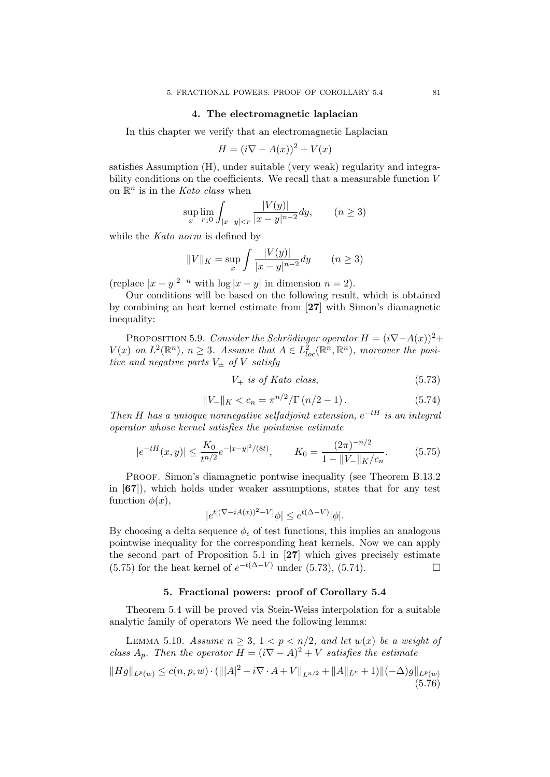### 4. The electromagnetic laplacian

In this chapter we verify that an electromagnetic Laplacian

$$
H = (i\nabla - A(x))^2 + V(x)
$$

satisfies Assumption (H), under suitable (very weak) regularity and integrability conditions on the coefficients. We recall that a measurable function V on  $\mathbb{R}^n$  is in the *Kato class* when

$$
\sup_{x} \lim_{r \downarrow 0} \int_{|x-y| < r} \frac{|V(y)|}{|x-y|^{n-2}} dy, \qquad (n \ge 3)
$$

while the Kato norm is defined by

$$
||V||_K = \sup_x \int \frac{|V(y)|}{|x - y|^{n-2}} dy \qquad (n \ge 3)
$$

(replace  $|x-y|^{2-n}$  with  $\log|x-y|$  in dimension  $n=2$ ).

Our conditions will be based on the following result, which is obtained by combining an heat kernel estimate from [27] with Simon's diamagnetic inequality:

PROPOSITION 5.9. Consider the Schrödinger operator  $H = (i\nabla - A(x))^2 +$  $V(x)$  on  $L^2(\mathbb{R}^n)$ ,  $n \geq 3$ . Assume that  $A \in L^2_{loc}(\mathbb{R}^n, \mathbb{R}^n)$ , moreover the positive and negative parts  $V_{\pm}$  of V satisfy

$$
V_{+} \t{is of Kato class,} \t(5.73)
$$

$$
||V_{-}||_{K} < c_{n} = \pi^{n/2}/\Gamma(n/2 - 1).
$$
 (5.74)

Then H has a unioque nonnegative selfadjoint extension,  $e^{-tH}$  is an integral operator whose kernel satisfies the pointwise estimate

$$
|e^{-tH}(x,y)| \le \frac{K_0}{t^{n/2}} e^{-|x-y|^2/(8t)}, \qquad K_0 = \frac{(2\pi)^{-n/2}}{1 - \|V_-\|_K/c_n}.\tag{5.75}
$$

PROOF. Simon's diamagnetic pontwise inequality (see Theorem B.13.2) in [67]), which holds under weaker assumptions, states that for any test function  $\phi(x)$ ,

$$
|e^{t[(\nabla - iA(x))^2 - V]} \phi| \le e^{t(\Delta - V)} |\phi|.
$$

By choosing a delta sequence  $\phi_{\epsilon}$  of test functions, this implies an analogous pointwise inequality for the corresponding heat kernels. Now we can apply the second part of Proposition 5.1 in [27] which gives precisely estimate  $(5.75)$  for the heat kernel of  $e^{-t(\Delta-V)}$  under  $(5.73)$ ,  $(5.74)$ .

## 5. Fractional powers: proof of Corollary 5.4

Theorem 5.4 will be proved via Stein-Weiss interpolation for a suitable analytic family of operators We need the following lemma:

LEMMA 5.10. Assume  $n \geq 3$ ,  $1 < p < n/2$ , and let  $w(x)$  be a weight of class  $A_p$ . Then the operator  $H = (i\nabla - A)^2 + V$  satisfies the estimate

$$
||Hg||_{L^{p}(w)} \le c(n,p,w) \cdot (|||A|^2 - i\nabla \cdot A + V||_{L^{n/2}} + ||A||_{L^{n}} + 1)||(-\Delta)g||_{L^{p}(w)}
$$
(5.76)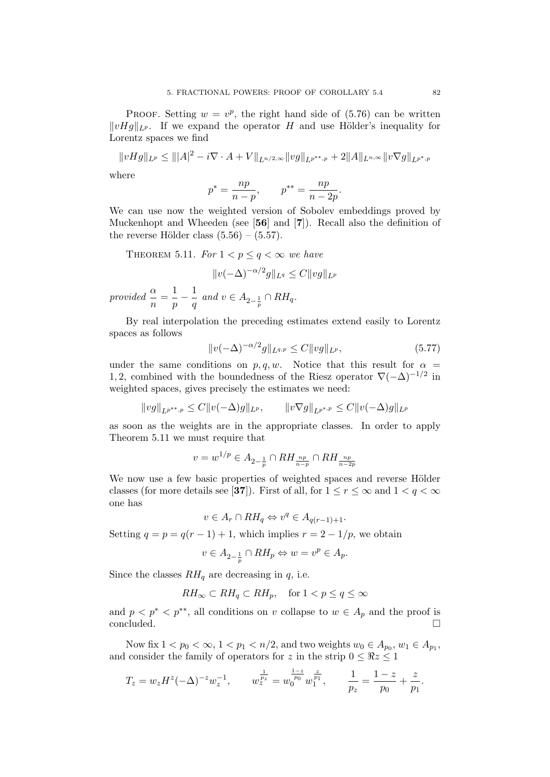PROOF. Setting  $w = v^p$ , the right hand side of (5.76) can be written  $||vHg||_{L^p}$ . If we expand the operator H and use Hölder's inequality for Lorentz spaces we find

$$
||vHg||_{L^{p}} \leq |||A|^{2} - i\nabla \cdot A + V||_{L^{n/2,\infty}}||vg||_{L^{p^{**},p}} + 2||A||_{L^{n,\infty}}||v\nabla g||_{L^{p^{*},p}}
$$

where

$$
p^* = \frac{np}{n-p}, \qquad p^{**} = \frac{np}{n-2p}.
$$

We can use now the weighted version of Sobolev embeddings proved by Muckenhopt and Wheeden (see [56] and [7]). Recall also the definition of the reverse Hölder class  $(5.56) - (5.57)$ .

THEOREM 5.11. For  $1 < p \leq q < \infty$  we have

$$
||v(-\Delta)^{-\alpha/2}g||_{L^q} \leq C||vg||_{L^p}
$$

provided  $\frac{\alpha}{n} = \frac{1}{p}$  $\frac{1}{p}-\frac{1}{q}$  $\frac{1}{q}$  and  $v \in A_{2-\frac{1}{p}} \cap RH_q$ .

By real interpolation the preceding estimates extend easily to Lorentz spaces as follows

$$
||v(-\Delta)^{-\alpha/2}g||_{L^{q,p}} \le C||vg||_{L^p},
$$
\n(5.77)

under the same conditions on  $p, q, w$ . Notice that this result for  $\alpha =$ 1, 2, combined with the boundedness of the Riesz operator  $\nabla(-\Delta)^{-1/2}$  in weighted spaces, gives precisely the estimates we need:

 $||vg||_{L^{p^{**},p}} \leq C||v(-\Delta)g||_{L^p}, \qquad ||v\nabla g||_{L^{p^{*,p}}} \leq C||v(-\Delta)g||_{L^p}$ 

as soon as the weights are in the appropriate classes. In order to apply Theorem 5.11 we must require that

$$
v = w^{1/p} \in A_{2-\frac{1}{p}} \cap RH_{\frac{np}{n-p}} \cap RH_{\frac{np}{n-2p}}
$$

We now use a few basic properties of weighted spaces and reverse Hölder classes (for more details see [37]). First of all, for  $1 \le r \le \infty$  and  $1 < q < \infty$ one has

$$
v \in A_r \cap RH_q \Leftrightarrow v^q \in A_{q(r-1)+1}
$$

Setting  $q = p = q(r - 1) + 1$ , which implies  $r = 2 - 1/p$ , we obtain

$$
v \in A_{2-\frac{1}{p}} \cap RH_p \Leftrightarrow w = v^p \in A_p.
$$

Since the classes  $RH_q$  are decreasing in q, i.e.

$$
RH_{\infty} \subset RH_q \subset RH_p, \quad \text{for } 1 < p \le q \le \infty
$$

and  $p < p^* < p^{**}$ , all conditions on v collapse to  $w \in A_p$  and the proof is concluded.

Now fix  $1 < p_0 < \infty$ ,  $1 < p_1 < n/2$ , and two weights  $w_0 \in A_{p_0}, w_1 \in A_{p_1}$ , and consider the family of operators for z in the strip  $0 \leq \Re z \leq 1$ 

$$
T_z = w_z H^z (-\Delta)^{-z} w_z^{-1}, \qquad w_z^{\frac{1}{p_z}} = w_0^{\frac{1-z}{p_0}} w_1^{\frac{z}{p_1}}, \qquad \frac{1}{p_z} = \frac{1-z}{p_0} + \frac{z}{p_1}.
$$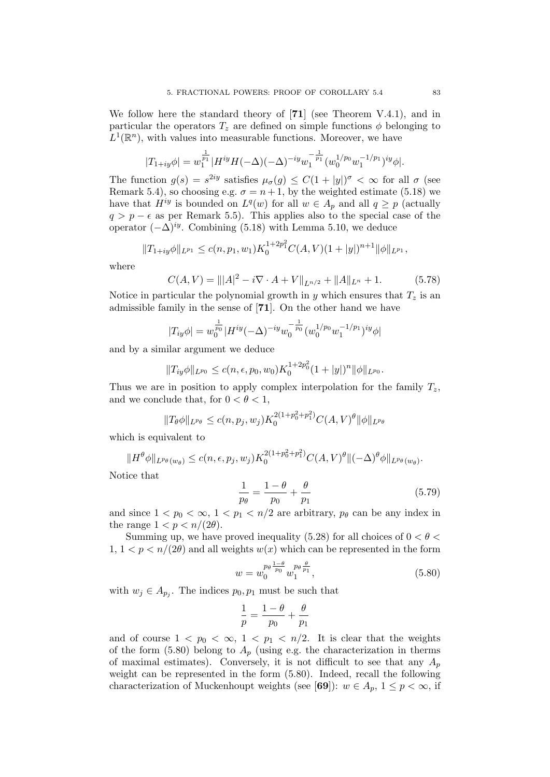We follow here the standard theory of [71] (see Theorem V.4.1), and in particular the operators  $T_z$  are defined on simple functions  $\phi$  belonging to  $L^1(\mathbb{R}^n)$ , with values into measurable functions. Moreover, we have

$$
|T_{1+iy}\phi| = w_1^{\frac{1}{p_1}}|H^{iy}H(-\Delta)(-\Delta)^{-iy}w_1^{-\frac{1}{p_1}}(w_0^{1/p_0}w_1^{-1/p_1})^{iy}\phi|.
$$

The function  $g(s) = s^{2iy}$  satisfies  $\mu_{\sigma}(g) \leq C(1+|y|)^{\sigma} < \infty$  for all  $\sigma$  (see Remark 5.4), so choosing e.g.  $\sigma = n + 1$ , by the weighted estimate (5.18) we have that  $H^{iy}$  is bounded on  $L^q(w)$  for all  $w \in A_p$  and all  $q \geq p$  (actually  $q > p - \epsilon$  as per Remark 5.5). This applies also to the special case of the operator  $(-\Delta)^{iy}$ . Combining (5.18) with Lemma 5.10, we deduce

$$
||T_{1+iy}\phi||_{L^{p_1}} \le c(n,p_1,w_1)K_0^{1+2p_1^2}C(A,V)(1+|y|)^{n+1}||\phi||_{L^{p_1}},
$$

where

$$
C(A, V) = |||A|^2 - i\nabla \cdot A + V||_{L^{n/2}} + ||A||_{L^n} + 1.
$$
 (5.78)

Notice in particular the polynomial growth in y which ensures that  $T_z$  is an admissible family in the sense of [71]. On the other hand we have

$$
|T_{iy}\phi| = w_0^{\frac{1}{p_0}} |H^{iy}(-\Delta)^{-iy}w_0^{-\frac{1}{p_0}}(w_0^{1/p_0}w_1^{-1/p_1})^{iy}\phi|
$$

and by a similar argument we deduce

$$
||T_{iy}\phi||_{L^{p_0}} \le c(n,\epsilon,p_0,w_0)K_0^{1+2p_0^2}(1+|y|)^n||\phi||_{L^{p_0}}.
$$

Thus we are in position to apply complex interpolation for the family  $T_z$ , and we conclude that, for  $0 < \theta < 1$ ,

$$
||T_{\theta}\phi||_{L^{p_{\theta}}} \le c(n, p_j, w_j)K_0^{2(1+p_0^2+p_1^2)}C(A, V)^{\theta}||\phi||_{L^{p_{\theta}}}
$$

which is equivalent to

$$
||H^{\theta}\phi||_{L^{p_{\theta}}(w_{\theta})} \leq c(n,\epsilon,p_j,w_j)K_0^{2(1+p_0^2+p_1^2)}C(A,V)^{\theta}||(-\Delta)^{\theta}\phi||_{L^{p_{\theta}}(w_{\theta})}.
$$

Notice that

$$
\frac{1}{p_{\theta}} = \frac{1 - \theta}{p_0} + \frac{\theta}{p_1}
$$
\n(5.79)

and since  $1 < p_0 < \infty$ ,  $1 < p_1 < n/2$  are arbitrary,  $p_\theta$  can be any index in the range  $1 < p < n/(2\theta)$ .

Summing up, we have proved inequality (5.28) for all choices of  $0 < \theta <$  $1, 1 < p < n/(2\theta)$  and all weights  $w(x)$  which can be represented in the form

$$
w = w_0^{\frac{p_\theta}{p_0}} w_1^{\frac{p_\theta}{p_1}}, \tag{5.80}
$$

with  $w_j \in A_{p_j}$ . The indices  $p_0, p_1$  must be such that

$$
\frac{1}{p} = \frac{1-\theta}{p_0} + \frac{\theta}{p_1}
$$

and of course  $1 < p_0 < \infty$ ,  $1 < p_1 < n/2$ . It is clear that the weights of the form (5.80) belong to  $A_p$  (using e.g. the characterization in therms of maximal estimates). Conversely, it is not difficult to see that any  $A_p$ weight can be represented in the form (5.80). Indeed, recall the following characterization of Muckenhoupt weights (see [69]):  $w \in A_p$ ,  $1 \leq p < \infty$ , if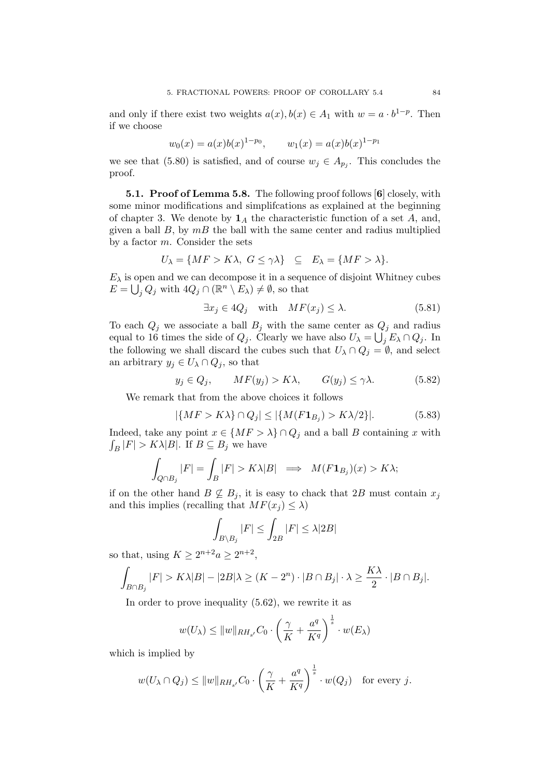and only if there exist two weights  $a(x)$ ,  $b(x) \in A_1$  with  $w = a \cdot b^{1-p}$ . Then if we choose

$$
w_0(x) = a(x)b(x)^{1-p_0},
$$
  $w_1(x) = a(x)b(x)^{1-p_1}$ 

we see that (5.80) is satisfied, and of course  $w_j \in A_{p_j}$ . This concludes the proof.

5.1. Proof of Lemma 5.8. The following proof follows [6] closely, with some minor modifications and simplifcations as explained at the beginning of chapter 3. We denote by  $\mathbf{1}_A$  the characteristic function of a set A, and, given a ball  $B$ , by  $mB$  the ball with the same center and radius multiplied by a factor  $m$ . Consider the sets

$$
U_{\lambda} = \{ MF > K\lambda, G \le \gamma \lambda\} \subseteq E_{\lambda} = \{MF > \lambda\}.
$$

 $E_{\lambda}$  is open and we can decompose it in a sequence of disjoint Whitney cubes  $E = \bigcup_j Q_j$  with  $4Q_j \cap (\mathbb{R}^n \setminus E_\lambda) \neq \emptyset$ , so that

$$
\exists x_j \in 4Q_j \quad \text{with} \quad MF(x_j) \le \lambda. \tag{5.81}
$$

To each  $Q_j$  we associate a ball  $B_j$  with the same center as  $Q_j$  and radius equal to 16 times the side of  $Q_j$ . Clearly we have also  $U_\lambda = \bigcup_j E_\lambda \cap Q_j$ . In the following we shall discard the cubes such that  $U_\lambda \cap Q_j = \emptyset$ , and select an arbitrary  $y_j \in U_\lambda \cap Q_j$ , so that

$$
y_j \in Q_j, \qquad MF(y_j) > K\lambda, \qquad G(y_j) \le \gamma \lambda. \tag{5.82}
$$

We remark that from the above choices it follows

$$
|\{MF > K\lambda\} \cap Q_j| \le |\{M(F\mathbf{1}_{B_j}) > K\lambda/2\}|. \tag{5.83}
$$

Indeed, take any point  $x \in \{MF > \lambda\} \cap Q_j$  and a ball B containing x with  $\int_B |F| > K\lambda |B|$ . If  $B \subseteq B_j$  we have

$$
\int_{Q \cap B_j} |F| = \int_B |F| > K\lambda|B| \implies M(F\mathbf{1}_{B_j})(x) > K\lambda;
$$

if on the other hand  $B \not\subseteq B_j$ , it is easy to chack that 2B must contain  $x_j$ and this implies (recalling that  $MF(x_i) \leq \lambda$ )

$$
\int_{B\backslash B_j}|F|\leq \int_{2B}|F|\leq \lambda |2B|
$$

so that, using  $K \geq 2^{n+2}a \geq 2^{n+2}$ ,

$$
\int_{B \cap B_j} |F| > K\lambda|B| - |2B|\lambda \ge (K - 2^n) \cdot |B \cap B_j| \cdot \lambda \ge \frac{K\lambda}{2} \cdot |B \cap B_j|.
$$

In order to prove inequality (5.62), we rewrite it as

$$
w(U_{\lambda}) \leq ||w||_{RH_{s'}} C_0 \cdot \left(\frac{\gamma}{K} + \frac{a^q}{K^q}\right)^{\frac{1}{s}} \cdot w(E_{\lambda})
$$

which is implied by

$$
w(U_{\lambda}\cap Q_j)\leq \|w\|_{RH_{s'}}C_0\cdot \left(\frac{\gamma}{K}+\frac{a^q}{K^q}\right)^{\frac{1}{s}}\cdot w(Q_j) \quad \text{for every } j.
$$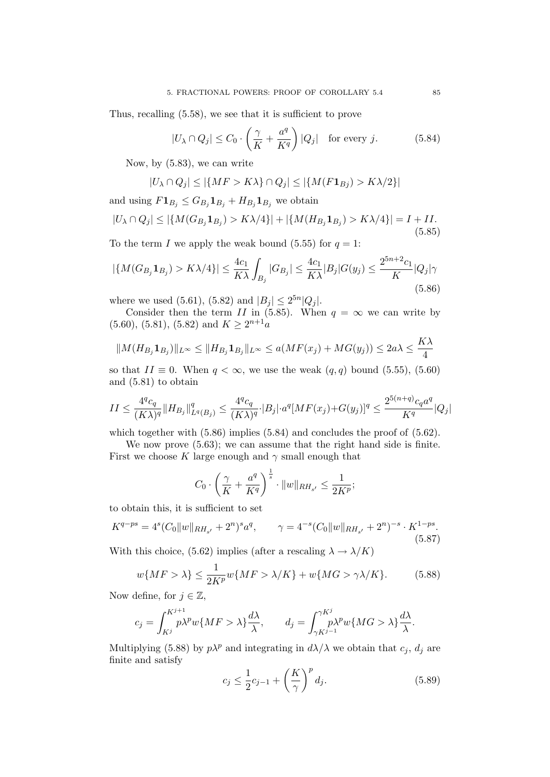Thus, recalling (5.58), we see that it is sufficient to prove

$$
|U_{\lambda} \cap Q_j| \le C_0 \cdot \left(\frac{\gamma}{K} + \frac{a^q}{K^q}\right)|Q_j| \quad \text{for every } j.
$$
 (5.84)

Now, by (5.83), we can write

$$
|U_{\lambda} \cap Q_j| \leq |\{MF > K\lambda\} \cap Q_j| \leq |\{M(F\mathbf{1}_{Bj}) > K\lambda/2\}|
$$

and using  $F1_{B_j} \leq G_{B_j}1_{B_j} + H_{B_j}1_{B_j}$  we obtain

$$
|U_{\lambda} \cap Q_j| \le |\{M(G_{B_j} \mathbf{1}_{B_j}) > K\lambda/4\}| + |\{M(H_{B_j} \mathbf{1}_{B_j}) > K\lambda/4\}| = I + II.
$$
\n(5.85)

To the term I we apply the weak bound (5.55) for  $q = 1$ :

$$
|\{M(G_{B_j}\mathbf{1}_{B_j}) > K\lambda/4\}| \le \frac{4c_1}{K\lambda} \int_{B_j} |G_{B_j}| \le \frac{4c_1}{K\lambda} |B_j| G(y_j) \le \frac{2^{5n+2}c_1}{K} |Q_j|\gamma
$$
\n(5.86)

where we used (5.61), (5.82) and  $|B_j| \le 2^{5n} |Q_j|$ .

Consider then the term II in (5.85). When  $q = \infty$  we can write by  $(5.60), (5.81), (5.82)$  and  $K \geq 2^{n+1}a$ 

$$
||M(H_{B_j}\mathbf{1}_{B_j})||_{L^{\infty}} \leq ||H_{B_j}\mathbf{1}_{B_j}||_{L^{\infty}} \leq a(MF(x_j) + MG(y_j)) \leq 2a\lambda \leq \frac{K\lambda}{4}
$$

so that  $II \equiv 0$ . When  $q < \infty$ , we use the weak  $(q, q)$  bound (5.55), (5.60) and (5.81) to obtain

$$
II \leq \frac{4^q c_q}{(K\lambda)^q} \|H_{B_j}\|_{L^q(B_j)}^q \leq \frac{4^q c_q}{(K\lambda)^q} \cdot |B_j| \cdot a^q [MF(x_j) + G(y_j)]^q \leq \frac{2^{5(n+q)} c_q a^q}{K^q} |Q_j|
$$

which together with  $(5.86)$  implies  $(5.84)$  and concludes the proof of  $(5.62)$ .

We now prove (5.63); we can assume that the right hand side is finite. First we choose K large enough and  $\gamma$  small enough that

$$
C_0 \cdot \left(\frac{\gamma}{K} + \frac{a^q}{K^q}\right)^{\frac{1}{s}} \cdot \|w\|_{RH_{s'}} \le \frac{1}{2K^p};
$$

to obtain this, it is sufficient to set

$$
K^{q-ps} = 4^s (C_0||w||_{RH_{s'}} + 2^n)^s a^q, \qquad \gamma = 4^{-s} (C_0||w||_{RH_{s'}} + 2^n)^{-s} \cdot K^{1-ps}.
$$
\n(5.87)

With this choice, (5.62) implies (after a rescaling  $\lambda \to \lambda/K$ )

$$
w\{MF > \lambda\} \le \frac{1}{2K^p} w\{MF > \lambda/K\} + w\{MG > \gamma\lambda/K\}.
$$
 (5.88)

Now define, for  $j \in \mathbb{Z}$ ,

$$
c_j = \int_{K^j}^{K^{j+1}} p\lambda^p w \{ M F > \lambda \} \frac{d\lambda}{\lambda}, \qquad d_j = \int_{\gamma K^{j-1}}^{\gamma K^j} p\lambda^p w \{ M G > \lambda \} \frac{d\lambda}{\lambda}.
$$

Multiplying (5.88) by  $p\lambda^p$  and integrating in  $d\lambda/\lambda$  we obtain that  $c_j$ ,  $d_j$  are finite and satisfy

$$
c_j \le \frac{1}{2}c_{j-1} + \left(\frac{K}{\gamma}\right)^p d_j.
$$
 (5.89)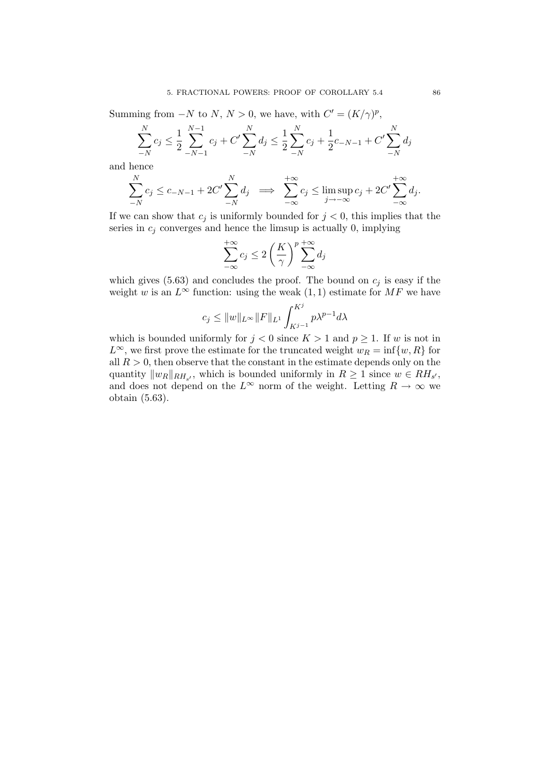Summing from  $-N$  to  $N, N > 0$ , we have, with  $C' = (K/\gamma)^p$ ,

$$
\sum_{-N}^{N} c_j \le \frac{1}{2} \sum_{-N-1}^{N-1} c_j + C' \sum_{-N}^{N} d_j \le \frac{1}{2} \sum_{-N}^{N} c_j + \frac{1}{2} c_{-N-1} + C' \sum_{-N}^{N} d_j
$$

and hence

$$
\sum_{-N}^{N} c_j \le c_{-N-1} + 2C' \sum_{-N}^{N} d_j \implies \sum_{-\infty}^{+\infty} c_j \le \limsup_{j \to -\infty} c_j + 2C' \sum_{-\infty}^{+\infty} d_j.
$$

If we can show that  $c_j$  is uniformly bounded for  $j < 0$ , this implies that the series in  $c_i$  converges and hence the limsup is actually 0, implying

$$
\sum_{-\infty}^{+\infty} c_j \le 2\left(\frac{K}{\gamma}\right)^p \sum_{-\infty}^{+\infty} d_j
$$

which gives (5.63) and concludes the proof. The bound on  $c_j$  is easy if the weight w is an  $L^{\infty}$  function: using the weak  $(1, 1)$  estimate for MF we have

$$
c_j \le ||w||_{L^{\infty}} ||F||_{L^1} \int_{K^{j-1}}^{K^j} p\lambda^{p-1} d\lambda
$$

which is bounded uniformly for  $j < 0$  since  $K > 1$  and  $p > 1$ . If w is not in  $L^{\infty}$ , we first prove the estimate for the truncated weight  $w_R = \inf\{w, R\}$  for all  $R > 0$ , then observe that the constant in the estimate depends only on the quantity  $||w_R||_{RH_{s'}}$ , which is bounded uniformly in  $R \geq 1$  since  $w \in RH_{s'}$ , and does not depend on the  $L^{\infty}$  norm of the weight. Letting  $R \to \infty$  we obtain (5.63).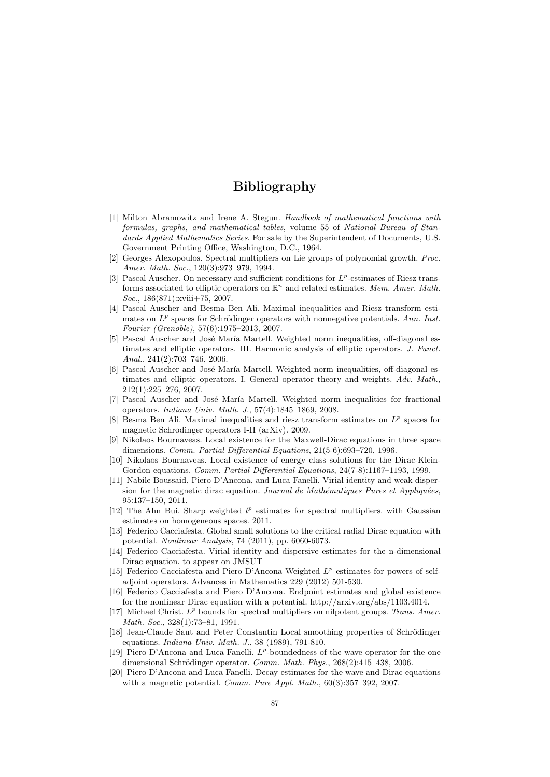# Bibliography

- [1] Milton Abramowitz and Irene A. Stegun. Handbook of mathematical functions with formulas, graphs, and mathematical tables, volume 55 of National Bureau of Standards Applied Mathematics Series. For sale by the Superintendent of Documents, U.S. Government Printing Office, Washington, D.C., 1964.
- [2] Georges Alexopoulos. Spectral multipliers on Lie groups of polynomial growth. Proc. Amer. Math. Soc., 120(3):973–979, 1994.
- [3] Pascal Auscher. On necessary and sufficient conditions for  $L^p$ -estimates of Riesz transforms associated to elliptic operators on  $\mathbb{R}^n$  and related estimates. Mem. Amer. Math. Soc., 186(871):xviii+75, 2007.
- [4] Pascal Auscher and Besma Ben Ali. Maximal inequalities and Riesz transform estimates on  $L^p$  spaces for Schrödinger operators with nonnegative potentials. Ann. Inst. Fourier (Grenoble), 57(6):1975–2013, 2007.
- [5] Pascal Auscher and José María Martell. Weighted norm inequalities, off-diagonal estimates and elliptic operators. III. Harmonic analysis of elliptic operators. J. Funct. Anal., 241(2):703–746, 2006.
- [6] Pascal Auscher and José María Martell. Weighted norm inequalities, off-diagonal estimates and elliptic operators. I. General operator theory and weights. Adv. Math., 212(1):225–276, 2007.
- [7] Pascal Auscher and José María Martell. Weighted norm inequalities for fractional operators. Indiana Univ. Math. J., 57(4):1845–1869, 2008.
- [8] Besma Ben Ali. Maximal inequalities and riesz transform estimates on  $L^p$  spaces for magnetic Schrodinger operators I-II (arXiv). 2009.
- [9] Nikolaos Bournaveas. Local existence for the Maxwell-Dirac equations in three space dimensions. Comm. Partial Differential Equations, 21(5-6):693–720, 1996.
- [10] Nikolaos Bournaveas. Local existence of energy class solutions for the Dirac-Klein-Gordon equations. *Comm. Partial Differential Equations*, 24(7-8):1167–1193, 1999.
- [11] Nabile Boussaid, Piero D'Ancona, and Luca Fanelli. Virial identity and weak dispersion for the magnetic dirac equation. Journal de Mathématiques Pures et Appliquées, 95:137–150, 2011.
- [12] The Ahn Bui. Sharp weighted  $l^p$  estimates for spectral multipliers. with Gaussian estimates on homogeneous spaces. 2011.
- [13] Federico Cacciafesta. Global small solutions to the critical radial Dirac equation with potential. Nonlinear Analysis, 74 (2011), pp. 6060-6073.
- [14] Federico Cacciafesta. Virial identity and dispersive estimates for the n-dimensional Dirac equation. to appear on JMSUT
- [15] Federico Cacciafesta and Piero D'Ancona Weighted  $L^p$  estimates for powers of selfadjoint operators. Advances in Mathematics 229 (2012) 501-530.
- [16] Federico Cacciafesta and Piero D'Ancona. Endpoint estimates and global existence for the nonlinear Dirac equation with a potential. http://arxiv.org/abs/1103.4014.
- [17] Michael Christ.  $L^p$  bounds for spectral multipliers on nilpotent groups. Trans. Amer. Math. Soc., 328(1):73–81, 1991.
- [18] Jean-Claude Saut and Peter Constantin Local smoothing properties of Schrödinger equations. Indiana Univ. Math. J., 38 (1989), 791-810.
- [19] Piero D'Ancona and Luca Fanelli.  $L^p$ -boundedness of the wave operator for the one dimensional Schrödinger operator. Comm. Math. Phys., 268(2):415–438, 2006.
- [20] Piero D'Ancona and Luca Fanelli. Decay estimates for the wave and Dirac equations with a magnetic potential. *Comm. Pure Appl. Math.*,  $60(3):357-392$ , 2007.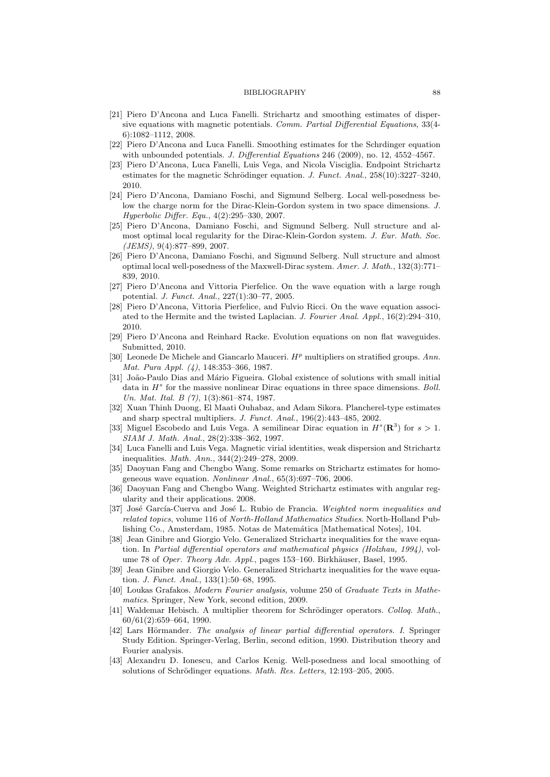### BIBLIOGRAPHY 88

- [21] Piero D'Ancona and Luca Fanelli. Strichartz and smoothing estimates of dispersive equations with magnetic potentials. Comm. Partial Differential Equations, 33(4- 6):1082–1112, 2008.
- [22] Piero D'Ancona and Luca Fanelli. Smoothing estimates for the Schrdinger equation with unbounded potentials. J. Differential Equations 246 (2009), no. 12, 4552–4567.
- [23] Piero D'Ancona, Luca Fanelli, Luis Vega, and Nicola Visciglia. Endpoint Strichartz estimates for the magnetic Schrödinger equation. J. Funct. Anal.,  $258(10):3227-3240$ , 2010.
- [24] Piero D'Ancona, Damiano Foschi, and Sigmund Selberg. Local well-posedness below the charge norm for the Dirac-Klein-Gordon system in two space dimensions. J. Hyperbolic Differ. Equ., 4(2):295–330, 2007.
- [25] Piero D'Ancona, Damiano Foschi, and Sigmund Selberg. Null structure and almost optimal local regularity for the Dirac-Klein-Gordon system. J. Eur. Math. Soc. (JEMS), 9(4):877–899, 2007.
- [26] Piero D'Ancona, Damiano Foschi, and Sigmund Selberg. Null structure and almost optimal local well-posedness of the Maxwell-Dirac system. Amer. J. Math., 132(3):771– 839, 2010.
- [27] Piero D'Ancona and Vittoria Pierfelice. On the wave equation with a large rough potential. J. Funct. Anal., 227(1):30–77, 2005.
- [28] Piero D'Ancona, Vittoria Pierfelice, and Fulvio Ricci. On the wave equation associated to the Hermite and the twisted Laplacian. J. Fourier Anal. Appl., 16(2):294–310, 2010.
- [29] Piero D'Ancona and Reinhard Racke. Evolution equations on non flat waveguides. Submitted, 2010.
- [30] Leonede De Michele and Giancarlo Mauceri.  $H^p$  multipliers on stratified groups. Ann. Mat. Pura Appl. (4), 148:353–366, 1987.
- [31] João-Paulo Dias and Mário Figueira. Global existence of solutions with small initial data in  $H<sup>s</sup>$  for the massive nonlinear Dirac equations in three space dimensions. Boll. Un. Mat. Ital. B (7), 1(3):861–874, 1987.
- [32] Xuan Thinh Duong, El Maati Ouhabaz, and Adam Sikora. Plancherel-type estimates and sharp spectral multipliers. J. Funct. Anal., 196(2):443–485, 2002.
- [33] Miguel Escobedo and Luis Vega. A semilinear Dirac equation in  $H^s(\mathbf{R}^3)$  for  $s > 1$ . SIAM J. Math. Anal., 28(2):338–362, 1997.
- [34] Luca Fanelli and Luis Vega. Magnetic virial identities, weak dispersion and Strichartz inequalities. Math. Ann., 344(2):249–278, 2009.
- [35] Daoyuan Fang and Chengbo Wang. Some remarks on Strichartz estimates for homogeneous wave equation. Nonlinear Anal., 65(3):697–706, 2006.
- [36] Daoyuan Fang and Chengbo Wang. Weighted Strichartz estimates with angular regularity and their applications. 2008.
- [37] José García-Cuerva and José L. Rubio de Francia. Weighted norm inequalities and related topics, volume 116 of North-Holland Mathematics Studies. North-Holland Publishing Co., Amsterdam, 1985. Notas de Matemática [Mathematical Notes], 104.
- [38] Jean Ginibre and Giorgio Velo. Generalized Strichartz inequalities for the wave equation. In Partial differential operators and mathematical physics (Holzhau, 1994), volume 78 of Oper. Theory Adv. Appl., pages 153-160. Birkhäuser, Basel, 1995.
- [39] Jean Ginibre and Giorgio Velo. Generalized Strichartz inequalities for the wave equation. J. Funct. Anal., 133(1):50–68, 1995.
- [40] Loukas Grafakos. Modern Fourier analysis, volume 250 of Graduate Texts in Mathematics. Springer, New York, second edition, 2009.
- [41] Waldemar Hebisch. A multiplier theorem for Schrödinger operators. Colloq. Math., 60/61(2):659–664, 1990.
- [42] Lars Hörmander. The analysis of linear partial differential operators. I. Springer Study Edition. Springer-Verlag, Berlin, second edition, 1990. Distribution theory and Fourier analysis.
- [43] Alexandru D. Ionescu, and Carlos Kenig. Well-posedness and local smoothing of solutions of Schrödinger equations. Math. Res. Letters, 12:193-205, 2005.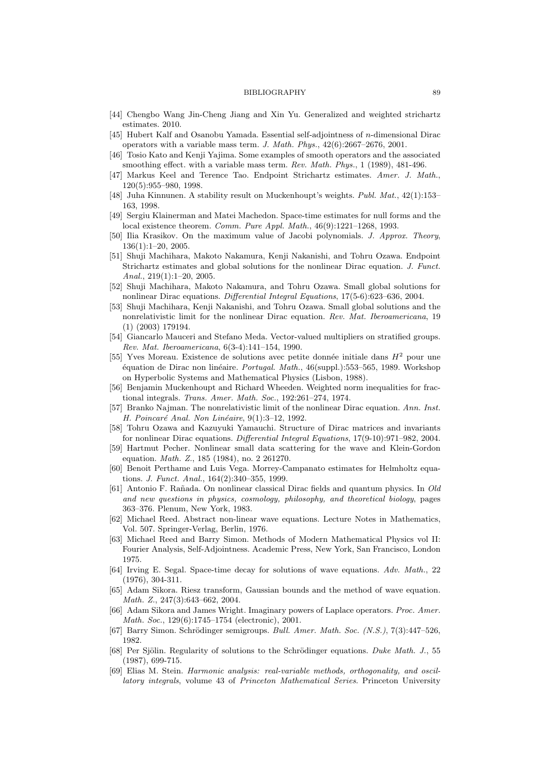#### BIBLIOGRAPHY 89

- [44] Chengbo Wang Jin-Cheng Jiang and Xin Yu. Generalized and weighted strichartz estimates. 2010.
- [45] Hubert Kalf and Osanobu Yamada. Essential self-adjointness of n-dimensional Dirac operators with a variable mass term. J. Math. Phys., 42(6):2667–2676, 2001.
- [46] Tosio Kato and Kenji Yajima. Some examples of smooth operators and the associated smoothing effect. with a variable mass term. Rev. Math. Phys., 1 (1989), 481-496.
- [47] Markus Keel and Terence Tao. Endpoint Strichartz estimates. Amer. J. Math., 120(5):955–980, 1998.
- [48] Juha Kinnunen. A stability result on Muckenhoupt's weights. Publ. Mat., 42(1):153– 163, 1998.
- [49] Sergiu Klainerman and Matei Machedon. Space-time estimates for null forms and the local existence theorem. Comm. Pure Appl. Math., 46(9):1221–1268, 1993.
- [50] Ilia Krasikov. On the maximum value of Jacobi polynomials. J. Approx. Theory, 136(1):1–20, 2005.
- [51] Shuji Machihara, Makoto Nakamura, Kenji Nakanishi, and Tohru Ozawa. Endpoint Strichartz estimates and global solutions for the nonlinear Dirac equation. J. Funct. Anal., 219(1):1–20, 2005.
- [52] Shuji Machihara, Makoto Nakamura, and Tohru Ozawa. Small global solutions for nonlinear Dirac equations. Differential Integral Equations, 17(5-6):623–636, 2004.
- [53] Shuji Machihara, Kenji Nakanishi, and Tohru Ozawa. Small global solutions and the nonrelativistic limit for the nonlinear Dirac equation. Rev. Mat. Iberoamericana, 19 (1) (2003) 179194.
- [54] Giancarlo Mauceri and Stefano Meda. Vector-valued multipliers on stratified groups. Rev. Mat. Iberoamericana, 6(3-4):141–154, 1990.
- [55] Yves Moreau. Existence de solutions avec petite donnée initiale dans  $H^2$  pour une équation de Dirac non linéaire. Portugal. Math., 46(suppl.):553–565, 1989. Workshop on Hyperbolic Systems and Mathematical Physics (Lisbon, 1988).
- [56] Benjamin Muckenhoupt and Richard Wheeden. Weighted norm inequalities for fractional integrals. Trans. Amer. Math. Soc., 192:261–274, 1974.
- [57] Branko Najman. The nonrelativistic limit of the nonlinear Dirac equation. Ann. Inst. H. Poincaré Anal. Non Linéaire,  $9(1):3-12$ , 1992.
- [58] Tohru Ozawa and Kazuyuki Yamauchi. Structure of Dirac matrices and invariants for nonlinear Dirac equations. Differential Integral Equations, 17(9-10):971–982, 2004.
- [59] Hartmut Pecher. Nonlinear small data scattering for the wave and Klein-Gordon equation. Math. Z., 185 (1984), no. 2 261270.
- [60] Benoit Perthame and Luis Vega. Morrey-Campanato estimates for Helmholtz equations. J. Funct. Anal., 164(2):340–355, 1999.
- [61] Antonio F. Rañada. On nonlinear classical Dirac fields and quantum physics. In Old and new questions in physics, cosmology, philosophy, and theoretical biology, pages 363–376. Plenum, New York, 1983.
- [62] Michael Reed. Abstract non-linear wave equations. Lecture Notes in Mathematics, Vol. 507. Springer-Verlag, Berlin, 1976.
- [63] Michael Reed and Barry Simon. Methods of Modern Mathematical Physics vol II: Fourier Analysis, Self-Adjointness. Academic Press, New York, San Francisco, London 1975.
- [64] Irving E. Segal. Space-time decay for solutions of wave equations. Adv. Math., 22 (1976), 304-311.
- [65] Adam Sikora. Riesz transform, Gaussian bounds and the method of wave equation. Math. Z., 247(3):643–662, 2004.
- [66] Adam Sikora and James Wright. Imaginary powers of Laplace operators. Proc. Amer. Math. Soc., 129(6):1745–1754 (electronic), 2001.
- [67] Barry Simon. Schrödinger semigroups. Bull. Amer. Math. Soc.  $(N.S.), 7(3):447-526,$ 1982.
- [68] Per Sjölin. Regularity of solutions to the Schrödinger equations. Duke Math. J., 55 (1987), 699-715.
- [69] Elias M. Stein. Harmonic analysis: real-variable methods, orthogonality, and oscillatory integrals, volume 43 of Princeton Mathematical Series. Princeton University